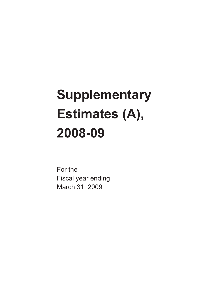# **Supplementary Estimates (A), 2008-09**

For the Fiscal year ending March 31, 2009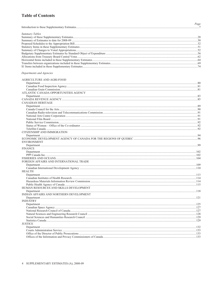### **Table of Contents**

|                                         | Page |
|-----------------------------------------|------|
|                                         |      |
| Summary Tables                          |      |
|                                         |      |
|                                         |      |
|                                         |      |
|                                         |      |
|                                         |      |
|                                         |      |
|                                         |      |
|                                         |      |
|                                         |      |
| Departments and Agencies                |      |
| AGRICULTURE AND AGRI-FOOD               |      |
|                                         |      |
|                                         |      |
|                                         |      |
| ATLANTIC CANADA OPPORTUNITIES AGENCY    |      |
|                                         |      |
|                                         |      |
| <b>CANADIAN HERITAGE</b>                |      |
|                                         |      |
|                                         |      |
|                                         |      |
|                                         |      |
|                                         |      |
|                                         |      |
|                                         |      |
| CITIZENSHIP AND IMMIGRATION             |      |
|                                         |      |
|                                         |      |
| <b>ENVIRONMENT</b>                      |      |
|                                         |      |
| <b>FINANCE</b>                          |      |
|                                         |      |
|                                         |      |
|                                         |      |
| FOREIGN AFFAIRS AND INTERNATIONAL TRADE |      |
|                                         |      |
|                                         |      |
| <b>HEALTH</b>                           |      |
|                                         |      |
|                                         |      |
|                                         |      |
|                                         |      |
| HUMAN RESOURCES AND SKILLS DEVELOPMENT  |      |
|                                         |      |
| INDIAN AFFAIRS AND NORTHERN DEVELOPMENT |      |
|                                         |      |
| <b>INDUSTRY</b>                         |      |
|                                         |      |
|                                         |      |
|                                         |      |
|                                         |      |
|                                         |      |
| <b>JUSTICE</b>                          |      |
|                                         |      |
|                                         |      |
|                                         |      |
|                                         |      |
|                                         |      |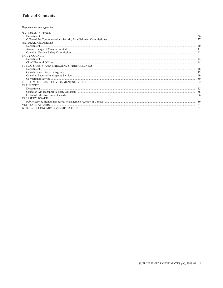## **Table of Contents**

#### Departments and Agencies

| <b>NATIONAL DEFENCE</b>                  |
|------------------------------------------|
|                                          |
|                                          |
| <b>NATURAL RESOURCES</b>                 |
|                                          |
|                                          |
|                                          |
| PRIVY COUNCIL                            |
|                                          |
|                                          |
| PUBLIC SAFETY AND EMERGENCY PREPAREDNESS |
|                                          |
|                                          |
|                                          |
|                                          |
|                                          |
| <b>TRANSPORT</b>                         |
|                                          |
|                                          |
|                                          |
| <b>TREASURY BOARD</b>                    |
|                                          |
|                                          |
|                                          |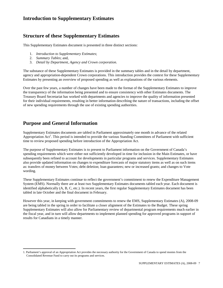## <span id="page-3-0"></span>**Structure of these Supplementary Estimates**

This Supplementary Estimates document is presented in three distinct sections:

- 1. *Introduction to Supplementary Estimates*;
- 2. *Summary Tables*; and,
- 3. *Detail by Department, Agency and Crown corporation.*

The substance of these Supplementary Estimates is provided in the summary tables and in the detail by department, agency and appropriation-dependent Crown corporations. This introduction provides the context for these Supplementary Estimates by presenting an overview of proposed spending as well as explanations of the various elements.

Over the past few years, a number of changes have been made to the format of the Supplementary Estimates to improve the transparency of the information being presented and to ensure consistency with other Estimates documents. The Treasury Board Secretariat has worked with departments and agencies to improve the quality of information presented for their individual requirements, resulting in better information describing the nature of transactions, including the offset of new spending requirements through the use of existing spending authorities.

## **Purpose and General Information**

 $\overline{a}$ 

Supplementary Estimates documents are tabled in Parliament approximately one month in advance of the related Appropriation Act<sup>1</sup>. This period is intended to provide the various Standing Committees of Parliament with sufficient time to review proposed spending before introduction of the Appropriation Act.

The purpose of Supplementary Estimates is to present to Parliament information on the Government of Canada's spending requirements which were either not sufficiently developed in time for inclusion in the Main Estimates, or have subsequently been refined to account for developments in particular programs and services. Supplementary Estimates also provide updated information on changes to expenditure forecasts of major statutory items as well as on such items as: transfers of money between Votes; debt deletion; loan guarantees; new or increased grants; and changes to Vote wording.

These Supplementary Estimates continue to reflect the government's commitment to renew the Expenditure Management System (EMS). Normally there are at least two Supplementary Estimates documents tabled each year. Each document is identified alphabetically (A, B, C, etc.). In recent years, the first regular Supplementary Estimates document has been tabled in late October and the final document in February.

However this year, in keeping with government commitments to renew the EMS, Supplementary Estimates (A), 2008-09 are being tabled in the spring in order to facilitate a closer alignment of the Estimates to the Budget. These spring Supplementary Estimates will also allow for Parliamentary review of departmental program requirements much earlier in the fiscal year, and in turn will allow departments to implement planned spending for approved programs in support of results for Canadians in a timely manner.

<sup>1.</sup> Parliament's approval of an Appropriation Act provides the necessary authority for the Government of Canada to spend monies from the Consolidated Revenue Fund to carry out its programs and services.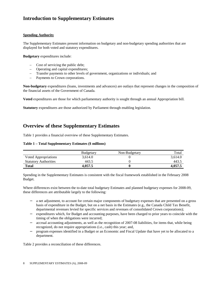#### **Spending Authority**

The Supplementary Estimates present information on budgetary and non-budgetary spending authorities that are displayed for both voted and statutory expenditures.

**Budgetary** expenditures include:

- Cost of servicing the public debt;
- Operating and capital expenditures;
- Transfer payments to other levels of government, organizations or individuals; and
- Payments to Crown corporations.

**Non-budgetary** expenditures (loans, investments and advances) are outlays that represent changes in the composition of the financial assets of the Government of Canada.

**Voted** expenditures are those for which parliamentary authority is sought through an annual Appropriation bill.

**Statutory** expenditures are those authorized by Parliament through enabling legislation.

## **Overview of these Supplementary Estimates**

Table 1 provides a financial overview of these Supplementary Estimates.

#### **Table 1 – Total Supplementary Estimates (\$ millions)**

|                              | <b>Budgetary</b> | Non-Budgetary | Total   |
|------------------------------|------------------|---------------|---------|
| <b>Voted Appropriations</b>  | 3,614.0          |               | 3.614.0 |
| <b>Statutory Authorities</b> | 443.5            |               | 443.5   |
| <b>Total</b>                 | 4.057.5          |               | 4,057.5 |

Spending in the Supplementary Estimates is consistent with the fiscal framework established in the February 2008 Budget.

Where differences exist between the to-date total budgetary Estimates and planned budgetary expenses for 2008-09, these differences are attributable largely to the following:

- − a net adjustment, to account for certain major components of budgetary expenses that are presented on a gross basis of expenditure in the Budget, but on a net basis in the Estimates (e.g., the Canada Child Tax Benefit, departmental revenues levied for specific services and revenues of consolidated Crown corporations);
- expenditures which, for Budget and accounting purposes, have been charged to prior years to coincide with the timing of when the obligations were incurred;
- accrual accounting adjustments, as well as the recognition of 2007-08 liabilities, for items that, while being recognized, do not require appropriations (i.e., cash) this year; and,
- − program expenses identified in a Budget or an Economic and Fiscal Update that have yet to be allocated to a department.

Table 2 provides a reconciliation of these differences.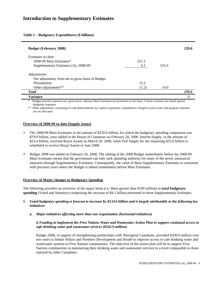**Table 2 – Budgetary Expenditures (\$ billions)** 

| <b>Budget (February 2008)</b>                     |       |       | 239.6    |
|---------------------------------------------------|-------|-------|----------|
| Estimates to-date:                                |       |       |          |
| 2008-09 Main Estimates*                           | 221.5 |       |          |
| Supplementary Estimates (A), 2008-09              | 4.1   | 225.6 |          |
| Adjustments:                                      |       |       |          |
| Net adjustment, from net to gross basis of Budget |       |       |          |
| Presentation                                      | 15.2  |       |          |
| Other adjustments**                               | (1.2) | 14.0  |          |
| <b>T</b> otal                                     |       |       | 239.6    |
| Variance                                          |       |       | $\Omega$ |

\* Budget presents expenses on a gross basis, whereas Main Estimates are presented on net basis. Certain revenues are netted against budgetary expenses.

\*\* Other adjustments, consisting of cash disbursements for capital acquisition, expenditures charged to prior years and program expenses not yet allocated.

#### **Overview of 2008-09 to-date (Supply issues)**

- The 2008-09 Main Estimates in the amount of \$220.6 billion, for which the budgetary spending component was \$79.0 billion, were tabled in the House of Commons on February 28, 2008. Interim Supply, in the amount of \$23.4 billion, received Royal Assent on March 29, 2008, while Full Supply for the remaining \$55.6 billion is scheduled to receive Royal Assent in June 2008.
- Budget 2008 was tabled on February 26, 2008. The tabling of the 2008 Budget immediately before the 2008-09 Main Estimates means that the government can only seek spending authority for many of the newly announced measures through Supplementary Estimates. Consequently, the value of these Supplementary Estimates is consistent with previous years where the Budget is tabled immediately before Main Estimates.

#### **Overview of Major changes to Budgetary Spending**

The following provides an overview of the major items (i.e. those greater than \$100 million) in **total budgetary spending** (Voted and Statutory) comprising the increase of \$4.1 billion presented in these Supplementary Estimates.

- **1.** *Voted budgetary spending is forecast to increase by \$3.614 billion and is largely attributable to the following key initiatives:* 
	- *a. Major initiatives affecting more than one organization (horizontal initiatives)*

#### *i) Funding to implement the First Nations Water and Wastewater Action Plan to support continued access to safe drinking water and wastewater services (\$162.9 million)*

Budget 2008, in support of strengthening partnerships with Aboriginal Canadians, provided \$330.6 million over two years to Indian Affairs and Northern Development and Health to improve access to safe drinking water and wastewater systems in First Nations communities. The objective of the action plan will be to support First Nations communities in maintaining their drinking water and wastewater services to a level comparable to those enjoyed by other Canadians.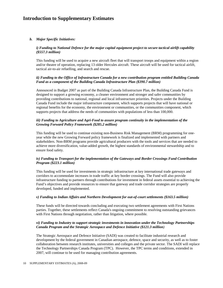#### *b. Major Specific Initiatives:*

#### *i) Funding to National Defence for the major capital equipment project to secure tactical airlift capability (\$557.3 million)*

This funding will be used to acquire a new aircraft fleet that will transport troops and equipment within a region and/or theatre of operation, replacing 13 older Hercules aircraft. These aircraft will be used for tactical airlift, tactical air-to-air refuelling, and search and rescue.

#### *ii) Funding to the Office of Infrastructure Canada for a new contribution program entitled Building Canada Fund as a component of the Building Canada Infrastructure Plan (\$390.7 million)*

Announced in Budget 2007 as part of the Building Canada Infrastructure Plan, the Building Canada Fund is designed to support a growing economy, a cleaner environment and stronger and safer communities by providing contributions to national, regional and local infrastructure priorities. Projects under the Building Canada Fund include the major infrastructure component, which supports projects that will have national or regional benefits for the economy, the environment or communities, or the communities component, which supports projects that address the needs of communities with populations of less than 100,000.

#### *iii) Funding to Agriculture and Agri-Food to assure program continuity in the implementation of the Growing Forward Policy Framework (\$285.2 million)*

This funding will be used to continue existing non-Business Risk Management (BRM) programming for oneyear while the new Growing Forward policy framework is finalized and implemented with partners and stakeholders. Non-BRM programs provide agricultural producers with the tools and services that are needed to achieve more diversification, value-added growth, the highest standards of environmental stewardship and to ensure food safety.

#### *iv) Funding to Transport for the implementation of the Gateways and Border Crossings Fund Contribution Program (\$223.1 million)*

This funding will be used for investments in strategic infrastructure at key international trade gateways and corridors to accommodate increases in trade traffic at key border crossings. The Fund will also provide infrastructure funding to partners through contributions for investment in federal assets essential to achieving the Fund's objectives and provide resources to ensure that gateway and trade corridor strategies are properly developed, funded and implemented.

#### *v) Funding to Indian Affairs and Northern Development for out-of-court settlements (\$163.5 million)*

These funds will be directed towards concluding and executing two settlement agreements with First Nations parties. Together, these settlements reflect Canada's ongoing commitment to resolving outstanding grievances with First Nations through negotiation, rather than litigation, where possible*.* 

#### *vi) Funding to Industry to support strategic investments in innovation under the Technology Partnerships Canada Program and the Strategic Aerospace and Defence Initiative (\$121.3 million)*

The Strategic Aerospace and Defence Initiative (SADI) was created to facilitate industrial research and development by the federal government in Canadian aerospace, defence, space and security, as well as to foster collaboration between research institutes, universities and colleges and the private sector. The SADI will replace the Technology Partnerships Canada Program (TPC). However, the TPC terms and conditions, extended in 2007, will continue to be used for managing contribution agreements.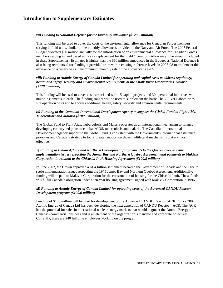#### *vii) Funding to National Defence for the land duty allowance (\$120.0 million)*

This funding will be used to cover the costs of the environmental allowance for Canadian Forces members serving in field units, similar to the monthly allowances provided to the Navy and Air Force. The 2007 Federal Budget allocated \$60 million annually for the introduction of an environmental allowance for Canadian Forces members serving in land based units as a replacement for the Field Operations Allowance. The amount included in these Supplementary Estimates is higher than the \$60 million announced in the Budget as National Defence is also being reimbursed for funding it provided from within existing reference levels in 2007-08 to implement this allowance on a timely basis. The minimum monthly rate of the allowance is \$285.

#### *viii) Funding to Atomic Energy of Canada Limited for operating and capital costs to address regulatory, health and safety, security and environmental requirements at the Chalk River Laboratories, Ontario (\$120.0 million)*

This funding will be used to cover costs associated with 15 capital projects and 30 operational initiatives with multiple elements in each. The funding sought will be used to supplement the basic Chalk River Laboratories site operation costs and to address additional health, safety, security and environmental requirements.

#### *ix) Funding to the Canadian International Development Agency to support the Global Fund to Fight Aids, Tuberculosis and Malaria (\$109.0 million)*

The Global Fund to Fight Aids, Tuberculosis and Malaria operates as an international mechanism to finance developing country-led plans to combat AIDS, tuberculosis and malaria. The Canadian International Development Agency support to the Global Fund is consistent with the Government's international assistance priorities and Canada's strategy to focus greater support on those multilateral mechanisms that are most effective.

#### *x) Funding to Indian Affairs and Northern Development for payments to the Quebec Cree to settle implementation issues respecting the James Bay and Northern Quebec Agreement and payments to Makivik Corporation in relation to the Chisasibi Inuit Housing Agreement (\$100.8 million)*

In June 2007, the Crown approved a \$1.4 billion settlement between the Government of Canada and the Cree to settle implementation issues respecting the 1975 James Bay and Northern Quebec Agreement. Additionally, funding will be paid to Makivik Corporation for the construction of housing for the Chisasibi Inuit. These funds will fulfill Canada's obligation under a ten-year housing agreement signed with Makivik Corporation in 1996.

#### **xi)** *Funding to Atomic Energy of Canada Limited for operating costs of the Advanced CANDU Reactor Development program (\$100.0 million)*

Funding of \$100 million will be used for development of the Advanced CANDU Reactor (ACR). Since 2002, Atomic Energy of Canada Ltd has been developing the next generation of CANDU Reactor – ACR. The ACR has the potential for sales in international nuclear energy markets that would augment the Atomic Energy of Canada's commercial business and is an element of the organization's mandate and corporate objectives. Currently, there are 240 full time employees working on the program.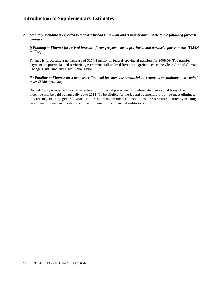**2.** *Statutory spending is expected to increase by \$443.5 million and is mainly attributable to the following forecast changes:* 

#### *i) Funding to Finance for revised forecast of transfer payments to provincial and territorial governments (\$254.4 million)*

Finance is forecasting a net increase of \$254.4 million in federal-provincial transfers for 2008-09. The transfer payments to provincial and territorial governments fall under different categories such as the Clean Air and Climate Change Trust Fund and Fiscal Equalization.

#### *ii ) Funding to Finance for a temporary financial incentive for provincial governments to eliminate their capital taxes (\$180.0 million)*

Budget 2007 provided a financial incentive for provincial governments to eliminate their capital taxes. The incentive will be paid out annually up to 2011. To be eligible for the federal payment, a province must eliminate its currently existing general capital tax or capital tax on financial institutions, or restructure a currently existing capital tax on financial institutions into a minimum tax on financial institutions.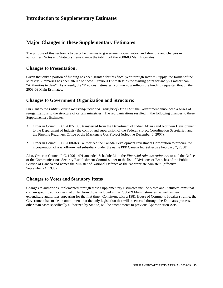## **Major Changes in these Supplementary Estimates**

The purpose of this section is to describe changes to government organization and structure and changes in authorities (Votes and Statutory items), since the tabling of the 2008-09 Main Estimates.

#### **Changes to Presentation:**

Given that only a portion of funding has been granted for this fiscal year through Interim Supply, the format of the Ministry Summaries has been altered to show "Previous Estimates" as the starting point for analysis rather than "Authorities to date". As a result, the "Previous Estimates" column now reflects the funding requested though the 2008-09 Main Estimates.

#### **Changes to Government Organization and Structure:**

Pursuant to the *Public Service Rearrangement and Transfer of Duties Act,* the Government announced a series of reorganizations to the structure of certain ministries. The reorganizations resulted in the following changes to these Supplementary Estimates:

- Order in Council P.C. 2007-1888 transferred from the Department of Indian Affairs and Northern Development to the Department of Industry the control and supervision of the Federal Project Coordination Secretariat, and the Pipeline Readiness Office of the Mackenzie Gas Project (effective December 6, 2007).
- Order in Council P.C. 2008-0243 authorized the Canada Development Investment Corporation to procure the incorporation of a wholly-owned subsidiary under the name PPP Canada Inc. (effective February 7, 2008).

Also, Order in Council P.C. 1996-1491 amended Schedule I.1 to the *Financial Administration Act* to add the Office of the Communications Security Establishment Commissioner to the list of Divisions or Branches of the Public Service of Canada and names the Minister of National Defence as the "appropriate Minister" (effective September 24, 1996).

#### **Changes to Votes and Statutory Items**

Changes to authorities implemented through these Supplementary Estimates include Votes and Statutory items that contain specific authorities that differ from those included in the 2008-09 Main Estimates, as well as new expenditure authorities appearing for the first time. Consistent with a 1981 House of Commons Speaker's ruling, the Government has made a commitment that the only legislation that will be enacted through the Estimates process, other than cases specifically authorized by Statute, will be amendments to previous Appropriation Acts.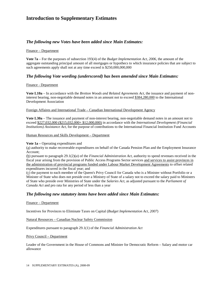#### *The following new Votes have been added since Main Estimates:*

#### Finance – Department

**Vote 7a** – For the purposes of subsection 193(4) of the *Budget Implementation Act, 2006*, the amount of the aggregate outstanding principal amount of all mortgages or hypothecs to which insurance policies that are subject to such agreements apply shall not at any time exceed is \$250,000,000,000

#### *The following Vote wording (underscored) has been amended since Main Estimates:*

#### Finance - Department

**Vote L10a** – In accordance with the *Bretton Woods and Related Agreements Act*, the issuance and payment of noninterest bearing, non-negotiable demand notes in an amount not to exceed \$384,280,000 to the International Development Association

#### Foreign Affaires and International Trade – Canadian International Development Agency

**Vote L30a** – The issuance and payment of non-interest bearing, non-negotiable demand notes in an amount not to exceed \$227,032,000 (\$215,032,000+ \$12,000,000) in accordance with the *International Development (Financial Institutions) Assistance Act*, for the purpose of contributions to the International Financial Institution Fund Accounts

#### Human Resources and Skills Development – Department

Vote 1a – Operating expenditures and

(a) authority to make recoverable expenditures on behalf of the Canada Pension Plan and the Employment Insurance Account;

(b) pursuant to paragraph 29.1(2)(*a*) of the *Financial Administration Act*, authority to spend revenues received in the fiscal year arising from the provision of Public Access Programs Sector services and services to assist provinces in the administration of provincial programs funded under Labour Market Development Agreements to offset related expenditures incurred in the fiscal year; and

(c) the payment to each member of the Queen's Privy Council for Canada who is a Minister without Portfolio or a Minister of State who does not preside over a Ministry of State of a salary not to exceed the salary paid to Ministers of State who preside over Ministries of State under the *Salaries Act*, as adjusted pursuant to the *Parliament of Canada Act* and pro rata for any period of less than a year

#### *The following new statutory items have been added since Main Estimates:*

#### Finance – Department

Incentives for Provinces to Eliminate Taxes on Capital (*Budget Implementation Act, 2007*)

Natural Resources – Canadian Nuclear Safety Commission

Expenditures pursuant to paragraph 29.1(1) of the *Financial Administration Act*

#### Privy Council – Department

Leader of the Government in the House of Commons and Minister for Democratic Reform – Salary and motor car allowance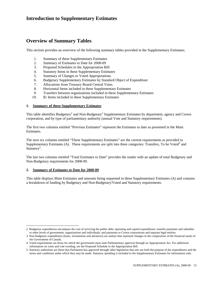## **Overview of Summary Tables**

This section provides an overview of the following summary tables provided in the Supplementary Estimates.

- 1. Summary of these Supplementary Estimates
- 2. Summary of Estimates to Date for 2008-09
- 3. Proposed Schedules to the Appropriation Bill
- 4. Statutory Items in these Supplementary Estimates
- 5. Summary of Changes to Voted Appropriations
- 6. Budgetary Supplementary Estimates by Standard Object of Expenditure
- 7. Allocations from Treasury Board Central Votes
- 8. Horizontal Items included in these Supplementary Estimates
- 9. Transfers between organizations included in these Supplementary Estimates
- 10. \$1 Items included in these Supplementary Estimates

#### **1. Summary of these Supplementary Estimates**

This table identifies Budgetary<sup>2</sup> and Non-Budgetary<sup>3</sup> Supplementary Estimates by department, agency and Crown corporation, and by type of parliamentary authority (annual Vote and Statutory requirements).

The first two columns entitled "Previous Estimates" represent the Estimates to date as presented in the Main Estimates.

The next six columns entitled "These Supplementary Estimates" are the current requirements as provided in Supplementary Estimates (A). These requirements are split into three categories: Transfers, To be Voted<sup>4</sup> and Statutory<sup>5</sup>.

The last two columns entitled "Total Estimates to Date" provides the reader with an update of total Budgetary and Non-Budgetary requirements for 2008-09.

#### **2. Summary of Estimates to Date for 2008-09**

This table displays Main Estimates and amounts being requested in these Supplementary Estimates (A) and contains a breakdown of funding by Budgetary and Non-Budgetary/Voted and Statutory requirements.

 $\overline{a}$ 2. Budgetary expenditures encompass the cost of servicing the public debt; operating and capital expenditures; transfer payments and subsidies to other levels of government, organizations and individuals; and payments to Crown corporations and separate legal entities.

<sup>3.</sup> Non-budgetary expenditures (loans, investments and advances) are outlays that represent changes in the composition of the financial assets of the Government of Canada.

<sup>4.</sup> Voted requirements are those for which the government must seek Parliamentary approval through an Appropriation Act. For additional information on votes and vote wording, see the Proposed Schedule to the Appropriation Bill.

<sup>5.</sup> Statutory authorities are those that Parliament has approved through other legislation that sets out both the purpose of the expenditures and the terms and conditions under which they may be made. Statutory spending is included in the Supplementary Estimates for information only.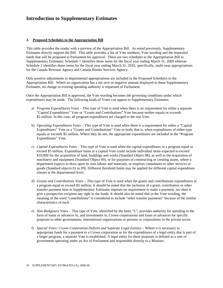#### **3. Proposed Schedules to the Appropriation Bill**

This table provides the reader with a preview of the Appropriation Bill. As noted previously, Supplementary Estimates directly support the Bill. This table provides a list of Vote numbers, Vote wording and the requested funds that will be proposed to Parliament for approval. There are two schedules to the Appropriation Bill in Supplementary Estimates: Schedule 1 identifies those items for the fiscal year ending March 31, 2009 whereas Schedule 2 identifies those items for the fiscal year ending March 31, 2010, specifically, multi-year appropriations for the Canada Revenue Agency and Canada Border Services Agency.

Only positive adjustments to departmental appropriations are included in the Proposed Schedules to the Appropriation Bill. Where an organization has a net zero or negative amount displayed in these Supplementary Estimates, no change to existing spending authority is requested of Parliament.

Once the Appropriation Bill is approved, the Vote wording becomes the governing conditions under which expenditures may be made. The following kinds of Votes can appear in Supplementary Estimates:

- a) *Program Expenditures Votes* This type of Vote is used when there is no requirement for either a separate "Capital Expenditures" Vote or "Grants and Contributions" Vote because neither equals or exceeds \$5 million. In this case, all program expenditures are charged to the one Vote.
- b) *Operating Expenditures Votes* This type of Vote is used when there is a requirement for either a "Capital Expenditures" Vote or a "Grants and Contributions" Vote or both; that is, when expenditures of either type equals or exceeds \$5 million. Where they do not, the appropriate expenditures are included in the "Program Expenditures" Vote.
- c) *Capital Expenditures Votes*  This type of Vote is used when the capital expenditures in a program equal or exceed \$5 million. Expenditure items in a capital Vote could include individual items expected to exceed \$10,000 for the acquisition of land, buildings and works (Standard Object 08), as well as the acquisition of machinery and equipment (Standard Object 09), or for purposes of constructing or creating assets, where a department expects to draw upon its own labour and materials, or employs consultants or other services or goods (Standard objects 01 to 09). Different threshold limits may be applied for different capital expenditure classes at the departmental level.
- d) *Grants and Contributions Votes* This type of Vote is used when the grants and contributions expenditures in a program equal or exceed \$5 million. It should be noted that the inclusion of a grant, contribution or other transfer payment item in Supplementary Estimates imposes no requirement to make a payment, nor does it give a prospective recipient any right to the funds. It should also be noted that in the Vote wording, the meaning of the word "contributions" is considered to include "other transfer payments" because of the similar characteristics of each.
- e) *Non-Budgetary Votes* This type of Vote, identified by the letter "L", provides authority for spending in the form of loans or advances to, and investments in, Crown corporations and loans or advances for specific purposes to other governments, international organizations or persons or corporations in the private sector.
- f) *Special Votes: Crown Corporation Deficits and Separate Legal Entities –* Where it is necessary to appropriate funds for a payment to a Crown corporation or for the expenditures of a legal entity that is part of a larger program, a separate Vote is established. A legal entity for these purposes is defined as a unit of government operating under an Act of Parliament and responsible directly to a Minister.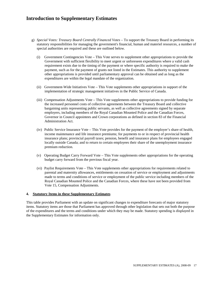- g) *Special Votes: Treasury Board Centrally Financed Votes* To support the Treasury Board in performing its statutory responsibilities for managing the government's financial, human and materiel resources, a number of special authorities are required and these are outlined below.
	- (i) Government Contingencies Vote This Vote serves to supplement other appropriations to provide the Government with sufficient flexibility to meet urgent or unforeseen expenditures where a valid cash requirement exists due to the timing of the payment or where specific authority is required to make the payment, such as for the payment of grants not listed in the Estimates. This authority to supplement other appropriations is provided until parliamentary approval can be obtained and as long as the expenditures are within the legal mandate of the organization.
	- (ii) Government-Wide Initiatives Vote This Vote supplements other appropriations in support of the implementation of strategic management initiatives in the Public Service of Canada.
	- (iii) Compensation Adjustments Vote This Vote supplements other appropriations to provide funding for the increased personnel costs of collective agreements between the Treasury Board and collective bargaining units representing public servants, as well as collective agreements signed by separate employers, including members of the Royal Canadian Mounted Police and the Canadian Forces, Governor in Council appointees and Crown corporations as defined in section 83 of the Financial Administration Act.
	- (iv) Public Service Insurance Vote This Vote provides for the payment of the employer's share of health, income maintenance and life insurance premiums; for payments to or in respect of provincial health insurance plans; provincial payroll taxes; pension, benefit and insurance plans for employees engaged locally outside Canada; and to return to certain employees their share of the unemployment insurance premium reduction.
	- (v) Operating Budget Carry Forward Vote This Vote supplements other appropriations for the operating budget carry forward from the previous fiscal year.
	- (vi) Paylist Requirements Vote This Vote supplements other appropriations for requirements related to parental and maternity allowances, entitlements on cessation of service or employment and adjustments made to terms and conditions of service or employment of the public service including members of the Royal Canadian Mounted Police and the Canadian Forces, where these have not been provided from Vote 15, Compensation Adjustments.

#### **4. Statutory Items in these Supplementary Estimates**

This table provides Parliament with an update on significant changes to expenditure forecasts of major statutory items. Statutory items are those that Parliament has approved through other legislation that sets out both the purpose of the expenditures and the terms and conditions under which they may be made. Statutory spending is displayed in the Supplementary Estimates for information only.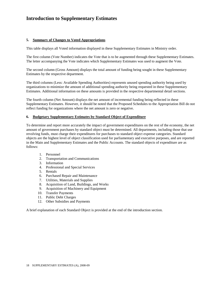#### **5. Summary of Changes to Voted Appropriations**

This table displays all Voted information displayed in these Supplementary Estimates in Ministry order.

The first column (Vote Number) indicates the Vote that is to be augmented through these Supplementary Estimates. The letter accompanying the Vote indicates which Supplementary Estimates was used to augment the Vote.

The second column (Gross Amount) displays the total amount of funding being sought in these Supplementary Estimates by the respective department.

The third columns (Less: Available Spending Authorities) represents unused spending authority being used by organizations to minimize the amount of additional spending authority being requested in these Supplementary Estimates. Additional information on these amounts is provided in the respective departmental detail sections.

The fourth column (Net Amount) displays the net amount of incremental funding being reflected in these Supplementary Estimates. However, it should be noted that the Proposed Schedules to the Appropriation Bill do not reflect funding for organizations where the net amount is zero or negative.

#### **6. Budgetary Supplementary Estimates by Standard Object of Expenditure**

To determine and report more accurately the impact of government expenditures on the rest of the economy, the net amount of government purchases by standard object must be determined. All departments, including those that use revolving funds, must charge their expenditures for purchases to standard object expense categories. Standard objects are the highest level of object classification used for parliamentary and executive purposes, and are reported in the Main and Supplementary Estimates and the Public Accounts. The standard objects of expenditure are as follows:

- 1. Personnel
- 2. Transportation and Communications
- 3. Information
- 4. Professional and Special Services
- 5. Rentals
- 6. Purchased Repair and Maintenance
- 7. Utilities, Materials and Supplies
- 8. Acquisition of Land, Buildings, and Works
- 9. Acquisition of Machinery and Equipment
- 10. Transfer Payments
- 11. Public Debt Charges
- 12. Other Subsidies and Payments

A brief explanation of each Standard Object is provided at the end of the introduction section.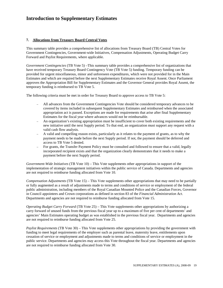#### **7. Allocations from Treasury Board Central Votes**

This summary table provides a comprehensive list of allocations from Treasury Board (TB) Central Votes for Government Contingencies, Government-wide Initiatives, Compensation Adjustments, Operating Budget Carry Forward and Paylist Requirements, where applicable.

*Government Contingencies* (TB Vote 5) –This summary table provides a comprehensive list of organizations that have received temporary Treasury Board Contingency Vote (TB Vote 5) funding. Temporary funding can be provided for urgent miscellaneous, minor and unforeseen expenditures, which were not provided for in the Main Estimates and which are required before the next Supplementary Estimates receive Royal Assent. Once Parliament approves the Appropriation Bill for Supplementary Estimates and the Governor General provides Royal Assent, the temporary funding is reimbursed to TB Vote 5.

The following criteria must be met in order for Treasury Board to approve access to TB Vote 5:

- All advances from the Government Contingencies Vote should be considered temporary advances to be covered by items included in subsequent Supplementary Estimates and reimbursed when the associated appropriation act is passed. Exceptions are made for requirements that arise after final Supplementary Estimates for the fiscal year where advances would not be reimbursable.
- An organization's existing appropriation must be insufficient to cover both existing requirements and the new initiative until the next Supply period. To that end, an organization must support any request with a valid cash flow analysis.
- A valid and compelling reason exists, particularly as it relates to the payment of grants, as to why the payment needs to be made before the next Supply period. If not, the payment should be deferred and access to TB Vote 5 denied.
- For grants, the Transfer Payment Policy must be consulted and followed to ensure that a valid, legally incorporated recipient exists and that the organization clearly demonstrates that it needs to make a payment before the next Supply period.

*Government-Wide Initiatives* (TB Vote 10) – This Vote supplements other appropriations in support of the implementation of strategic management initiatives within the public service of Canada. Departments and agencies are not required to reimburse funding allocated from Vote 10.

*Compensation Adjustments* (TB Vote 15) – This Vote supplements other appropriations that may need to be partially or fully augmented as a result of adjustments made to terms and conditions of service or employment of the federal public administration, including members of the Royal Canadian Mounted Police and the Canadian Forces, Governor in Council appointees and Crown corporations as defined in section 83 of the *Financial Administration Act*. Departments and agencies are not required to reimburse funding allocated from Vote 15.

*Operating Budget Carry Forward* (TB Vote 25) – This Vote supplements other appropriations by authorizing a carry forward of unused funds from the previous fiscal year up to a maximum of five per cent of departments' and agencies' Main Estimates operating budget as was established in the previous fiscal year. Departments and agencies are not required to reimburse funding allocated from Vote 25.

*Paylist Requirements* (TB Vote 30) – This Vote supplements other appropriations by providing the government with funding to meet legal requirements of the employer such as parental leave, maternity leave, entitlements upon cessation of service or employment and adjustments made to terms and conditions of service or employment in the public service. Departments and agencies may access this Vote throughout the fiscal year. Departments and agencies are not required to reimburse funding allocated from Vote 30.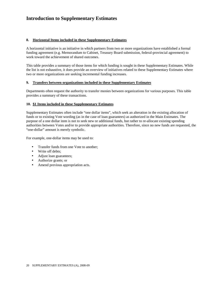#### **8. Horizontal Items included in these Supplementary Estimates**

A horizontal initiative is an initiative in which partners from two or more organizations have established a formal funding agreement (e.g. Memorandum to Cabinet, Treasury Board submission, federal-provincial agreement) to work toward the achievement of shared outcomes.

This table provides a summary of those items for which funding is sought in these Supplementary Estimates. While the list is not exhaustive, it does provide an overview of initiatives related to these Supplementary Estimates where two or more organizations are seeking incremental funding increases.

#### **9. Transfers between organizations included in these Supplementary Estimates**

Departments often request the authority to transfer monies between organizations for various purposes. This table provides a summary of these transactions.

#### **10. \$1 Items included in these Supplementary Estimates**

Supplementary Estimates often include "one dollar items", which seek an alteration in the existing allocation of funds or to existing Vote wording (as in the case of loan guarantees) as authorized in the Main Estimates. The purpose of a one dollar item is not to seek new or additional funds, but rather to re-allocate existing spending authorities between Votes and/or to provide appropriate authorities. Therefore, since no new funds are requested, the "one-dollar" amount is merely symbolic.

For example, one-dollar items may be used to:

- Transfer funds from one Vote to another:
- Write off debts;
- Adjust loan guarantees;
- Authorize grants; or
- Amend previous appropriation acts.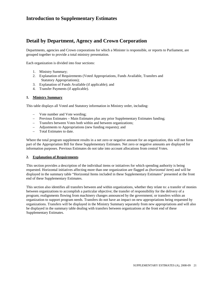## **Detail by Department, Agency and Crown Corporation**

Departments, agencies and Crown corporations for which a Minister is responsible, or reports to Parliament, are grouped together to provide a total ministry presentation.

Each organization is divided into four sections:

- 1. Ministry Summary;
- 2. Explanation of Requirements (Voted Appropriations, Funds Available, Transfers and Statutory Appropriations);
- 3. Explanation of Funds Available (if applicable); and
- 4. Transfer Payments (if applicable).

#### **1. Ministry Summary**

This table displays all Voted and Statutory information in Ministry order, including:

- Vote number and Vote wording;
- Previous Estimates Main Estimates plus any prior Supplementary Estimates funding;
- Transfers between Votes both within and between organizations;
- Adjustments to Appropriations (new funding requests); and
- Total Estimates to date.

Where the total program supplement results in a net zero or negative amount for an organization, this will not form part of the Appropriation Bill for these Supplementary Estimates. Net zero or negative amounts are displayed for information purposes. Previous Estimates do not take into account allocations from central Votes.

#### **2. Explanation of Requirements**

This section provides a description of the individual items or initiatives for which spending authority is being requested. Horizontal initiatives affecting more than one organization are flagged as (*horizontal item*) and will be displayed in the summary table "Horizontal Items included in these Supplementary Estimates" presented at the front end of these Supplementary Estimates.

This section also identifies all transfers between and within organizations, whether they relate to: a transfer of monies between organizations to accomplish a particular objective; the transfer of responsibility for the delivery of a program; realignments flowing from machinery changes announced by the government; or transfers within an organization to support program needs. Transfers do not have an impact on new appropriations being requested by organizations. Transfers will be displayed in the Ministry Summary separately from new appropriations and will also be displayed in the summary table dealing with transfers between organizations at the front end of these Supplementary Estimates.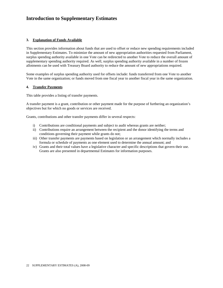#### **3. Explanation of Funds Available**

This section provides information about funds that are used to offset or reduce new spending requirements included in Supplementary Estimates. To minimize the amount of new appropriation authorities requested from Parliament, surplus spending authority available in one Vote can be redirected to another Vote to reduce the overall amount of supplementary spending authority required. As well, surplus spending authority available in a number of frozen allotments can be used with Treasury Board authority to reduce the amount of new appropriations required.

Some examples of surplus spending authority used for offsets include: funds transferred from one Vote to another Vote in the same organization; or funds moved from one fiscal year to another fiscal year in the same organization.

#### **4. Transfer Payments**

This table provides a listing of transfer payments.

A transfer payment is a grant, contribution or other payment made for the purpose of furthering an organization's objectives but for which no goods or services are received.

Grants, contributions and other transfer payments differ in several respects:

- i) Contributions are conditional payments and subject to audit whereas grants are neither;
- ii) Contributions require an arrangement between the recipient and the donor identifying the terms and conditions governing their payment while grants do not;
- iii) Other transfer payments are payments based on legislation or an arrangement which normally includes a formula or schedule of payments as one element used to determine the annual amount; and
- iv) Grants and their total values have a legislative character and specific descriptions that govern their use. Grants are also presented in departmental Estimates for information purposes.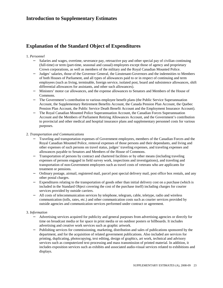## **Explanation of the Standard Object of Expenditures**

#### 1. *Personnel*

- Salaries and wages, overtime, severance pay, retroactive pay and other special pay of civilian continuing (full-time) or term (part-time, seasonal and casual) employees except those of agency and proprietary Crown corporations, as well as members of the military and the Royal Canadian Mounted Police.
- − Judges' salaries, those of the Governor General, the Lieutenant-Governors and the indemnities to Members of both Houses of Parliament, and all types of allowances paid to or in respect of continuing and term employees (such as living, terminable, foreign service, isolated post, board and subsistence allowances, shift differential allowances for assistants, and other such allowances).
- − Ministers' motor car allowances, and the expense allowances to Senators and Members of the House of Commons.
- The Government's contribution to various employee benefit plans (the Public Service Superannuation Account, the Supplementary Retirement Benefits Account, the Canada Pension Plan Account, the Quebec Pension Plan Account, the Public Service Death Benefit Account and the Employment Insurance Account).
- The Royal Canadian Mounted Police Superannuation Account, the Canadian Forces Superannuation Account and the Members of Parliament Retiring Allowances Account, and the Government's contribution to provincial and other medical and hospital insurance plans and supplementary personnel costs for various purposes.

#### 2. *Transportation and Communications*

- Traveling and transportation expenses of Government employees, members of the Canadian Forces and the Royal Canadian Mounted Police, removal expenses of those persons and their dependants, and living and other expenses of such persons on travel status, judges' traveling expenses, and traveling expenses and allowances payable to Senators and Members of the House of Commons.
- Transportation of persons by contract and chartered facilities or by other means (including traveling expenses of persons engaged in field survey work, inspections and investigations), and traveling and transportation of non-Government employees such as travel costs of veterans who are applicants for treatment or pensions.
- − Ordinary postage, airmail, registered mail, parcel post special delivery mail, post office box rentals, and any other postal charges.
- Expenditures relating to the transportation of goods other than initial delivery cost on a purchase (which is included in the Standard Object covering the cost of the purchase itself) including charges for courier services provided by outside carriers.
- − All costs of telecommunication services by telephone, telegram, cable, teletype, radio and wireless communication (tolls, rates, etc.) and other communication costs such as courier services provided by outside agencies and communication services performed under contract or agreement.

#### 3. *Information*

- − Advertising services acquired for publicity and general purposes from advertising agencies or directly for time on broadcast media or for space in print media or on outdoor posters or billboards. It includes advertising and creative work services such as graphic artwork.
- − Publishing services for commissioning, marketing, distribution and sales of publications sponsored by the department, and for the acquisition of related government publications. Also included are services for printing, duplicating, photocopying, text editing, design of graphics, art work, technical and advisory services such as computerized text processing and mass transmission of printed material. In addition, it includes exposition services such as exhibits and associated audio-visual services related to exhibitions and displays.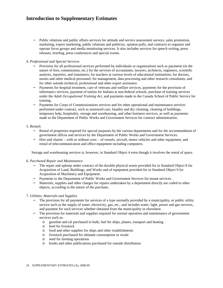Public relations and public affairs services for attitude and service assessment surveys, sales promotion, marketing, export marketing, public relations and publicity, opinion polls, and contracts to organize and operate focus groups and media monitoring services. It also includes services for speech writing, press releases, briefing, press conferences and special events.

#### 4. *Professional and Special Services*

- Provision for all professional services performed by individuals or organizations such as payments (in the nature of fees, commissions, etc.) for the services of accountants, lawyers, architects, engineers, scientific analysts, reporters, and translators; for teachers at various levels of educational institutions; for doctors, nurses and other medical personnel; for management, data processing and other research consultants; and for other outside technical, professional and other expert assistance.
- Payments for hospital treatment, care of veterans and welfare services, payments for the provision of informatics services, payment of tuition for Indians at non-federal schools, purchase of training services under the *Adult Occupational Training Act*, and payments made to the Canada School of Public Service for training.
- − Payments for Corps of Commissionaires services and for other operational and maintenance services performed under contract, such as armoured cars, laundry and dry cleaning, cleaning of buildings, temporary help, hospitality, storage and warehousing, and other business services, as well as payments made to the Department of Public Works and Government Services for contract administration.

#### 5. *Rentals*

- Rental of properties required for special purposes by the various departments and for the accommodation of government offices and services by the Department of Public Works and Government Services.
- − Hire and charter with or without crew of vessels, aircraft, motor vehicles and other equipment, and rental of telecommunication and office equipment including computers.

Storage and warehousing services is, however, in Standard Object 4 even though it involves the rental of space.

#### 6. *Purchased Repair and Maintenance*

- The repair and upkeep under contract of the durable physical assets provided for in Standard Object 8 for Acquisition of Land, Buildings, and Works and of equipment provided for in Standard Object 9 for Acquisition of Machinery and Equipment.
- − Payments to the Department of Public Works and Government Services for tenant services.
- − Materials, supplies and other charges for repairs undertaken by a department directly are coded to other objects, according to the nature of the purchase.

#### 7. *Utilities, Materials and Supplies*

- − The provision for all payments for services of a type normally provided by a municipality, or public utility service such as the supply of water, electricity, gas, etc., and includes water, light, power and gas services, and payment for such services whether obtained from the municipality or elsewhere.
- − The provision for materials and supplies required for normal operation and maintenance of government services such as:
	- o gasoline and oil purchased in bulk; fuel for ships, planes, transport and heating
	- o feed for livestock
	- o food and other supplies for ships and other establishments
	- o livestock purchased for ultimate consumption or resale
	- o seed for farming operations
	- o books and other publications purchased for outside distribution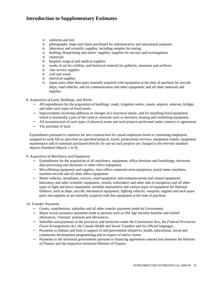- o uniforms and kits
- o photographs, maps and charts purchased for administrative and operational purposes
- o laboratory and scientific supplies, including samples for testing
- o drafting, blueprinting and artists' supplies; supplies for surveys and investigations
- o chemicals
- o hospital, surgical and medical supplies
- o works of art for exhibits, and historical material for galleries, museums and archives
- o char service supplies
- o coal and wood
- o electrical supplies
- o repair parts other than parts normally acquired with equipment at the time of purchase for aircraft, ships, road vehicles, and for communication and other equipment; and all other materials and supplies.

#### 8. *Acquisition of Land, Buildings, and Works*

- − All expenditures for the acquisition of buildings, roads, irrigation works, canals, airports, wharves, bridges and other such types of fixed assets.
- − Improvements involving additions or changes of a structural nature, and for installing fixed equipment which is essentially a part of the work or structure such as elevators, heating and ventilating equipment.
- − All reconstruction of such types of physical assets and such projects performed under contract or agreement.
- − The purchase of land.

Expenditures pursuant to contracts for new construction for casual employees hired or continuing employees assigned to work full or part-time on specified projects, travel, professional services, equipment rentals, equipment maintenance and of materials purchased directly for use on such projects are charged to the relevant standard objects (Standard Objects 1 to 9).

#### 9. *Acquisition of Machinery and Equipment*

- Expenditures for the acquisition of all machinery, equipment, office furniture and furnishings, electronic data processing and electronic or other office equipment.
- − Microfilming equipment and supplies, inter-office communication equipment, postal meter machines, machine records and all other office equipment.
- − Motor vehicles, aeroplanes, tractors, road equipment, telecommunications and related equipment, laboratory and other scientific equipment, vessels, icebreakers and other aids to navigation and all other types of light and heavy equipment; includes ammunition and various types of equipment for National Defence, such as ships, aircraft, mechanical equipment, fighting vehicles, weapons, engines and such spare parts and supplies as are normally acquired with that equipment at the time of purchase.

#### 10. *Transfer Payments*

- − Grants, contributions, subsidies and all other transfer payments made by Government.
- − Major social assistance payments made to persons such as Old Age Security benefits and related allowances, Veterans' pensions and allowances.
- − Subsidies and payments to the provinces and territories under the *Constitution Acts*, the *Federal-Provincial Fiscal Arrangements Act*, the Canada Health and Social Transfers and for official languages.
- − Payments to Indians and Inuit in support of self-government initiatives, health, educational, social and community development programming and in respect of native claims.
- Payments to the territorial governments pursuant to financing agreements entered into between the Minister of Finance and the respective territorial Minister of Finance.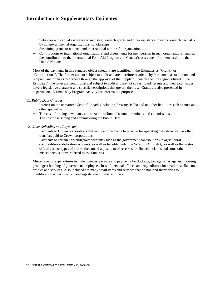- − Subsidies and capital assistance to industry; research grants and other assistance towards research carried on by nongovernmental organizations; scholarships.
- − Sustaining grants to national and international non-profit organizations.
- − Contributions to international organizations and assessments for membership in such organizations, such as the contribution to the International Food Aid Program and Canada's assessment for membership in the United Nations.

Most of the payments in this standard object category are identified in the Estimates as "Grants" or "Contributions". The former are not subject to audit and are therefore restricted by Parliament as to amount and recipient and often as to purpose through the approval of the Supply bill which specifies "grants listed in the Estimates"; the latter are conditional and subject to audit and are not so restricted. Grants and their total values have a legislative character and specific descriptions that govern their use. Grants are also presented in departmental Estimates by Program Activity for information purposes.

#### 11. *Public Debt Charges*

- − Interest on the unmatured debt of Canada (including Treasury Bills) and on other liabilities such as trust and other special funds.
- − The cost of issuing new loans, amortization of bond discount, premiums and commissions.
- − The cost of servicing and administering the Public Debt.

#### 12. *Other Subsidies and Payments*

- − Payments to Crown corporations that include those made to provide for operating deficits as well as other transfers paid to Crown corporations.
- − Payments to certain non-budgetary accounts (such as the government contributions to agricultural commodities stabilization accounts, as well as benefits under the *Veterans Land Act),* as well as the writeoffs of various types of losses, the annual adjustment of reserves for financial claims and some other miscellaneous items referred to as "Sundries".

Miscellaneous expenditures include licences, permits and payments for dockage, towage, wharfage and mooring privileges; bonding of government employees, loss of personal effects, and expenditures for small miscellaneous articles and services. Also included are many small items and services that do not lend themselves to identification under specific headings detailed in this summary.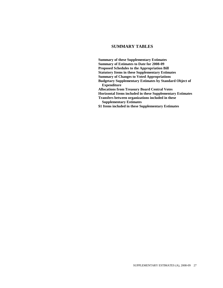#### **SUMMARY TABLES**

**Summary of these Supplementary Estimates Summary of Estimates to Date for 2008-09 Proposed Schedules to the Appropriation Bill Statutory Items in these Supplementary Estimates Summary of Changes to Voted Appropriations Budgetary Supplementary Estimates by Standard Object of Expenditure Allocations from Treasury Board Central Votes Horizontal Items included in these Supplementary Estimates Transfers between organizations included in these Supplementary Estimates \$1 Items included in these Supplementary Estimates**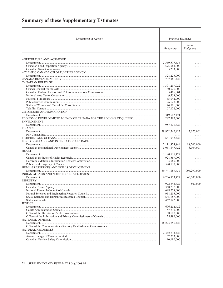# <span id="page-24-0"></span>**Summary of these Supplementary Estimates**

 $=$ 

| Department or Agency                    | Previous Estimates         |                                            |
|-----------------------------------------|----------------------------|--------------------------------------------|
|                                         | Budgetary                  | $Non-$<br>Budgetary                        |
| AGRICULTURE AND AGRI-FOOD               |                            |                                            |
|                                         | 2,569,577,656              | .                                          |
|                                         | 575,563,000                | .                                          |
|                                         | 5,213,000                  | .                                          |
| ATLANTIC CANADA OPPORTUNITIES AGENCY    |                            |                                            |
|                                         | 328,225,000                | .                                          |
| CANADIAN HERITAGE                       | 3,737,361,422              | .                                          |
|                                         | 1,391,299,022              | $\ldots$                                   |
|                                         | 180,526,000                | .                                          |
|                                         | 5,466,001                  | $\cdots$                                   |
|                                         | 49,553,000                 | .                                          |
|                                         | 65,042,000                 | .                                          |
|                                         | 96,628,000<br>24,761,000   | .                                          |
|                                         | 107,172,000                | .<br>.                                     |
| CITIZENSHIP AND IMMIGRATION             |                            |                                            |
|                                         | 1,319,502,421              | $\mathbf{1}$                               |
| <b>ENVIRONMENT</b>                      | 287,387,000                | $\mathbb{Z}^2$ . The set of $\mathbb{Z}^2$ |
| <b>FINANCE</b>                          | 957,526,422                | $\ldots \ldots$                            |
|                                         | 79,952,542,422             | 3,075,001                                  |
|                                         |                            | .                                          |
|                                         | 1,681,992,422              | $\mathbb{Z}^2$ . The set of $\mathbb{Z}^2$ |
| FOREIGN AFFAIRS AND INTERNATIONAL TRADE | 2,111,324,844              | 88,200,000                                 |
|                                         | 3,061,847,422              | 8,004,001                                  |
| <b>HEALTH</b>                           |                            |                                            |
|                                         | 3,190,735,422              | $\mathbb{R}^n$ . In the $\mathbb{R}^n$     |
|                                         | 928,569,000                | $\mathbb{Z}^2$ . The set of $\mathbb{Z}^2$ |
|                                         | 3,565,000                  | $\mathbb{Z}^2$ . The set of $\mathbb{Z}^2$ |
|                                         | 590,530,000                | $\ldots \ldots$                            |
| HUMAN RESOURCES AND SKILLS DEVELOPMENT  | 39,741,189,437             | 906,297,000                                |
| INDIAN AFFAIRS AND NORTHERN DEVELOPMENT |                            |                                            |
|                                         | 6,206,973,422              | 60,503,000                                 |
| <b>INDUSTRY</b>                         |                            |                                            |
|                                         | 972,542,422                | 800,000                                    |
|                                         | 368,217,000                | $\ldots$                                   |
|                                         | 698,278,000                | .                                          |
|                                         | 958,205,000                | .                                          |
|                                         | 645,687,000<br>462,742,000 | .<br>$\ldots$ .                            |
| <b>JUSTICE</b>                          |                            |                                            |
|                                         | 696,252,422                | .                                          |
|                                         | 57,839,000                 | .                                          |
|                                         | 138,697,000                | .                                          |
|                                         | 25,492,000                 | .                                          |
| NATIONAL DEFENCE                        |                            |                                            |
|                                         | 18,293,756,422             | .                                          |
| <b>NATURAL RESOURCES</b>                | $\ldots$                   | .                                          |
|                                         | 2,342,873,422              | .                                          |
|                                         | 152,273,000                | .                                          |
|                                         | 90,180,000                 | .                                          |
|                                         |                            |                                            |

 $\equiv$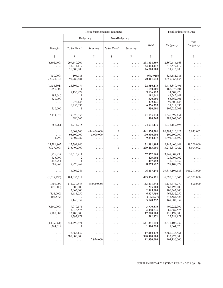|                                                                            | These Supplementary Estimates |                                |                                                        |                                        |                           | Total Estimates to Date      |                                                  |
|----------------------------------------------------------------------------|-------------------------------|--------------------------------|--------------------------------------------------------|----------------------------------------|---------------------------|------------------------------|--------------------------------------------------|
|                                                                            |                               | Budgetary                      | Non-Budgetary                                          |                                        |                           |                              |                                                  |
|                                                                            |                               |                                |                                                        |                                        |                           |                              | $Non-$                                           |
|                                                                            |                               |                                |                                                        |                                        | Total                     | Budgetary                    | Budgetary                                        |
| Transfer                                                                   | To be Voted                   | Statutory                      | To be Voted                                            | Statutory                              |                           |                              |                                                  |
| \$                                                                         | \$                            | $\mathbb{S}$                   | \$                                                     | \$                                     | \$                        | \$                           | \$                                               |
|                                                                            |                               |                                |                                                        |                                        |                           |                              |                                                  |
| (6,501,700)                                                                | 297,540,207                   | $\ldots$                       | $\dots$                                                | $\cdots$                               | 291,038,507               | 2,860,616,163                | .                                                |
| $\mathbb{Z}^2$ . In the $\mathbb{Z}^2$                                     | 43,014,117                    | .                              | $\ldots$                                               | $\ldots$                               | 43,014,117                | 618,577,117                  | $\sim$ $\sim$ $\sim$ $\sim$                      |
| $\alpha$ is a second                                                       | 26,500,000                    | .                              | $\alpha$ is a second                                   | .                                      | 26,500,000                | 31,713,000                   | .                                                |
| (750,000)                                                                  | 106,085                       | .                              | $\ldots$                                               | $\ldots$                               | (643, 915)                | 327,581,085                  | .                                                |
| 22,021,032                                                                 | 97,980,681                    | .                              | .                                                      | .                                      | 120,001,713               | 3,857,363,135                | .                                                |
|                                                                            |                               |                                |                                                        |                                        |                           |                              |                                                  |
| (1,754,301)                                                                | 24,304,774                    | .                              | $\ldots$                                               | $\ldots$                               | 22,550,473                | 1,413,849,495                | .                                                |
| 1,550,000                                                                  |                               |                                | $\dots$                                                | .                                      | 1,550,001                 | 182,076,001                  | $\ldots$ .                                       |
| $\ldots$                                                                   | 9,136,927                     | $\ldots$                       | $\ldots$                                               | $\ldots$                               | 9,136,927                 | 14,602,928                   | .                                                |
| 192,640<br>320,000                                                         | 1                             | .                              | $\ldots$                                               | .                                      | 192,641                   | 49,745,641                   | .                                                |
|                                                                            | 972,145                       | $\ldots$                       | $\ldots$                                               | $\ldots$                               | 320,001<br>972,145        | 65,362,001<br>97,600,145     | .                                                |
| $\mathbb{Z}^2$ . $\mathbb{Z}^2$ , $\mathbb{Z}^2$<br>$\alpha$ is a second . | 6,756,395                     | .                              | $\ldots$<br>$\mathbb{Z}^2$ . The set of $\mathbb{Z}^2$ | .                                      | 6,756,395                 | 31,517,395                   | .<br>.                                           |
| 550,000                                                                    | 1                             | .<br>.                         | $\ldots$                                               | $\ldots$<br>.                          | 550,001                   | 107,722,001                  | .                                                |
|                                                                            |                               |                                |                                                        |                                        |                           |                              |                                                  |
| 2,174,075                                                                  | 19,020,955                    | .                              | $\ldots$                                               | .                                      | 21,195,030                | 1,340,697,451                | -1                                               |
| $\ldots$                                                                   | 380,565                       | .                              | $\ldots$                                               | .                                      | 380,565                   | 287, 767, 565                | .                                                |
|                                                                            |                               |                                |                                                        |                                        |                           |                              |                                                  |
| 686,761                                                                    | 73,944,715                    | $\ldots$                       | $\ldots$                                               | $\ldots$                               | 74,631,476                | 1,032,157,898                | .                                                |
|                                                                            | 6,608,200                     | 434,466,000                    | 1                                                      |                                        | 441,074,201               | 80,393,616,622               | 3,075,002                                        |
| $\ldots$                                                                   | 95,500,000                    | 5,000,000                      | .                                                      | $\ldots$<br>$\ldots$                   | 100,500,000               | 100,500,000                  | .                                                |
| .<br>34,990                                                                | 9,307,287                     | $\alpha$ , $\alpha$ , $\alpha$ | $\ldots$                                               | $\ldots$                               | 9,342,277                 | 1,691,334,699                | $\mathbf{r}$ is a set of                         |
|                                                                            |                               |                                |                                                        |                                        |                           |                              |                                                  |
| 15,281,865                                                                 | 15,799,940                    | $\ldots$                       | $\ldots$                                               | $\ldots$                               | 31,081,805                | 2,142,406,649                | 88,200,000                                       |
| (5,937,000)                                                                | 215,400,000                   | .                              | 1                                                      | $\ldots$                               | 209,463,001               | 3,271,310,422                | 8,004,002                                        |
|                                                                            |                               |                                |                                                        |                                        |                           |                              |                                                  |
| 1,756,857                                                                  | 55,315,211                    | .                              | $\dots$                                                | .                                      | 57,072,068                | 3,247,807,490                | .                                                |
| 425,000                                                                    | 2                             |                                | $\ldots$                                               | .                                      | 425,002                   | 928,994,002                  |                                                  |
| 1,447,951<br>608,860                                                       | 7,970,962                     | .                              | $\ldots$                                               | .                                      | 1,447,952<br>8,579,822    | 5,012,952<br>599,109,822     | .                                                |
|                                                                            |                               | .                              | $\ldots$                                               | $\cdots$                               |                           |                              | .                                                |
| $\ldots$                                                                   | 76,007,246                    | .                              | $\cdots$                                               | .                                      | 76,007,246                | 39,817,196,683               | 906,297,000                                      |
|                                                                            |                               |                                |                                                        |                                        |                           |                              |                                                  |
| (1,018,796)                                                                | 484,055,717                   | $\ldots$                       | $\cdots$                                               | $\ldots$                               | 483,036,921               | 6,690,010,343                | 60,503,000                                       |
| 1,601,000                                                                  | 171,230,848                   | (9,000,000)                    | $\ldots$                                               | .                                      | 163,831,848               | 1,136,374,270                | 800,000                                          |
| (25,000)                                                                   | 300,000                       | .                              | $\alpha$ is a second .                                 | $\ldots$                               | 275,000                   | 368,492,000                  | .                                                |
| $\mathbb{Z}^2$ . $\mathbb{Z}^2$ , $\mathbb{Z}^2$                           | 2,065,000                     | $\cdots$                       | $\ldots$                                               | $\cdots$                               | 2,065,000                 | 700,343,000                  | $\mathbb{Z}^2$ . $\mathbb{Z}^2$ , $\mathbb{Z}^2$ |
| (358,000)                                                                  | 6,685,750                     | $\ldots$                       | $\mathbb{Z}^n$ . $\mathbb{Z}^n$ , $\mathbb{Z}^n$ ,     | $\mathbb{R}^n$ . In the $\mathbb{R}^n$ | 6,327,750                 | 964,532,750                  | .                                                |
| (102, 579)                                                                 | 2                             | .                              | $\ldots$                                               | .                                      | (102, 577)                | 645,584,423                  | $\ldots$                                         |
| .                                                                          | 5,140,352                     | .                              | $\ldots$                                               | $\cdots$                               | 5,140,352                 | 467,882,352                  | .                                                |
| (5,100,000)                                                                | 9,070,575                     |                                |                                                        |                                        | 3,970,575                 | 700,222,997                  |                                                  |
| .                                                                          | 3,048,575                     | .                              | $\mathbb{Z}^n$ . $\mathbb{Z}^n$ , $\mathbb{Z}^n$ ,     | .<br>.                                 | 3,048,575                 | 60,887,575                   | .                                                |
| 5,100,000                                                                  | 12,400,000                    | $\cdots$<br>.                  | $\dots$<br>$\ldots$                                    | .                                      | 17,500,000                | 156,197,000                  | .<br>.                                           |
| $\ldots$                                                                   | 1,792,971                     | .                              | $\ldots$                                               | $\cdots$                               | 1,792,971                 | 27,284,971                   | .                                                |
|                                                                            |                               |                                |                                                        |                                        |                           |                              |                                                  |
| (3,139,061)                                                                | 544,490,871                   | .                              | $\ldots$                                               | $\cdots$                               | 541,351,810               | 18,835,108,232               | .                                                |
| 1,364,519                                                                  | 1                             |                                | $\cdots$                                               | .                                      | 1,364,520                 | 1,364,520                    | .                                                |
|                                                                            |                               |                                |                                                        |                                        |                           |                              |                                                  |
| .                                                                          | 17,362,139<br>300,000,000     | $\cdots\cdots$                 | $\mathbb{Z}^n$ . $\mathbb{Z}^n$ , $\mathbb{Z}^n$ ,     | $\cdots$                               | 17,362,139<br>300,000,000 | 2,360,235,561<br>452,273,000 | .                                                |
| .                                                                          |                               | $\ldots$<br>12,956,000         | $\ldots$                                               | $\ldots$ .                             | 12,956,000                | 103,136,000                  | .                                                |
| .                                                                          | $\ldots$ .                    |                                | $\ldots$                                               | $\ldots$                               |                           |                              | $\epsilon$ is a set                              |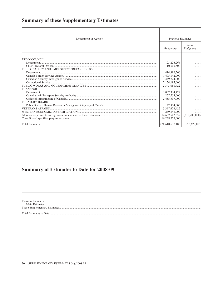## <span id="page-26-0"></span>**Summary of these Supplementary Estimates**

| Department or Agency                                                                                                                                                                                                                                                                                                                                                                                                                                                                                                                                                                                           | Previous Estimates |                     |
|----------------------------------------------------------------------------------------------------------------------------------------------------------------------------------------------------------------------------------------------------------------------------------------------------------------------------------------------------------------------------------------------------------------------------------------------------------------------------------------------------------------------------------------------------------------------------------------------------------------|--------------------|---------------------|
|                                                                                                                                                                                                                                                                                                                                                                                                                                                                                                                                                                                                                | Budgetary          | $Non-$<br>Budgetary |
| PRIVY COUNCIL                                                                                                                                                                                                                                                                                                                                                                                                                                                                                                                                                                                                  | 123,226,266        |                     |
| PUBLIC SAFETY AND EMERGENCY PREPAREDNESS                                                                                                                                                                                                                                                                                                                                                                                                                                                                                                                                                                       | 110,500,500        |                     |
|                                                                                                                                                                                                                                                                                                                                                                                                                                                                                                                                                                                                                | 414,982,566        |                     |
|                                                                                                                                                                                                                                                                                                                                                                                                                                                                                                                                                                                                                | 1,495,142,000      |                     |
|                                                                                                                                                                                                                                                                                                                                                                                                                                                                                                                                                                                                                | 449,724,000        | .                   |
|                                                                                                                                                                                                                                                                                                                                                                                                                                                                                                                                                                                                                | 2,174,195,000      | .                   |
|                                                                                                                                                                                                                                                                                                                                                                                                                                                                                                                                                                                                                | 2.343.060.422      | .                   |
| <b>TRANSPORT</b>                                                                                                                                                                                                                                                                                                                                                                                                                                                                                                                                                                                               |                    |                     |
| $\label{eq:1} \textbf{Department} \textbf{Department} \textbf{Output} \textbf{Output} \textbf{Output} \textbf{Output} \textbf{Output} \textbf{Output} \textbf{Output} \textbf{Output} \textbf{Output} \textbf{Output} \textbf{Output} \textbf{Output} \textbf{Output} \textbf{Output} \textbf{Output} \textbf{Output} \textbf{Output} \textbf{Output} \textbf{Output} \textbf{Output} \textbf{Output} \textbf{Output} \textbf{Output} \textbf{Output} \textbf{Output} \textbf{Output} \textbf{Output} \textbf{Output} \textbf{Output} \textbf{Output} \textbf{Output} \textbf{Output} \textbf{Output} \textbf$ | 1,032,334,422      | .                   |
|                                                                                                                                                                                                                                                                                                                                                                                                                                                                                                                                                                                                                | 277,754,000        | .                   |
|                                                                                                                                                                                                                                                                                                                                                                                                                                                                                                                                                                                                                | 2,455,537,000      |                     |
| <b>TREASURY BOARD</b>                                                                                                                                                                                                                                                                                                                                                                                                                                                                                                                                                                                          |                    |                     |
|                                                                                                                                                                                                                                                                                                                                                                                                                                                                                                                                                                                                                | 72,934,000         |                     |
|                                                                                                                                                                                                                                                                                                                                                                                                                                                                                                                                                                                                                | 3,397,676,422      | .                   |
|                                                                                                                                                                                                                                                                                                                                                                                                                                                                                                                                                                                                                | 269,346,000        | .                   |
|                                                                                                                                                                                                                                                                                                                                                                                                                                                                                                                                                                                                                | 14,682,542,559     | (210, 200, 000)     |
|                                                                                                                                                                                                                                                                                                                                                                                                                                                                                                                                                                                                                | 16,238,575,000     | .                   |
|                                                                                                                                                                                                                                                                                                                                                                                                                                                                                                                                                                                                                | 220,610,637,180    | 856,679,003         |

## **Summary of Estimates to Date for 2008-09**

Previous Estimates: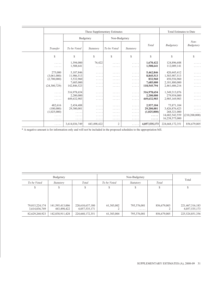|                                               | These Supplementary Estimates           |                       |                       |                       |                                                  |                                                                                | <b>Total Estimates to Date</b>                                         |  |
|-----------------------------------------------|-----------------------------------------|-----------------------|-----------------------|-----------------------|--------------------------------------------------|--------------------------------------------------------------------------------|------------------------------------------------------------------------|--|
|                                               |                                         | Budgetary             | Non-Budgetary         |                       |                                                  |                                                                                |                                                                        |  |
| Transfer                                      | To be Voted                             | Statutory             | To be Voted           | Statutory             | Total                                            | Budgetary                                                                      | $Non-$<br>Budgetary                                                    |  |
| S                                             | \$                                      | \$                    | \$                    | \$                    | S                                                | \$                                                                             | \$                                                                     |  |
| .<br>.                                        | 1,594,000<br>1,508,641                  | 76,422<br>.           | .<br>.                | .<br>.                | 1,670,422<br>1,508,641                           | 124,896,688<br>112,009,141                                                     | .<br>$\mathbb{Z}^2$ . $\mathbb{Z}^2$ , $\mathbb{Z}^2$ , $\mathbb{Z}^2$ |  |
| 275,000<br>(3,061,000)<br>(2,700,000)         | 5,187,846<br>11,906,513<br>3,532,960    | .<br>.<br>.           | .<br>.<br>.           | .<br>.<br>.           | 5,462,846<br>8,845,513<br>832,960                | 420, 445, 412<br>1,503,987,513<br>450,556,960                                  | .<br>.<br>.                                                            |  |
| (24,300,729)                                  | 7,685,000<br>142,846,523                | .<br>.                | .<br>.                | .<br>.                | 7,685,000<br>118,545,794                         | 2,181,880,000<br>2,461,606,216                                                 | $\alpha$ is a set of<br>$\cdots$                                       |  |
| .<br>.<br>.                                   | 316,978,654<br>2,200,000<br>449,632,903 | .<br>.<br>.           | .<br>.<br>.           | .<br>.<br>.           | 316,978,654<br>2,200,000<br>449,632,903          | 1,349,313,076<br>279,954,000<br>2,905,169,903                                  | .<br>.<br>$\cdots$                                                     |  |
| 482,616<br>(100,000)<br>(1,025,000)<br>.<br>. | 2,454,488<br>29,300,001<br>.<br>.<br>.  | .<br>.<br>.<br>.<br>. | .<br>.<br>.<br>.<br>. | .<br>.<br>.<br>.<br>. | 2,937,104<br>29,200,001<br>(1,025,000)<br>.<br>. | 75,871,104<br>3,426,876,423<br>268,321,000<br>14,682,542,559<br>16,238,575,000 | .<br>.<br>.<br>(210, 200, 000)<br>$\cdots$                             |  |
| .                                             | 3,614,036,749                           | 443,498,422           | 2                     | $\cdots$              | 4,057,535,173                                    | 224,668,172,351                                                                | 856,679,005                                                            |  |

\* A negative amount is for information only and will not be included in the proposed schedules to the appropriation bill.

|                | Budgetary       |                 |             | Total       |             |                 |
|----------------|-----------------|-----------------|-------------|-------------|-------------|-----------------|
| To be Voted    | Statutory       | Total           | To be Voted | Statutory   | Total       |                 |
|                |                 | \$              | \$          | J.          | J.          |                 |
|                |                 |                 |             |             |             |                 |
|                |                 |                 |             |             |             |                 |
| 79,015,224,174 | 141,595,413,006 | 220,610,637,180 | 61,303,002  | 795,376,001 | 856,679,003 | 221,467,316,183 |
| 3,614,036,749  | 443,498,422     | 4,057,535,171   |             | .           |             | 4,057,535,173   |
| 82,629,260,923 | 142,038,911,428 | 224,668,172,351 | 61,303,004  | 795,376,001 | 856,679,005 | 225,524,851,356 |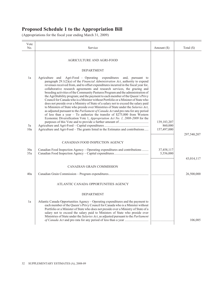<span id="page-28-0"></span>

| Vote<br>No.     | Service                                                                                                                                                                                                                                                                                                                                                                                                                                                                                                                                                                                                                                                                                                                                                                                                                                                                                                                                                                                                                                                                                                                 | Amount $(\$)$                           | Total $(\$)$ |
|-----------------|-------------------------------------------------------------------------------------------------------------------------------------------------------------------------------------------------------------------------------------------------------------------------------------------------------------------------------------------------------------------------------------------------------------------------------------------------------------------------------------------------------------------------------------------------------------------------------------------------------------------------------------------------------------------------------------------------------------------------------------------------------------------------------------------------------------------------------------------------------------------------------------------------------------------------------------------------------------------------------------------------------------------------------------------------------------------------------------------------------------------------|-----------------------------------------|--------------|
|                 | AGRICULTURE AND AGRI-FOOD                                                                                                                                                                                                                                                                                                                                                                                                                                                                                                                                                                                                                                                                                                                                                                                                                                                                                                                                                                                                                                                                                               |                                         |              |
|                 | <b>DEPARTMENT</b>                                                                                                                                                                                                                                                                                                                                                                                                                                                                                                                                                                                                                                                                                                                                                                                                                                                                                                                                                                                                                                                                                                       |                                         |              |
| 1a<br>5a<br>10a | Agriculture and<br>Agri-Food – Operating expenditures and, pursuant to<br>paragraph $29.1(2)(a)$ of the <i>Financial Administration Act</i> , authority to expend<br>revenues received from, and to offset expenditures incurred in the fiscal year for,<br>collaborative research agreements and research services, the grazing and<br>breeding activities of the Community Pastures Program and the administration of<br>the AgriStability program; and the payment to each member of the Queen's Privy<br>Council for Canada who is a Minister without Portfolio or a Minister of State who<br>does not preside over a Ministry of State of a salary not to exceed the salary paid<br>to Ministers of State who preside over Ministries of State under the Salaries Act,<br>as adjusted pursuant to the <i>Parliament of Canada Act</i> and pro rata for any period<br>of less than a year - To authorize the transfer of $$275,000$ from Western<br>Economic Diversification Vote 1, Appropriation Act No. 1, 2008-2009 for the<br>Agriculture and Agri-Food – The grants listed in the Estimates and contributions | 139, 183, 207<br>860,000<br>157,497,000 | 297,540,207  |
|                 | CANADIAN FOOD INSPECTION AGENCY                                                                                                                                                                                                                                                                                                                                                                                                                                                                                                                                                                                                                                                                                                                                                                                                                                                                                                                                                                                                                                                                                         |                                         |              |
| 30a<br>35a      | Canadian Food Inspection Agency – Operating expenditures and contributions                                                                                                                                                                                                                                                                                                                                                                                                                                                                                                                                                                                                                                                                                                                                                                                                                                                                                                                                                                                                                                              | 37,458,117<br>5,556,000                 |              |
|                 |                                                                                                                                                                                                                                                                                                                                                                                                                                                                                                                                                                                                                                                                                                                                                                                                                                                                                                                                                                                                                                                                                                                         |                                         | 43,014,117   |
|                 | CANADIAN GRAIN COMMISSION                                                                                                                                                                                                                                                                                                                                                                                                                                                                                                                                                                                                                                                                                                                                                                                                                                                                                                                                                                                                                                                                                               |                                         |              |
| 40a             |                                                                                                                                                                                                                                                                                                                                                                                                                                                                                                                                                                                                                                                                                                                                                                                                                                                                                                                                                                                                                                                                                                                         |                                         | 26,500,000   |
|                 | ATLANTIC CANADA OPPORTUNITIES AGENCY                                                                                                                                                                                                                                                                                                                                                                                                                                                                                                                                                                                                                                                                                                                                                                                                                                                                                                                                                                                                                                                                                    |                                         |              |
|                 | <b>DEPARTMENT</b>                                                                                                                                                                                                                                                                                                                                                                                                                                                                                                                                                                                                                                                                                                                                                                                                                                                                                                                                                                                                                                                                                                       |                                         |              |
| 1a              | Atlantic Canada Opportunities Agency – Operating expenditures and the payment to<br>each member of the Queen's Privy Council for Canada who is a Minister without<br>Portfolio or a Minister of State who does not preside over a Ministry of State of a<br>salary not to exceed the salary paid to Ministers of State who preside over<br>Ministries of State under the Salaries Act, as adjusted pursuant to the Parliament                                                                                                                                                                                                                                                                                                                                                                                                                                                                                                                                                                                                                                                                                           |                                         | 106,085      |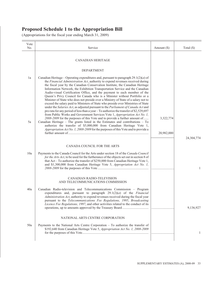| Vote<br>No. | Service                                                                                                                                                                                                                                                                                                                                                                                                                                                                                                                                                                                                                                                                                                                                                                                                                                                   | Amount $(\$)$ | Total $(\$)$ |
|-------------|-----------------------------------------------------------------------------------------------------------------------------------------------------------------------------------------------------------------------------------------------------------------------------------------------------------------------------------------------------------------------------------------------------------------------------------------------------------------------------------------------------------------------------------------------------------------------------------------------------------------------------------------------------------------------------------------------------------------------------------------------------------------------------------------------------------------------------------------------------------|---------------|--------------|
|             | <b>CANADIAN HERITAGE</b>                                                                                                                                                                                                                                                                                                                                                                                                                                                                                                                                                                                                                                                                                                                                                                                                                                  |               |              |
|             | DEPARTMENT                                                                                                                                                                                                                                                                                                                                                                                                                                                                                                                                                                                                                                                                                                                                                                                                                                                |               |              |
| 1a          | Canadian Heritage – Operating expenditures and, pursuant to paragraph $29.1(2)(a)$ of<br>the Financial Administration Act, authority to expend revenues received during<br>the fiscal year by the Canadian Conservation Institute, the Canadian Heritage<br>Information Network, the Exhibition Transportation Service and the Canadian<br>Audio-visual Certification Office, and the payment to each member of the<br>Queen's Privy Council for Canada who is a Minister without Portfolio or a<br>Minister of State who does not preside over a Ministry of State of a salary not to<br>exceed the salary paid to Ministers of State who preside over Ministries of State<br>under the Salaries Act, as adjusted pursuant to the Parliament of Canada Act and<br>pro rata for any period of less than a year - To authorize the transfer of \$2,529,697 |               |              |
| 5a          | from Public Works and Government Services Vote 1, Appropriation Act No. 1,<br>2008-2009 for the purposes of this Vote and to provide a further amount of<br>Canadian Heritage - The grants listed in the Estimates and contributions - To                                                                                                                                                                                                                                                                                                                                                                                                                                                                                                                                                                                                                 | 3,322,774     |              |
|             | authorize the transfer of \$5,000,000 from Canadian Heritage Vote 1,<br>Appropriation Act No. 1, 2008-2009 for the purposes of this Vote and to provide a                                                                                                                                                                                                                                                                                                                                                                                                                                                                                                                                                                                                                                                                                                 | 20,982,000    | 24,304,774   |
|             | CANADA COUNCIL FOR THE ARTS                                                                                                                                                                                                                                                                                                                                                                                                                                                                                                                                                                                                                                                                                                                                                                                                                               |               |              |
| 10a         | Payments to the Canada Council for the Arts under section 18 of the Canada Council<br>for the Arts Act, to be used for the furtherance of the objects set out in section 8 of<br>that Act - To authorize the transfer of \$250,000 from Canadian Heritage Vote 1,<br>and \$1,300,000 from Canadian Heritage Vote 5, Appropriation Act No. 1,                                                                                                                                                                                                                                                                                                                                                                                                                                                                                                              |               | 1            |
|             | CANADIAN RADIO-TELEVISION<br>AND TELECOMMUNICATIONS COMMISSION                                                                                                                                                                                                                                                                                                                                                                                                                                                                                                                                                                                                                                                                                                                                                                                            |               |              |
| 40a         | Canadian Radio-television and Telecommunications Commission – Program<br>expenditures and, pursuant to paragraph $29.1(2)(a)$ of the Financial<br>Administration Act, authority to expend revenues received during the fiscal year<br>pursuant to the Telecommunications Fee Regulations, 1995, Broadcasting<br>Licence Fee Regulations, 1997, and other activities related to the conduct of its                                                                                                                                                                                                                                                                                                                                                                                                                                                         |               | 9,136,927    |
|             | NATIONAL ARTS CENTRE CORPORATION                                                                                                                                                                                                                                                                                                                                                                                                                                                                                                                                                                                                                                                                                                                                                                                                                          |               |              |
| 50a         | Payments to the National Arts Centre Corporation - To authorize the transfer of<br>\$192,640 from Canadian Heritage Vote 5, Appropriation Act No. 1, 2008-2009                                                                                                                                                                                                                                                                                                                                                                                                                                                                                                                                                                                                                                                                                            |               | 1            |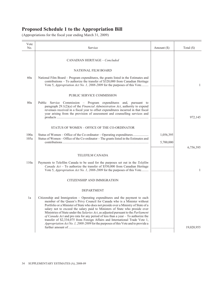| Vote<br>No.  | Service                                                                                                                                                                                                                                                                                                                                                                                                                                                                                                                                                                                                                                                                         | Amount $(\$)$          | Total $(\$)$ |
|--------------|---------------------------------------------------------------------------------------------------------------------------------------------------------------------------------------------------------------------------------------------------------------------------------------------------------------------------------------------------------------------------------------------------------------------------------------------------------------------------------------------------------------------------------------------------------------------------------------------------------------------------------------------------------------------------------|------------------------|--------------|
|              | CANADIAN HERITAGE - Concluded                                                                                                                                                                                                                                                                                                                                                                                                                                                                                                                                                                                                                                                   |                        |              |
|              | NATIONAL FILM BOARD                                                                                                                                                                                                                                                                                                                                                                                                                                                                                                                                                                                                                                                             |                        |              |
| 60a          | National Film Board – Program expenditures, the grants listed in the Estimates and<br>contributions - To authorize the transfer of \$320,000 from Canadian Heritage<br>Vote 5, <i>Appropriation Act No. 1, 2008-2009</i> for the purposes of this Vote                                                                                                                                                                                                                                                                                                                                                                                                                          |                        | 1            |
|              | PUBLIC SERVICE COMMISSION                                                                                                                                                                                                                                                                                                                                                                                                                                                                                                                                                                                                                                                       |                        |              |
| 80a          | Public Service Commission – Program expenditures and, pursuant to<br>paragraph $29.1(2)(a)$ of the <i>Financial Administration Act</i> , authority to expend<br>revenues received in a fiscal year to offset expenditures incurred in that fiscal<br>year arising from the provision of assessment and counselling services and                                                                                                                                                                                                                                                                                                                                                 |                        | 972,145      |
|              | STATUS OF WOMEN - OFFICE OF THE CO-ORDINATOR                                                                                                                                                                                                                                                                                                                                                                                                                                                                                                                                                                                                                                    |                        |              |
| 100a<br>105a | Status of Women - Office of the Co-ordinator - The grants listed in the Estimates and                                                                                                                                                                                                                                                                                                                                                                                                                                                                                                                                                                                           | 1,056,395<br>5,700,000 |              |
|              | <b>TELEFILM CANADA</b>                                                                                                                                                                                                                                                                                                                                                                                                                                                                                                                                                                                                                                                          |                        | 6,756,395    |
| 110a         | Payments to Telefilm Canada to be used for the purposes set out in the Telefilm<br><i>Canada Act</i> – To authorize the transfer of \$550,000 from Canadian Heritage<br>Vote 5, Appropriation Act No. 1, 2008-2009 for the purposes of this Vote                                                                                                                                                                                                                                                                                                                                                                                                                                |                        | $\mathbf{1}$ |
|              | CITIZENSHIP AND IMMIGRATION                                                                                                                                                                                                                                                                                                                                                                                                                                                                                                                                                                                                                                                     |                        |              |
|              | <b>DEPARTMENT</b>                                                                                                                                                                                                                                                                                                                                                                                                                                                                                                                                                                                                                                                               |                        |              |
| 1a           | Citizenship and Immigration – Operating expenditures and the payment to each<br>member of the Queen's Privy Council for Canada who is a Minister without<br>Portfolio or a Minister of State who does not preside over a Ministry of State of a<br>salary not to exceed the salary paid to Ministers of State who preside over<br>Ministries of State under the Salaries Act, as adjusted pursuant to the Parliament<br>of Canada Act and pro rata for any period of less than a year $-$ To authorize the<br>transfer of \$2,334,075 from Foreign Affairs and International Trade Vote 1,<br>Appropriation Act No. 1, 2008-2009 for the purposes of this Vote and to provide a |                        | 19,020,955   |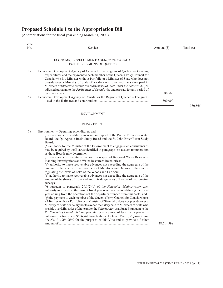| Vote<br>No. | Service                                                                                                                                                                                                                                                                                                                                                                                                                                                                                                                                                                                                                                                                                                                                                                                                                                                                                                                                                                                                                                                                                                                                                                                                                                                                                                                                                                                                                                                                                                                                                                                                                                                                                                                                                                                                                                                                           | Amount (\$)       | Total $(\$)$ |
|-------------|-----------------------------------------------------------------------------------------------------------------------------------------------------------------------------------------------------------------------------------------------------------------------------------------------------------------------------------------------------------------------------------------------------------------------------------------------------------------------------------------------------------------------------------------------------------------------------------------------------------------------------------------------------------------------------------------------------------------------------------------------------------------------------------------------------------------------------------------------------------------------------------------------------------------------------------------------------------------------------------------------------------------------------------------------------------------------------------------------------------------------------------------------------------------------------------------------------------------------------------------------------------------------------------------------------------------------------------------------------------------------------------------------------------------------------------------------------------------------------------------------------------------------------------------------------------------------------------------------------------------------------------------------------------------------------------------------------------------------------------------------------------------------------------------------------------------------------------------------------------------------------------|-------------------|--------------|
| 1a<br>5a    | ECONOMIC DEVELOPMENT AGENCY OF CANADA<br>FOR THE REGIONS OF QUEBEC<br>Economic Development Agency of Canada for the Regions of Quebec – Operating<br>expenditures and the payment to each member of the Queen's Privy Council for<br>Canada who is a Minister without Portfolio or a Minister of State who does not<br>preside over a Ministry of State of a salary not to exceed the salary paid to<br>Ministers of State who preside over Ministries of State under the <i>Salaries Act</i> , as<br>adjusted pursuant to the <i>Parliament of Canada Act</i> and pro rata for any period of<br>Economic Development Agency of Canada for the Regions of Quebec - The grants                                                                                                                                                                                                                                                                                                                                                                                                                                                                                                                                                                                                                                                                                                                                                                                                                                                                                                                                                                                                                                                                                                                                                                                                     | 80,565<br>300,000 | 380,565      |
|             | <b>ENVIRONMENT</b><br><b>DEPARTMENT</b>                                                                                                                                                                                                                                                                                                                                                                                                                                                                                                                                                                                                                                                                                                                                                                                                                                                                                                                                                                                                                                                                                                                                                                                                                                                                                                                                                                                                                                                                                                                                                                                                                                                                                                                                                                                                                                           |                   |              |
| 1a          | Environment – Operating expenditures, and<br>(a) recoverable expenditures incurred in respect of the Prairie Provinces Water<br>Board, the Qu'Appelle Basin Study Board and the St. John River Basin Study<br>Board:<br>(b) authority for the Minister of the Environment to engage such consultants as<br>may be required by the Boards identified in paragraph $(a)$ , at such remuneration<br>as those Boards may determine;<br>(c) recoverable expenditures incurred in respect of Regional Water Resources<br>Planning Investigations and Water Resources Inventories;<br>$(d)$ authority to make recoverable advances not exceeding the aggregate of the<br>amount of the shares of the Provinces of Manitoba and Ontario of the cost of<br>regulating the levels of Lake of the Woods and Lac Seul;<br>(e) authority to make recoverable advances not exceeding the aggregate of the<br>amount of the shares of provincial and outside agencies of the cost of hydrometric<br>surveys:<br>(f) pursuant to paragraph $29.1(2)(a)$ of the Financial Administration Act,<br>authority to expend in the current fiscal year revenues received during the fiscal<br>year arising from the operations of the department funded from this Vote; and<br>(g) the payment to each member of the Queen's Privy Council for Canada who is<br>a Minister without Portfolio or a Minister of State who does not preside over a<br>Ministry of State of a salary not to exceed the salary paid to Ministers of State who<br>preside over Ministries of State under the <i>Salaries Act</i> , as adjusted pursuant to the<br><i>Parliament of Canada Act</i> and pro rata for any period of less than a year – To<br>authorize the transfer of \$506,761 from National Defence Vote 5, <i>Appropriation</i><br>Act No. 1, 2008-2009 for the purposes of this Vote and to provide a further | 38,514,598        |              |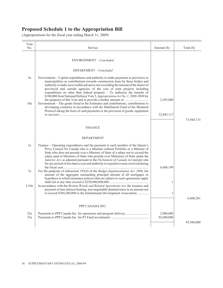| Vote<br>No. | Service                                                                                                                                                                                                                                                                                                                                                                                                                                                                                                                          | Amount $(\$)$           | Total $(\$)$ |
|-------------|----------------------------------------------------------------------------------------------------------------------------------------------------------------------------------------------------------------------------------------------------------------------------------------------------------------------------------------------------------------------------------------------------------------------------------------------------------------------------------------------------------------------------------|-------------------------|--------------|
|             | ENVIRONMENT - Concluded                                                                                                                                                                                                                                                                                                                                                                                                                                                                                                          |                         |              |
|             | DEPARTMENT - Concluded                                                                                                                                                                                                                                                                                                                                                                                                                                                                                                           |                         |              |
| 5a          | Environment – Capital expenditures and authority to make payments to provinces or<br>municipalities as contributions towards construction done by those bodies and<br>authority to make recoverable advances not exceeding the amount of the shares of<br>provincial and outside agencies of the cost of joint projects including<br>expenditures on other than federal property $-$ To authorize the transfer of<br>\$180,000 from National Defence Vote 5, Appropriation Act No. 1, 2008-2009 for                              | 2,585,000               |              |
| 10a         | Environment – The grants listed in the Estimates and contributions, contributions to<br>developing countries in accordance with the Multilateral Fund of the Montreal<br>Protocol taking the form of cash payments or the provision of goods, equipment                                                                                                                                                                                                                                                                          |                         |              |
|             |                                                                                                                                                                                                                                                                                                                                                                                                                                                                                                                                  | 32,845,117              | 73,944,715   |
|             | <b>FINANCE</b>                                                                                                                                                                                                                                                                                                                                                                                                                                                                                                                   |                         |              |
|             | <b>DEPARTMENT</b>                                                                                                                                                                                                                                                                                                                                                                                                                                                                                                                |                         |              |
| 1a          | Finance – Operating expenditures and the payment to each member of the Queen's<br>Privy Council for Canada who is a Minister without Portfolio or a Minister of<br>State who does not preside over a Ministry of State of a salary not to exceed the<br>salary paid to Ministers of State who preside over Ministries of State under the<br><i>Salaries Act</i> , as adjusted pursuant to the <i>Parliament of Canada Act</i> and pro rata<br>for any period of less than a year and authority to expend revenue received during | 6,608,199               |              |
| 7a          | For the purposes of subsection 193(4) of the Budget Implementation Act, 2006, the<br>amount of the aggregate outstanding principal amount of all mortgages or<br>hypothecs to which insurance policies that are subject to such agreements apply                                                                                                                                                                                                                                                                                 | 1                       |              |
| L10a        | In accordance with the Bretton Woods and Related Agreements Act, the issuance and<br>payment of non-interest bearing, non-negotiable demand notes in an amount not<br>to exceed \$384,280,000 to the International Development Association                                                                                                                                                                                                                                                                                       | $\mathbf{1}$            | 6,608,201    |
|             | PPP CANADA INC.                                                                                                                                                                                                                                                                                                                                                                                                                                                                                                                  |                         |              |
| 32a<br>33a  |                                                                                                                                                                                                                                                                                                                                                                                                                                                                                                                                  | 2,900,000<br>92,600,000 |              |
|             |                                                                                                                                                                                                                                                                                                                                                                                                                                                                                                                                  |                         | 95,500,000   |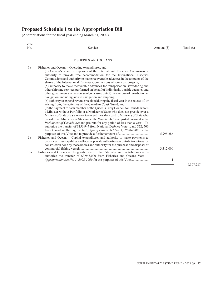| Vote<br>No. | Service                                                                                                                                                                                                                                                                                                                                                                                                                                                                                                                                                                                                                                                                                                                                                                                                                   | Amount (\$) | Total $(\$)$ |
|-------------|---------------------------------------------------------------------------------------------------------------------------------------------------------------------------------------------------------------------------------------------------------------------------------------------------------------------------------------------------------------------------------------------------------------------------------------------------------------------------------------------------------------------------------------------------------------------------------------------------------------------------------------------------------------------------------------------------------------------------------------------------------------------------------------------------------------------------|-------------|--------------|
| 1a          | <b>FISHERIES AND OCEANS</b><br>Fisheries and Oceans – Operating expenditures, and<br>(a) Canada's share of expenses of the International Fisheries Commissions,<br>authority to provide free accommodation for the International Fisheries<br>Commissions and authority to make recoverable advances in the amounts of the<br>shares of the International Fisheries Commissions of joint cost projects;<br>$(b)$ authority to make recoverable advances for transportation, stevedoring and<br>other shipping services performed on behalf of individuals, outside agencies and<br>other governments in the course of, or arising out of, the exercise of jurisdiction in                                                                                                                                                 |             |              |
|             | navigation, including aids to navigation and shipping;<br>$(c)$ authority to expend revenue received during the fiscal year in the course of, or<br>arising from, the activities of the Canadian Coast Guard; and<br>$(d)$ the payment to each member of the Queen's Privy Council for Canada who is<br>a Minister without Portfolio or a Minister of State who does not preside over a<br>Ministry of State of a salary not to exceed the salary paid to Ministers of State who<br>preside over Ministries of State under the Salaries Act, as adjusted pursuant to the<br>Parliament of Canada Act and pro rata for any period of less than a year - To<br>authorize the transfer of \$156,947 from National Defence Vote 1, and \$22, 500<br>from Canadian Heritage Vote 5, Appropriation Act No. 1, 2008-2009 for the | 5,995,286   |              |
| 5a          | Fisheries and Oceans - Capital expenditures and authority to make payments to<br>provinces, municipalities and local or private authorities as contributions towards<br>construction done by those bodies and authority for the purchase and disposal of                                                                                                                                                                                                                                                                                                                                                                                                                                                                                                                                                                  |             |              |
| 10a         | Fisheries and Oceans $-$ The grants listed in the Estimates and contributions $-$ To<br>authorize the transfer of \$3,945,000 from Fisheries and Oceans Vote 1,                                                                                                                                                                                                                                                                                                                                                                                                                                                                                                                                                                                                                                                           | 3,312,000   | 9,307,287    |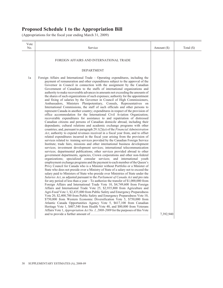| Vote<br>No. | Service                                                                                                                                                                                                                                                                                                                                                                                                                                                                                                                                                                                                                                                                                                                                                                                                                                                                                                                                                                                                                                                                                                                                                                                                                                                                                                                                                                                                                                                                                                                                                                                                                                                                                                                                                                                                                                                                                                                                                                                                                                                                                                                                                                                                                                                                                                                                                                                                                                                                                                                                                                                                                                                                                                                                                                                                                                                                                                                                                                 | Amount $(\$)$ | Total $(\$)$ |
|-------------|-------------------------------------------------------------------------------------------------------------------------------------------------------------------------------------------------------------------------------------------------------------------------------------------------------------------------------------------------------------------------------------------------------------------------------------------------------------------------------------------------------------------------------------------------------------------------------------------------------------------------------------------------------------------------------------------------------------------------------------------------------------------------------------------------------------------------------------------------------------------------------------------------------------------------------------------------------------------------------------------------------------------------------------------------------------------------------------------------------------------------------------------------------------------------------------------------------------------------------------------------------------------------------------------------------------------------------------------------------------------------------------------------------------------------------------------------------------------------------------------------------------------------------------------------------------------------------------------------------------------------------------------------------------------------------------------------------------------------------------------------------------------------------------------------------------------------------------------------------------------------------------------------------------------------------------------------------------------------------------------------------------------------------------------------------------------------------------------------------------------------------------------------------------------------------------------------------------------------------------------------------------------------------------------------------------------------------------------------------------------------------------------------------------------------------------------------------------------------------------------------------------------------------------------------------------------------------------------------------------------------------------------------------------------------------------------------------------------------------------------------------------------------------------------------------------------------------------------------------------------------------------------------------------------------------------------------------------------------|---------------|--------------|
|             | FOREIGN AFFAIRS AND INTERNATIONAL TRADE                                                                                                                                                                                                                                                                                                                                                                                                                                                                                                                                                                                                                                                                                                                                                                                                                                                                                                                                                                                                                                                                                                                                                                                                                                                                                                                                                                                                                                                                                                                                                                                                                                                                                                                                                                                                                                                                                                                                                                                                                                                                                                                                                                                                                                                                                                                                                                                                                                                                                                                                                                                                                                                                                                                                                                                                                                                                                                                                 |               |              |
|             | <b>DEPARTMENT</b>                                                                                                                                                                                                                                                                                                                                                                                                                                                                                                                                                                                                                                                                                                                                                                                                                                                                                                                                                                                                                                                                                                                                                                                                                                                                                                                                                                                                                                                                                                                                                                                                                                                                                                                                                                                                                                                                                                                                                                                                                                                                                                                                                                                                                                                                                                                                                                                                                                                                                                                                                                                                                                                                                                                                                                                                                                                                                                                                                       |               |              |
| 1a          | Foreign Affairs and International Trade – Operating expenditures, including the<br>payment of remuneration and other expenditures subject to the approval of the<br>Governor in Council in connection with the assignment by the Canadian<br>Government of Canadians to the staffs of international organizations and<br>authority to make recoverable advances in amounts not exceeding the amounts of<br>the shares of such organizations of such expenses; authority for the appointment<br>and fixing of salaries by the Governor in Council of High Commissioners,<br>Ambassadors, Ministers Plenipotentiary, Consuls, Representatives on<br>International Commissions, the staff of such officials and other persons to<br>represent Canada in another country; expenditures in respect of the provision of<br>office accommodation for the International Civil Aviation Organization;<br>recoverable expenditures for assistance to and repatriation of distressed<br>Canadian citizens and persons of Canadian domicile abroad, including their<br>dependants; cultural relations and academic exchange programs with other<br>countries; and, pursuant to paragraph $29.1(2)(a)$ of the <i>Financial Administration</i><br>Act, authority to expend revenues received in a fiscal year from, and to offset<br>related expenditures incurred in the fiscal year arising from the provision of<br>services related to: training services provided by the Canadian Foreign Service<br>Institute; trade fairs, missions and other international business development<br>services; investment development services; international telecommunication<br>services; departmental publications; other services provided abroad to other<br>government departments, agencies, Crown corporations and other non-federal<br>organizations; specialized consular services; and international youth<br>employment exchange programs and the payment to each member of the Queen's<br>Privy Council for Canada who is a Minister without Portfolio or a Minister of<br>State who does not preside over a Ministry of State of a salary not to exceed the<br>salary paid to Ministers of State who preside over Ministries of State under the<br>Salaries Act, as adjusted pursuant to the Parliament of Canada Act and pro rata<br>for any period of less than a year – To authorize the transfer of \$1,000,000 from<br>Foreign Affairs and International Trade Vote 10, \$4,749,600 from Foreign<br>Affairs and International Trade Vote 25, \$2,935,800 from Agriculture and<br>Agri-Food Vote 1, \$2,435,000 from Public Safety and Emergency Preparedness<br>Vote 20, \$2,400,700 from Public Safety and Emergency Preparedness Vote 10,<br>\$750,000 from Western Economic Diversification Vote 5, \$750,000 from<br>Atlantic Canada Opportunities Agency Vote 5, \$617,100 from Canadian<br>Heritage Vote 1, \$407,540 from Health Vote 40, and \$80,000 from Veterans |               |              |
|             | Affairs Vote 1, <i>Appropriation Act No. 1, 2008-2009</i> for the purposes of this Vote                                                                                                                                                                                                                                                                                                                                                                                                                                                                                                                                                                                                                                                                                                                                                                                                                                                                                                                                                                                                                                                                                                                                                                                                                                                                                                                                                                                                                                                                                                                                                                                                                                                                                                                                                                                                                                                                                                                                                                                                                                                                                                                                                                                                                                                                                                                                                                                                                                                                                                                                                                                                                                                                                                                                                                                                                                                                                 | 7,392,940     |              |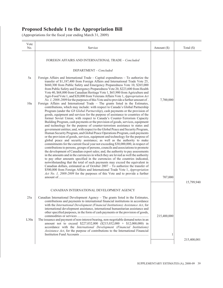| Vote<br>No.              | Service                                                                                                                                                                                                                                                                                                                                                                                                                                                                                                                                                                                                                                                                                                                                                                                                                                                                                                                                                                                                                                                                                                                                                                                                                                                                                                                                                                                                                                                                                                                                                                                                                                                                               | Amount (\$) | Total $(\$)$ |
|--------------------------|---------------------------------------------------------------------------------------------------------------------------------------------------------------------------------------------------------------------------------------------------------------------------------------------------------------------------------------------------------------------------------------------------------------------------------------------------------------------------------------------------------------------------------------------------------------------------------------------------------------------------------------------------------------------------------------------------------------------------------------------------------------------------------------------------------------------------------------------------------------------------------------------------------------------------------------------------------------------------------------------------------------------------------------------------------------------------------------------------------------------------------------------------------------------------------------------------------------------------------------------------------------------------------------------------------------------------------------------------------------------------------------------------------------------------------------------------------------------------------------------------------------------------------------------------------------------------------------------------------------------------------------------------------------------------------------|-------------|--------------|
|                          | FOREIGN AFFAIRS AND INTERNATIONAL TRADE - Concluded<br>DEPARTMENT - Concluded                                                                                                                                                                                                                                                                                                                                                                                                                                                                                                                                                                                                                                                                                                                                                                                                                                                                                                                                                                                                                                                                                                                                                                                                                                                                                                                                                                                                                                                                                                                                                                                                         |             |              |
| 5a                       | Foreign Affairs and International Trade – Capital expenditures – To authorize the<br>transfer of \$1,187,400 from Foreign Affairs and International Trade Vote 25,<br>\$660,300 from Public Safety and Emergency Preparedness Vote 10, \$265,000<br>from Public Safety and Emergency Preparedness Vote 20, \$223,600 from Health<br>Vote 40, \$68,000 from Canadian Heritage Vote 1, \$65,900 from Agriculture and<br>Agri-Food Vote 1, and \$20,000 from Veterans Affairs Vote 1, Appropriation Act<br><i>No. 1, 2008-2009</i> for the purposes of this Vote and to provide a further amount of.                                                                                                                                                                                                                                                                                                                                                                                                                                                                                                                                                                                                                                                                                                                                                                                                                                                                                                                                                                                                                                                                                     | 7,700,000   |              |
| 10a                      | Foreign Affairs and International Trade - The grants listed in the Estimates,<br>contributions, which may include: with respect to Canada's Global Partnership<br>Program (under the G8 Global Partnership), cash payments or the provision of<br>goods, equipment and services for the purpose of assistance to countries of the<br>former Soviet Union; with respect to Canada's Counter-Terrorism Capacity<br>Building Program, cash payments or the provision of goods, services, equipment<br>and technology for the purpose of counter-terrorism assistance to states and<br>government entities; and, with respect to the Global Peace and Security Program,<br>Human Security Program, and Global Peace Operations Program, cash payments<br>or the provision of goods, services, equipment and technology for the purpose of<br>global peace and security assistance; as well as the authority to make<br>commitments for the current fiscal year not exceeding \$30,000,000, in respect of<br>contributions to persons, groups of persons, councils and associations to promote<br>the development of Canadian export sales; and, the authority to pay assessments<br>in the amounts and in the currencies in which they are levied as well the authority<br>to pay other amounts specified in the currencies of the countries indicated,<br>notwithstanding that the total of such payments may exceed the equivalent in<br>Canadian dollars, estimated as of October $2007 - To$ authorize the transfer of<br>\$500,000 from Foreign Affairs and International Trade Vote 1, Appropriation<br>Act No. 1, 2008-2009 for the purposes of this Vote and to provide a further | 707,000     | 15,799,940   |
|                          | CANADIAN INTERNATIONAL DEVELOPMENT AGENCY                                                                                                                                                                                                                                                                                                                                                                                                                                                                                                                                                                                                                                                                                                                                                                                                                                                                                                                                                                                                                                                                                                                                                                                                                                                                                                                                                                                                                                                                                                                                                                                                                                             |             |              |
| 25a<br>L <sub>30</sub> a | Canadian International Development Agency – The grants listed in the Estimates,<br>contributions and payments to international financial institutions in accordance<br>with the International Development (Financial Institutions) Assistance Act, for<br>international development assistance, international humanitarian assistance and<br>other specified purposes, in the form of cash payments or the provision of goods,<br>The issuance and payment of non-interest bearing, non-negotiable demand notes in an<br>amount not to exceed \$227,032,000 (\$215,032,000 + \$12,000,000) in<br>accordance with the International Development (Financial Institutions)                                                                                                                                                                                                                                                                                                                                                                                                                                                                                                                                                                                                                                                                                                                                                                                                                                                                                                                                                                                                               | 215,400,000 |              |
|                          | Assistance Act, for the purpose of contributions to the International Financial                                                                                                                                                                                                                                                                                                                                                                                                                                                                                                                                                                                                                                                                                                                                                                                                                                                                                                                                                                                                                                                                                                                                                                                                                                                                                                                                                                                                                                                                                                                                                                                                       | 1           | 215,400,001  |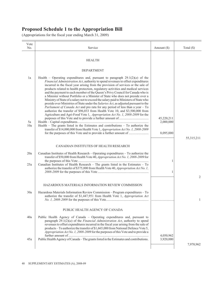| Vote<br>Service<br>No.                                                                                                                                                                                                                                                                                                                                                                                                                                                                                                                                                                                                                                                                                                                                                                   | Amount $(\$)$ | Total $(\$)$ |
|------------------------------------------------------------------------------------------------------------------------------------------------------------------------------------------------------------------------------------------------------------------------------------------------------------------------------------------------------------------------------------------------------------------------------------------------------------------------------------------------------------------------------------------------------------------------------------------------------------------------------------------------------------------------------------------------------------------------------------------------------------------------------------------|---------------|--------------|
| <b>HEALTH</b>                                                                                                                                                                                                                                                                                                                                                                                                                                                                                                                                                                                                                                                                                                                                                                            |               |              |
| <b>DEPARTMENT</b>                                                                                                                                                                                                                                                                                                                                                                                                                                                                                                                                                                                                                                                                                                                                                                        |               |              |
| 1a<br>Health – Operating expenditures and, pursuant to paragraph $29.1(2)(a)$ of the<br>Financial Administration Act, authority to spend revenues to offset expenditures<br>incurred in the fiscal year arising from the provision of services or the sale of<br>products related to health protection, regulatory activities and medical services<br>and the payment to each member of the Queen's Privy Council for Canada who is<br>a Minister without Portfolio or a Minister of State who does not preside over a<br>Ministry of State of a salary not to exceed the salary paid to Ministers of State who<br>preside over Ministries of State under the Salaries Act, as adjusted pursuant to the<br>Parliament of Canada Act and pro rata for any period of less than a year - To |               |              |
| authorize the transfer of \$96,033 from Health Vote 10, and \$3,500,000 from<br>Agriculture and Agri-Food Vote 1, Appropriation Act No. 1, 2008-2009 for the                                                                                                                                                                                                                                                                                                                                                                                                                                                                                                                                                                                                                             | 45,220,211    |              |
| 5a<br>Health $-$ The grants listed in the Estimates and contributions $-$ To authorize the<br>10a                                                                                                                                                                                                                                                                                                                                                                                                                                                                                                                                                                                                                                                                                        | 2,000,000     |              |
| transfer of \$14,000,000 from Health Vote 1, Appropriation Act No. 1, 2008-2009                                                                                                                                                                                                                                                                                                                                                                                                                                                                                                                                                                                                                                                                                                          | 8,095,000     |              |
| CANADIAN INSTITUTES OF HEALTH RESEARCH                                                                                                                                                                                                                                                                                                                                                                                                                                                                                                                                                                                                                                                                                                                                                   |               | 55, 315, 211 |
|                                                                                                                                                                                                                                                                                                                                                                                                                                                                                                                                                                                                                                                                                                                                                                                          |               |              |
| 20a<br>Canadian Institutes of Health Research – Operating expenditures – To authorize the<br>transfer of \$50,000 from Health Vote 40, Appropriation Act No. 1, 2008-2009 for                                                                                                                                                                                                                                                                                                                                                                                                                                                                                                                                                                                                            | 1             |              |
| Canadian Institutes of Health Research - The grants listed in the Estimates - To<br>25a<br>authorize the transfer of \$375,000 from Health Vote 40, Appropriation Act No. 1,                                                                                                                                                                                                                                                                                                                                                                                                                                                                                                                                                                                                             | 1             |              |
|                                                                                                                                                                                                                                                                                                                                                                                                                                                                                                                                                                                                                                                                                                                                                                                          |               | 2            |
| HAZARDOUS MATERIALS INFORMATION REVIEW COMMISSION                                                                                                                                                                                                                                                                                                                                                                                                                                                                                                                                                                                                                                                                                                                                        |               |              |
| Hazardous Materials Information Review Commission - Program expenditures - To<br>30a<br>authorize the transfer of \$1,447,951 from Health Vote 1, Appropriation Act                                                                                                                                                                                                                                                                                                                                                                                                                                                                                                                                                                                                                      |               | 1            |
| PUBLIC HEALTH AGENCY OF CANADA                                                                                                                                                                                                                                                                                                                                                                                                                                                                                                                                                                                                                                                                                                                                                           |               |              |
| 40a<br>Public Health Agency of Canada - Operating expenditures and, pursuant to<br>paragraph $29.1(2)(a)$ of the <i>Financial Administration Act</i> , authority to spend<br>revenues to offset expenditures incurred in the fiscal year arising from the sale of<br>products - To authorize the transfer of \$1,665,000 from National Defence Vote 5,<br>Appropriation Act No. 1, 2008-2009 for the purposes of this Vote and to provide a                                                                                                                                                                                                                                                                                                                                              | 4,050,962     |              |
| Public Health Agency of Canada - The grants listed in the Estimates and contributions.<br>45a                                                                                                                                                                                                                                                                                                                                                                                                                                                                                                                                                                                                                                                                                            | 3,920,000     | 7,970,962    |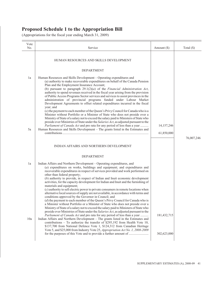| Vote<br>No. | Service                                                                                                                                                                                                                                                                                                                                                                                                                                                                                                                                                                                                                                                                                                                                                                                                                                                                                                                                                                                                                                                                                                                                          | Amount $(\$)$ | Total $(\$)$ |
|-------------|--------------------------------------------------------------------------------------------------------------------------------------------------------------------------------------------------------------------------------------------------------------------------------------------------------------------------------------------------------------------------------------------------------------------------------------------------------------------------------------------------------------------------------------------------------------------------------------------------------------------------------------------------------------------------------------------------------------------------------------------------------------------------------------------------------------------------------------------------------------------------------------------------------------------------------------------------------------------------------------------------------------------------------------------------------------------------------------------------------------------------------------------------|---------------|--------------|
|             | HUMAN RESOURCES AND SKILLS DEVELOPMENT                                                                                                                                                                                                                                                                                                                                                                                                                                                                                                                                                                                                                                                                                                                                                                                                                                                                                                                                                                                                                                                                                                           |               |              |
|             | <b>DEPARTMENT</b>                                                                                                                                                                                                                                                                                                                                                                                                                                                                                                                                                                                                                                                                                                                                                                                                                                                                                                                                                                                                                                                                                                                                |               |              |
| 1a          | Human Resources and Skills Development – Operating expenditures and<br>(a) authority to make recoverable expenditures on behalf of the Canada Pension<br>Plan and the Employment Insurance Account;<br>(b) pursuant to paragraph $29.1(2)(a)$ of the Financial Administration Act,<br>authority to spend revenues received in the fiscal year arising from the provision<br>of Public Access Programs Sector services and services to assist provinces in the<br>administration of provincial programs funded under Labour Market<br>Development Agreements to offset related expenditures incurred in the fiscal<br>year; and<br>(c) the payment to each member of the Queen's Privy Council for Canada who is a<br>Minister without Portfolio or a Minister of State who does not preside over a<br>Ministry of State of a salary not to exceed the salary paid to Ministers of State who                                                                                                                                                                                                                                                      |               |              |
|             | preside over Ministries of State under the Salaries Act, as adjusted pursuant to the                                                                                                                                                                                                                                                                                                                                                                                                                                                                                                                                                                                                                                                                                                                                                                                                                                                                                                                                                                                                                                                             |               |              |
| 5a          | Parliament of Canada Act and pro rata for any period of less than a year<br>Human Resources and Skills Development – The grants listed in the Estimates and                                                                                                                                                                                                                                                                                                                                                                                                                                                                                                                                                                                                                                                                                                                                                                                                                                                                                                                                                                                      | 14, 157, 246  |              |
|             |                                                                                                                                                                                                                                                                                                                                                                                                                                                                                                                                                                                                                                                                                                                                                                                                                                                                                                                                                                                                                                                                                                                                                  | 61,850,000    | 76,007,246   |
|             | INDIAN AFFAIRS AND NORTHERN DEVELOPMENT                                                                                                                                                                                                                                                                                                                                                                                                                                                                                                                                                                                                                                                                                                                                                                                                                                                                                                                                                                                                                                                                                                          |               |              |
|             | <b>DEPARTMENT</b>                                                                                                                                                                                                                                                                                                                                                                                                                                                                                                                                                                                                                                                                                                                                                                                                                                                                                                                                                                                                                                                                                                                                |               |              |
| 1a          | Indian Affairs and Northern Development – Operating expenditures, and<br>(a) expenditures on works, buildings and equipment; and expenditures and<br>recoverable expenditures in respect of services provided and work performed on<br>other than federal property;<br>$(b)$ authority to provide, in respect of Indian and Inuit economic development<br>activities, for the capacity development for Indian and Inuit and the furnishing of<br>materials and equipment;<br>$(c)$ authority to sell electric power to private consumers in remote locations when<br>alternative local sources of supply are not available, in accordance with terms and<br>conditions approved by the Governor in Council; and<br>(d) the payment to each member of the Queen's Privy Council for Canada who is<br>a Minister without Portfolio or a Minister of State who does not preside over a<br>Ministry of State of a salary not to exceed the salary paid to Ministers of State who<br>preside over Ministries of State under the Salaries Act, as adjusted pursuant to the<br>Parliament of Canada Act and pro rata for any period of less than a year | 181,432,715   |              |
| 10a         | Indian Affairs and Northern Development - The grants listed in the Estimates and<br>contributions - To authorize the transfer of \$295,192 from Health Vote 10,<br>\$137,700 from National Defence Vote 1, \$124,312 from Canadian Heritage<br>Vote 5, and \$25,000 from Industry Vote 25, Appropriation Act No. 1, 2008-2009                                                                                                                                                                                                                                                                                                                                                                                                                                                                                                                                                                                                                                                                                                                                                                                                                    |               |              |
|             |                                                                                                                                                                                                                                                                                                                                                                                                                                                                                                                                                                                                                                                                                                                                                                                                                                                                                                                                                                                                                                                                                                                                                  | 302,623,000   |              |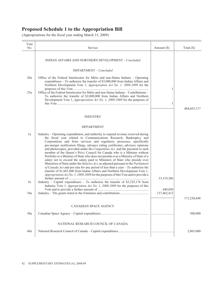| Vote<br>No. | Service                                                                                                                                                                                                                                                                                                                                                                                                                                                                                                                                                                                                                                                                                                                                                                                                                                                                                                                                                                                                | Amount $(\$)$          | Total (\$)  |
|-------------|--------------------------------------------------------------------------------------------------------------------------------------------------------------------------------------------------------------------------------------------------------------------------------------------------------------------------------------------------------------------------------------------------------------------------------------------------------------------------------------------------------------------------------------------------------------------------------------------------------------------------------------------------------------------------------------------------------------------------------------------------------------------------------------------------------------------------------------------------------------------------------------------------------------------------------------------------------------------------------------------------------|------------------------|-------------|
|             | <b>INDIAN AFFAIRS AND NORTHERN DEVELOPMENT – Concluded</b>                                                                                                                                                                                                                                                                                                                                                                                                                                                                                                                                                                                                                                                                                                                                                                                                                                                                                                                                             |                        |             |
|             | DEPARTMENT – Concluded                                                                                                                                                                                                                                                                                                                                                                                                                                                                                                                                                                                                                                                                                                                                                                                                                                                                                                                                                                                 |                        |             |
| 20a         | Office of the Federal Interlocutor for Métis and non-Status Indians – Operating<br>expenditures - To authorize the transfer of \$3,000,000 from Indian Affairs and<br>Northern Development Vote 1, Appropriation Act No. 1, 2008-2009 for the                                                                                                                                                                                                                                                                                                                                                                                                                                                                                                                                                                                                                                                                                                                                                          | 1                      |             |
| 25a         | Office of the Federal Interlocutor for Métis and non-Status Indians – Contributions –<br>To authorize the transfer of \$2,000,000 from Indian Affairs and Northern<br>Development Vote 1, <i>Appropriation Act No. 1, 2008-2009</i> for the purposes of                                                                                                                                                                                                                                                                                                                                                                                                                                                                                                                                                                                                                                                                                                                                                | 1                      |             |
|             |                                                                                                                                                                                                                                                                                                                                                                                                                                                                                                                                                                                                                                                                                                                                                                                                                                                                                                                                                                                                        |                        | 484,055,717 |
|             | <b>INDUSTRY</b>                                                                                                                                                                                                                                                                                                                                                                                                                                                                                                                                                                                                                                                                                                                                                                                                                                                                                                                                                                                        |                        |             |
|             | <b>DEPARTMENT</b>                                                                                                                                                                                                                                                                                                                                                                                                                                                                                                                                                                                                                                                                                                                                                                                                                                                                                                                                                                                      |                        |             |
| 1a          | Industry – Operating expenditures, and authority to expend revenue received during<br>the fiscal year related to Communications Research, Bankruptcy and<br>Corporations and from services and regulatory processes, specifically<br>pre-merger notification filings, advance ruling certificates, advisory opinions<br>and photocopies, provided under the Competition Act and the payment to each<br>member of the Queen's Privy Council for Canada who is a Minister without<br>Portfolio or a Minister of State who does not preside over a Ministry of State of a<br>salary not to exceed the salary paid to Ministers of State who preside over<br>Ministries of State under the Salaries Act, as adjusted pursuant to the Parliament<br>of Canada Act and pro rata for any period of less than a year $-$ To authorize the<br>transfer of \$1,601,000 from Indian Affairs and Northern Development Vote 1,<br>Appropriation Act No. 1, 2008-2009 for the purposes of this Vote and to provide a |                        |             |
| 5a          | Industry – Capital expenditures – To authorize the transfer of $$3,325,176$ from<br>Industry Vote 1, Appropriation Act No. 1, 2008-2009 for the purposes of this                                                                                                                                                                                                                                                                                                                                                                                                                                                                                                                                                                                                                                                                                                                                                                                                                                       | 33, 319, 386           |             |
| 10a         |                                                                                                                                                                                                                                                                                                                                                                                                                                                                                                                                                                                                                                                                                                                                                                                                                                                                                                                                                                                                        | 449,050<br>137,462,412 |             |
|             |                                                                                                                                                                                                                                                                                                                                                                                                                                                                                                                                                                                                                                                                                                                                                                                                                                                                                                                                                                                                        |                        | 171,230,848 |
|             | CANADIAN SPACE AGENCY                                                                                                                                                                                                                                                                                                                                                                                                                                                                                                                                                                                                                                                                                                                                                                                                                                                                                                                                                                                  |                        |             |
| 30a         |                                                                                                                                                                                                                                                                                                                                                                                                                                                                                                                                                                                                                                                                                                                                                                                                                                                                                                                                                                                                        |                        | 300,000     |
|             | NATIONAL RESEARCH COUNCIL OF CANADA                                                                                                                                                                                                                                                                                                                                                                                                                                                                                                                                                                                                                                                                                                                                                                                                                                                                                                                                                                    |                        |             |
| 60a         |                                                                                                                                                                                                                                                                                                                                                                                                                                                                                                                                                                                                                                                                                                                                                                                                                                                                                                                                                                                                        |                        | 2,065,000   |
|             |                                                                                                                                                                                                                                                                                                                                                                                                                                                                                                                                                                                                                                                                                                                                                                                                                                                                                                                                                                                                        |                        |             |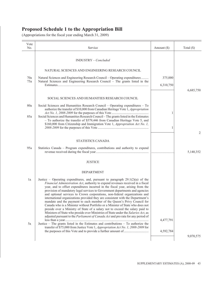| Vote<br>No. | Service                                                                                                                                                                                                                                                                                                                                                                                                                                                                                                                                                                                                                                                                                                                                                                                                                                                                                                                              | Amount (\$)          | Total $(\$)$ |
|-------------|--------------------------------------------------------------------------------------------------------------------------------------------------------------------------------------------------------------------------------------------------------------------------------------------------------------------------------------------------------------------------------------------------------------------------------------------------------------------------------------------------------------------------------------------------------------------------------------------------------------------------------------------------------------------------------------------------------------------------------------------------------------------------------------------------------------------------------------------------------------------------------------------------------------------------------------|----------------------|--------------|
|             | $INDUSTRY - Concluded$                                                                                                                                                                                                                                                                                                                                                                                                                                                                                                                                                                                                                                                                                                                                                                                                                                                                                                               |                      |              |
|             | NATURAL SCIENCES AND ENGINEERING RESEARCH COUNCIL                                                                                                                                                                                                                                                                                                                                                                                                                                                                                                                                                                                                                                                                                                                                                                                                                                                                                    |                      |              |
| 70a<br>75a  | Natural Sciences and Engineering Research Council - Operating expenditures<br>Natural Sciences and Engineering Research Council - The grants listed in the                                                                                                                                                                                                                                                                                                                                                                                                                                                                                                                                                                                                                                                                                                                                                                           | 375,000<br>6,310,750 |              |
|             | SOCIAL SCIENCES AND HUMANITIES RESEARCH COUNCIL                                                                                                                                                                                                                                                                                                                                                                                                                                                                                                                                                                                                                                                                                                                                                                                                                                                                                      |                      | 6,685,750    |
| 80a         | Social Sciences and Humanities Research Council – Operating expenditures – To<br>authorize the transfer of \$10,000 from Canadian Heritage Vote 1, Appropriation                                                                                                                                                                                                                                                                                                                                                                                                                                                                                                                                                                                                                                                                                                                                                                     | 1                    |              |
| 85a         | Social Sciences and Humanities Research Council - The grants listed in the Estimates<br>- To authorize the transfer of \$579,446 from Canadian Heritage Vote 5, and<br>\$160,000 from Citizenship and Immigration Vote 1, Appropriation Act No. 1,                                                                                                                                                                                                                                                                                                                                                                                                                                                                                                                                                                                                                                                                                   | 1                    |              |
|             | STATISTICS CANADA                                                                                                                                                                                                                                                                                                                                                                                                                                                                                                                                                                                                                                                                                                                                                                                                                                                                                                                    |                      | 2            |
| 95a         | Statistics Canada - Program expenditures, contributions and authority to expend                                                                                                                                                                                                                                                                                                                                                                                                                                                                                                                                                                                                                                                                                                                                                                                                                                                      |                      | 5,140,352    |
|             | <b>JUSTICE</b>                                                                                                                                                                                                                                                                                                                                                                                                                                                                                                                                                                                                                                                                                                                                                                                                                                                                                                                       |                      |              |
|             | <b>DEPARTMENT</b>                                                                                                                                                                                                                                                                                                                                                                                                                                                                                                                                                                                                                                                                                                                                                                                                                                                                                                                    |                      |              |
| 1a          | Justice – Operating expenditures, and, pursuant to paragraph $29.1(2)(a)$ of the<br>Financial Administration Act, authority to expend revenues received in a fiscal<br>year, and to offset expenditures incurred in the fiscal year, arising from the<br>provision of mandatory legal services to Government departments and agencies<br>and optional services to Crown corporations, non-federal organizations and<br>international organizations provided they are consistent with the Department's<br>mandate and the payment to each member of the Queen's Privy Council for<br>Canada who is a Minister without Portfolio or a Minister of State who does not<br>preside over a Ministry of State of a salary not to exceed the salary paid to<br>Ministers of State who preside over Ministries of State under the Salaries Act, as<br>adjusted pursuant to the <i>Parliament of Canada Act</i> and pro rata for any period of |                      |              |
| 5a          | Justice $-$ The grants listed in the Estimates and contributions $-$ To authorize the                                                                                                                                                                                                                                                                                                                                                                                                                                                                                                                                                                                                                                                                                                                                                                                                                                                | 4,477,791            |              |
|             | transfer of \$75,000 from Justice Vote 1, Appropriation Act No. 1, 2008-2009 for                                                                                                                                                                                                                                                                                                                                                                                                                                                                                                                                                                                                                                                                                                                                                                                                                                                     | 4,592,784            |              |
|             |                                                                                                                                                                                                                                                                                                                                                                                                                                                                                                                                                                                                                                                                                                                                                                                                                                                                                                                                      |                      | 9,070,575    |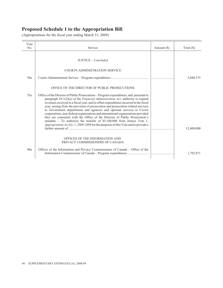| Vote<br>No. | Service                                                                                                                                                                                                                                                                                                                                                                                                                                                                                                                                                                                                                                                                                                                                                                     | Amount $(\$)$ | Total $(\$)$ |
|-------------|-----------------------------------------------------------------------------------------------------------------------------------------------------------------------------------------------------------------------------------------------------------------------------------------------------------------------------------------------------------------------------------------------------------------------------------------------------------------------------------------------------------------------------------------------------------------------------------------------------------------------------------------------------------------------------------------------------------------------------------------------------------------------------|---------------|--------------|
|             | JUSTICE – Concluded                                                                                                                                                                                                                                                                                                                                                                                                                                                                                                                                                                                                                                                                                                                                                         |               |              |
|             | <b>COURTS ADMINISTRATION SERVICE</b>                                                                                                                                                                                                                                                                                                                                                                                                                                                                                                                                                                                                                                                                                                                                        |               |              |
| 30a         |                                                                                                                                                                                                                                                                                                                                                                                                                                                                                                                                                                                                                                                                                                                                                                             |               | 3,048,575    |
|             | OFFICE OF THE DIRECTOR OF PUBLIC PROSECUTIONS                                                                                                                                                                                                                                                                                                                                                                                                                                                                                                                                                                                                                                                                                                                               |               |              |
| 35a         | Office of the Director of Public Prosecutions – Program expenditures, and, pursuant to<br>paragraph $29.1(2)(a)$ of the <i>Financial Administration Act</i> , authority to expend<br>revenues received in a fiscal year, and to offset expenditures incurred in the fiscal<br>year, arising from the provision of prosecution and prosecution-related services<br>to Government departments and agencies and optional services to Crown<br>corporations, non-federal organizations and international organizations provided<br>they are consistent with the Office of the Director of Public Prosecution's<br>mandate - To authorize the transfer of $$5,100,000$ from Justice Vote 1,<br>Appropriation Act No. 1, 2008-2009 for the purposes of this Vote and to provide a |               | 12,400,000   |
|             | OFFICES OF THE INFORMATION AND<br>PRIVACY COMMISSIONERS OF CANADA                                                                                                                                                                                                                                                                                                                                                                                                                                                                                                                                                                                                                                                                                                           |               |              |
| 40a         | Offices of the Information and Privacy Commissioners of Canada – Office of the                                                                                                                                                                                                                                                                                                                                                                                                                                                                                                                                                                                                                                                                                              |               | 1,792,971    |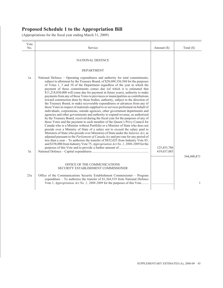| Vote<br>No. | Service                                                                                                                                                                                                                                                                                                                                                                                                                                                                                                                                                                                                                                                                                                                                                                                                                                                                                                                                                                                                                                                                                                                                                                                                                                                                                                                                                                                                                                                                                                                                                                                                               | Amount (\$)                | Total (\$)  |
|-------------|-----------------------------------------------------------------------------------------------------------------------------------------------------------------------------------------------------------------------------------------------------------------------------------------------------------------------------------------------------------------------------------------------------------------------------------------------------------------------------------------------------------------------------------------------------------------------------------------------------------------------------------------------------------------------------------------------------------------------------------------------------------------------------------------------------------------------------------------------------------------------------------------------------------------------------------------------------------------------------------------------------------------------------------------------------------------------------------------------------------------------------------------------------------------------------------------------------------------------------------------------------------------------------------------------------------------------------------------------------------------------------------------------------------------------------------------------------------------------------------------------------------------------------------------------------------------------------------------------------------------------|----------------------------|-------------|
|             | <b>NATIONAL DEFENCE</b>                                                                                                                                                                                                                                                                                                                                                                                                                                                                                                                                                                                                                                                                                                                                                                                                                                                                                                                                                                                                                                                                                                                                                                                                                                                                                                                                                                                                                                                                                                                                                                                               |                            |             |
|             | <b>DEPARTMENT</b>                                                                                                                                                                                                                                                                                                                                                                                                                                                                                                                                                                                                                                                                                                                                                                                                                                                                                                                                                                                                                                                                                                                                                                                                                                                                                                                                                                                                                                                                                                                                                                                                     |                            |             |
| 1a<br>5a    | National Defence - Operating expenditures and authority for total commitments,<br>subject to allotment by the Treasury Board, of \$28,688,336,560 for the purposes<br>of Votes 1, 5 and 10 of the Department regardless of the year in which the<br>payment of those commitments comes due (of which it is estimated that<br>\$11,218,030,000 will come due for payment in future years), authority to make<br>payments from any of those Votes to provinces or municipalities as contributions<br>toward construction done by those bodies, authority, subject to the direction of<br>the Treasury Board, to make recoverable expenditures or advances from any of<br>those Votes in respect of materials supplied to or services performed on behalf of<br>individuals, corporations, outside agencies, other government departments and<br>agencies and other governments and authority to expend revenue, as authorized<br>by the Treasury Board, received during the fiscal year for the purposes of any of<br>those Votes and the payment to each member of the Queen's Privy Council for<br>Canada who is a Minister without Portfolio or a Minister of State who does not<br>preside over a Ministry of State of a salary not to exceed the salary paid to<br>Ministers of State who preside over Ministries of State under the Salaries Act, as<br>adjusted pursuant to the Parliament of Canada Act and pro rata for any period of<br>less than a year $-$ To authorize the transfer of \$852,025 from Industry Vote 85,<br>and \$358,000 from Industry Vote 75, Appropriation Act No. 1, 2008-2009 for the | 125,453,786<br>419,037,085 |             |
|             |                                                                                                                                                                                                                                                                                                                                                                                                                                                                                                                                                                                                                                                                                                                                                                                                                                                                                                                                                                                                                                                                                                                                                                                                                                                                                                                                                                                                                                                                                                                                                                                                                       |                            | 544,490,871 |
|             | OFFICE OF THE COMMUNICATIONS<br>SECURITY ESTABLISHMENT COMMISSIONER                                                                                                                                                                                                                                                                                                                                                                                                                                                                                                                                                                                                                                                                                                                                                                                                                                                                                                                                                                                                                                                                                                                                                                                                                                                                                                                                                                                                                                                                                                                                                   |                            |             |
| 23a         | Office of the Communications Security Establishment Commissioner – Program<br>expenditure $-$ To authorize the transfer of \$1,364,519 from National Defence<br>Vote 1, Appropriation Act No. 1, 2008-2009 for the purposes of this Vote                                                                                                                                                                                                                                                                                                                                                                                                                                                                                                                                                                                                                                                                                                                                                                                                                                                                                                                                                                                                                                                                                                                                                                                                                                                                                                                                                                              |                            | 1           |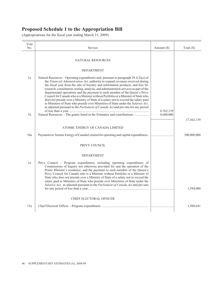| Vote<br>No. | Service                                                                                                                                                                                                                                                                                                                                                                                                                                                                                                                                                                                                                                                                                                                                                                                          | Amount (\$) | Total $(\$)$ |
|-------------|--------------------------------------------------------------------------------------------------------------------------------------------------------------------------------------------------------------------------------------------------------------------------------------------------------------------------------------------------------------------------------------------------------------------------------------------------------------------------------------------------------------------------------------------------------------------------------------------------------------------------------------------------------------------------------------------------------------------------------------------------------------------------------------------------|-------------|--------------|
|             | NATURAL RESOURCES                                                                                                                                                                                                                                                                                                                                                                                                                                                                                                                                                                                                                                                                                                                                                                                |             |              |
|             | <b>DEPARTMENT</b>                                                                                                                                                                                                                                                                                                                                                                                                                                                                                                                                                                                                                                                                                                                                                                                |             |              |
| 1a          | Natural Resources – Operating expenditures and, pursuant to paragraph $29.1(2)(a)$ of<br>the Financial Administration Act, authority to expend revenues received during<br>the fiscal year from the sale of forestry and information products, and fees for<br>research, consultation, testing, analysis, and administration services as part of the<br>departmental operations and the payment to each member of the Queen's Privy<br>Council for Canada who is a Minister without Portfolio or a Minister of State who<br>does not preside over a Ministry of State of a salary not to exceed the salary paid<br>to Ministers of State who preside over Ministries of State under the Salaries Act,<br>as adjusted pursuant to the <i>Parliament of Canada Act</i> and pro rata for any period | 8,762,139   |              |
| 5a          |                                                                                                                                                                                                                                                                                                                                                                                                                                                                                                                                                                                                                                                                                                                                                                                                  | 8,600,000   | 17,362,139   |
|             | ATOMIC ENERGY OF CANADA LIMITED                                                                                                                                                                                                                                                                                                                                                                                                                                                                                                                                                                                                                                                                                                                                                                  |             |              |
| 10a         | Payments to Atomic Energy of Canada Limited for operating and capital expenditures.                                                                                                                                                                                                                                                                                                                                                                                                                                                                                                                                                                                                                                                                                                              |             | 300,000,000  |
|             | PRIVY COUNCIL                                                                                                                                                                                                                                                                                                                                                                                                                                                                                                                                                                                                                                                                                                                                                                                    |             |              |
|             | <b>DEPARTMENT</b>                                                                                                                                                                                                                                                                                                                                                                                                                                                                                                                                                                                                                                                                                                                                                                                |             |              |
| 1a          | Privy Council - Program expenditures, including operating expenditures of<br>Commissions of Inquiry not otherwise provided for and the operation of the<br>Prime Minister's residence; and the payment to each member of the Queen's<br>Privy Council for Canada who is a Minister without Portfolio or a Minister of<br>State who does not preside over a Ministry of State of a salary not to exceed the<br>salary paid to Ministers of State who preside over Ministries of State under the<br>Salaries Act, as adjusted pursuant to the Parliament of Canada Act and pro rata                                                                                                                                                                                                                |             | 1,594,000    |
|             | <b>CHIEF ELECTORAL OFFICER</b>                                                                                                                                                                                                                                                                                                                                                                                                                                                                                                                                                                                                                                                                                                                                                                   |             |              |
| 15a         |                                                                                                                                                                                                                                                                                                                                                                                                                                                                                                                                                                                                                                                                                                                                                                                                  |             | 1,508,641    |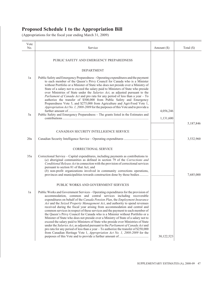| PUBLIC SAFETY AND EMERGENCY PREPAREDNESS<br><b>DEPARTMENT</b><br>Public Safety and Emergency Preparedness – Operating expenditures and the payment<br>to each member of the Queen's Privy Council for Canada who is a Minister<br>without Portfolio or a Minister of State who does not preside over a Ministry of<br>State of a salary not to exceed the salary paid to Ministers of State who preside<br>over Ministries of State under the Salaries Act, as adjusted pursuant to the<br>Parliament of Canada Act and pro rata for any period of less than a year - To<br>authorize the transfer of \$500,000 from Public Safety and Emergency<br>Preparedness Vote 5, and \$275,000 from Agriculture and Agri-Food Vote 1,<br>Appropriation Act No. 1, 2008-2009 for the purposes of this Vote and to provide a<br>Public Safety and Emergency Preparedness - The grants listed in the Estimates and                                                                                                   | 4,056,246                              |            |
|-----------------------------------------------------------------------------------------------------------------------------------------------------------------------------------------------------------------------------------------------------------------------------------------------------------------------------------------------------------------------------------------------------------------------------------------------------------------------------------------------------------------------------------------------------------------------------------------------------------------------------------------------------------------------------------------------------------------------------------------------------------------------------------------------------------------------------------------------------------------------------------------------------------------------------------------------------------------------------------------------------------|----------------------------------------|------------|
|                                                                                                                                                                                                                                                                                                                                                                                                                                                                                                                                                                                                                                                                                                                                                                                                                                                                                                                                                                                                           |                                        |            |
|                                                                                                                                                                                                                                                                                                                                                                                                                                                                                                                                                                                                                                                                                                                                                                                                                                                                                                                                                                                                           |                                        |            |
|                                                                                                                                                                                                                                                                                                                                                                                                                                                                                                                                                                                                                                                                                                                                                                                                                                                                                                                                                                                                           |                                        |            |
|                                                                                                                                                                                                                                                                                                                                                                                                                                                                                                                                                                                                                                                                                                                                                                                                                                                                                                                                                                                                           |                                        |            |
|                                                                                                                                                                                                                                                                                                                                                                                                                                                                                                                                                                                                                                                                                                                                                                                                                                                                                                                                                                                                           | 1,131,600                              | 5,187,846  |
|                                                                                                                                                                                                                                                                                                                                                                                                                                                                                                                                                                                                                                                                                                                                                                                                                                                                                                                                                                                                           |                                        |            |
|                                                                                                                                                                                                                                                                                                                                                                                                                                                                                                                                                                                                                                                                                                                                                                                                                                                                                                                                                                                                           |                                        |            |
|                                                                                                                                                                                                                                                                                                                                                                                                                                                                                                                                                                                                                                                                                                                                                                                                                                                                                                                                                                                                           |                                        | 3,532,960  |
| CORRECTIONAL SERVICE                                                                                                                                                                                                                                                                                                                                                                                                                                                                                                                                                                                                                                                                                                                                                                                                                                                                                                                                                                                      |                                        |            |
| Correctional Service - Capital expenditures, including payments as contributions to<br>(a) aboriginal communities as defined in section 79 of the Corrections and<br>Conditional Release Act in connection with the provision of correctional services<br>pursuant to section 81 of that Act; and<br>(b) non-profit organizations involved in community corrections operations,<br>provinces and municipalities towards construction done by those bodies                                                                                                                                                                                                                                                                                                                                                                                                                                                                                                                                                 |                                        | 7,685,000  |
| PUBLIC WORKS AND GOVERNMENT SERVICES                                                                                                                                                                                                                                                                                                                                                                                                                                                                                                                                                                                                                                                                                                                                                                                                                                                                                                                                                                      |                                        |            |
| Public Works and Government Services - Operating expenditures for the provision of<br>accommodation, common and central services including recoverable<br>expenditures on behalf of the Canada Pension Plan, the Employment Insurance<br>Act and the Seized Property Management Act, and authority to spend revenues<br>received during the fiscal year arising from accommodation and central and<br>common services in respect of these services and the payment to each member of<br>the Queen's Privy Council for Canada who is a Minister without Portfolio or a<br>Minister of State who does not preside over a Ministry of State of a salary not to<br>exceed the salary paid to Ministers of State who preside over Ministries of State<br>under the Salaries Act, as adjusted pursuant to the Parliament of Canada Act and<br>pro rata for any period of less than a year - To authorize the transfer of \$250,000<br>from Canadian Heritage Vote 1, Appropriation Act No. 1, 2008-2009 for the |                                        |            |
|                                                                                                                                                                                                                                                                                                                                                                                                                                                                                                                                                                                                                                                                                                                                                                                                                                                                                                                                                                                                           | CANADIAN SECURITY INTELLIGENCE SERVICE | 30,122,523 |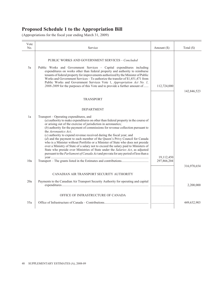| Vote<br>No. | Service                                                                                                                                                                                                                                                                                                                                                                                                                                                                                                                                                                                                                                                                                                                                                                                                                           | Amount $(\$)$             | Total $(\$)$ |
|-------------|-----------------------------------------------------------------------------------------------------------------------------------------------------------------------------------------------------------------------------------------------------------------------------------------------------------------------------------------------------------------------------------------------------------------------------------------------------------------------------------------------------------------------------------------------------------------------------------------------------------------------------------------------------------------------------------------------------------------------------------------------------------------------------------------------------------------------------------|---------------------------|--------------|
| 5a          | <b>PUBLIC WORKS AND GOVERNMENT SERVICES - Concluded</b><br>Public Works and Government Services - Capital expenditures including<br>expenditures on works other than federal property and authority to reimburse<br>tenants of federal property for improvements authorized by the Minister of Public<br>Works and Government Services - To authorize the transfer of \$1,451,471 from<br>Public Works and Government Services Vote 1, Appropriation Act No. 1,<br>2008-2009 for the purposes of this Vote and to provide a further amount of                                                                                                                                                                                                                                                                                     | 112,724,000               | 142,846,523  |
|             | <b>TRANSPORT</b>                                                                                                                                                                                                                                                                                                                                                                                                                                                                                                                                                                                                                                                                                                                                                                                                                  |                           |              |
|             | <b>DEPARTMENT</b>                                                                                                                                                                                                                                                                                                                                                                                                                                                                                                                                                                                                                                                                                                                                                                                                                 |                           |              |
| 1a          | Transport - Operating expenditures, and<br>$(a)$ authority to make expenditures on other than federal property in the course of<br>or arising out of the exercise of jurisdiction in aeronautics;<br>$(b)$ authority for the payment of commissions for revenue collection pursuant to<br>the Aeronautics Act;<br>$(c)$ authority to expend revenue received during the fiscal year; and<br>$(d)$ and the payment to each member of the Queen's Privy Council for Canada<br>who is a Minister without Portfolio or a Minister of State who does not preside<br>over a Ministry of State of a salary not to exceed the salary paid to Ministers of<br>State who preside over Ministries of State under the Salaries Act, as adjusted<br>pursuant to the <i>Parliament of Canada Act</i> and pro rata for any period of less than a |                           |              |
| 10a         |                                                                                                                                                                                                                                                                                                                                                                                                                                                                                                                                                                                                                                                                                                                                                                                                                                   | 19,112,450<br>297,866,204 | 316,978,654  |
|             | CANADIAN AIR TRANSPORT SECURITY AUTHORITY                                                                                                                                                                                                                                                                                                                                                                                                                                                                                                                                                                                                                                                                                                                                                                                         |                           |              |
| 20a         | Payments to the Canadian Air Transport Security Authority for operating and capital                                                                                                                                                                                                                                                                                                                                                                                                                                                                                                                                                                                                                                                                                                                                               |                           | 2,200,000    |
|             | OFFICE OF INFRASTRUCTURE OF CANADA                                                                                                                                                                                                                                                                                                                                                                                                                                                                                                                                                                                                                                                                                                                                                                                                |                           |              |
| 55a         |                                                                                                                                                                                                                                                                                                                                                                                                                                                                                                                                                                                                                                                                                                                                                                                                                                   |                           | 449,632,903  |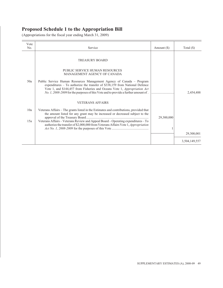| Vote<br>N <sub>0</sub> | Service                                                                                                                                                                                                                                                                                                                | Amount $(\$)$ | Total $(\$)$  |
|------------------------|------------------------------------------------------------------------------------------------------------------------------------------------------------------------------------------------------------------------------------------------------------------------------------------------------------------------|---------------|---------------|
|                        | <b>TREASURY BOARD</b>                                                                                                                                                                                                                                                                                                  |               |               |
|                        | PUBLIC SERVICE HUMAN RESOURCES<br>MANAGEMENT AGENCY OF CANADA                                                                                                                                                                                                                                                          |               |               |
| 50a                    | Public Service Human Resources Management Agency of Canada – Program<br>expenditures - To authorize the transfer of \$338,159 from National Defence<br>Vote 1, and \$144,457 from Fisheries and Oceans Vote 1, Appropriation Act<br>No. 1, 2008-2009 for the purposes of this Vote and to provide a further amount of. |               | 2,454,488     |
|                        | <b>VETERANS AFFAIRS</b>                                                                                                                                                                                                                                                                                                |               |               |
| 10a                    | Veterans Affairs – The grants listed in the Estimates and contributions, provided that<br>the amount listed for any grant may be increased or decreased subject to the                                                                                                                                                 | 29,300,000    |               |
| 15a                    | Veterans Affairs - Veterans Review and Appeal Board - Operating expenditures - To<br>authorize the transfer of \$2,000,000 from Veterans Affairs Vote 1, Appropriation                                                                                                                                                 |               |               |
|                        |                                                                                                                                                                                                                                                                                                                        |               | 29,300,001    |
|                        |                                                                                                                                                                                                                                                                                                                        |               | 3,504,149,557 |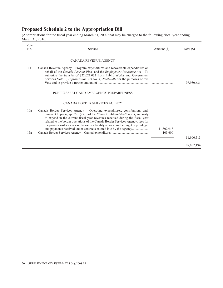(Appropriations for the fiscal year ending March 31, 2009 that may be charged to the following fiscal year ending March 31, 2010)

 $\overline{\phantom{0}}$ 

| Vote<br>No. | Service                                                                                                                                                                                                                                                                                                                                                                                                                                                                                              | Amount $(\$)$ | Total $(\$)$ |
|-------------|------------------------------------------------------------------------------------------------------------------------------------------------------------------------------------------------------------------------------------------------------------------------------------------------------------------------------------------------------------------------------------------------------------------------------------------------------------------------------------------------------|---------------|--------------|
| 1a          | CANADA REVENUE AGENCY<br>Canada Revenue Agency – Program expenditures and recoverable expenditures on<br>behalf of the Canada Pension Plan and the Employment Insurance $Act - To$<br>authorize the transfer of \$22,021,032 from Public Works and Government<br>Services Vote 1, <i>Appropriation Act No. 1, 2008-2009</i> for the purposes of this                                                                                                                                                 |               | 97,980,681   |
|             | PUBLIC SAFETY AND EMERGENCY PREPAREDNESS                                                                                                                                                                                                                                                                                                                                                                                                                                                             |               |              |
|             | CANADA BORDER SERVICES AGENCY                                                                                                                                                                                                                                                                                                                                                                                                                                                                        |               |              |
| 10a         | Canada Border Services Agency – Operating expenditures, contributions and,<br>pursuant to paragraph $29.1(2)(a)$ of the Financial Administration Act, authority<br>to expend in the current fiscal year revenues received during the fiscal year<br>related to the border operations of the Canada Border Services Agency: fees for<br>the provision of a service or the use of a facility or for a product, right or privilege;<br>and payments received under contracts entered into by the Agency | 11,802,913    |              |
| 15a         |                                                                                                                                                                                                                                                                                                                                                                                                                                                                                                      | 103,600       | 11,906,513   |
|             |                                                                                                                                                                                                                                                                                                                                                                                                                                                                                                      |               |              |
|             |                                                                                                                                                                                                                                                                                                                                                                                                                                                                                                      |               | 109,887,194  |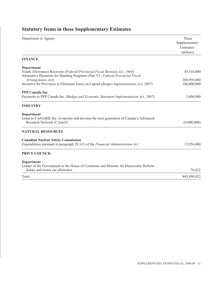# **Statutory Items in these Supplementary Estimates**

| Department or Agency                                                                    | These<br>Supplementary |
|-----------------------------------------------------------------------------------------|------------------------|
|                                                                                         | Estimates              |
|                                                                                         | (dollars)              |
|                                                                                         |                        |
| <b>FINANCE</b>                                                                          |                        |
| <b>Department</b>                                                                       |                        |
| Youth Allowances Recovery (Federal-Provincial Fiscal Revision Act, 1964)                | 45,516,000             |
| Alternative Payments for Standing Programs (Part VI -Federal-Provincial Fiscal          |                        |
| Arrangements Act)                                                                       | 208,950,000            |
| Incentive for Provinces to Eliminate Taxes on Capital (Budget Implementation Act, 2007) | 180,000,000            |
| PPP Canada Inc.                                                                         |                        |
| Payments to PPP Canada Inc. (Budget and Economic Statement Implementation Act, 2007)    | 5,000,000              |
| <b>INDUSTRY</b>                                                                         |                        |
| Department                                                                              |                        |
| Grant to CANARIE Inc. to operate and develop the next generation of Canada's Advanced   |                        |
| Research Network (CAnet5)                                                               | (9,000,000)            |
| <b>NATURAL RESOURCES</b>                                                                |                        |
| <b>Canadian Nuclear Safety Commission</b>                                               |                        |
| Expenditures pursuant to paragraph 29.1(1) of the Financial Administration Act          | 12,956,000             |
| <b>PRIVY COUNCIL</b>                                                                    |                        |
| <b>Department</b>                                                                       |                        |
| Leader of the Government in the House of Commons and Minister for Democratic Reform -   |                        |
| Salary and motor car allowance                                                          | 76,422                 |
| Total                                                                                   | 443,498,422            |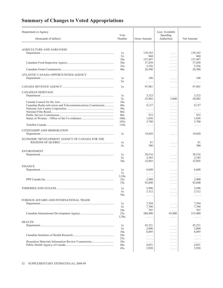# **Summary of Changes to Voted Appropriations**

| Department or Agency                                        | Vote     |                                                  | Less: Available<br>Spending               |                                                                   |
|-------------------------------------------------------------|----------|--------------------------------------------------|-------------------------------------------|-------------------------------------------------------------------|
| (thousands of dollars)                                      | Number   | <b>Gross Amount</b>                              | Authorities                               | Net Amount                                                        |
| AGRICULTURE AND AGRI-FOOD                                   |          |                                                  |                                           |                                                                   |
|                                                             | 1a       | 139,183                                          | $\alpha$ , $\alpha$ , $\alpha$ , $\alpha$ | 139,183                                                           |
|                                                             | 5a       | 860                                              | $\ldots$                                  | 860                                                               |
|                                                             | 10a      | 157,497                                          | $\alpha$ , $\alpha$ , $\alpha$ , $\alpha$ | 157,497                                                           |
|                                                             | 30a      | 37,458                                           | $\mathbb{Z}^n$ . In the $\mathbb{Z}^n$    | 37,458                                                            |
|                                                             | 35a      | 5,556                                            | $\alpha$ , $\alpha$ , $\alpha$ , $\alpha$ | 5,556                                                             |
|                                                             | 40a      | 26,500                                           | $\cdots$                                  | 26,500                                                            |
| ATLANTIC CANADA OPPORTUNITIES AGENCY                        |          |                                                  |                                           |                                                                   |
|                                                             | 1a       | 106                                              | .                                         | 106                                                               |
|                                                             | 5a       | $\mathbb{Z}^n$ . In the $\mathbb{Z}^n$           | .                                         | .                                                                 |
|                                                             | 1a       | 97,981                                           | .                                         | 97,981                                                            |
| <b>CANADIAN HERITAGE</b>                                    |          |                                                  |                                           |                                                                   |
|                                                             | 1a       | 3,323                                            | .                                         | 3,323                                                             |
|                                                             | 5a       | 25,982                                           | 5,000                                     | 20,982                                                            |
|                                                             | 10a      | $\mathbb{Z}^2$ . $\mathbb{Z}^2$ , $\mathbb{Z}^2$ | $\alpha$ , $\alpha$ , $\alpha$ , $\alpha$ | .                                                                 |
| Canadian Radio-television and Telecommunications Commission | 40a      | 9,137                                            | $\ldots$                                  | 9,137                                                             |
|                                                             | 50a      | $\ldots \ldots$                                  | $\ldots$                                  | .                                                                 |
|                                                             | 60a      | $\ldots \ldots$                                  | 1.1.1.1                                   | .                                                                 |
|                                                             | 80a      | 972                                              | 1.1.1.1                                   | 972                                                               |
|                                                             | 100a     | 1,056                                            | $\mathbb{Z}^n$ . In the $\mathbb{Z}^n$    | 1,056                                                             |
|                                                             | 105a     | 5,700                                            | $\alpha$ , $\alpha$ , $\alpha$ , $\alpha$ | 5,700                                                             |
|                                                             | 110a     | $\alpha$ is a second .                           | $\alpha$ , $\alpha$ , $\alpha$            | .                                                                 |
| CITIZENSHIP AND IMMIGRATION                                 | 1a       | 19,020                                           | $\cdots$                                  | 19,020                                                            |
|                                                             |          |                                                  |                                           |                                                                   |
| ECONOMIC DEVELOPMENT AGENCY OF CANADA FOR THE               |          |                                                  |                                           |                                                                   |
|                                                             | 1a       | 81<br>300                                        | .                                         | 81<br>300                                                         |
|                                                             | 5a       |                                                  | .                                         |                                                                   |
| <b>ENVIRONMENT</b>                                          |          |                                                  |                                           |                                                                   |
|                                                             | 1a       | 38,516                                           | $\ldots$                                  | 38,516                                                            |
|                                                             | 5a       | 2,585                                            | $\mathbb{Z}^n$ . In the $\mathbb{Z}^n$    | 2,585                                                             |
|                                                             | 10a      | 32,845                                           | $\ldots$                                  | 32,845                                                            |
| <b>FINANCE</b>                                              |          |                                                  |                                           |                                                                   |
|                                                             | 1a       | 6,608                                            | .                                         | 6,608                                                             |
|                                                             | 7a       | $\alpha$ is a second                             | .                                         | $\mathbb{Z}^2$ . $\mathbb{Z}^2$ , $\mathbb{Z}^2$ , $\mathbb{Z}^2$ |
|                                                             | L10a     | $\alpha$ is a second                             | $\mathbb{Z}^n$ . In the $\mathbb{Z}^n$    | .                                                                 |
|                                                             | 32a      | 2,900                                            | 1.1.1.1                                   | 2,900                                                             |
|                                                             | 33a      | 92,600                                           | $\cdots$                                  | 92,600                                                            |
|                                                             | 1a       | 5,996                                            |                                           | 5,996                                                             |
|                                                             | 5a       | 3,312                                            | $\ldots$<br>.                             | 3,312                                                             |
|                                                             | 10a      | .                                                | .                                         | .                                                                 |
|                                                             |          |                                                  |                                           |                                                                   |
| FOREIGN AFFAIRS AND INTERNATIONAL TRADE                     |          |                                                  |                                           |                                                                   |
|                                                             | 1a<br>5a | 7,394<br>7,700                                   | $\cdots$                                  | 7,394<br>7,700                                                    |
|                                                             | 10a      | 707                                              | $\ldots$                                  | 707                                                               |
|                                                             | 25a      | 280,400                                          | $\ldots$<br>65,000                        | 215,400                                                           |
|                                                             | L30a     | $\ldots$                                         | $\ldots$                                  | .                                                                 |
| <b>HEALTH</b>                                               |          |                                                  |                                           |                                                                   |
|                                                             | 1a       | 45,221                                           |                                           | 45,221                                                            |
|                                                             | 5a       | 2,000                                            | .                                         | 2,000                                                             |
|                                                             | 10a      | 8,095                                            | .                                         | 8,095                                                             |
|                                                             | 20a      | $\alpha$ is a second .                           | .                                         |                                                                   |
|                                                             | 25a      | $\ldots$                                         | $\cdots$<br>$\cdots$                      | .<br>.                                                            |
| Hazardous Materials Information Review Commission           | 30a      | $\ldots$                                         | .                                         | .                                                                 |
|                                                             | 40a      | 4,051                                            | .                                         | 4,051                                                             |
|                                                             | 45a      | 3,920                                            | .                                         | 3,920                                                             |
|                                                             |          |                                                  |                                           |                                                                   |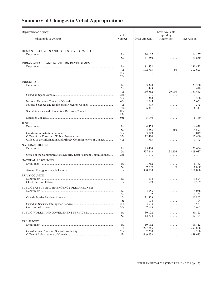# **Summary of Changes to Voted Appropriations**

| Department or Agency                                             | Vote       |                                        | Less: Available<br>Spending              |                                        |
|------------------------------------------------------------------|------------|----------------------------------------|------------------------------------------|----------------------------------------|
| (thousands of dollars)                                           | Number     | Gross Amount                           | Authorities                              | Net Amount                             |
|                                                                  |            |                                        |                                          |                                        |
| HUMAN RESOURCES AND SKILLS DEVELOPMENT                           |            |                                        |                                          |                                        |
|                                                                  | 1a         | 14,157                                 | .                                        | 14,157                                 |
|                                                                  | 5a         | 61,850                                 | .                                        | 61,850                                 |
| INDIAN AFFAIRS AND NORTHERN DEVELOPMENT                          |            |                                        |                                          |                                        |
|                                                                  | 1a         | 181,432                                | .                                        | 181,432                                |
|                                                                  | 10a        | 302,703                                | 80                                       | 302,623                                |
|                                                                  | 20a        | .                                      | .                                        | .                                      |
|                                                                  | 25a        | $\mathbb{Z}^n$ . In the $\mathbb{Z}^n$ | .                                        | $\mathbb{Z}^n$ . In the $\mathbb{Z}^n$ |
| <b>INDUSTRY</b>                                                  |            |                                        |                                          |                                        |
|                                                                  | 1a         | 33,320                                 | $\alpha$ , $\alpha$ , $\alpha$           | 33,320                                 |
|                                                                  | 5a         | 449                                    | $\sim$ $\sim$ $\sim$ $\sim$ $\sim$       | 449                                    |
|                                                                  | 10a<br>25a | 166,562<br>.                           | 29,100<br>$\alpha$ , $\alpha$ , $\alpha$ | 137,462                                |
|                                                                  | 30a        | 300                                    | $\alpha$ , $\alpha$ , $\alpha$           | .<br>300                               |
|                                                                  | 60a        | 2,065                                  | $\alpha$ , $\alpha$ , $\alpha$           | 2,065                                  |
|                                                                  | 70a        | 375                                    | $\mathbb{Z}^n$ . In the $\mathbb{Z}^n$   | 375                                    |
|                                                                  | 75a        | 6,311                                  | $\alpha$ , $\alpha$ , $\alpha$           | 6,311                                  |
|                                                                  | 80a        | .                                      | $\alpha$ , $\alpha$ , $\alpha$           | .                                      |
|                                                                  | 85a<br>95a | .<br>5,140                             | $\alpha$ , $\alpha$ , $\alpha$           | .<br>5,140                             |
|                                                                  |            |                                        | $\sim$ $\sim$ $\sim$ $\sim$ $\sim$       |                                        |
| <b>JUSTICE</b>                                                   |            |                                        |                                          |                                        |
|                                                                  | 1a         | 4,478                                  | .                                        | 4,478                                  |
|                                                                  | 5a<br>30a  | 4,853                                  | 260                                      | 4,593                                  |
|                                                                  | 35a        | 3,049<br>12,400                        | .<br>$\alpha$ , $\alpha$ , $\alpha$      | 3,049<br>12,400                        |
| Offices of the Information and Privacy Commissioners of Canada   | 40a        | 1,793                                  | $\alpha$ , $\alpha$ , $\alpha$           | 1,793                                  |
|                                                                  |            |                                        |                                          |                                        |
| NATIONAL DEFENCE                                                 | 1a         | 125,454                                |                                          | 125,454                                |
|                                                                  | 5a         | 557,643                                | .<br>138,606                             | 419,037                                |
| Office of the Communications Security Establishment Commissioner | 23a        | .                                      | $\ldots$                                 | $\ldots$                               |
| NATURAL RESOURCES                                                |            |                                        |                                          |                                        |
|                                                                  | 1a         | 8,762                                  | .                                        | 8,762                                  |
|                                                                  | 5a         | 9,739                                  | 1,139                                    | 8,600                                  |
|                                                                  | 10a        | 300,000                                | $\ldots$                                 | 300,000                                |
| PRIVY COUNCIL                                                    |            |                                        |                                          |                                        |
|                                                                  | 1a         | 1,594                                  | .                                        | 1,594                                  |
|                                                                  | 15a        | 1,509                                  | .                                        | 1,509                                  |
|                                                                  |            |                                        |                                          |                                        |
| PUBLIC SAFETY AND EMERGENCY PREPAREDNESS                         | 1a         | 4,056                                  |                                          | 4,056                                  |
|                                                                  | 5a         | 1,132                                  | .<br>.                                   | 1,132                                  |
|                                                                  | 10a        | 11,803                                 | .                                        | 11,803                                 |
|                                                                  | 15a        | 104                                    | .                                        | 104                                    |
|                                                                  | 20a        | 3,533                                  | .                                        | 3,533                                  |
|                                                                  | 35a        | 7,685                                  | .                                        | 7,685                                  |
|                                                                  | 1a         | 30,122                                 | .                                        | 30,122                                 |
|                                                                  | 5a         | 112,724                                | .                                        | 112,724                                |
| TRANSPORT                                                        |            |                                        |                                          |                                        |
|                                                                  | 1a         | 19,112                                 | .                                        | 19,112                                 |
|                                                                  | 10a        | 297,866                                | .                                        | 297,866                                |
|                                                                  | 20a        | 2,200                                  | .                                        | 2,200                                  |
|                                                                  | 55a        | 449,633                                | .                                        | 449,633                                |
|                                                                  |            |                                        |                                          |                                        |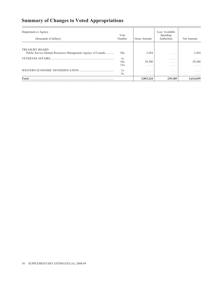# **Summary of Changes to Voted Appropriations**

| Department or Agency<br>(thousands of dollars)             | Vote<br>Number  | Gross Amount   | Less: Available<br>Spending<br>Authorities | Net Amount     |
|------------------------------------------------------------|-----------------|----------------|--------------------------------------------|----------------|
| <b>TREASURY BOARD</b>                                      |                 |                |                                            |                |
| Public Service Human Resources Management Agency of Canada | 50a             | 2,454          | .                                          | 2,454          |
|                                                            | l a<br>10a      | .<br>29,300    | .<br>.                                     | .<br>29,300    |
|                                                            | 15a<br>1a<br>5a | .<br>.         | .<br>.                                     | .<br>.         |
| Total                                                      |                 | .<br>3,853,224 | .<br>239,185                               | .<br>3.614.039 |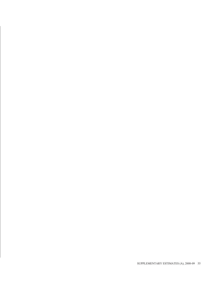SUPPLEMENTARY ESTIMATES (A), 2008-09 55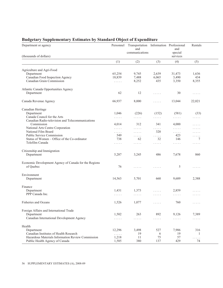| Department or agency                                            | Personnel | Transportation Information Professional<br>and<br>communications |                                                                   | and<br>special                             | Rentals                            |  |
|-----------------------------------------------------------------|-----------|------------------------------------------------------------------|-------------------------------------------------------------------|--------------------------------------------|------------------------------------|--|
| (thousands of dollars)                                          |           |                                                                  |                                                                   | services                                   |                                    |  |
|                                                                 | (1)       | (2)                                                              | (3)                                                               | (4)                                        | (5)                                |  |
| Agriculture and Agri-Food                                       |           |                                                                  |                                                                   |                                            |                                    |  |
| Department                                                      | 65,254    | 9,745                                                            | 2,639                                                             | 31,473                                     | 1,636                              |  |
| Canadian Food Inspection Agency                                 | 18,839    | 7,488                                                            | 6,065                                                             | 3,490                                      | 434                                |  |
| Canadian Grain Commission                                       | .         | 8,252                                                            | 435                                                               | 3,350                                      | 8,355                              |  |
| Atlantic Canada Opportunities Agency                            |           |                                                                  |                                                                   |                                            |                                    |  |
| Department                                                      | 62        | 12                                                               | $\sim$ $\sim$ $\sim$ $\sim$ $\sim$                                | 30                                         | $\sim$ $\sim$ $\sim$ $\sim$ $\sim$ |  |
| Canada Revenue Agency                                           | 66,937    | 8,000                                                            | $\sim$ $\sim$ $\sim$ $\sim$ $\sim$                                | 13,044                                     | 22,021                             |  |
| Canadian Heritage                                               |           |                                                                  |                                                                   |                                            |                                    |  |
| Department                                                      | 1,046     | (226)                                                            | (152)                                                             | (581)                                      | (33)                               |  |
| Canada Council for the Arts                                     | .         | .                                                                | $\ldots$                                                          | $\cdots$                                   | .                                  |  |
| Canadian Radio-television and Telecommunications                |           |                                                                  |                                                                   |                                            |                                    |  |
| Commission                                                      | 4,014     | 312                                                              | 341                                                               | 4,000                                      | .                                  |  |
| National Arts Centre Corporation                                | .         | $\sim$ $\sim$ $\sim$ $\sim$ $\sim$                               | $\ldots$                                                          | $\sim$ $\sim$ $\sim$ $\sim$ $\sim$         | .                                  |  |
| National Film Board                                             | .         | 1.1.1.1                                                          | 320                                                               | $\mathbb{Z}^n$ . The set of $\mathbb{Z}^n$ | $\cdots$                           |  |
| <b>Public Service Commission</b>                                | 549       | 1.1.1.1                                                          | $\mathbb{Z}^2$ . $\mathbb{Z}^2$ , $\mathbb{Z}^2$ , $\mathbb{Z}^2$ | 423                                        | $\ldots$                           |  |
| Status of Women - Office of the Co-ordinator<br>Telefilm Canada | 738       | 62                                                               | 32                                                                | 146                                        | 7                                  |  |
|                                                                 | .         | $\ldots$                                                         | $\sim$ $\sim$ $\sim$ $\sim$ $\sim$                                | $\ldots$                                   | .                                  |  |
| Citizenship and Immigration                                     |           |                                                                  |                                                                   |                                            |                                    |  |
| Department                                                      | 5,287     | 3,245                                                            | 486                                                               | 7,678                                      | 860                                |  |
| Economic Development Agency of Canada for the Regions           |           |                                                                  |                                                                   |                                            |                                    |  |
| of Quebec                                                       | 76        | 1.1.1.1                                                          | $\cdots$                                                          | 5                                          | $\cdots$                           |  |
| Environment                                                     |           |                                                                  |                                                                   |                                            |                                    |  |
| Department                                                      | 14,563    | 5,701                                                            | 660                                                               | 9,689                                      | 2,388                              |  |
| Finance                                                         |           |                                                                  |                                                                   |                                            |                                    |  |
| Department                                                      | 1,431     | 1,373                                                            | $\mathbb{Z}^2$ . $\mathbb{Z}^2$ , $\mathbb{Z}^2$                  | 2,859                                      | .                                  |  |
| PPP Canada Inc.                                                 | .         | $\sim$ $\sim$ $\sim$ $\sim$ $\sim$                               | $\cdots$                                                          | $\sim$ $\sim$ $\sim$ $\sim$ $\sim$         | .                                  |  |
| Fisheries and Oceans                                            | 1,526     | 1,077                                                            | .                                                                 | 760                                        | .                                  |  |
| Foreign Affairs and International Trade                         |           |                                                                  |                                                                   |                                            |                                    |  |
| Department                                                      | 1,502     | 263                                                              | 892                                                               | 9,126                                      | 7,389                              |  |
| Canadian International Development Agency                       | .         | $\mathbb{Z}^n$ . In the $\mathbb{Z}^n$                           | $\sim$ $\sim$ $\sim$ $\sim$ $\sim$                                | .                                          | .                                  |  |
| Health                                                          |           |                                                                  |                                                                   |                                            |                                    |  |
| Department                                                      | 12,296    | 3,498                                                            | 527                                                               | 7,986                                      | 316                                |  |
| Canadian Institutes of Health Research                          | .         | 19                                                               | 6                                                                 | 19                                         | 1                                  |  |
| Hazardous Materials Information Review Commission               | 1,218     | 11                                                               | 75                                                                | 57                                         | .                                  |  |
| Public Health Agency of Canada                                  | 1,585     | 380                                                              | 137                                                               | 429                                        | 74                                 |  |

### **Budgetary Supplementary Estimates by Standard Object of Expenditure**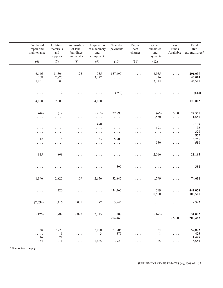| Purchased<br>repair and<br>maintenance | Utilities,<br>materials<br>and<br>supplies | Acquisition<br>of land,<br>buildings<br>and works | Acquisition<br>of machinery<br>and<br>equipment | Transfer<br>payments               | Public<br>debt<br>charges          | Other<br>subsidies<br>and<br>payments | Less:<br>Funds<br>Available        | <b>Total</b><br>net<br>expenditures* |
|----------------------------------------|--------------------------------------------|---------------------------------------------------|-------------------------------------------------|------------------------------------|------------------------------------|---------------------------------------|------------------------------------|--------------------------------------|
| (6)                                    | (7)                                        | (8)                                               | (9)                                             | (10)                               | (11)                               | (12)                                  |                                    |                                      |
|                                        |                                            |                                                   |                                                 |                                    |                                    |                                       |                                    |                                      |
| 6,146                                  | 11,804                                     | 125                                               | 735                                             | 157,497                            |                                    | 3,985                                 | .                                  | 291,039                              |
| 268                                    | 2,877                                      | .                                                 | 3,227                                           | $\ldots$                           | $\cdots$<br>.                      | 326                                   | .                                  | 43,014                               |
| 1,081                                  | 1,683                                      | .                                                 | $\ldots$                                        | .                                  | .                                  | 3,344                                 | .                                  | 26,500                               |
|                                        |                                            |                                                   |                                                 |                                    |                                    |                                       |                                    |                                      |
| .                                      | $\overline{c}$                             | .                                                 | $\ldots$                                        | (750)                              | .                                  | .                                     | $\sim$ $\sim$ $\sim$ $\sim$ $\sim$ | (644)                                |
| 4,000                                  | 2,000                                      | .                                                 | 4,000                                           |                                    | .                                  | .                                     | $\cdots$                           | 120,002                              |
|                                        |                                            |                                                   |                                                 | $\sim$ $\sim$ $\sim$ $\sim$ $\sim$ |                                    |                                       |                                    |                                      |
|                                        |                                            |                                                   |                                                 |                                    |                                    |                                       |                                    |                                      |
| (44)                                   | (77)                                       | .                                                 | (210)                                           | 27,893                             | $\cdots$                           | (66)                                  | 5,000                              | 22,550                               |
| $\ldots$                               | .                                          | .                                                 | .                                               | $\ldots$                           | $\sim$ $\sim$ $\sim$ $\sim$ $\sim$ | 1,550                                 | $\ldots$                           | 1,550                                |
| $\cdots\cdots\cdots$                   | .                                          | .                                                 | 470                                             | $\sim$ $\sim$ $\sim$ $\sim$ $\sim$ | $\sim$ $\sim$ $\sim$ $\sim$ $\sim$ | .                                     | $\ldots$                           | 9,137                                |
| $\sim$ $\sim$ $\sim$ $\sim$ $\sim$     | .                                          | .                                                 | $\sim$ $\sim$ $\sim$ $\sim$ $\sim$              | $\sim$ $\sim$ $\sim$ $\sim$ $\sim$ | $\ldots$                           | 193                                   | $\cdots$                           | 193                                  |
| .                                      | .                                          | .                                                 | .                                               | $\sim$ $\sim$ $\sim$ $\sim$ $\sim$ | .                                  | .                                     | .                                  | 320                                  |
| .                                      | $\cdots$                                   | .                                                 | .                                               | .                                  | .                                  | .                                     | .                                  | 972                                  |
| 12                                     | 6                                          | .                                                 | 53                                              | 5,700                              | $\cdots\cdots\cdots$               | $\ldots$                              | $\ldots$                           | 6,756                                |
| .                                      | .                                          | .                                                 | $\cdots$                                        | $\ldots$                           | .                                  | 550                                   | $\cdots$                           | 550                                  |
| 815                                    | 808                                        | .                                                 | .                                               | .                                  | $\cdots$                           | 2,016                                 | $\ldots$                           | 21,195                               |
| .                                      | .                                          | .                                                 | .                                               | 300                                | .                                  | .                                     | .                                  | 381                                  |
| 1,396                                  | 2,825                                      | 109                                               | 2,656                                           | 32,845                             | $\cdots$                           | 1,799                                 | .                                  | 74,631                               |
| .                                      | 226                                        | .                                                 | $\cdots$                                        | 434,466                            | .                                  | 719                                   | $\ldots$                           | 441,074                              |
| $\cdots\cdots\cdots$                   | .                                          | .                                                 | $\sim$ $\sim$ $\sim$ $\sim$ $\sim$              | $\ldots$                           | $\sim$ $\sim$ $\sim$ $\sim$ $\sim$ | 100,500                               | $\alpha$ , $\alpha$ , $\alpha$     | 100,500                              |
| (2,694)                                | 1,416                                      | 3,035                                             | 277                                             | 3,945                              | $\sim$ $\sim$ $\sim$ $\sim$ $\sim$ | .                                     | $\ldots$                           | 9,342                                |
| (126)                                  | 1,782                                      | 7,892                                             | 2,315                                           | 207                                | .                                  | (160)                                 | $\alpha$ , $\alpha$ , $\alpha$     | 31,082                               |
| $\ldots$                               | .                                          | .                                                 | .                                               | 274,463                            | $\ldots$                           | .                                     | 65,000                             | 209,463                              |
| 738                                    | 7,923                                      |                                                   | 2,000                                           | 21,704                             |                                    | 84                                    |                                    | 57,072                               |
| .                                      | $\mathbf{1}$                               | .                                                 | 3                                               | 375                                | .                                  | $\mathbf{1}$                          | .                                  | 425                                  |
| 16                                     | $71\,$                                     | .<br>.                                            | .                                               | $\ldots$                           | .<br>$\ldots$                      | .                                     | .<br>$\ldots$                      | 1,448                                |
| 154                                    | 211                                        | $\ldots$                                          | 1,665                                           | 3,920                              | $\ldots$                           | 25                                    | $\alpha$ is a set of               | 8,580                                |
|                                        |                                            |                                                   |                                                 |                                    |                                    |                                       |                                    |                                      |

\* See footnote on page 63.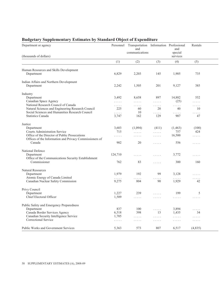| Department or agency                                                                                                                                                         | Personnel                  | Transportation Information Professional<br>and<br>communications                       |                                                                                            | and<br>special                   | Rentals                                |
|------------------------------------------------------------------------------------------------------------------------------------------------------------------------------|----------------------------|----------------------------------------------------------------------------------------|--------------------------------------------------------------------------------------------|----------------------------------|----------------------------------------|
| (thousands of dollars)                                                                                                                                                       |                            |                                                                                        |                                                                                            | services                         |                                        |
|                                                                                                                                                                              | (1)                        | (2)                                                                                    | (3)                                                                                        | (4)                              | (5)                                    |
| Human Resources and Skills Development<br>Department                                                                                                                         | 6,829                      | 2,203                                                                                  | 145                                                                                        | 1,905                            | 735                                    |
| Indian Affairs and Northern Development<br>Department                                                                                                                        | 2,242                      | 1,505                                                                                  | 201                                                                                        | 9,127                            | 385                                    |
| Industry<br>Department<br>Canadian Space Agency<br>National Research Council of Canada                                                                                       | 3,492<br>.                 | 8,658<br>.                                                                             | 897<br>.                                                                                   | 14,882<br>(25)                   | 552<br>.                               |
| Natural Sciences and Engineering Research Council<br>Social Sciences and Humanities Research Council<br><b>Statistics Canada</b>                                             | .<br>225<br>.<br>3,747     | $\ldots$<br>60<br>10<br>162                                                            | $\mathbb{Z}^2$ . The set of $\mathbb{Z}^2$<br>20<br>.<br>129                               | .<br>40<br>.<br>907              | .<br>10<br>.<br>47                     |
| Justice<br>Department<br>Courts Administration Service<br>Office of the Director of Public Prosecutions<br>Offices of the Information and Privacy Commissioners of<br>Canada | 3,603<br>715<br>.<br>902   | (1,094)<br>$\ldots$<br>$\ldots$<br>20                                                  | (411)<br>.<br>$\ldots$<br>$\ldots$                                                         | (1, 463)<br>757<br>16,500<br>556 | (100)<br>424<br>.<br>$\cdots$          |
| National Defence<br>Department<br>Office of the Communications Security Establishment<br>Commissioner                                                                        | 124,710<br>762             | $\mathbb{R}^n$ . In the $\mathbb{R}^n$<br>83                                           | $\mathbb{Z}^2$ . $\mathbb{Z}^2$ , $\mathbb{Z}^2$ , $\mathbb{Z}^2$<br>$\ldots$              | 3,772<br>300                     | $\ldots$<br>160                        |
| Natural Resources<br>Department<br>Atomic Energy of Canada Limited<br>Canadian Nuclear Safety Commission                                                                     | 1,979<br>.<br>9,275        | 192<br>1.1.1.1<br>804                                                                  | 99<br>$\mathbb{Z}^2$ . $\mathbb{Z}^2$ , $\mathbb{Z}^2$ , $\mathbb{Z}^2$<br>90              | 3,128<br>1.1.1.1<br>1,929        | .<br>.<br>42                           |
| Privy Council<br>Department<br>Chief Electoral Officer                                                                                                                       | 1,227<br>1,509             | 239<br>$\ldots$                                                                        | .<br>1.1.1.1                                                                               | 199<br>.                         | 5<br>.                                 |
| Public Safety and Emergency Preparedness<br>Department<br>Canada Border Services Agency<br>Canadian Security Intelligence Service<br>Correctional Service                    | 837<br>6,518<br>1,705<br>. | 100<br>398<br>$\sim$ $\sim$ $\sim$ $\sim$ $\sim$<br>$\sim$ $\sim$ $\sim$ $\sim$ $\sim$ | $\ldots$<br>13<br>$\sim$ $\sim$ $\sim$ $\sim$ $\sim$<br>$\sim$ $\sim$ $\sim$ $\sim$ $\sim$ | 3,894<br>1,435<br>.<br>$\cdots$  | $\cdots$<br>34<br>$\cdots$<br>$\ldots$ |
| <b>Public Works and Government Services</b>                                                                                                                                  | 5,363                      | 573                                                                                    | 807                                                                                        | 6,517                            | (4,835)                                |

### **Budgetary Supplementary Estimates by Standard Object of Expenditure**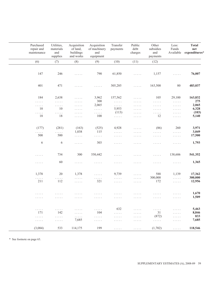| Purchased<br>repair and<br>maintenance           | Utilities,<br>materials<br>and<br>supplies | Acquisition<br>of land,<br>buildings<br>and works | Acquisition<br>of machinery<br>and<br>equipment | Transfer<br>payments                             | Public<br>debt<br>charges          | Other<br>subsidies<br>and<br>payments | Less:<br>Funds<br>Available                      | <b>Total</b><br>net<br>expenditures* |
|--------------------------------------------------|--------------------------------------------|---------------------------------------------------|-------------------------------------------------|--------------------------------------------------|------------------------------------|---------------------------------------|--------------------------------------------------|--------------------------------------|
| (6)                                              | (7)                                        | (8)                                               | (9)                                             | (10)                                             | (11)                               | (12)                                  |                                                  |                                      |
| 147                                              | 246                                        | $\ldots$                                          | 790                                             | 61,850                                           | .                                  | 1,157                                 | $\ldots$                                         | 76,007                               |
| 401                                              | 471                                        | .                                                 | .                                               | 305,285                                          | $\ldots$                           | 163,500                               | $80\,$                                           | 483,037                              |
| 184                                              | 2,638                                      | $\ldots$                                          | 3,962                                           | 157,562                                          | $\cdots$                           | 105                                   | 29,100                                           | 163,832                              |
| .                                                | $\ldots$                                   | $\alpha$ , $\alpha$ , $\alpha$                    | 300                                             | $\mathbb{R}^n$ . $\mathbb{R}^n$ , $\mathbb{R}^n$ | $\ldots$                           | $\ldots$                              | $\alpha$ , $\alpha$ , $\alpha$                   | 275                                  |
| $\sim$ $\sim$ $\sim$ $\sim$ $\sim$               | $\ldots$                                   | $\ldots$                                          | 2,065                                           | $\ldots$                                         | $\cdots$                           | $\ldots$                              | $\alpha$ , $\alpha$ , $\alpha$                   | 2,065                                |
| 10                                               | 10                                         | $\alpha$ , $\alpha$ , $\alpha$                    | .                                               | 5,953                                            | $\ldots$                           | $\ldots$                              | $\alpha$ , $\alpha$ , $\alpha$                   | 6,328                                |
| .                                                | .                                          | $\alpha$ , $\alpha$ , $\alpha$                    | $\ldots$                                        | (113)                                            | $\sim$ $\sim$ $\sim$ $\sim$ $\sim$ | .                                     | $\alpha$ , $\alpha$ , $\alpha$                   | (103)                                |
| 18                                               | 18                                         | $\ldots$                                          | 100                                             | $\ldots$                                         | .                                  | 12                                    | $\mathbb{Z}^2$ . $\mathbb{Z}^2$ , $\mathbb{Z}^2$ | 5,140                                |
| (177)                                            | (281)                                      | (163)                                             | (525)                                           | 4,928                                            | .                                  | (86)                                  | 260                                              | 3,971                                |
| $\mathbb{R}^n$ . $\mathbb{R}^n$ , $\mathbb{R}^n$ | .                                          | 1,038                                             | 115                                             | $\ldots$                                         | .                                  | .                                     | $\mathbb{Z}^2$ . $\mathbb{Z}^2$ , $\mathbb{Z}^2$ | 3,049                                |
| 500                                              | 500                                        | $\mathbb{Z}^2$ . $\mathbb{Z}^2$ , $\mathbb{Z}^2$  | $\ldots$                                        | .                                                | .                                  | .                                     | $\sim$ $\sim$ $\sim$ $\sim$                      | 17,500                               |
| $\sqrt{6}$                                       | 6                                          | $\ldots$                                          | 303                                             | .                                                | $\cdots$                           | .                                     | $\alpha$ , $\alpha$ , $\alpha$                   | 1,793                                |
| $\alpha$ , $\alpha$ , $\alpha$                   | 734                                        | 300                                               | 550,442                                         | 1.1.1.1                                          | .                                  | 1.1.1.1                               | 138,606                                          | 541,352                              |
| $\alpha$ , $\alpha$ , $\alpha$                   | 60                                         | $\alpha$ is a set of                              | $\ldots$                                        | .                                                | .                                  | .                                     | $\alpha$ , $\alpha$ , $\alpha$                   | 1,365                                |
| 1,378                                            | 20                                         | 1,378                                             | .                                               | 9,739                                            | .                                  | 588                                   | 1,139                                            | 17,362                               |
| .                                                | .                                          | $\ldots$                                          | .                                               | .                                                | $\ldots$                           | 300,000                               | .                                                | 300,000                              |
| 211                                              | 112                                        | $\ldots$                                          | 321                                             | .                                                | $\ldots$                           | 172                                   | $\ldots$                                         | 12,956                               |
| $\sim$ $\sim$ $\sim$ $\sim$ $\sim$               | $\ldots$                                   | $\sim$ $\sim$ $\sim$ $\sim$ $\sim$                | .                                               | .                                                | .                                  | .                                     | .                                                | 1,670                                |
| $\sim$ $\sim$ $\sim$ $\sim$ $\sim$               | $\sim$ $\sim$ $\sim$ $\sim$ $\sim$         | $\sim$ $\sim$ $\sim$ $\sim$ $\sim$                | $\cdots$                                        | $\sim$ $\sim$ $\sim$ $\sim$ $\sim$               | $\cdots$                           | .                                     | $\mathbb{Z}^2$ . $\mathbb{Z}^2$ , $\mathbb{Z}^2$ | 1,509                                |
| $\alpha$ , $\alpha$ , $\alpha$                   | $\alpha$ , $\alpha$ , $\alpha$             | $\ldots$                                          | $\sim$ $\sim$ $\sim$ $\sim$                     | 632                                              | .                                  | .                                     | .                                                | 5,463                                |
| 171                                              | 142                                        | $\ldots$                                          | 104                                             | .                                                | .                                  | 31                                    | .                                                | 8,846                                |
| .                                                | $\alpha$ , $\alpha$ , $\alpha$             | $\ldots$                                          | .                                               | .                                                | .                                  | (872)                                 | $\alpha$ , $\alpha$ , $\alpha$                   | 833                                  |
| $\sim$ $\sim$ $\sim$ $\sim$ $\sim$               | $\ldots$                                   | 7,685                                             | $\ldots$                                        | .                                                | $\sim$ $\sim$ $\sim$ $\sim$ $\sim$ | $\ldots$                              | $\alpha$ , $\alpha$ , $\alpha$                   | 7,685                                |
| (3,084)                                          | 533                                        | 114,175                                           | 199                                             | 1.1.1.1                                          | 1.1.1.1                            | (1,702)                               | $\mathbb{Z}^2$ . The set of $\mathbb{Z}^2$       | 118,546                              |

\* See footnote on page 63.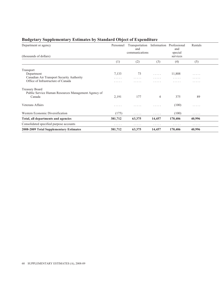### **Budgetary Supplementary Estimates by Standard Object of Expenditure**

| Department or agency<br>(thousands of dollars)                               | Personnel | Transportation<br>and<br>communications | Information    | Professional<br>and<br>special<br>services | Rentals |
|------------------------------------------------------------------------------|-----------|-----------------------------------------|----------------|--------------------------------------------|---------|
|                                                                              | (1)       | (2)                                     | (3)            | (4)                                        | (5)     |
| Transport                                                                    |           |                                         |                |                                            |         |
| Department                                                                   | 7,133     | 73                                      | .              | 11,888                                     | .       |
| Canadian Air Transport Security Authority                                    | .         | .                                       | .              | .                                          | .       |
| Office of Infrastructure of Canada                                           | .         | .                                       | .              | .                                          | .       |
| <b>Treasury Board</b><br>Public Service Human Resources Management Agency of |           |                                         |                |                                            |         |
| Canada                                                                       | 2,191     | 177                                     | $\overline{4}$ | 375                                        | 89      |
| Veterans Affairs                                                             | .         | .                                       | .              | (100)                                      | .       |
| Western Economic Diversification                                             | (175)     | .                                       | .              | (100)                                      | .       |
| Total, all departments and agencies                                          | 381,712   | 63,375                                  | 14,457         | 170,406                                    | 40,996  |
| Consolidated specified purpose accounts                                      | .         | .                                       | .              | .                                          | .       |
| 2008-2009 Total Supplementary Estimates                                      | 381,712   | 63,375                                  | 14,457         | 170,406                                    | 40,996  |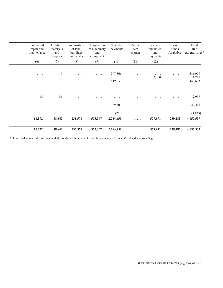| Purchased<br>repair and<br>maintenance | Utilities.<br>materials<br>and<br>supplies | Acquisition<br>of land,<br>buildings<br>and works | Acquisition<br>of machinery<br>and<br>equipment | Transfer<br>payments               | Public<br>debt<br>charges | Other<br>subsidies<br>and<br>payments | Less:<br>Funds<br>Available | <b>Total</b><br>net<br>expenditures* |
|----------------------------------------|--------------------------------------------|---------------------------------------------------|-------------------------------------------------|------------------------------------|---------------------------|---------------------------------------|-----------------------------|--------------------------------------|
| (6)                                    | (7)                                        | (8)                                               | (9)                                             | (10)                               | (11)                      | (12)                                  |                             |                                      |
|                                        |                                            |                                                   |                                                 |                                    |                           |                                       |                             |                                      |
| .                                      | 19                                         | .                                                 | .                                               | 297,866                            | .                         | .                                     | .                           | 316,979                              |
| .                                      | .                                          | .                                                 | .                                               | $\sim$ $\sim$ $\sim$ $\sim$ $\sim$ | .                         | 2,200                                 | .                           | 2,200                                |
| .                                      | .                                          | .                                                 | .                                               | 449,633                            | .                         | .                                     | .                           | 449,633                              |
| 45                                     | 56                                         | .                                                 | .                                               | .                                  | .                         | .                                     | .                           | 2,937                                |
| .                                      | .                                          | .                                                 | .                                               | 29,300                             | .                         | .                                     | .                           | 29,200                               |
| .                                      | .                                          | .                                                 | .                                               | (750)                              | .                         | .                                     | .                           | (1,025)                              |
| 11,572                                 | 38,842                                     | 135,574                                           | 575,367                                         | 2,284,450                          | .                         | 579,971                               | 239,185                     | 4,057,537                            |
| .                                      | .                                          | .                                                 | .                                               | .                                  | .                         | .                                     | .                           | .                                    |
| 11,572                                 | 38,842                                     | 135,574                                           | 575,367                                         | 2,284,450                          | .                         | 579,971                               | 239,185                     | 4,057,537                            |

\* Some total amounts do not agree with the totals on "Summary of these Supplementary Estimates" table due to rounding.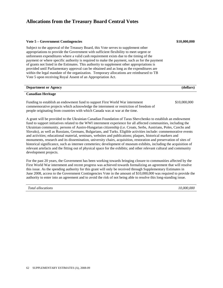### **Allocations from the Treasury Board Central Votes**

#### **Vote 5 – Government Contingencies \$10,000,000**

Subject to the approval of the Treasury Board, this Vote serves to supplement other appropriations to provide the Government with sufficient flexibility to meet urgent or unforeseen expenditures where a valid cash requirement exists due to the timing of the payment or where specific authority is required to make the payment, such as for the payment of grants not listed in the Estimates. This authority to supplement other appropriations is provided until Parliamentary approval can be obtained and as long as the expenditures are within the legal mandate of the organization. Temporary allocations are reimbursed to TB Vote 5 upon receiving Royal Assent of an Appropriation Act.

| <b>Department or Agency</b>                                                  | (dollars)    |
|------------------------------------------------------------------------------|--------------|
| <b>Canadian Heritage</b>                                                     |              |
| Funding to establish an endowment fund to support First World War internment | \$10,000,000 |

Funding to establish an endowment fund to support First World War internment commemorative projects which acknowledge the internment or restriction of freedom of people originating from countries with which Canada was at war at the time.

A grant will be provided to the Ukrainian Canadian Foundation of Taras Shevchenko to establish an endowment fund to support initiatives related to the WWI internment experience for all affected communities, including the Ukrainian community, persons of Austro-Hungarian citizenship (i.e. Croats, Serbs, Austrians, Poles, Czechs and Slovaks), as well as Russians, Germans, Bulgarians, and Turks. Eligible activities include: commemorative events and activities; educational material, seminars, websites and publications; plaques, historical markers and monuments, research and its dissemination, university chairs, acquisition, restoration and preservation of sites of historical significance, such as internee cemeteries; development of museum exhibits, including the acquisition of relevant artefacts and the fitting out of physical space for the exhibits; and other relevant cultural and community development projects.

For the past 20 years, the Government has been working towards bringing closure to communities affected by the First World War internment and recent progress was achieved towards formalizing an agreement that will resolve this issue. As the spending authority for this grant will only be received through Supplementary Estimates in June 2008, access to the Government Contingencies Vote in the amount of \$10,000,000 was required to provide the authority to enter into an agreement and to avoid the risk of not being able to resolve this long-standing issue.

*Total allocations 10,000,000*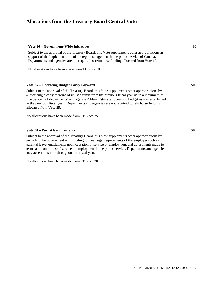### **Allocations from the Treasury Board Central Votes**

#### **Vote 10 – Government-Wide Initiatives \$0**

Subject to the approval of the Treasury Board, this Vote supplements other appropriations in support of the implementation of strategic management in the public service of Canada. Departments and agencies are not required to reimburse funding allocated from Vote 10.

No allocations have been made from TB Vote 10.

#### **Vote 25 – Operating Budget Carry Forward**  $\infty$  **80**  $\infty$  **80**  $\infty$  **80**  $\infty$  **80**  $\infty$  **80**  $\infty$  **80**  $\infty$  **80**  $\infty$  **80**  $\infty$  **80**  $\infty$  **80**  $\infty$  **80**  $\infty$  **80**  $\infty$  **80**  $\infty$  **80**  $\infty$  **80**  $\infty$  **80**  $\infty$  **80**  $\infty$  **80**  $\infty$  **80**  $\infty$  **80**

Subject to the approval of the Treasury Board, this Vote supplements other appropriations by authorizing a carry forward of unused funds from the previous fiscal year up to a maximum of five per cent of departments' and agencies' Main Estimates operating budget as was established in the previous fiscal year. Departments and agencies are not required to reimburse funding allocated from Vote 25.

No allocations have been made from TB Vote 25.

#### **Vote 30 – Paylist Requirements**  $\qquad$  **80**

Subject to the approval of the Treasury Board, this Vote supplements other appropriations by providing the government with funding to meet legal requirements of the employer such as parental leave, entitlements upon cessation of service or employment and adjustments made to terms and conditions of service or employment in the public service. Departments and agencies may access this vote throughout the fiscal year.

No allocations have been made from TB Vote 30.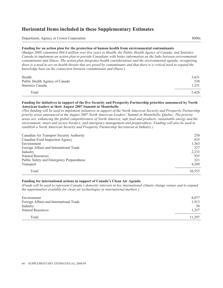Department, Agency or Crown Corporation \$000s

#### **Funding for an action plan for the protection of human health from environmental contaminants**

*(Budget 2008 committed \$84.6 million over five years to Health, the Public Health Agency of Canada, and Statistics Canada to implement an action plan to provide Canadians with better information on the links between environmental contaminants and illness. The action plan integrates health considerations and the environmental agenda, recognizing there is a need to act on health threats that are posed by contaminants and that there is a critical need to expand the knowledge base on the connection between contaminants and illness.)*

| Health                         | 3,631 |
|--------------------------------|-------|
| Public Health Agency of Canada | 538   |
| Statistics Canada              | 1.251 |
| Total                          | 5.420 |

#### **Funding for initiatives in support of the five Security and Prosperity Partnership priorities announced by North American leaders at their August 2007 Summit in Montebello**

*(This funding will be used to implement initiatives in support of the North American Security and Prosperity Partnership priority areas announced at the August 2007 North American Leaders' Summit in Montebello, Quebec. The priority areas are: enhancing the global competitiveness of North America; safe food and products; sustainable energy and the environment; smart and secure borders; and emergency management and preparedness. Funding will also be used to establish a North American Security and Prosperity Partnership Secretariat at Industry.)*

| Canadian Air Transport Security Authority | 250    |
|-------------------------------------------|--------|
| Canadian Food Inspection Agency           | 835    |
| Environment                               | 1,363  |
| Foreign Affairs and International Trade   | 327    |
| Industry                                  | 2,233  |
| Natural Resources                         | 935    |
| Public Safety and Emergency Preparedness  | 321    |
| <b>Transport</b>                          | 4,289  |
| Total                                     | 10,553 |

#### **Funding for international actions in support of Canada's Clean Air Agenda**

*(Funds will be used to represent Canada's domestic interests in key international climate change venues and to expand the opportunities available for clean air technologies in international markets.)*

| Environment                             | 8.077  |
|-----------------------------------------|--------|
| Foreign Affairs and International Trade | 1.913  |
| Industry                                | 50     |
| <b>Natural Resources</b>                | 1.257  |
| Total                                   | 11.297 |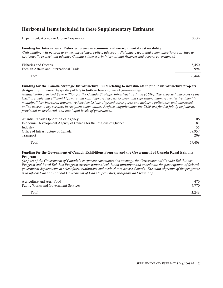Department, Agency or Crown Corporation \$000s

#### **Funding for International Fisheries to ensure economic and environmental sustainability**

*(This funding will be used to undertake science, policy, advocacy, diplomacy, legal and communications activities to strategically protect and advance Canada's interests in international fisheries and oceans governance.)*

| <b>Fisheries and Oceans</b>             | 5.450 |
|-----------------------------------------|-------|
| Foreign Affairs and International Trade | 994   |
| Total                                   | 6.444 |

#### **Funding for the Canada Strategic Infrastructure Fund relating to investments in public infrastructure projects designed to improve the quality of life in both urban and rural communities**

*(Budget 2006 provided \$450 million for the Canada Strategic Infrastructure Fund (CSIF). The expected outcomes of the CSIF are: safe and efficient highways and rail; improved access to clean and safe water; improved water treatment in municipalities; increased tourism; reduced emissions of greenhouses gases and airborne pollutants; and, increased online access to key services in recipient communities. Projects eligible under the CISF are funded jointly by federal, provincial or territorial, and municipal levels of government.)*

| Atlantic Canada Opportunities Agency                            | 106    |
|-----------------------------------------------------------------|--------|
| Economic Development Agency of Canada for the Regions of Quebec | 81     |
| Industry                                                        | 55     |
| Office of Infrastructure of Canada                              | 58.957 |
| Transport                                                       | 209    |
| Total                                                           | 59,408 |

#### **Funding for the Government of Canada Exhibitions Program and the Government of Canada Rural Exhibits Program**

*(As part of the Government of Canada's corporate communication strategy, the Government of Canada Exhibitions Program and Rural Exhibits Program oversee national exhibition initiatives and coordinate the participation of federal government departments at select fairs, exhibitions and trade shows across Canada. The main objective of the programs is to inform Canadians about Government of Canada priorities, programs and services.)*

| Agriculture and Agri-Food                   | 476   |
|---------------------------------------------|-------|
| <b>Public Works and Government Services</b> | 4.770 |
| Total                                       | 5.246 |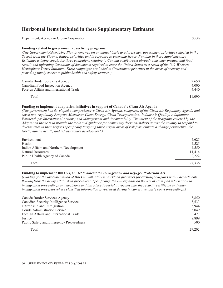Department, Agency or Crown Corporation \$000s

#### **Funding related to government advertising programs**

*(The Government Advertising Plan is renewed on an annual basis to address new government priorities reflected in the Speech from the Throne, Budget priorities and in response to emerging issues. Funding in these Supplementary Estimates is being sought for three campaigns relating to Canada's safe travel abroad; consumer product and food recall; and informing Canadians of documents required to enter the United States as a result of the U.S. Western Hemisphere Travel Initiative. These campaigns are linked to Government priorities in the areas of security and providing timely access to public health and safety services.)*

| Canada Border Services Agency           | 2.650 |
|-----------------------------------------|-------|
| Canadian Food Inspection Agency         | 4.000 |
| Foreign Affairs and International Trade | 4.440 |
| Total                                   | 1.090 |

#### **Funding to implement adaptation initiatives in support of Canada's Clean Air Agenda**

*(The government has developed a comprehensive Clean Air Agenda, comprised of the Clean Air Regulatory Agenda and seven non-regulatory Program Measures: Clean Energy; Clean Transportation; Indoor Air Quality; Adaptation; Partnerships; International Actions; and Management and Accountability. The intent of the programs covered by the Adaptation theme is to provide the tools and guidance for community decision-makers across the country to respond to diverse risks in their regions specifically targeting three urgent areas of risk from climate a change perspective: the North, human health, and infrastructure development.)*

| Environment                             | 4.625  |
|-----------------------------------------|--------|
| Health                                  | 4,525  |
| Indian Affairs and Northern Development | 4.550  |
| Natural Resources                       | 11.414 |
| Public Health Agency of Canada          | 2,222  |
| Total                                   | 27,336 |

#### **Funding to implement Bill C-3, an** *Act to amend the Immigration and Refugee Protection Act*

*(Funding for the implementation of Bill C-3 will address workload pressures for existing programs within departments flowing from the newly established procedures. Specifically, the Bill expands on the use of classified information to immigration proceedings and decisions and introduced special advocates into the security certificate and other immigration processes where classified information is reviewed during in camera, ex parte court proceedings.)*

| Canada Border Services Agency            | 8,850  |
|------------------------------------------|--------|
| Canadian Security Intelligence Service   | 3,533  |
| Citizenship and Immigration              | 3.944  |
| <b>Courts Administration Service</b>     | 3,049  |
| Foreign Affairs and International Trade  | 427    |
| Justice                                  | 8.899  |
| Public Safety and Emergency Preparedness | 500    |
| Total                                    | 29,202 |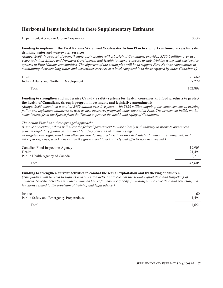Department, Agency or Crown Corporation \$000s

#### **Funding to implement the First Nations Water and Wastewater Action Plan to support continued access for safe drinking water and wastewater services**

*(Budget 2008, in support of strengthening partnerships with Aboriginal Canadians, provided \$330.6 million over two years to Indian Affairs and Northern Development and Health to improve access to safe drinking water and wastewater systems in First Nations communities. The objective of the action plan will be to support First Nations communities in maintaining their drinking water and wastewater services at a level comparable to those enjoyed by other Canadians.)*

| Health                                  | 25,669  |
|-----------------------------------------|---------|
| Indian Affairs and Northern Development | 137,229 |
| Total                                   | 162,898 |

#### **Funding to strengthen and modernize Canada's safety systems for health, consumer and food products to protect the health of Canadians, through program investments and legislative amendments**

*(Budget 2008 committed a total of \$489 million over five years, with \$126 million ongoing, for enhancements to existing policy and legislative initiatives as well as new measures proposed under the Action Plan. The investment builds on the commitments from the Speech from the Throne to protect the health and safety of Canadians.*

*The Action Plan has a three-pronged approach:*

*i) active prevention, which will allow the federal government to work closely with industry to promote awareness, provide regulatory guidance, and identify safety concerns at an early stage;*

*ii) targeted oversight, which will allow for monitoring products to ensure that safety standards are being met; and, iii) rapid response, which will enable the government to act quickly and effectively when needed.)*

| Canadian Food Inspection Agency<br>Health | 19.903<br>21.491 |
|-------------------------------------------|------------------|
| Public Health Agency of Canada            | 2.211            |
| Total                                     | 43,605           |

#### **Funding to strengthen current activities to combat the sexual exploitation and trafficking of children**

*(This funding will be used to support measures and activities to combat the sexual exploitation and trafficking of children. Specific activities include: enhanced law enforcement capacity, providing public education and reporting and functions related to the provision of training and legal advice.)*

| Justice                                  | 160   |
|------------------------------------------|-------|
| Public Safety and Emergency Preparedness | 1.491 |
| Total                                    | 1.651 |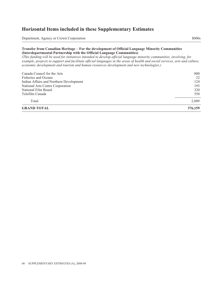Department, Agency or Crown Corporation \$000s

#### **Transfer from Canadian Heritage For the development of Official Language Minority Communities (Interdepartmental Partnership with the Official Language Communities)**

*(This funding will be used for initiatives intended to develop official language minority communities, involving, for example, projects to support and facilitate official languages in the areas of health and social services, arts and culture, economic development and tourism and human resources development and new technologies.)*

| <b>GRAND TOTAL</b>                      | 376,159 |
|-----------------------------------------|---------|
| Total                                   | 2.009   |
| Telefilm Canada                         | 550     |
| National Film Board                     | 320     |
| National Arts Centre Corporation        | 193     |
| Indian Affairs and Northern Development | 124     |
| <b>Fisheries and Oceans</b>             | 22      |
| Canada Council for the Arts             | 800     |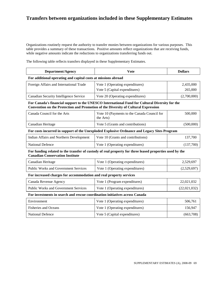Organizations routinely request the authority to transfer monies between organizations for various purposes. This table provides a summary of these transactions. Positive amounts reflect organizations that are receiving funds, while negative amounts indicate the reductions to organizations transferring funds out.

The following table reflects transfers displayed in these Supplementary Estimates.

| Department/Agency                                             | Vote                             | <b>Dollars</b> |  |
|---------------------------------------------------------------|----------------------------------|----------------|--|
| For additional operating and capital costs at missions abroad |                                  |                |  |
| Foreign Affairs and International Trade                       | Vote 1 (Operating expenditures)  | 2,435,000      |  |
|                                                               | Vote 5 (Capital expenditures)    | 265,000        |  |
| Canadian Security Intelligence Service                        | Vote 20 (Operating expenditures) | (2,700,000)    |  |

**For Canada's financial support to the UNESCO International Fund for Cultural Diversity for the Convention on the Protection and Promotion of the Diversity of Cultural Expression** 

| Canada Council for the Arts | Vote 10 (Payments to the Canada Council for<br>the Arts) | 500,000   |
|-----------------------------|----------------------------------------------------------|-----------|
| Canadian Heritage           | Vote 5 (Grants and contributions)                        | (500.000) |

#### **For costs incurred in support of the Unexploded Explosive Ordnance and Legacy Sites Program**

| Indian Affairs and Northern Development | Vote 10 (Grants and contributions) | 137.700   |
|-----------------------------------------|------------------------------------|-----------|
| <b>National Defence</b>                 | Vote 1 (Operating expenditures)    | (137.700) |

#### **For funding related to the transfer of custody of real property for three leased properties used by the Canadian Conservation Institute**

| Canadian Heritage                    | Vote 1 (Operating expenditures) | 2.529.697   |
|--------------------------------------|---------------------------------|-------------|
| Public Works and Government Services | Vote 1 (Operating expenditures) | (2,529,697) |

#### **For increased charges for accommodation and real property services**

| Canada Revenue Agency                       | Vote 1 (Program expenditures)   | 22,021,032   |
|---------------------------------------------|---------------------------------|--------------|
| <b>Public Works and Government Services</b> | Vote 1 (Operating expenditures) | (22,021,032) |

#### **For investments in search and rescue coordination initiatives across Canada**

| Environment                 | Vote 1 (Operating expenditures) | 506.761   |
|-----------------------------|---------------------------------|-----------|
| <b>Fisheries and Oceans</b> | Vote 1 (Operating expenditures) | 156.947   |
| <b>National Defence</b>     | Vote 5 (Capital expenditures)   | (663,708) |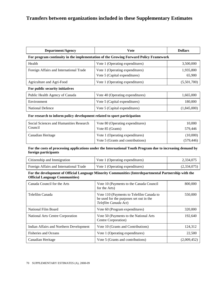| Department/Agency                       | <b>Vote</b>                                                                          | <b>Dollars</b> |
|-----------------------------------------|--------------------------------------------------------------------------------------|----------------|
|                                         | For program continuity in the implementation of the Growing Forward Policy Framework |                |
| Health                                  | Vote 1 (Operating expenditures)                                                      | 3,500,000      |
| Foreign Affairs and International Trade | Vote 1 (Operating expenditures)                                                      | 1,935,800      |
|                                         | Vote 5 (Capital expenditures)                                                        | 65,900         |
| Agriculture and Agri-Food               | Vote 1 (Operating expenditures)                                                      | (5,501,700)    |
| For public security initiatives         |                                                                                      |                |
| Public Health Agency of Canada          | Vote 40 (Operating expenditures)                                                     | 1,665,000      |
| Environment                             | Vote 5 (Capital expenditures)                                                        | 180,000        |
| <b>National Defence</b>                 | Vote 5 (Capital expenditures)                                                        | (1,845,000)    |

#### **For research to inform policy development related to sport participation**

| Social Sciences and Humanities Research | Vote 80 (Operating expenditures)                                     | 10.000                 |
|-----------------------------------------|----------------------------------------------------------------------|------------------------|
| Council                                 | Vote 85 (Grants)                                                     | 579.446                |
| Canadian Heritage                       | Vote 1 (Operating expenditures)<br>Vote 5 (Grants and contributions) | (10,000)<br>(579, 446) |

#### **For the costs of processing applications under the International Youth Program due to increasing demand by foreign participants**

| Citizenship and Immigration             | Vote 1 (Operating expenditures) | 2,334,075   |
|-----------------------------------------|---------------------------------|-------------|
| Foreign Affairs and International Trade | Vote 1 (Operating expenditures) | (2,334,075) |

#### **For the development of Official Language Minority Communities (Interdepartmental Partnership with the Official Language Communities)**

| Canada Council for the Arts             | Vote 10 (Payments to the Canada Council<br>for the Arts)                                                    | 800,000     |
|-----------------------------------------|-------------------------------------------------------------------------------------------------------------|-------------|
| Telefilm Canada                         | Vote 110 (Payments to Telefilm Canada to<br>be used for the purposes set out in the<br>Telefilm Canada Act) | 550,000     |
| National Film Board                     | Vote 60 (Program expenditures)                                                                              | 320,000     |
| National Arts Centre Corporation        | Vote 50 (Payments to the National Arts)<br>Centre Corporation)                                              | 192.640     |
| Indian Affairs and Northern Development | Vote 10 (Grants and Contributions)                                                                          | 124,312     |
| <b>Fisheries and Oceans</b>             | Vote 1 (Operating expenditures)                                                                             | 22,500      |
| Canadian Heritage                       | Vote 5 (Grants and contributions)                                                                           | (2,009,452) |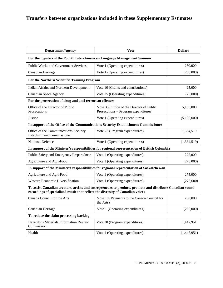| <b>Department/Agency</b>                                                                                                                                                                  | Vote                                                                                          | <b>Dollars</b> |  |
|-------------------------------------------------------------------------------------------------------------------------------------------------------------------------------------------|-----------------------------------------------------------------------------------------------|----------------|--|
| For the logistics of the Fourth Inter-American Language Management Seminar                                                                                                                |                                                                                               |                |  |
| <b>Public Works and Government Services</b>                                                                                                                                               | Vote 1 (Operating expenditures)                                                               | 250,000        |  |
| Canadian Heritage                                                                                                                                                                         | Vote 1 (Operating expenditures)                                                               | (250,000)      |  |
| For the Northern Scientific Training Program                                                                                                                                              |                                                                                               |                |  |
| Indian Affairs and Northern Development                                                                                                                                                   | Vote 10 (Grants and contributions)                                                            | 25,000         |  |
| <b>Canadian Space Agency</b>                                                                                                                                                              | Vote 25 (Operating expenditures)                                                              | (25,000)       |  |
| For the prosecution of drug and anti-terrorism offences                                                                                                                                   |                                                                                               |                |  |
| Office of the Director of Public<br>Prosecutions                                                                                                                                          | Vote 35 (Office of the Director of Public<br>Prosecutions - Program expenditures)             | 5,100,000      |  |
| Justice                                                                                                                                                                                   | Vote 1 (Operating expenditures)                                                               | (5,100,000)    |  |
| In support of the Office of the Communications Security Establishment Commissioner                                                                                                        |                                                                                               |                |  |
| Office of the Communications Security<br><b>Establishment Commissioner</b>                                                                                                                | Vote 23 (Program expenditures)                                                                | 1,364,519      |  |
| <b>National Defence</b>                                                                                                                                                                   | Vote 1 (Operating expenditures)                                                               | (1,364,519)    |  |
|                                                                                                                                                                                           | In support of the Minister's responsibilities for regional representation of British Columbia |                |  |
| Public Safety and Emergency Preparedness                                                                                                                                                  | Vote 1 (Operating expenditures)                                                               | 275,000        |  |
| Agriculture and Agri-Food                                                                                                                                                                 | Vote 1 (Operating expenditures)                                                               | (275,000)      |  |
|                                                                                                                                                                                           | In support of the Minister's responsibilities for regional representation of Saskatchewan     |                |  |
| Agriculture and Agri-Food                                                                                                                                                                 | Vote 1 (Operating expenditures)                                                               | 275,000        |  |
| <b>Western Economic Diversification</b>                                                                                                                                                   | Vote 1 (Operating expenditures)                                                               | (275,000)      |  |
| To assist Canadian creators, artists and entrepreneurs to produce, promote and distribute Canadian sound<br>recordings of specialized music that reflect the diversity of Canadian voices |                                                                                               |                |  |
| Canada Council for the Arts                                                                                                                                                               | Vote 10 (Payments to the Canada Council for<br>the Arts)                                      | 250,000        |  |
| Canadian Heritage                                                                                                                                                                         | Vote 1 (Operating expenditures)                                                               | (250,000)      |  |
| To reduce the claim processing backlog                                                                                                                                                    |                                                                                               |                |  |
| Hazardous Materials Information Review<br>Commission                                                                                                                                      | Vote 30 (Program expenditures)                                                                | 1,447,951      |  |
| Health                                                                                                                                                                                    | Vote 1 (Operating expenditures)                                                               | (1,447,951)    |  |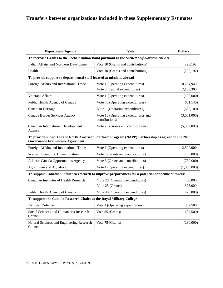| Department/Agency                                                                         | <b>Vote</b>                                                                                        | <b>Dollars</b> |
|-------------------------------------------------------------------------------------------|----------------------------------------------------------------------------------------------------|----------------|
| To increase Grants to the Sechelt Indian Band pursuant to the Sechelt Self-Government Act |                                                                                                    |                |
| Indian Affairs and Northern Development                                                   | Vote 10 (Grants and contributions)                                                                 | 295,192        |
| Health                                                                                    | Vote 10 (Grants and contributions)                                                                 | (295, 192)     |
| To provide support to departmental staff located at missions abroad                       |                                                                                                    |                |
| Foreign Affairs and International Trade                                                   | Vote 1 (Operating expenditures)                                                                    | 8,254,940      |
|                                                                                           | Vote 5 (Capital expenditures)                                                                      | 2,159,300      |
| <b>Veterans Affairs</b>                                                                   | Vote 1 (Operating expenditures)                                                                    | (100,000)      |
| Public Health Agency of Canada                                                            | Vote 40 (Operating expenditures)                                                                   | (631, 140)     |
| Canadian Heritage                                                                         | Vote 1 (Operating expenditures)                                                                    | (685,100)      |
| Canada Border Services Agency                                                             | Vote 10 (Operating expenditures and<br>contributions)                                              | (3,061,000)    |
| <b>Canadian International Development</b><br>Agency                                       | Vote 25 (Grants and contributions)                                                                 | (5,937,000)    |
| <b>Governance Framework Agreement</b>                                                     | To provide support to the North American Platform Program (NAPP) Partnership as agreed in the 2008 |                |
| Foreign Affairs and International Trade                                                   | Vote 1 (Operating expenditures)                                                                    | 2,500,000      |
| <b>Western Economic Diversification</b>                                                   | Vote 5 (Grants and contributions)                                                                  | (750,000)      |
| Atlantic Canada Opportunities Agency                                                      | Vote 5 (Grants and contributions)                                                                  | (750,000)      |
| Agriculture and Agri-Food                                                                 | Vote 1 (Operating expenditures)                                                                    | (1,000,000)    |
|                                                                                           | To support Canadian influenza research to improve preparedness for a potential pandemic outbreak   |                |
| <b>Canadian Institutes of Health Research</b>                                             | Vote 20 (Operating expenditures)                                                                   | 50,000         |
|                                                                                           | Vote 25 (Grants)                                                                                   | 375,000        |
| Public Health Agency of Canada                                                            | Vote 40 (Operating expenditures)                                                                   | (425,000)      |
| To support the Canada Research Chairs at the Royal Military College                       |                                                                                                    |                |
| <b>National Defence</b>                                                                   | Vote 1 (Operating expenditures)                                                                    | 332,500        |
| Social Sciences and Humanities Research<br>Council                                        | Vote 85 (Grants)                                                                                   | (52,500)       |
| Natural Sciences and Engineering Research<br>Council                                      | Vote 75 (Grants)                                                                                   | (280,000)      |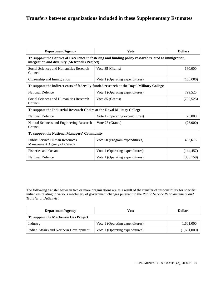| Department/Agency                                                                                                                                       | <b>Vote</b>                                                                              | <b>Dollars</b> |  |
|---------------------------------------------------------------------------------------------------------------------------------------------------------|------------------------------------------------------------------------------------------|----------------|--|
| To support the Centres of Excellence in fostering and funding policy research related to immigration,<br>integration and diversity (Metropolis Project) |                                                                                          |                |  |
| Social Sciences and Humanities Research<br>Council                                                                                                      | Vote 85 (Grants)                                                                         | 160,000        |  |
| Citizenship and Immigration                                                                                                                             | Vote 1 (Operating expenditures)                                                          | (160,000)      |  |
|                                                                                                                                                         | To support the indirect costs of federally-funded research at the Royal Military College |                |  |
| <b>National Defence</b>                                                                                                                                 | Vote 1 (Operating expenditures)                                                          | 799,525        |  |
| Social Sciences and Humanities Research<br>Council                                                                                                      | Vote 85 (Grants)                                                                         | (799, 525)     |  |
| To support the Industrial Research Chairs at the Royal Military College                                                                                 |                                                                                          |                |  |
| <b>National Defence</b>                                                                                                                                 | Vote 1 (Operating expenditures)                                                          | 78,000         |  |
| Natural Sciences and Engineering Research<br>Council                                                                                                    | Vote 75 (Grants)                                                                         | (78,000)       |  |
| To support the National Managers' Community                                                                                                             |                                                                                          |                |  |
| <b>Public Service Human Resources</b><br>Management Agency of Canada                                                                                    | Vote 50 (Program expenditures)                                                           | 482,616        |  |
| <b>Fisheries and Oceans</b>                                                                                                                             | Vote 1 (Operating expenditures)                                                          | (144, 457)     |  |
| <b>National Defence</b>                                                                                                                                 | Vote 1 (Operating expenditures)                                                          | (338, 159)     |  |

The following transfer between two or more organizations are as a result of the transfer of responsibility for specific initiatives relating to various machinery of government changes pursuant to the *Public Service Rearrangement and Transfer of Duties Act*.

| Department/Agency                       | Vote                            | <b>Dollars</b> |
|-----------------------------------------|---------------------------------|----------------|
| To support the Mackenzie Gas Project    |                                 |                |
| Industry                                | Vote 1 (Operating expenditures) | 1,601,000      |
| Indian Affairs and Northern Development | Vote 1 (Operating expenditures) | (1,601,000)    |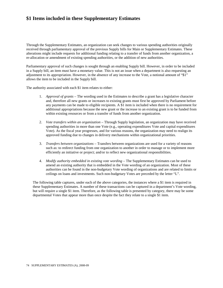### **\$1 Items included in these Supplementary Estimates**

Through the Supplementary Estimates, an organization can seek changes to various spending authorities originally received through parliamentary approval of the previous Supply bills for Main or Supplementary Estimates. These alterations might include requests for additional funding relating to a transfer of funds from another organization, a re-allocation or amendment of existing spending authorities, or the addition of new authorities.

Parliamentary approval of such changes is sought through an enabling Supply bill. However, in order to be included in a Supply bill, an item must have a monetary value. This is not an issue when a department is also requesting an adjustment to its appropriation. However, in the absence of any increase to the Vote, a notional amount of "\$1" allows the item to be included in the Supply bill.

The authority associated with each \$1 item relates to either:

- 1. *Approval of grants* The wording used in the Estimates to describe a grant has a legislative character and, therefore all new grants or increases to existing grants must first be approved by Parliament before any payments can be made to eligible recipients. A \$1 item is included when there is no requirement for additional appropriations because the new grant or the increase to an existing grant is to be funded from within existing resources or from a transfer of funds from another organization.
- 2. *Vote transfers within an organization* Through Supply legislation, an organization may have received spending authorities in more than one Vote (e.g., operating expenditures Vote and capital expenditures Vote). As the fiscal year progresses, and for various reasons, the organization may need to realign its approved funding due to changes in delivery mechanisms within organizational priorities.
- 3. *Transfers between organizations* Transfers between organizations are used for a variety of reasons such as: to redirect funding from one organization to another in order to manage or to implement more efficiently an initiative or project; and/or to reflect new organizational responsibilities.
- 4. *Modify authority embedded in existing vote wording* The Supplementary Estimates can be used to amend an existing authority that is embedded in the Vote wording of an organization. Most of these authorities can be found in the non-budgetary Vote wording of organizations and are related to limits or ceilings on loans and investments. Such non-budgetary Votes are preceded by the letter "L".

The following table captures, under each of the above categories, the instances where a \$1 item is required in these Supplementary Estimates. A number of these transactions can be captured in a department's Vote wording, but will require a single \$1 item. Therefore, as the following table is presented by category, there may be some departmental Votes that appear more than once despite the fact they relate to a single \$1 item.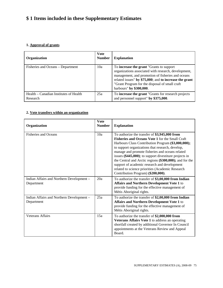# **\$ 1 Items included in these Supplementary Estimates**

### **1. Approval of grants**

| Organization                                       | <b>Vote</b><br><b>Number</b> | <b>Explanation</b>                                                                                                                                                                                                                                                                           |
|----------------------------------------------------|------------------------------|----------------------------------------------------------------------------------------------------------------------------------------------------------------------------------------------------------------------------------------------------------------------------------------------|
| Fisheries and Oceans – Department                  | 10a                          | To increase the grant "Grants to support<br>organizations associated with research, development,<br>management, and promotion of fisheries and oceans<br>related issues" by \$75,000; and to increase the grant<br>"Grant Program for the disposal of small craft<br>harbours" by \$300,000. |
| Health – Canadian Institutes of Health<br>Research | 25a                          | To <b>increase the grant</b> "Grants for research projects<br>and personnel support" by \$375,000.                                                                                                                                                                                           |

### **2. Vote transfers within an organization**

| Organization                                            | <b>Vote</b><br><b>Number</b> | <b>Explanation</b>                                                                                                                                                                                                                                                                                                                                                                                                                                                                                                                  |
|---------------------------------------------------------|------------------------------|-------------------------------------------------------------------------------------------------------------------------------------------------------------------------------------------------------------------------------------------------------------------------------------------------------------------------------------------------------------------------------------------------------------------------------------------------------------------------------------------------------------------------------------|
| <b>Fisheries and Oceans</b>                             | 10a                          | To authorize the transfer of \$3,945,000 from<br><b>Fisheries and Oceans Vote 1 for the Small Craft</b><br>Harbours Class Contribution Program (\$3,000,000);<br>to support organizations that research, develop,<br>manage and promote fisheries and oceans related<br>issues (\$445,000); to support divestiture projects in<br>the Central and Arctic regions (\$300,000); and for the<br>support of academic research and development<br>related to science priorities (Academic Research<br>Contribution Program) (\$200,000). |
| Indian Affairs and Northern Development -<br>Department | 20a                          | To authorize the transfer of \$3,00,000 from Indian<br><b>Affairs and Northern Development Vote 1 to</b><br>provide funding for the effective management of<br>Métis Aboriginal rights.                                                                                                                                                                                                                                                                                                                                             |
| Indian Affairs and Northern Development -<br>Department | 25a                          | To authorize the transfer of \$2,00,000 from Indian<br><b>Affairs and Northern Development Vote 1 to</b><br>provide funding for the effective management of<br>Métis Aboriginal rights.                                                                                                                                                                                                                                                                                                                                             |
| <b>Veterans Affairs</b>                                 | 15a                          | To authorize the transfer of \$2,000,000 from<br>Veterans Affairs Vote 1 to address an operating<br>shortfall created by additional Governor In Council<br>appointments at the Veterans Review and Appeal<br>Board.                                                                                                                                                                                                                                                                                                                 |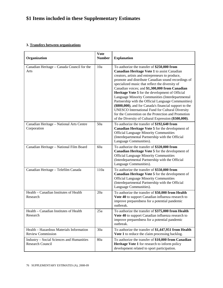# **\$1 Items included in these Supplementary Estimates**

### **3. Transfers between organizations**

| Organization                                                         | <b>Vote</b><br><b>Number</b> | <b>Explanation</b>                                                                                                                                                                                                                                                                                                                                                                                                                                                                                                                                                                                                                                                                                         |
|----------------------------------------------------------------------|------------------------------|------------------------------------------------------------------------------------------------------------------------------------------------------------------------------------------------------------------------------------------------------------------------------------------------------------------------------------------------------------------------------------------------------------------------------------------------------------------------------------------------------------------------------------------------------------------------------------------------------------------------------------------------------------------------------------------------------------|
| Canadian Heritage - Canada Council for the<br>Arts                   | 10a                          | To authorize the transfer of \$250,000 from<br>Canadian Heritage Vote 1 to assist Canadian<br>creators, artists and entrepreneurs to produce,<br>promote and distribute Canadian sound recordings of<br>specialized music that reflect the diversity of<br>Canadian voices; and \$1,300,000 from Canadian<br>Heritage Vote 5 for the development of Official<br>Language Minority Communities (Interdepartmental<br>Partnership with the Official Language Communities)<br>(\$800,000), and for Canada's financial support to the<br><b>UNESCO</b> International Fund for Cultural Diversity<br>for the Convention on the Protection and Promotion<br>of the Diversity of Cultural Expression (\$500,000). |
| Canadian Heritage - National Arts Centre<br>Corporation              | 50a                          | To authorize the transfer of \$192,640 from<br>Canadian Heritage Vote 5 for the development of<br><b>Official Language Minority Communities</b><br>(Interdepartmental Partnership with the Official<br>Language Communities).                                                                                                                                                                                                                                                                                                                                                                                                                                                                              |
| Canadian Heritage - National Film Board                              | 60a                          | To authorize the transfer of \$320,000 from<br>Canadian Heritage Vote 5 for the development of<br><b>Official Language Minority Communities</b><br>(Interdepartmental Partnership with the Official<br>Language Communities).                                                                                                                                                                                                                                                                                                                                                                                                                                                                              |
| Canadian Heritage - Telefilm Canada                                  | 110a                         | To authorize the transfer of \$550,000 from<br>Canadian Heritage Vote 5 for the development of<br><b>Official Language Minority Communities</b><br>(Interdepartmental Partnership with the Official<br>Language Communities).                                                                                                                                                                                                                                                                                                                                                                                                                                                                              |
| Health - Canadian Institutes of Health<br>Research                   | 20a                          | To authorize the transfer of \$50,000 from Health<br>Vote 40 to support Canadian influenza research to<br>improve preparedness for a potential pandemic<br>outbreak.                                                                                                                                                                                                                                                                                                                                                                                                                                                                                                                                       |
| Health - Canadian Institutes of Health<br>Research                   | 25a                          | To authorize the transfer of \$375,000 from Health<br>Vote 40 to support Canadian influenza research to<br>improve preparedness for a potential pandemic<br>outbreak.                                                                                                                                                                                                                                                                                                                                                                                                                                                                                                                                      |
| Health - Hazardous Materials Information<br><b>Review Commission</b> | 30a                          | To authorize the transfer of \$1,447,951 from Health<br>Vote 1 to reduce the claim processing backlog.                                                                                                                                                                                                                                                                                                                                                                                                                                                                                                                                                                                                     |
| <b>Industry – Social Sciences and Humanities</b><br>Research Council | 80a                          | To authorize the transfer of \$10,000 from Canadian<br>Heritage Vote 1 for research to inform policy<br>development related to sport participation.                                                                                                                                                                                                                                                                                                                                                                                                                                                                                                                                                        |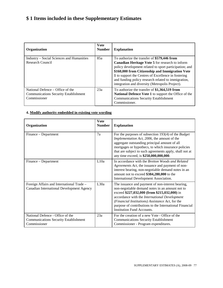# **\$ 1 Items included in these Supplementary Estimates**

| Organization                                                                                     | <b>Vote</b><br><b>Number</b> | <b>Explanation</b>                                                                                                                                                                                                                                                                                                                                                           |
|--------------------------------------------------------------------------------------------------|------------------------------|------------------------------------------------------------------------------------------------------------------------------------------------------------------------------------------------------------------------------------------------------------------------------------------------------------------------------------------------------------------------------|
| <b>Industry – Social Sciences and Humanities</b><br>Research Council                             | 85a                          | To authorize the transfer of \$579,446 from<br>Canadian Heritage Vote 5 for research to inform<br>policy development related to sport participation; and<br>\$160,000 from Citizenship and Immigration Vote<br>1 to support the Centres of Excellence in fostering<br>and funding policy research related to immigration,<br>integration and diversity (Metropolis Project). |
| National Defence – Office of the<br><b>Communications Security Establishment</b><br>Commissioner | 23a                          | To authorize the transfer of \$1,364,519 from<br>National Defence Vote 1 to support the Office of the<br><b>Communications Security Establishment</b><br>Commissioner.                                                                                                                                                                                                       |

### **4. Modify authority embedded in existing vote wording**

| Organization                                                                                     | <b>Vote</b><br><b>Number</b> | <b>Explanation</b>                                                                                                                                                                                                                                                                                                                                        |
|--------------------------------------------------------------------------------------------------|------------------------------|-----------------------------------------------------------------------------------------------------------------------------------------------------------------------------------------------------------------------------------------------------------------------------------------------------------------------------------------------------------|
| Finance - Department                                                                             | 7a                           | For the purposes of subsection 193(4) of the <i>Budget</i><br>Implementation Act, 2006, the amount of the<br>aggregate outstanding principal amount of all<br>mortgages or hypothecs, to which insurance policies<br>that are subject to such agreements apply, shall not at<br>any time exceed, is \$250,000,000,000.                                    |
| Finance – Department                                                                             | L10a                         | In accordance with the Bretton Woods and Related<br>Agreements Act, the issuance and payment of non-<br>interest bearing, non-negotiable demand notes in an<br>amount not to exceed \$384,280,000 to the<br>International Development Association.                                                                                                        |
| Foreign Affairs and International Trade -<br>Canadian International Development Agency           | L30a                         | The issuance and payment of non-interest bearing,<br>non-negotiable demand notes in an amount not to<br>exceed \$227,032,000 (from \$215,032,000) in<br>accordance with the International Development<br>(Financial Institutions) Assistance Act, for the<br>purpose of contributions to the International Financial<br><b>Institution Fund Accounts.</b> |
| National Defence - Office of the<br><b>Communications Security Establishment</b><br>Commissioner | 23a                          | For the creation of a new Vote - Office of the<br><b>Communications Security Establishment</b><br>Commissioner - Program expenditures.                                                                                                                                                                                                                    |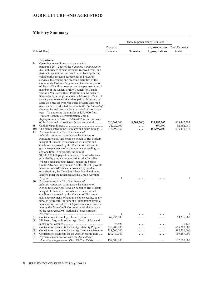### **AGRICULTURE AND AGRI-FOOD**

|                                        |                                                                                                                                                                                                                                                                                                                                                                                                                                                                                                                                                                                                                                                                                                                                                                                                                                                                                                                                    |                                                                        | These Supplementary Estimates |                                         |                                                                        |  |  |  |
|----------------------------------------|------------------------------------------------------------------------------------------------------------------------------------------------------------------------------------------------------------------------------------------------------------------------------------------------------------------------------------------------------------------------------------------------------------------------------------------------------------------------------------------------------------------------------------------------------------------------------------------------------------------------------------------------------------------------------------------------------------------------------------------------------------------------------------------------------------------------------------------------------------------------------------------------------------------------------------|------------------------------------------------------------------------|-------------------------------|-----------------------------------------|------------------------------------------------------------------------|--|--|--|
|                                        |                                                                                                                                                                                                                                                                                                                                                                                                                                                                                                                                                                                                                                                                                                                                                                                                                                                                                                                                    | Previous                                                               |                               | <b>Adjustments to</b>                   | <b>Total Estimates</b>                                                 |  |  |  |
|                                        | Vote (dollars)                                                                                                                                                                                                                                                                                                                                                                                                                                                                                                                                                                                                                                                                                                                                                                                                                                                                                                                     | Estimates                                                              | <b>Transfers</b>              | <b>Appropriations</b>                   | to date                                                                |  |  |  |
| 1a                                     | Department<br>Operating expenditures and, pursuant to<br>paragraph $29.1(2)(a)$ of the <i>Financial Administration</i><br>Act, authority to expend revenues received from, and<br>to offset expenditures incurred in the fiscal year for,<br>collaborative research agreements and research<br>services, the grazing and breeding activities of the<br>Community Pastures Program and the administration<br>of the AgriStability program; and the payment to each<br>member of the Queen's Privy Council for Canada<br>who is a Minister without Portfolio or a Minister of<br>State who does not preside over a Ministry of State of<br>a salary not to exceed the salary paid to Ministers of<br>State who preside over Ministries of State under the<br>Salaries Act, as adjusted pursuant to the Parliament of<br>Canada Act and pro rata for any period of less than a<br>year – To authorize the transfer of $$275,000$ from |                                                                        |                               |                                         |                                                                        |  |  |  |
| 5a<br>15                               | Western Economic Diversification Vote 1,<br>Appropriation Act No. 1, 2008-2009 for the purposes<br>of this Vote and to provide a further amount of<br>10a The grants listed in the Estimates and contributions<br>Pursuant to section 29 of the <i>Financial</i><br>Administration Act, to authorize the Minister of<br>Agriculture and Agri-Food, on behalf of Her Majesty<br>in right of Canada, in accordance with terms and<br>conditions approved by the Minister of Finance, to<br>guarantee payments of an amount not exceeding, at<br>any one time, in aggregate, the sum of<br>\$1,500,000,000 payable in respect of cash advances<br>provided by producer organizations, the Canadian                                                                                                                                                                                                                                    | 530,761,000<br>32,022,000<br>378,993,232                               | (6,501,700)<br>.<br>.         | 139, 183, 207<br>860,000<br>157,497,000 | 663,442,507<br>32,882,000<br>536,490,232                               |  |  |  |
| 20                                     | Wheat Board and other lenders under the Spring<br>Credit Advance Program and \$1,500,000,000 payable<br>in respect of cash advances provided by producer<br>organizations, the Canadian Wheat Board and other<br>lenders under the Enhanced Spring Credit Advance<br>Pursuant to section 29 of the <i>Financial</i><br>Administration Act, to authorize the Minister of<br>Agriculture and Agri-Food, on behalf of Her Majesty<br>in right of Canada, in accordance with terms and<br>conditions approved by the Minister of Finance, to<br>guarantee payments of amounts not exceeding, at any                                                                                                                                                                                                                                                                                                                                    | 1                                                                      |                               |                                         | 1                                                                      |  |  |  |
| (S)<br>(S)<br>(S)<br>(S)<br>(S)<br>(S) | time, in aggregate, the sum of \$140,000,000 payable<br>in respect of Line of Credit Agreements to be entered<br>into by the Farm Credit Corporation for the purpose<br>of the renewed (2003) National Biomass Ethanol<br>Minister of Agriculture and Agri-Food - Salary and<br>Contribution payments for the AgriStability Program.<br>Contribution payments for the AgriInsurance Program<br>Contribution payments for the AgriInvest Program<br>Payments in connection with the Agricultural                                                                                                                                                                                                                                                                                                                                                                                                                                    | 1<br>69,236,000<br>76,422<br>655,200,000<br>388,700,000<br>159,489,000 | .<br>.<br>.                   | .<br>.<br>.<br>.                        | 1<br>69,236,000<br>76,422<br>655,200,000<br>388,700,000<br>159,489,000 |  |  |  |
|                                        | Marketing Programs Act (S.C. 1997, c. C-34)                                                                                                                                                                                                                                                                                                                                                                                                                                                                                                                                                                                                                                                                                                                                                                                                                                                                                        | 137,500,000                                                            | .                             | .                                       | 137,500,000                                                            |  |  |  |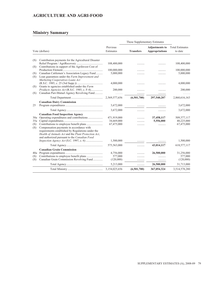### **AGRICULTURE AND AGRI-FOOD**

|                   |                                                                                                                                                                                                      |                                                | These Supplementary Estimates |                               |                                                  |
|-------------------|------------------------------------------------------------------------------------------------------------------------------------------------------------------------------------------------------|------------------------------------------------|-------------------------------|-------------------------------|--------------------------------------------------|
|                   |                                                                                                                                                                                                      | Previous                                       |                               | <b>Adjustments to</b>         | <b>Total Estimates</b>                           |
|                   | Vote (dollars)                                                                                                                                                                                       | Estimates                                      | <b>Transfers</b>              | <b>Appropriations</b>         | to date                                          |
| (S)               | Contribution payments for the Agricultural Disaster                                                                                                                                                  |                                                |                               |                               |                                                  |
| (S)               | Contributions in support of the AgriInvest Cost of                                                                                                                                                   | 108,400,000                                    |                               |                               | 108,400,000                                      |
|                   |                                                                                                                                                                                                      | 100,000,000                                    |                               |                               | 100,000,000                                      |
| (S)<br>(S)        | Canadian Cattlemen's Association Legacy Fund<br>Loan guarantees under the Farm Improvement and<br>Marketing Cooperatives Loans Act                                                                   | 5,000,000                                      |                               |                               | 5,000,000                                        |
| (S)               | Grants to agencies established under the Farm                                                                                                                                                        | 4,000,000                                      |                               |                               | 4,000,000                                        |
|                   | Products Agencies Act (R.S.C. 1985, c. F-4)                                                                                                                                                          | 200,000                                        |                               |                               | 200,000                                          |
| (S)               | Canadian Pari-Mutuel Agency Revolving Fund                                                                                                                                                           |                                                |                               |                               |                                                  |
|                   |                                                                                                                                                                                                      | 2,569,577,656                                  | (6,501,700)                   | 297,540,207                   | 2,860,616,163                                    |
|                   | <b>Canadian Dairy Commission</b>                                                                                                                                                                     |                                                |                               |                               |                                                  |
| 25                |                                                                                                                                                                                                      | 3,672,000                                      |                               |                               | 3,672,000                                        |
|                   |                                                                                                                                                                                                      | 3,672,000                                      | .                             |                               | 3,672,000                                        |
|                   | <b>Canadian Food Inspection Agency</b>                                                                                                                                                               |                                                |                               |                               |                                                  |
| 30a               |                                                                                                                                                                                                      | 471,919,000                                    |                               | 37,458,117                    | 509, 377, 117                                    |
| 35a               |                                                                                                                                                                                                      | 34,669,000                                     |                               | 5,556,000                     | 40,225,000                                       |
| (S)<br>(S)        | Compensation payments in accordance with<br>requirements established by Regulations under the<br>Health of Animals Act and the Plant Protection Act,<br>and authorized pursuant to the Canadian Food | 67,475,000<br>1,500,000                        |                               | .                             | 67,475,000<br>1,500,000                          |
|                   |                                                                                                                                                                                                      |                                                |                               | 43,014,117                    |                                                  |
|                   |                                                                                                                                                                                                      | 575,563,000                                    |                               |                               | 618,577,117                                      |
| 40a<br>(S)<br>(S) | <b>Canadian Grain Commission</b><br>Canadian Grain Commission Revolving Fund                                                                                                                         | 4,756,000<br>577,000<br>(120,000)<br>5,213,000 |                               | 26,500,000<br>.<br>26,500,000 | 31,256,000<br>577,000<br>(120,000)<br>31,713,000 |
|                   |                                                                                                                                                                                                      |                                                | .                             |                               |                                                  |
|                   |                                                                                                                                                                                                      | 3,154,025,656                                  | (6,501,700)                   | 367,054,324                   | 3,514,578,280                                    |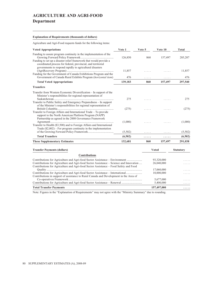### **AGRICULTURE AND AGRI-FOOD Department**

#### **Explanation of Requirements (thousands of dollars)**

Agriculture and Agri-Food requests funds for the following items:

| <b>Voted Appropriations</b>                                                                                                                                                                    | Vote 1  | Vote 5 | Vote 10 | Total   |
|------------------------------------------------------------------------------------------------------------------------------------------------------------------------------------------------|---------|--------|---------|---------|
| Funding to assure program continuity in the implementation of the                                                                                                                              | 126,850 | 860    | 157,497 | 285,207 |
| Funding to set up a disaster relief framework that would provide a<br>coordinated process for federal, provincial, and territorial<br>governments to respond rapidly to agricultural disasters |         |        |         |         |
| Funding for the Government of Canada Exhibitions Program and the                                                                                                                               | 11,857  |        | .       | 11,857  |
| Government of Canada Rural Exhibits Program (horizontal item)                                                                                                                                  | 476     | .      | .       | 476     |
| <b>Total Voted Appropriations</b>                                                                                                                                                              | 139,183 | 860    | 157,497 | 297,540 |
| <b>Transfers</b>                                                                                                                                                                               |         |        |         |         |
| Transfer from Western Economic Diversification – In support of the<br>Minister's responsibilities for regional representation of                                                               |         |        |         |         |
|                                                                                                                                                                                                | 275     | .      |         | 275     |
| Transfer to Public Safety and Emergency Preparedness – In support<br>of the Minister's responsibilities for regional representation of                                                         |         |        |         |         |
| Transfer to Foreign Affairs and International Trade – To provide                                                                                                                               | (275)   | .      | .       | (275)   |
| support to the North American Platform Program (NAPP)                                                                                                                                          |         |        |         |         |
| Partnership as agreed in the 2008 Governance Framework                                                                                                                                         | (1,000) |        |         | (1,000) |
| Transfer to Health (\$3,500) and to Foreign Affairs and International<br>Trade $(\$2,002)$ – For program continuity in the implementation                                                      |         |        |         |         |
|                                                                                                                                                                                                | (5,502) |        | .       | (5,502) |
| <b>Total Transfers</b>                                                                                                                                                                         | (6,502) | .      | .       | (6,502) |
| <b>These Supplementary Estimates</b>                                                                                                                                                           | 132,681 | 860    | 157,497 | 291,038 |

| <b>Transfer Payments (dollars)</b>                                                                                                                                             | Voted       | <b>Statutory</b> |
|--------------------------------------------------------------------------------------------------------------------------------------------------------------------------------|-------------|------------------|
| <b>Contributions</b>                                                                                                                                                           |             |                  |
| Contributions for Agriculture and Agri-food Sector Assistance – Environment                                                                                                    | 93,320,000  | .                |
| Contributions for Agriculture and Agri-food Sector Assistance – Science and Innovation<br>Contributions for Agriculture and Agri-food Sector Assistance – Food Safety and Food | 26,040,000  | .                |
|                                                                                                                                                                                | 17,060,000  | .                |
| Contributions for Agriculture and Agri-food Sector Assistance – International<br>Contributions in support of assistance to Rural Canada and Development in the Area of         | 10,000,000  | .                |
|                                                                                                                                                                                | 5,677,000   | .                |
| Contributions for Agriculture and Agri-food Sector Assistance – Renewal                                                                                                        | 5,400,000   | .                |
| <b>Total Transfer Payments</b>                                                                                                                                                 | 157,497,000 | .                |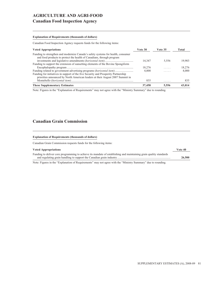### **AGRICULTURE AND AGRI-FOOD Canadian Food Inspection Agency**

#### **Explanation of Requirements (thousands of dollars)**

Canadian Food Inspection Agency requests funds for the following items:

| <b>Voted Appropriations</b>                                                                                                                                         | Vote 30 | Vote 35 | Total  |
|---------------------------------------------------------------------------------------------------------------------------------------------------------------------|---------|---------|--------|
| Funding to strengthen and modernize Canada's safety systems for health, consumer<br>and food products to protect the health of Canadians, through program           |         |         |        |
| Funding to support the extension of sunsetting elements of the Bovine Spongiform                                                                                    | 14.347  | 5.556   | 19.903 |
|                                                                                                                                                                     | 18.276  |         | 18.276 |
|                                                                                                                                                                     |         | .       |        |
|                                                                                                                                                                     | 4.000   | .       | 4,000  |
| Funding for initiatives in support of the five Security and Prosperity Partnership<br>priorities announced by North American leaders at their August 2007 Summit in |         |         |        |
|                                                                                                                                                                     | 835     | .       | 835    |
| <b>These Supplementary Estimates</b>                                                                                                                                | 37,458  | 5.556   | 43,014 |

Note: Figures in the "Explanation of Requirements" may not agree with the "Ministry Summary" due to rounding.

### **Canadian Grain Commission**

#### **Explanation of Requirements (thousands of dollars)**

Canadian Grain Commission requests funds for the following items:

#### **Voted Appropriations Vote 40** Funding to deliver core programming to achieve its mandate of establishing and maintaining grain quality standards and regulating grain handling to support the Canadian grain industry......................................................................... **26,500**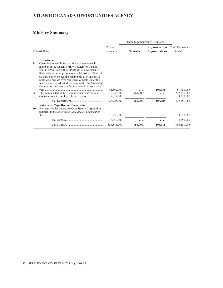### **ATLANTIC CANADA OPPORTUNITIES AGENCY**

| Vote (dollars)  |                                                                                                                                                                                                                                                                                                                                                                                                                                                                                                                  |                                        | These Supplementary Estimates |                                                |                                        |
|-----------------|------------------------------------------------------------------------------------------------------------------------------------------------------------------------------------------------------------------------------------------------------------------------------------------------------------------------------------------------------------------------------------------------------------------------------------------------------------------------------------------------------------------|----------------------------------------|-------------------------------|------------------------------------------------|----------------------------------------|
|                 |                                                                                                                                                                                                                                                                                                                                                                                                                                                                                                                  | Previous<br>Estimates                  | <b>Transfers</b>              | <b>Adjustments to</b><br><b>Appropriations</b> | <b>Total Estimates</b><br>to date      |
|                 | Department                                                                                                                                                                                                                                                                                                                                                                                                                                                                                                       |                                        |                               |                                                |                                        |
| 1a<br>5a<br>(S) | Operating expenditures and the payment to each<br>member of the Queen's Privy Council for Canada<br>who is a Minister without Portfolio or a Minister of<br>State who does not preside over a Ministry of State of<br>a salary not to exceed the salary paid to Ministers of<br>State who preside over Ministries of State under the<br>Salaries Act, as adjusted pursuant to the Parliament of<br>Canada Act and pro rata for any period of less than a<br>The grants listed in the Estimates and contributions | 81,862,000<br>238,346,000<br>8,017,000 | (750,000)<br>.                | 106,085<br>.                                   | 81,968,085<br>237,596,000<br>8,017,000 |
|                 |                                                                                                                                                                                                                                                                                                                                                                                                                                                                                                                  | 328,225,000                            | (750,000)                     | 106,085                                        | 327,581,085                            |
| 10              | <b>Enterprise Cape Breton Corporation</b><br>Payments to the Enterprise Cape Breton Corporation<br>pursuant to the Enterprise Cape Breton Corporation                                                                                                                                                                                                                                                                                                                                                            |                                        |                               |                                                |                                        |
|                 |                                                                                                                                                                                                                                                                                                                                                                                                                                                                                                                  | 8,650,000                              | .                             |                                                | 8,650,000                              |
|                 |                                                                                                                                                                                                                                                                                                                                                                                                                                                                                                                  | 8,650,000                              | .                             | .                                              | 8,650,000                              |
|                 |                                                                                                                                                                                                                                                                                                                                                                                                                                                                                                                  | 336,875,000                            | (750,000)                     | 106,085                                        | 336,231,085                            |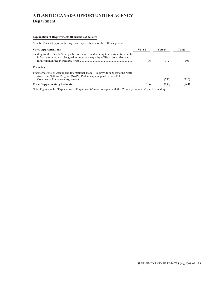## **ATLANTIC CANADA OPPORTUNITIES AGENCY Department**

#### **Explanation of Requirements (thousands of dollars)**

Atlantic Canada Opportunities Agency requests funds for the following items:

| <b>Voted Appropriations</b>                                                                                                                                                 | Vote 1 | Vote 5 | Total |
|-----------------------------------------------------------------------------------------------------------------------------------------------------------------------------|--------|--------|-------|
| Funding for the Canada Strategic Infrastructure Fund relating to investments in public<br>infrastructure projects designed to improve the quality of life in both urban and | 106    |        | 106   |
| <b>Transfers</b>                                                                                                                                                            |        |        |       |
| Transfer to Foreign Affairs and International Trade – To provide support to the North<br>American Platform Program (NAPP) Partnership as agreed in the 2008                 | .      | (750)  | (750) |
| <b>These Supplementary Estimates</b>                                                                                                                                        | 106    | (750)  | (644) |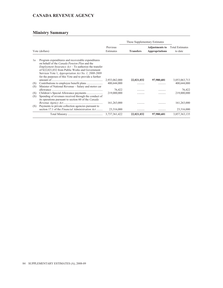### **CANADA REVENUE AGENCY**

|                |                                                                                                                                                                                                                                                                                                                                                                  |                       | These Supplementary Estimates |                                                |                                   |
|----------------|------------------------------------------------------------------------------------------------------------------------------------------------------------------------------------------------------------------------------------------------------------------------------------------------------------------------------------------------------------------|-----------------------|-------------------------------|------------------------------------------------|-----------------------------------|
| Vote (dollars) |                                                                                                                                                                                                                                                                                                                                                                  | Previous<br>Estimates | <b>Transfers</b>              | <b>Adjustments to</b><br><b>Appropriations</b> | <b>Total Estimates</b><br>to date |
| 1a             | Program expenditures and recoverable expenditures<br>on behalf of the <i>Canada Pension Plan</i> and the<br><i>Employment Insurance <math>Act</math></i> – To authorize the transfer<br>of \$22,021,032 from Public Works and Government<br>Services Vote 1, <i>Appropriation Act No. 1, 2008-2009</i><br>for the purposes of this Vote and to provide a further |                       |                               |                                                |                                   |
|                |                                                                                                                                                                                                                                                                                                                                                                  | 2,933,062,000         | 22,021,032                    | 97,980,681                                     | 3,053,063,713                     |
| (S)<br>(S)     | Minister of National Revenue - Salary and motor car                                                                                                                                                                                                                                                                                                              | 400,644,000           |                               |                                                | 400,644,000                       |
|                |                                                                                                                                                                                                                                                                                                                                                                  | 76,422                |                               |                                                | 76,422                            |
| (S)<br>(S)     | Spending of revenues received through the conduct of<br>its operations pursuant to section 60 of the Canada                                                                                                                                                                                                                                                      | 219,000,000           |                               |                                                | 219,000,000                       |
| (S)            | Payments to private collection agencies pursuant to                                                                                                                                                                                                                                                                                                              | 161,263,000           |                               |                                                | 161,263,000                       |
|                | section 17.1 of the <i>Financial Administration Act</i>                                                                                                                                                                                                                                                                                                          | 23,316,000            |                               |                                                | 23,316,000                        |
|                |                                                                                                                                                                                                                                                                                                                                                                  | 3,737,361,422         | 22,021,032                    | 97,980,681                                     | 3,857,363,135                     |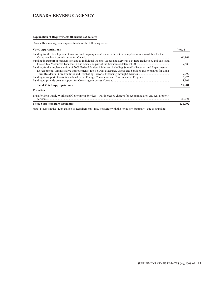### **CANADA REVENUE AGENCY**

#### **Explanation of Requirements (thousands of dollars)**

Canada Revenue Agency requests funds for the following items:

| <b>Voted Appropriations</b>                                                                                       | Vote 1 |
|-------------------------------------------------------------------------------------------------------------------|--------|
| Funding for the development, transition and ongoing maintenance related to assumption of responsibility for the   | 64.969 |
| Funding in support of measures related to Individual Income, Goods and Services Tax Rate Reduction, and Sales and |        |
|                                                                                                                   | 17.880 |
| Funding for the implementation of 2008 Federal Budget initiatives, including Scientific Research and Experimental |        |
| Development Administrative Improvements, Excise Duty Measures, Goods and Services Tax Measures for Long           |        |
|                                                                                                                   | 7,797  |
|                                                                                                                   | 6,226  |
|                                                                                                                   | 1,109  |
| <b>Total Voted Appropriations</b>                                                                                 | 97,981 |
| <b>Transfers</b>                                                                                                  |        |

Transfer from Public Works and Government Services – For increased charges for accommodation and real property

| "VICt.<br>.                                    |  |
|------------------------------------------------|--|
| <b>These Supplementary</b><br><b>Estimates</b> |  |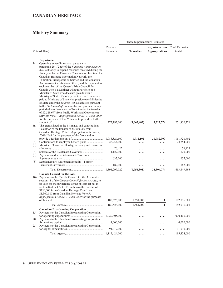|            |                                                                                                                                                                                                                                                                                                                                                                                                                                                                                                                                                                                                                                                                                                                                                                                                                                                                                                                                                        |                       | These Supplementary Estimates |                                                |                                   |
|------------|--------------------------------------------------------------------------------------------------------------------------------------------------------------------------------------------------------------------------------------------------------------------------------------------------------------------------------------------------------------------------------------------------------------------------------------------------------------------------------------------------------------------------------------------------------------------------------------------------------------------------------------------------------------------------------------------------------------------------------------------------------------------------------------------------------------------------------------------------------------------------------------------------------------------------------------------------------|-----------------------|-------------------------------|------------------------------------------------|-----------------------------------|
|            | Vote (dollars)                                                                                                                                                                                                                                                                                                                                                                                                                                                                                                                                                                                                                                                                                                                                                                                                                                                                                                                                         | Previous<br>Estimates | <b>Transfers</b>              | <b>Adjustments to</b><br><b>Appropriations</b> | <b>Total Estimates</b><br>to date |
|            | Department                                                                                                                                                                                                                                                                                                                                                                                                                                                                                                                                                                                                                                                                                                                                                                                                                                                                                                                                             |                       |                               |                                                |                                   |
| 1a         | Operating expenditures and, pursuant to<br>paragraph $29.1(2)(a)$ of the <i>Financial Administration</i><br>Act, authority to expend revenues received during the<br>fiscal year by the Canadian Conservation Institute, the<br>Canadian Heritage Information Network, the<br>Exhibition Transportation Service and the Canadian<br>Audio-visual Certification Office, and the payment to<br>each member of the Queen's Privy Council for<br>Canada who is a Minister without Portfolio or a<br>Minister of State who does not preside over a<br>Ministry of State of a salary not to exceed the salary<br>paid to Ministers of State who preside over Ministries<br>of State under the Salaries Act, as adjusted pursuant<br>to the Parliament of Canada Act and pro rata for any<br>period of less than a year – To authorize the transfer<br>of \$2,529,697 from Public Works and Government<br>Services Vote 1, Appropriation Act No. 1, 2008-2009 |                       |                               |                                                |                                   |
| 5a         | for the purposes of this Vote and to provide a further<br>The grants listed in the Estimates and contributions –<br>To authorize the transfer of \$5,000,000 from                                                                                                                                                                                                                                                                                                                                                                                                                                                                                                                                                                                                                                                                                                                                                                                      | 272,193,000           | (3,665,403)                   | 3,322,774                                      | 271,850,371                       |
|            | Canadian Heritage Vote 1, Appropriation Act No. 1,<br>2008-2009 for the purposes of this Vote and to                                                                                                                                                                                                                                                                                                                                                                                                                                                                                                                                                                                                                                                                                                                                                                                                                                                   |                       |                               |                                                |                                   |
|            |                                                                                                                                                                                                                                                                                                                                                                                                                                                                                                                                                                                                                                                                                                                                                                                                                                                                                                                                                        | 1,088,827,600         | 1,911,102                     | 20,982,000                                     | 1,111,720,702                     |
| (S)<br>(S) | Minister of Canadian Heritage - Salary and motor car                                                                                                                                                                                                                                                                                                                                                                                                                                                                                                                                                                                                                                                                                                                                                                                                                                                                                                   | 28,254,000            |                               |                                                | 28,254,000                        |
|            |                                                                                                                                                                                                                                                                                                                                                                                                                                                                                                                                                                                                                                                                                                                                                                                                                                                                                                                                                        | 76,422                |                               |                                                | 76,422                            |
| (S)<br>(S) | Payments under the Lieutenant-Governors                                                                                                                                                                                                                                                                                                                                                                                                                                                                                                                                                                                                                                                                                                                                                                                                                                                                                                                | 1,129,000             |                               | .                                              | 1,129,000                         |
|            |                                                                                                                                                                                                                                                                                                                                                                                                                                                                                                                                                                                                                                                                                                                                                                                                                                                                                                                                                        | 637,000               | .                             | .                                              | 637,000                           |
| (S)        | Supplementary Retirement Benefits – Former                                                                                                                                                                                                                                                                                                                                                                                                                                                                                                                                                                                                                                                                                                                                                                                                                                                                                                             | 182,000               |                               |                                                | 182,000                           |
|            |                                                                                                                                                                                                                                                                                                                                                                                                                                                                                                                                                                                                                                                                                                                                                                                                                                                                                                                                                        | 1,391,299,022         | .<br>(1,754,301)              | 24,304,774                                     | 1,413,849,495                     |
|            | <b>Canada Council for the Arts</b><br>10a Payments to the Canada Council for the Arts under<br>section 18 of the Canada Council for the Arts Act, to<br>be used for the furtherance of the objects set out in<br>section 8 of that $Act - To$ authorize the transfer of<br>\$250,000 from Canadian Heritage Vote 1, and<br>\$1,300,000 from Canadian Heritage Vote 5,<br>Appropriation Act No. 1, 2008-2009 for the purposes                                                                                                                                                                                                                                                                                                                                                                                                                                                                                                                           |                       |                               |                                                |                                   |
|            |                                                                                                                                                                                                                                                                                                                                                                                                                                                                                                                                                                                                                                                                                                                                                                                                                                                                                                                                                        | 180,526,000           | 1,550,000                     |                                                | 182,076,001                       |
|            |                                                                                                                                                                                                                                                                                                                                                                                                                                                                                                                                                                                                                                                                                                                                                                                                                                                                                                                                                        | 180,526,000           | 1,550,000                     | $\mathbf{1}$                                   | 182,076,001                       |
|            | <b>Canadian Broadcasting Corporation</b>                                                                                                                                                                                                                                                                                                                                                                                                                                                                                                                                                                                                                                                                                                                                                                                                                                                                                                               |                       |                               |                                                |                                   |
| 15<br>20   | Payments to the Canadian Broadcasting Corporation<br>Payments to the Canadian Broadcasting Corporation                                                                                                                                                                                                                                                                                                                                                                                                                                                                                                                                                                                                                                                                                                                                                                                                                                                 | 1,020,405,000         |                               |                                                | 1,020,405,000                     |
| 25         | Payments to the Canadian Broadcasting Corporation                                                                                                                                                                                                                                                                                                                                                                                                                                                                                                                                                                                                                                                                                                                                                                                                                                                                                                      | 4,000,000             | .                             | .                                              | 4,000,000                         |
|            |                                                                                                                                                                                                                                                                                                                                                                                                                                                                                                                                                                                                                                                                                                                                                                                                                                                                                                                                                        | 91,019,000            |                               | .                                              | 91,019,000                        |
|            |                                                                                                                                                                                                                                                                                                                                                                                                                                                                                                                                                                                                                                                                                                                                                                                                                                                                                                                                                        | 1,115,424,000         | .                             | .                                              | 1,115,424,000                     |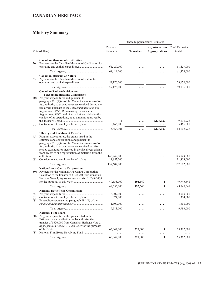### **Ministry Summary**

|     |                                                                                                                                                                                                                                                                                                                                                                                                                                                                            |                           | These Supplementary Estimates |                                                |                                   |
|-----|----------------------------------------------------------------------------------------------------------------------------------------------------------------------------------------------------------------------------------------------------------------------------------------------------------------------------------------------------------------------------------------------------------------------------------------------------------------------------|---------------------------|-------------------------------|------------------------------------------------|-----------------------------------|
|     | Vote (dollars)                                                                                                                                                                                                                                                                                                                                                                                                                                                             | Previous<br>Estimates     | <b>Transfers</b>              | <b>Adjustments to</b><br><b>Appropriations</b> | <b>Total Estimates</b><br>to date |
|     | <b>Canadian Museum of Civilization</b>                                                                                                                                                                                                                                                                                                                                                                                                                                     |                           |                               |                                                |                                   |
| 30  | Payments to the Canadian Museum of Civilization for                                                                                                                                                                                                                                                                                                                                                                                                                        |                           |                               |                                                |                                   |
|     |                                                                                                                                                                                                                                                                                                                                                                                                                                                                            | 61,429,000                |                               |                                                | 61,429,000                        |
|     |                                                                                                                                                                                                                                                                                                                                                                                                                                                                            | 61,429,000                | .                             | .                                              | 61,429,000                        |
| 35  | <b>Canadian Museum of Nature</b><br>Payments to the Canadian Museum of Nature for                                                                                                                                                                                                                                                                                                                                                                                          |                           |                               |                                                |                                   |
|     |                                                                                                                                                                                                                                                                                                                                                                                                                                                                            | 59,176,000                | .                             | .                                              | 59,176,000                        |
|     |                                                                                                                                                                                                                                                                                                                                                                                                                                                                            | 59,176,000                | .                             | .                                              | 59,176,000                        |
|     | <b>Canadian Radio-television and</b><br><b>Telecommunications Commission</b><br>40a Program expenditures and, pursuant to<br>paragraph $29.1(2)(a)$ of the <i>Financial Administration</i><br>Act, authority to expend revenues received during the<br>fiscal year pursuant to the Telecommunications Fee<br>Regulations, 1995, Broadcasting Licence Fee<br>Regulations, 1997, and other activities related to the<br>conduct of its operations, up to amounts approved by |                           |                               |                                                |                                   |
|     |                                                                                                                                                                                                                                                                                                                                                                                                                                                                            | 1                         | .                             | 9,136,927                                      | 9,136,928                         |
| (S) |                                                                                                                                                                                                                                                                                                                                                                                                                                                                            | 5,466,000<br>5,466,001    | .                             | .<br>9,136,927                                 | 5,466,000<br>14,602,928           |
| 45  | <b>Library and Archives of Canada</b><br>Program expenditures, the grants listed in the<br>Estimates and contributions and pursuant to<br>paragraph $29.1(2)(a)$ of the Financial Administration<br>Act, authority to expend revenues received to offset<br>related expenditures incurred in the fiscal year arising<br>from access to and reproduction of materials from the                                                                                              |                           |                               |                                                |                                   |
| (S) |                                                                                                                                                                                                                                                                                                                                                                                                                                                                            | 145,749,000<br>11,853,000 | .<br>.                        | .                                              | 145,749,000<br>11,853,000         |
|     |                                                                                                                                                                                                                                                                                                                                                                                                                                                                            | 157,602,000               | .                             | .                                              | 157,602,000                       |
|     | <b>National Arts Centre Corporation</b><br>50a Payments to the National Arts Centre Corporation -<br>To authorize the transfer of \$192,640 from Canadian<br>Heritage Vote 5, Appropriation Act No. 1, 2008-2009                                                                                                                                                                                                                                                           | 49,553,000                | 192,640                       | 1                                              | 49,745,641                        |
|     |                                                                                                                                                                                                                                                                                                                                                                                                                                                                            | 49,553,000                | 192,640                       | $\mathbf{1}$                                   | 49,745,641                        |
|     | <b>National Battlefields Commission</b>                                                                                                                                                                                                                                                                                                                                                                                                                                    |                           |                               |                                                |                                   |
| 55  |                                                                                                                                                                                                                                                                                                                                                                                                                                                                            | 8,009,000                 |                               |                                                | 8,009,000                         |
| (S) |                                                                                                                                                                                                                                                                                                                                                                                                                                                                            | 374,000                   | .                             | .                                              | 374,000                           |
| (S) | Expenditures pursuant to paragraph 29.1(1) of the                                                                                                                                                                                                                                                                                                                                                                                                                          | 1,600,000                 |                               |                                                | 1,600,000                         |
|     |                                                                                                                                                                                                                                                                                                                                                                                                                                                                            | 9,983,000                 |                               |                                                | 9,983,000                         |
|     | <b>National Film Board</b><br>60a Program expenditures, the grants listed in the<br>Estimates and contributions - To authorize the<br>transfer of \$320,000 from Canadian Heritage Vote 5,                                                                                                                                                                                                                                                                                 |                           |                               |                                                |                                   |
|     | <i>Appropriation Act No. 1, 2008-2009</i> for the purposes                                                                                                                                                                                                                                                                                                                                                                                                                 | 65,042,000                | 320,000                       | 1                                              | 65,362,001                        |
| (S) |                                                                                                                                                                                                                                                                                                                                                                                                                                                                            | .                         | .                             | .                                              |                                   |
|     |                                                                                                                                                                                                                                                                                                                                                                                                                                                                            | 65,042,000                | 320,000                       | 1                                              | 65,362,001                        |

<u> 1980 - Johann Barn, mars ann an t-Amhain Aonaich an t-Aonaich an t-Aonaich ann an t-Aonaich ann an t-Aonaich</u>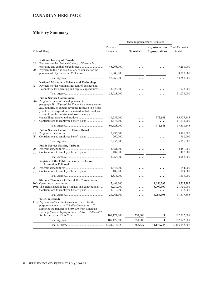|     |                                                                                                                                                                                                                                                                                                               |                          | These Supplementary Estimates |                                                |                                   |
|-----|---------------------------------------------------------------------------------------------------------------------------------------------------------------------------------------------------------------------------------------------------------------------------------------------------------------|--------------------------|-------------------------------|------------------------------------------------|-----------------------------------|
|     | Vote (dollars)                                                                                                                                                                                                                                                                                                | Previous<br>Estimates    | <b>Transfers</b>              | <b>Adjustments to</b><br><b>Appropriations</b> | <b>Total Estimates</b><br>to date |
|     |                                                                                                                                                                                                                                                                                                               |                          |                               |                                                |                                   |
| 65  | <b>National Gallery of Canada</b><br>Payments to the National Gallery of Canada for                                                                                                                                                                                                                           |                          |                               |                                                |                                   |
|     |                                                                                                                                                                                                                                                                                                               | 45,268,000               | .                             | .                                              | 45,268,000                        |
| 70  | Payment to the National Gallery of Canada for the                                                                                                                                                                                                                                                             | 8,000,000                | .                             | .                                              | 8,000,000                         |
|     |                                                                                                                                                                                                                                                                                                               | 53,268,000               | .                             | .                                              | 53,268,000                        |
| 75  | <b>National Museum of Science and Technology</b><br>Payments to the National Museum of Science and                                                                                                                                                                                                            |                          |                               |                                                |                                   |
|     | Technology for operating and capital expenditures                                                                                                                                                                                                                                                             | 31,028,000               | .                             | .                                              | 31,028,000                        |
|     |                                                                                                                                                                                                                                                                                                               | 31,028,000               | .                             | .                                              | 31,028,000                        |
| (S) | <b>Public Service Commission</b><br>80a Program expenditures and, pursuant to<br>paragraph $29.1(2)(a)$ of the Financial Administration<br>Act, authority to expend revenues received in a fiscal<br>year to offset expenditures incurred in that fiscal year<br>arising from the provision of assessment and | 84,955,000<br>11,673,000 | .<br>.                        | 972,145<br>.                                   | 85,927,145<br>11,673,000          |
|     |                                                                                                                                                                                                                                                                                                               | 96,628,000               | .                             | 972,145                                        | 97,600,145                        |
|     | <b>Public Service Labour Relations Board</b>                                                                                                                                                                                                                                                                  |                          |                               |                                                |                                   |
| 85  |                                                                                                                                                                                                                                                                                                               | 5,996,000                | .                             | .                                              | 5,996,000                         |
| (S) |                                                                                                                                                                                                                                                                                                               | 760,000                  | .                             | .                                              | 760,000                           |
|     |                                                                                                                                                                                                                                                                                                               | 6,756,000                | .                             | .                                              | 6,756,000                         |
|     | <b>Public Service Staffing Tribunal</b>                                                                                                                                                                                                                                                                       |                          |                               |                                                |                                   |
| 90  |                                                                                                                                                                                                                                                                                                               | 4,481,000                | .                             |                                                | 4,481,000<br>487,000              |
| (S) |                                                                                                                                                                                                                                                                                                               | 487,000                  | .                             | .                                              |                                   |
|     |                                                                                                                                                                                                                                                                                                               | 4,968,000                | .                             | .                                              | 4,968,000                         |
|     | <b>Registry of the Public Servants Disclosure</b><br><b>Protection Tribunal</b>                                                                                                                                                                                                                               |                          |                               |                                                |                                   |
| 95  |                                                                                                                                                                                                                                                                                                               | 1,644,000                | .                             | .                                              | 1,644,000                         |
| (S) |                                                                                                                                                                                                                                                                                                               | 189,000                  | .                             | .                                              | 189,000                           |
|     |                                                                                                                                                                                                                                                                                                               | 1,833,000                | .                             | .                                              | 1,833,000                         |
|     | Status of Women - Office of the Co-ordinator                                                                                                                                                                                                                                                                  |                          |                               |                                                |                                   |
|     |                                                                                                                                                                                                                                                                                                               | 7,499,000                | .                             | 1,056,395                                      | 8,555,395                         |
|     | 105a The grants listed in the Estimates and contributions                                                                                                                                                                                                                                                     | 16,250,000               | .                             | 5,700,000                                      | 21,950,000                        |
| (S) |                                                                                                                                                                                                                                                                                                               | 1,012,000                | .                             | .                                              | 1,012,000                         |
|     |                                                                                                                                                                                                                                                                                                               | 24,761,000               | .                             | 6,756,395                                      | 31,517,395                        |
|     | <b>Telefilm Canada</b><br>110a Payments to Telefilm Canada to be used for the<br>purposes set out in the Telefilm Canada Act - To<br>authorize the transfer of \$550,000 from Canadian<br>Heritage Vote 5, Appropriation Act No. 1, 2008-2009                                                                 |                          |                               |                                                |                                   |
|     |                                                                                                                                                                                                                                                                                                               | 107, 172, 000            | 550,000                       | 1                                              | 107,722,001                       |
|     |                                                                                                                                                                                                                                                                                                               | 107, 172, 000            | 550,000                       | $\mathbf{1}$                                   | 107,722,001                       |
|     |                                                                                                                                                                                                                                                                                                               | 3,421,914,023            | 858,339                       | 41,170,245                                     | 3,463,942,607                     |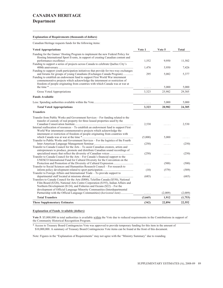### **Department**

#### **Explanation of Requirements (thousands of dollars)**

Canadian Heritage requests funds for the following items:

| <b>Voted Appropriations</b>                                                                                                                                                                                                                                                                                                                                                                               | Vote 1     | Vote 5  | <b>Total</b>     |
|-----------------------------------------------------------------------------------------------------------------------------------------------------------------------------------------------------------------------------------------------------------------------------------------------------------------------------------------------------------------------------------------------------------|------------|---------|------------------|
| Funding for the Games' Hosting Program to implement the new Federal Policy for<br>Hosting International Sport Events, in support of creating Canadian content and                                                                                                                                                                                                                                         |            |         |                  |
| Funding to support a series of projects across Canada to celebrate Quebec City's                                                                                                                                                                                                                                                                                                                          | 1,552      | 9,950   | 11,502           |
|                                                                                                                                                                                                                                                                                                                                                                                                           | 1,476      | 5,950   | 7,426            |
| Funding to support youth participation initiatives that provide for two-way exchanges<br>and forums for groups of young Canadians (Exchanges Canada Program)<br>Funding to establish an endowment fund to support First World War internment<br>commemorative projects which acknowledge the internment or restriction of<br>freedom of people originating from countries with which Canada was at war at | 295        | 5.082   | 5,377            |
|                                                                                                                                                                                                                                                                                                                                                                                                           | .          | 5,000   | 5,000            |
| Gross Voted Appropriations                                                                                                                                                                                                                                                                                                                                                                                | 3,323      | 25,982  | 29,305           |
| <b>Funds Available</b>                                                                                                                                                                                                                                                                                                                                                                                    |            |         |                  |
|                                                                                                                                                                                                                                                                                                                                                                                                           |            | 5,000   | 5,000            |
| <b>Total Voted Appropriations</b>                                                                                                                                                                                                                                                                                                                                                                         | 3,323      | 20,982  | 24,305           |
| <b>Transfers</b>                                                                                                                                                                                                                                                                                                                                                                                          |            |         |                  |
| Transfer from Public Works and Government Services – For funding related to the<br>transfer of custody of real property for three leased properties used by the<br>Internal reallocation of resources – To establish an endowment fund to support First                                                                                                                                                   | 2,530      |         | 2,530            |
| World War internment commemorative projects which acknowledge the<br>internment or restriction of freedom of people originating from countries with<br>Transfer to Public Works and Government Services - For the logistics of the Fourth                                                                                                                                                                 | (5,000)    | 5,000   |                  |
| Transfer to Canada Council for the Arts - To assist Canadian creators, artists and<br>entrepreneurs to produce, promote and distribute Canadian sound recordings of                                                                                                                                                                                                                                       | (250)      |         | (250)            |
| specialized music that reflect the diversity of Canadian voices<br>Transfer to Canada Council for the Arts – For Canada's financial support to the                                                                                                                                                                                                                                                        | (250)      | .       | (250)            |
| UNESCO International Fund for Cultural Diversity for the Convention on the<br>Protection and Promotion of the Diversity of Cultural Expression<br>Transfer to Social Sciences and Humanities Research Council – For research to                                                                                                                                                                           | .          | (500)   | (500)            |
| Transfer to Foreign Affairs and International Trade – To provide support to                                                                                                                                                                                                                                                                                                                               | (10)       | (579)   | (589)            |
| Transfers to Canada Council for the Arts (\$800), Telefilm Canada (\$550), National<br>Film Board (\$320), National Arts Centre Corporation (\$193), Indian Affairs and<br>Northern Development (\$124), and Fisheries and Oceans (\$22) – For the<br>development of Official Language Minority Communities (Interdepartmental<br>Partnership with the Official Language Communities) (horizontal item)   | (685)<br>. | (2,009) | (685)<br>(2,009) |
| <b>Total Transfers</b>                                                                                                                                                                                                                                                                                                                                                                                    | (3,665)    | 1,912   | (1,753)          |
| <b>These Supplementary Estimates</b>                                                                                                                                                                                                                                                                                                                                                                      | (342)      | 22,894  | 22,552           |
|                                                                                                                                                                                                                                                                                                                                                                                                           |            |         |                  |

#### **Explanation of Funds Available (dollars)**

**Vote 5**: \$5,000,000 in total authorities is available within the Vote due to reduced requirements in the Contributions in support of the Community Historical Recognition Program.

\* Access to Treasury Board Contingencies Vote was approved to provide temporary funding for this item in the amount of \$10,000,000. A summary of Treasury Board Contingencies Vote items can be found at the front of this document.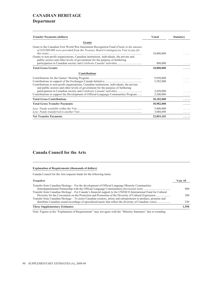### **Department**

| <b>Transfer Payments (dollars)</b>                                                                                                                                                    | <b>Voted</b>           | <b>Statutory</b> |
|---------------------------------------------------------------------------------------------------------------------------------------------------------------------------------------|------------------------|------------------|
| <b>Grants</b>                                                                                                                                                                         |                        |                  |
| Grant to the Canadian First World War Internment Recognition Fund ( <i>Funds in the amount</i><br>of \$10,000,000 were provided from the Treasury Board Contingencies Vote to pay for | 10,000,000             |                  |
| Grants to non-profit organizations, Canadian institutions, individuals, the private and<br>public sectors and other levels of government for the purpose of furthering                | 800,000                |                  |
| <b>Total Gross Grants</b>                                                                                                                                                             | 10,800,000             |                  |
| <b>Contributions</b>                                                                                                                                                                  |                        |                  |
| Contributions to non-profit organizations, Canadian institutions, individuals, the private<br>and public sectors and other levels of government for the purpose of furthering         | 9,950,000<br>5,582,000 |                  |
| Contributions to support the Development of Official-Language Communities Program                                                                                                     | 2,450,000<br>2,200,000 |                  |
| <b>Total Gross Contributions</b>                                                                                                                                                      | 20,182,000             | .                |
| <b>Total Gross Transfer Payments</b>                                                                                                                                                  | 30,982,000             |                  |
|                                                                                                                                                                                       | 5,000,000<br>3,088,898 |                  |
| <b>Net Transfer Payments</b>                                                                                                                                                          | 22,893,102             | .                |

### **Canada Council for the Arts**

#### **Explanation of Requirements (thousands of dollars)**

Canada Council for the Arts requests funds for the following items:

| <b>Transfers</b>                                                                                                 | Vote 10 |
|------------------------------------------------------------------------------------------------------------------|---------|
| Transfer from Canadian Heritage – For the development of Official Language Minority Communities                  | 800     |
| Transfer from Canadian Heritage – For Canada's financial support to the UNESCO International Fund for Cultural   | 500     |
| Transfer from Canadian Heritage – To assist Canadian creators, artists and entrepreneurs to produce, promote and | 250     |
| <b>These Supplementary Estimates</b>                                                                             | 1,550   |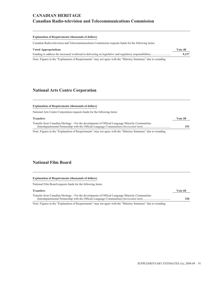### **CANADIAN HERITAGE Canadian Radio-television and Telecommunications Commission**

#### **Explanation of Requirements (thousands of dollars)**

Canadian Radio-television and Telecommunications Commission requests funds for the following items:

| <b>Voted Appropriations</b>                                                                                   | Vote 40 |
|---------------------------------------------------------------------------------------------------------------|---------|
|                                                                                                               | 9.137   |
| Note: Figures in the "Explanation of Requirements" may not agree with the "Ministry Summary" due to rounding. |         |

#### **Explanation of Requirements (thousands of dollars)**

**National Arts Centre Corporation**

National Arts Centre Corporation requests funds for the following items:

#### **Transfers Vote 50**

| Transfer from Canadian Heritage – For the development of Official Language Minority Communities |     |
|-------------------------------------------------------------------------------------------------|-----|
|                                                                                                 | 193 |

Note: Figures in the "Explanation of Requirements" may not agree with the "Ministry Summary" due to rounding.

### **National Film Board**

| <b>Explanation of Requirements (thousands of dollars)</b>                                       |         |
|-------------------------------------------------------------------------------------------------|---------|
| National Film Board requests funds for the following items:                                     |         |
| <b>Transfers</b>                                                                                | Vote 60 |
| Transfer from Canadian Heritage – For the development of Official Language Minority Communities | 320     |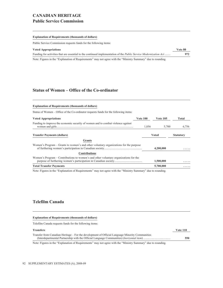### **CANADIAN HERITAGE Public Service Commission**

#### **Explanation of Requirements (thousands of dollars)**

Public Service Commission requests funds for the following items:

| <b>Voted Appropriations</b>                                                                                              | Vote 80 |
|--------------------------------------------------------------------------------------------------------------------------|---------|
| Funding for activities that are essential to the continued implementation of the <i>Public Service Modernization Act</i> | 972     |
| Note: Figures in the "Explanation of Requirements" may not agree with the "Ministry Summary" due to rounding.            |         |

### **Status of Women – Office of the Co-ordinator**

| <b>Explanation of Requirements (thousands of dollars)</b>                             |          |                 |                  |
|---------------------------------------------------------------------------------------|----------|-----------------|------------------|
| Status of Women – Office of the Co-ordinator requests funds for the following items:  |          |                 |                  |
| <b>Voted Appropriations</b>                                                           | Vote 100 | <b>Vote 105</b> | Total            |
| Funding to improve the economic security of women and to combat violence against      | 1,056    | 5.700           | 6,756            |
| <b>Transfer Payments (dollars)</b>                                                    |          | <b>Voted</b>    | <b>Statutory</b> |
| Grants                                                                                |          |                 |                  |
| Women's Program – Grants to women's and other voluntary organizations for the purpose |          | 4,200,000       |                  |
| <b>Contributions</b>                                                                  |          |                 |                  |
| Women's Program – Contributions to women's and other voluntary organizations for the  |          | 1,500,000       |                  |
| <b>Total Transfer Payments</b>                                                        |          | 5,700,000       |                  |

Note: Figures in the "Explanation of Requirements" may not agree with the "Ministry Summary" due to rounding.

#### **Telefilm Canada**

#### **Explanation of Requirements (thousands of dollars)**

Telefilm Canada requests funds for the following items:

| <b>Transfers</b>                                                                                | <b>Vote 110</b> |
|-------------------------------------------------------------------------------------------------|-----------------|
| Transfer from Canadian Heritage – For the development of Official Language Minority Communities |                 |
|                                                                                                 | 550.            |
|                                                                                                 |                 |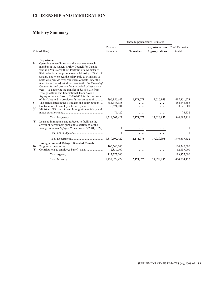### **CITIZENSHIP AND IMMIGRATION**

|            |                                                                                                                                                                                                                                                                                                                                                                                                                                                                                                                                                                                                                                                                                                                                                      |                                          | These Supplementary Estimates |                                                |                                          |
|------------|------------------------------------------------------------------------------------------------------------------------------------------------------------------------------------------------------------------------------------------------------------------------------------------------------------------------------------------------------------------------------------------------------------------------------------------------------------------------------------------------------------------------------------------------------------------------------------------------------------------------------------------------------------------------------------------------------------------------------------------------------|------------------------------------------|-------------------------------|------------------------------------------------|------------------------------------------|
|            | Vote (dollars)                                                                                                                                                                                                                                                                                                                                                                                                                                                                                                                                                                                                                                                                                                                                       | Previous<br>Estimates                    | <b>Transfers</b>              | <b>Adjustments to</b><br><b>Appropriations</b> | <b>Total Estimates</b><br>to date        |
| 1a<br>5    | Department<br>Operating expenditures and the payment to each<br>member of the Queen's Privy Council for Canada<br>who is a Minister without Portfolio or a Minister of<br>State who does not preside over a Ministry of State of<br>a salary not to exceed the salary paid to Ministers of<br>State who preside over Ministries of State under the<br>Salaries Act, as adjusted pursuant to the Parliament of<br>Canada Act and pro rata for any period of less than a<br>year – To authorize the transfer of $$2,334,075$ from<br>Foreign Affairs and International Trade Vote 1,<br>Appropriation Act No. 1, 2008-2009 for the purposes<br>of this Vote and to provide a further amount of<br>The grants listed in the Estimates and contributions | 396,156,643<br>884, 648, 355             | 2,174,075                     | 19,020,955                                     | 417,351,673<br>884,648,355               |
| (S)<br>(S) | Minister of Citizenship and Immigration – Salary and                                                                                                                                                                                                                                                                                                                                                                                                                                                                                                                                                                                                                                                                                                 | 38,621,001<br>76,422                     |                               |                                                | 38,621,001<br>76,422                     |
|            |                                                                                                                                                                                                                                                                                                                                                                                                                                                                                                                                                                                                                                                                                                                                                      | 1,319,502,421                            | 2,174,075                     | 19,020,955                                     | 1,340,697,451                            |
| (S)        | Loans to immigrants and refugees to facilitate the<br>arrival of newcomers pursuant to section 88 of the<br>Immigration and Refugee Protection Act (2001, c. 27)                                                                                                                                                                                                                                                                                                                                                                                                                                                                                                                                                                                     | 1                                        |                               |                                                | 1                                        |
|            |                                                                                                                                                                                                                                                                                                                                                                                                                                                                                                                                                                                                                                                                                                                                                      | 1                                        |                               |                                                | 1                                        |
|            |                                                                                                                                                                                                                                                                                                                                                                                                                                                                                                                                                                                                                                                                                                                                                      | 1,319,502,422                            | 2,174,075                     | 19,020,955                                     | 1,340,697,452                            |
| 10<br>(S)  | <b>Immigration and Refugee Board of Canada</b>                                                                                                                                                                                                                                                                                                                                                                                                                                                                                                                                                                                                                                                                                                       | 100,540,000<br>12,837,000<br>113,377,000 | .                             | .                                              | 100,540,000<br>12,837,000<br>113,377,000 |
|            |                                                                                                                                                                                                                                                                                                                                                                                                                                                                                                                                                                                                                                                                                                                                                      | 1,432,879,422                            | 2,174,075                     | 19,020,955                                     | 1,454,074,452                            |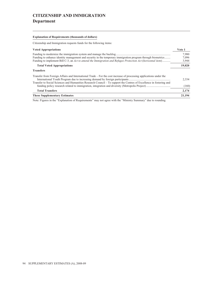### **CITIZENSHIP AND IMMIGRATION Department**

#### **Explanation of Requirements (thousands of dollars)**

Citizenship and Immigration requests funds for the following items:

| <b>Voted Appropriations</b>                                                                                                                                                                                                               | Vote 1 |
|-------------------------------------------------------------------------------------------------------------------------------------------------------------------------------------------------------------------------------------------|--------|
|                                                                                                                                                                                                                                           | 7.980  |
| Funding to enhance identity management and security in the temporary immigration program through biometrics                                                                                                                               | 7.096  |
| Funding to implement Bill C-3, an Act to amend the Immigration and Refugee Protection Act (horizontal item)                                                                                                                               | 3,944  |
| <b>Total Voted Appropriations</b>                                                                                                                                                                                                         | 19,020 |
| <b>Transfers</b>                                                                                                                                                                                                                          |        |
| Transfer from Foreign Affairs and International Trade – For the cost increase of processing applications under the<br>Transfer to Social Sciences and Humanities Research Council – To support the Centres of Excellence in fostering and | 2.334  |
|                                                                                                                                                                                                                                           | (160)  |
| <b>Total Transfers</b>                                                                                                                                                                                                                    | 2,174  |
| <b>These Supplementary Estimates</b>                                                                                                                                                                                                      | 21,194 |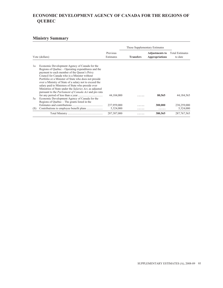### **ECONOMIC DEVELOPMENT AGENCY OF CANADA FOR THE REGIONS OF QUEBEC**

|                |                                                                                                                                                                                                                                                                                                                                                                                                                                                                                                                                                                 |                          | These Supplementary Estimates |                                                |                                   |
|----------------|-----------------------------------------------------------------------------------------------------------------------------------------------------------------------------------------------------------------------------------------------------------------------------------------------------------------------------------------------------------------------------------------------------------------------------------------------------------------------------------------------------------------------------------------------------------------|--------------------------|-------------------------------|------------------------------------------------|-----------------------------------|
| Vote (dollars) |                                                                                                                                                                                                                                                                                                                                                                                                                                                                                                                                                                 | Previous<br>Estimates    | <b>Transfers</b>              | <b>Adjustments to</b><br><b>Appropriations</b> | <b>Total Estimates</b><br>to date |
| 1a<br>5a       | Economic Development Agency of Canada for the<br>Regions of Quebec – Operating expenditures and the<br>payment to each member of the Queen's Privy<br>Council for Canada who is a Minister without<br>Portfolio or a Minister of State who does not preside<br>over a Ministry of State of a salary not to exceed the<br>salary paid to Ministers of State who preside over<br>Ministries of State under the <i>Salaries Act</i> , as adjusted<br>pursuant to the <i>Parliament of Canada Act</i> and pro rata<br>Economic Development Agency of Canada for the | 44,104,000               |                               | 80,565                                         | 44,184,565                        |
| (S)            | Regions of Quebec – The grants listed in the                                                                                                                                                                                                                                                                                                                                                                                                                                                                                                                    | 237,959,000<br>5,324,000 | .                             | 300,000<br>.                                   | 238,259,000<br>5,324,000          |
|                |                                                                                                                                                                                                                                                                                                                                                                                                                                                                                                                                                                 | 287,387,000              | .                             | 380,565                                        | 287, 767, 565                     |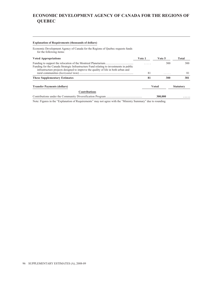### **ECONOMIC DEVELOPMENT AGENCY OF CANADA FOR THE REGIONS OF QUEBEC**

#### **Explanation of Requirements (thousands of dollars)**

Economic Development Agency of Canada for the Regions of Quebec requests funds for the following items:

|    | Vote 5  | Total            |
|----|---------|------------------|
|    | 300     | 300              |
| 81 | .       | 81               |
| 81 | 300     | 381              |
|    |         | <b>Statutory</b> |
|    |         |                  |
|    | 300,000 | .                |
|    |         | <b>Voted</b>     |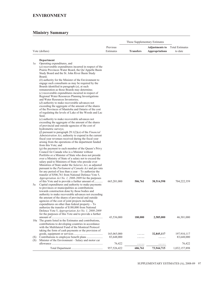### **Ministry Summary**

|     |                                                                                                                  | These Supplementary Estimates |                  |                                                |                                   |  |
|-----|------------------------------------------------------------------------------------------------------------------|-------------------------------|------------------|------------------------------------------------|-----------------------------------|--|
|     | Vote (dollars)                                                                                                   | Previous<br>Estimates         | <b>Transfers</b> | <b>Adjustments to</b><br><b>Appropriations</b> | <b>Total Estimates</b><br>to date |  |
|     |                                                                                                                  |                               |                  |                                                |                                   |  |
|     | Department                                                                                                       |                               |                  |                                                |                                   |  |
| 1a  | Operating expenditures, and<br>(a) recoverable expenditures incurred in respect of the                           |                               |                  |                                                |                                   |  |
|     | Prairie Provinces Water Board, the Qu'Appelle Basin                                                              |                               |                  |                                                |                                   |  |
|     | Study Board and the St. John River Basin Study                                                                   |                               |                  |                                                |                                   |  |
|     | Board:                                                                                                           |                               |                  |                                                |                                   |  |
|     | $(b)$ authority for the Minister of the Environment to                                                           |                               |                  |                                                |                                   |  |
|     | engage such consultants as may be required by the                                                                |                               |                  |                                                |                                   |  |
|     | Boards identified in paragraph $(a)$ , at such                                                                   |                               |                  |                                                |                                   |  |
|     | remuneration as those Boards may determine;                                                                      |                               |                  |                                                |                                   |  |
|     | $(c)$ recoverable expenditures incurred in respect of<br>Regional Water Resources Planning Investigations        |                               |                  |                                                |                                   |  |
|     | and Water Resources Inventories;                                                                                 |                               |                  |                                                |                                   |  |
|     | $(d)$ authority to make recoverable advances not                                                                 |                               |                  |                                                |                                   |  |
|     | exceeding the aggregate of the amount of the shares                                                              |                               |                  |                                                |                                   |  |
|     | of the Provinces of Manitoba and Ontario of the cost                                                             |                               |                  |                                                |                                   |  |
|     | of regulating the levels of Lake of the Woods and Lac                                                            |                               |                  |                                                |                                   |  |
|     | Seul;                                                                                                            |                               |                  |                                                |                                   |  |
|     | (e) authority to make recoverable advances not<br>exceeding the aggregate of the amount of the shares            |                               |                  |                                                |                                   |  |
|     | of provincial and outside agencies of the cost of                                                                |                               |                  |                                                |                                   |  |
|     | hydrometric surveys;                                                                                             |                               |                  |                                                |                                   |  |
|     | ( <i>f</i> ) pursuant to paragraph 29.1(2)( <i>a</i> ) of the <i>Financial</i>                                   |                               |                  |                                                |                                   |  |
|     | Administration Act, authority to expend in the current                                                           |                               |                  |                                                |                                   |  |
|     | fiscal year revenues received during the fiscal year                                                             |                               |                  |                                                |                                   |  |
|     | arising from the operations of the department funded<br>from this Vote; and                                      |                               |                  |                                                |                                   |  |
|     | $(g)$ the payment to each member of the Queen's Privy                                                            |                               |                  |                                                |                                   |  |
|     | Council for Canada who is a Minister without                                                                     |                               |                  |                                                |                                   |  |
|     | Portfolio or a Minister of State who does not preside                                                            |                               |                  |                                                |                                   |  |
|     | over a Ministry of State of a salary not to exceed the                                                           |                               |                  |                                                |                                   |  |
|     | salary paid to Ministers of State who preside over                                                               |                               |                  |                                                |                                   |  |
|     | Ministries of State under the Salaries Act, as adjusted                                                          |                               |                  |                                                |                                   |  |
|     | pursuant to the Parliament of Canada Act and pro rata<br>for any period of less than a year $-$ To authorize the |                               |                  |                                                |                                   |  |
|     | transfer of \$506,761 from National Defence Vote 5,                                                              |                               |                  |                                                |                                   |  |
|     | Appropriation Act No. 1, 2008-2009 for the purposes                                                              |                               |                  |                                                |                                   |  |
|     | of this Vote and to provide a further amount of                                                                  | 665,201,000                   | 506,761          | 38,514,598                                     | 704,222,359                       |  |
| 5a  | Capital expenditures and authority to make payments                                                              |                               |                  |                                                |                                   |  |
|     | to provinces or municipalities as contributions                                                                  |                               |                  |                                                |                                   |  |
|     | towards construction done by those bodies and                                                                    |                               |                  |                                                |                                   |  |
|     | authority to make recoverable advances not exceeding<br>the amount of the shares of provincial and outside       |                               |                  |                                                |                                   |  |
|     | agencies of the cost of joint projects including                                                                 |                               |                  |                                                |                                   |  |
|     | expenditures on other than federal property $-$ To                                                               |                               |                  |                                                |                                   |  |
|     | authorize the transfer of \$180,000 from National                                                                |                               |                  |                                                |                                   |  |
|     | Defence Vote 5, Appropriation Act No. 1, 2008-2009                                                               |                               |                  |                                                |                                   |  |
|     | for the purposes of this Vote and to provide a further                                                           |                               |                  |                                                |                                   |  |
|     | 10a The grants listed in the Estimates and contributions,                                                        | 43,536,000                    | 180,000          | 2,585,000                                      | 46,301,000                        |  |
|     | contributions to developing countries in accordance                                                              |                               |                  |                                                |                                   |  |
|     | with the Multilateral Fund of the Montreal Protocol                                                              |                               |                  |                                                |                                   |  |
|     | taking the form of cash payments or the provision of                                                             |                               |                  |                                                |                                   |  |
|     |                                                                                                                  | 165,065,000                   | .                | 32,845,117                                     | 197,910,117                       |  |
| (S) | $(S)$ Minister of the Environment – Salary and motor car                                                         | 83,648,000                    | .                | .                                              | 83,648,000                        |  |

(S) Minister of the Environment – Salary and motor car allowance ...................................................................... 76,422 **..... .....** 76,422 Total Department ........................................... 957,526,422 **686,761 73,944,715** 1,032,157,898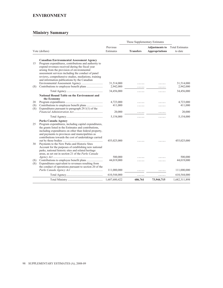### **ENVIRONMENT**

|                  |                                                                                                                                                                                                                                                                                                                                                                         |                         |                  | These Supplementary Estimates                  |                                   |  |  |
|------------------|-------------------------------------------------------------------------------------------------------------------------------------------------------------------------------------------------------------------------------------------------------------------------------------------------------------------------------------------------------------------------|-------------------------|------------------|------------------------------------------------|-----------------------------------|--|--|
|                  | Vote (dollars)                                                                                                                                                                                                                                                                                                                                                          | Previous<br>Estimates   | <b>Transfers</b> | <b>Adjustments to</b><br><b>Appropriations</b> | <b>Total Estimates</b><br>to date |  |  |
| 15               | <b>Canadian Environmental Assessment Agency</b><br>Program expenditures, contributions and authority to<br>expend revenues received during the fiscal year<br>arising from the provision of environmental<br>assessment services including the conduct of panel<br>reviews, comprehensive studies, mediations, training<br>and information publications by the Canadian |                         |                  |                                                |                                   |  |  |
| (S)              |                                                                                                                                                                                                                                                                                                                                                                         | 31,514,000<br>2,942,000 |                  |                                                | 31,514,000<br>2,942,000           |  |  |
|                  |                                                                                                                                                                                                                                                                                                                                                                         | 34,456,000              | .                | .                                              | 34,456,000                        |  |  |
| 20<br>(S)<br>(S) | <b>National Round Table on the Environment and</b><br>the Economy<br>Contributions to employee benefit plans<br>Expenditures pursuant to paragraph $29.1(1)$ of the                                                                                                                                                                                                     | 4,723,000<br>411,000    |                  |                                                | 4,723,000<br>411,000              |  |  |
|                  |                                                                                                                                                                                                                                                                                                                                                                         | 20,000                  | .                |                                                | 20,000                            |  |  |
|                  |                                                                                                                                                                                                                                                                                                                                                                         | 5,154,000               |                  |                                                | 5,154,000                         |  |  |
| 25               | <b>Parks Canada Agency</b><br>Program expenditures, including capital expenditures,<br>the grants listed in the Estimates and contributions,<br>including expenditures on other than federal property,<br>and payments to provinces and municipalities as<br>contributions towards the cost of undertakings carried                                                     | 455,025,000             |                  |                                                | 455,025,000                       |  |  |
| 30               | Payments to the New Parks and Historic Sites<br>Account for the purposes of establishing new national<br>parks, national historic sites and related heritage<br>areas, as set out in section 21 of the Parks Canada                                                                                                                                                     |                         |                  |                                                |                                   |  |  |
| (S)<br>(S)       | Contributions to employee benefit plans<br>Expenditures equivalent to revenues resulting from<br>the conduct of operations pursuant to section 20 of the                                                                                                                                                                                                                | 500,000<br>44,019,000   |                  |                                                | 500,000<br>44,019,000             |  |  |
|                  |                                                                                                                                                                                                                                                                                                                                                                         | 111,000,000             | .                |                                                | 111,000,000                       |  |  |
|                  |                                                                                                                                                                                                                                                                                                                                                                         | 610,544,000             | .                | .                                              | 610,544,000                       |  |  |
|                  |                                                                                                                                                                                                                                                                                                                                                                         | 1,607,680,422           | 686,761          | 73,944,715                                     | 1,682,311,898                     |  |  |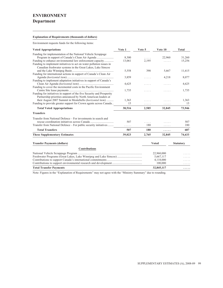#### **Explanation of Requirements (thousands of dollars)**

Environment requests funds for the following items:

| <b>Voted Appropriations</b>                                            | Vote 1      | Vote 5 | Vote 10      | <b>Total</b>     |
|------------------------------------------------------------------------|-------------|--------|--------------|------------------|
| Funding for implementation of the National Vehicle Scrappage           |             |        |              |                  |
|                                                                        | 8,300       | .      | 22,960       | 31,260           |
| Funding to enhance environmental law enforcement capacity              | 13,061      | 2,195  | .            | 15,256           |
| Funding to implement initiatives to act on water pollution issues in   |             |        |              |                  |
| Canadian freshwater systems in the Great Lakes, Lake Simcoe            |             |        |              |                  |
|                                                                        | 5,558       | 390    | 5,667        | 11,615           |
| Funding for international actions in support of Canada's Clean Air     |             |        |              |                  |
|                                                                        | 3,859       | .      | 4,218        | 8,077            |
| Funding to implement adaptation initiatives in support of Canada's     |             |        |              |                  |
|                                                                        | 4,625       | .      | .            | 4,625            |
| Funding to cover the incremental costs in the Pacific Environment      |             |        |              |                  |
|                                                                        | 1,735       | .      | .            | 1,735            |
| Funding for initiatives in support of the five Security and Prosperity |             |        |              |                  |
| Partnership priorities announced by North American leaders at          |             |        |              |                  |
| their August 2007 Summit in Montebello ( <i>horizontal item</i> )      | 1,363<br>15 | .      | .            | 1,363<br>15      |
| Funding to provide greater support for Crown agents across Canada      |             | .      | .            |                  |
| <b>Total Voted Appropriations</b>                                      | 38,516      | 2,585  | 32,845       | 73,946           |
| <b>Transfers</b>                                                       |             |        |              |                  |
| Transfer from National Defence – For investments in search and         |             |        |              |                  |
|                                                                        | 507         | .      | .            | 507              |
| Transfer from National Defence – For public security initiatives       | . <b>.</b>  | 180    | .            | 180              |
| <b>Total Transfers</b>                                                 | 507         | 180    | .            | 687              |
| <b>These Supplementary Estimates</b>                                   | 39,023      | 2,765  | 32,845       | 74,633           |
|                                                                        |             |        |              |                  |
| <b>Transfer Payments (dollars)</b>                                     |             |        | <b>Voted</b> | <b>Statutory</b> |
| <b>Contributions</b>                                                   |             |        |              |                  |
|                                                                        |             |        | 22,960,000   |                  |
|                                                                        |             |        | 5,667,117    |                  |
|                                                                        |             |        | 4,118,000    |                  |
|                                                                        |             |        | 100,000      | .                |
| <b>Total Transfer Payments</b>                                         |             |        | 32,845,117   | .                |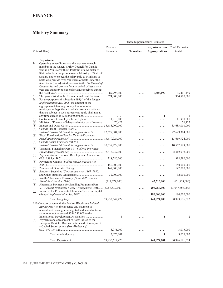|            |                                                                                                                                                                                                                                                                                                                                                                                                                                                                        |                           | These Supplementary Estimates |                                                |                                   |
|------------|------------------------------------------------------------------------------------------------------------------------------------------------------------------------------------------------------------------------------------------------------------------------------------------------------------------------------------------------------------------------------------------------------------------------------------------------------------------------|---------------------------|-------------------------------|------------------------------------------------|-----------------------------------|
|            | Vote (dollars)                                                                                                                                                                                                                                                                                                                                                                                                                                                         | Previous<br>Estimates     | <b>Transfers</b>              | <b>Adjustments to</b><br><b>Appropriations</b> | <b>Total Estimates</b><br>to date |
|            |                                                                                                                                                                                                                                                                                                                                                                                                                                                                        |                           |                               |                                                |                                   |
| 1a         | Department<br>Operating expenditures and the payment to each<br>member of the Queen's Privy Council for Canada<br>who is a Minister without Portfolio or a Minister of<br>State who does not preside over a Ministry of State of<br>a salary not to exceed the salary paid to Ministers of<br>State who preside over Ministries of State under the<br>Salaries Act, as adjusted pursuant to the Parliament of<br>Canada Act and pro rata for any period of less than a |                           |                               |                                                |                                   |
| 5<br>7a    | year and authority to expend revenue received during<br>The grants listed in the Estimates and contributions<br>For the purposes of subsection 193(4) of the <i>Budget</i><br><i>Implementation Act, 2006, the amount of the</i><br>aggregate outstanding principal amount of all                                                                                                                                                                                      | 89,793,000<br>374,800,000 |                               | 6,608,199                                      | 96,401,199<br>374,800,000         |
|            | mortgages or hypothecs to which insurance policies<br>that are subject to such agreements apply shall not at                                                                                                                                                                                                                                                                                                                                                           |                           |                               |                                                |                                   |
|            |                                                                                                                                                                                                                                                                                                                                                                                                                                                                        | .                         |                               | 1                                              |                                   |
| (S)        |                                                                                                                                                                                                                                                                                                                                                                                                                                                                        | 11,910,000                |                               |                                                | 11,910,000                        |
| (S)<br>(S) | Minister of Finance - Salary and motor car allowance                                                                                                                                                                                                                                                                                                                                                                                                                   | 76,422                    |                               | .                                              | 76,422<br>33,683,000,000          |
| (S)        | Canada Health Transfer (Part V.1 -<br>Federal-Provincial Fiscal Arrangements Act)  22,629,304,000                                                                                                                                                                                                                                                                                                                                                                      |                           |                               |                                                | 22,629,304,000                    |
| (S)        | Fiscal Equalization (Part I - Federal-Provincial                                                                                                                                                                                                                                                                                                                                                                                                                       |                           |                               |                                                |                                   |
| (S)        | Canada Social Transfer (Part V.1 -                                                                                                                                                                                                                                                                                                                                                                                                                                     |                           |                               | .                                              | 13,619,924,000                    |
| (S)        | Federal-Provincial Fiscal Arrangements Act)  10,557,729,000<br>Territorial Financing (Part I.1 - Federal-Provincial                                                                                                                                                                                                                                                                                                                                                    |                           |                               |                                                | 10,557,729,000                    |
| (S)        | Payments to International Development Association                                                                                                                                                                                                                                                                                                                                                                                                                      | 2,312,939,000             |                               |                                                | 2,312,939,000                     |
|            | (S) Payment to Ontario (Budget Implementation Act,                                                                                                                                                                                                                                                                                                                                                                                                                     | 318,280,000               |                               |                                                | 318,280,000                       |
|            |                                                                                                                                                                                                                                                                                                                                                                                                                                                                        | 150,000,000               |                               |                                                | 150,000,000                       |
| (S)<br>(S) | Statutory Subsidies (Constitution Acts, 1867-1982,                                                                                                                                                                                                                                                                                                                                                                                                                     | 147,000,000               |                               |                                                | 147,000,000                       |
| (S)        | Youth Allowances Recovery (Federal-Provincial                                                                                                                                                                                                                                                                                                                                                                                                                          | 32,000,000                |                               | .                                              | 32,000,000                        |
| (S)        | Alternative Payments for Standing Programs (Part                                                                                                                                                                                                                                                                                                                                                                                                                       | (717, 374, 000)           |                               | 45,516,000                                     | (671, 858, 000)                   |
| (S)        | VI-Federal-Provincial Fiscal Arrangements Act) (3,256,839,000)<br>Incentive for Provinces to Eliminate Taxes on Capital                                                                                                                                                                                                                                                                                                                                                |                           |                               | 208,950,000                                    | (3,047,889,000)                   |
|            |                                                                                                                                                                                                                                                                                                                                                                                                                                                                        |                           |                               | 180,000,000                                    | 180,000,000                       |
|            |                                                                                                                                                                                                                                                                                                                                                                                                                                                                        |                           | .                             | 441,074,200                                    | 80,393,616,622                    |
|            | L10a In accordance with the Bretton Woods and Related<br>Agreements Act, the issuance and payment of<br>non-interest bearing, non-negotiable demand notes in<br>an amount not to exceed \$384,280,000 to the                                                                                                                                                                                                                                                           |                           |                               |                                                |                                   |
| (S)        | Payments and encashment of notes issued to the<br>European Bank for Reconstruction and Development<br>- Capital Subscriptions (Non-Budgetary)                                                                                                                                                                                                                                                                                                                          | 1                         |                               | 1                                              | 2                                 |
|            |                                                                                                                                                                                                                                                                                                                                                                                                                                                                        | 3,075,000                 |                               |                                                | 3,075,000                         |
|            |                                                                                                                                                                                                                                                                                                                                                                                                                                                                        | 3,075,001                 | .                             | 1                                              | 3,075,002                         |
|            |                                                                                                                                                                                                                                                                                                                                                                                                                                                                        |                           | .                             | 441,074,201                                    | 80,396,691,624                    |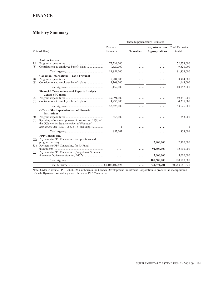### **FINANCE**

### **Ministry Summary**

|                |                                                                                                                                                                                                                                        |                         | These Supplementary Estimates |                                                |                                   |
|----------------|----------------------------------------------------------------------------------------------------------------------------------------------------------------------------------------------------------------------------------------|-------------------------|-------------------------------|------------------------------------------------|-----------------------------------|
| Vote (dollars) |                                                                                                                                                                                                                                        | Previous<br>Estimates   | <b>Transfers</b>              | <b>Adjustments to</b><br><b>Appropriations</b> | <b>Total Estimates</b><br>to date |
|                | <b>Auditor General</b>                                                                                                                                                                                                                 |                         |                               |                                                |                                   |
| 15<br>(S)      |                                                                                                                                                                                                                                        | 72,239,000<br>9,620,000 |                               |                                                | 72,239,000<br>9,620,000           |
|                |                                                                                                                                                                                                                                        | 81,859,000              |                               |                                                | 81,859,000                        |
| 20<br>(S)      | Canadian International Trade Tribunal                                                                                                                                                                                                  | 8,984,000<br>1,168,000  |                               |                                                | 8,984,000<br>1,168,000            |
|                |                                                                                                                                                                                                                                        | 10,152,000              | .                             | .                                              | 10,152,000                        |
| 25             | <b>Financial Transactions and Reports Analysis</b><br><b>Centre of Canada</b>                                                                                                                                                          | 49,391,000              |                               |                                                | 49,391,000                        |
| (S)            | Contributions to employee benefit plans                                                                                                                                                                                                | 4,235,000               |                               |                                                | 4,235,000                         |
|                |                                                                                                                                                                                                                                        | 53,626,000              | .                             |                                                | 53,626,000                        |
| 30<br>(S)      | Office of the Superintendent of Financial<br><b>Institutions</b><br>Spending of revenues pursuant to subsection $17(2)$ of<br>the Office of the Superintendent of Financial<br><i>Institutions Act</i> (R.S., 1985, c. 18 (3rd Supp.)) | 853,000<br>1            |                               |                                                | 853,000<br>1                      |
|                |                                                                                                                                                                                                                                        | 853,001                 | .                             |                                                | 853,001                           |
|                | PPP Canada Inc.<br>32a Payments to PPP Canada Inc. for operations and<br>33a Payments to PPP Canada Inc. for P3 Fund                                                                                                                   | .                       | .                             | 2,900,000                                      | 2,900,000                         |
| (S)            | Payments to PPP Canada Inc. (Budget and Economic                                                                                                                                                                                       | .                       | .                             | 92,600,000                                     | 92,600,000                        |
|                |                                                                                                                                                                                                                                        | .                       | .                             | 5,000,000                                      | 5,000,000                         |
|                |                                                                                                                                                                                                                                        | .                       | .                             | 100,500,000                                    | 100,500,000                       |
|                |                                                                                                                                                                                                                                        |                         | .                             | 541,574,201                                    | 80,643,681,625                    |

Note: Order in Council P.C. 2008-0243 authorizes the Canada Development Investment Corporation to procure the incorporation of a wholly-owned subsidiary under the name PPP Canada Inc.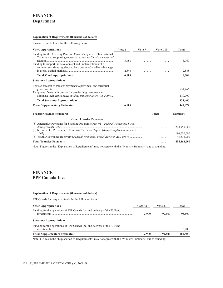#### **Explanation of Requirements (thousands of dollars)**

Finance requests funds for the following items:

| <b>Voted Appropriations</b>                                                                                                            | Vote 1 | Vote 7 | Vote L10     | Total            |
|----------------------------------------------------------------------------------------------------------------------------------------|--------|--------|--------------|------------------|
| Funding for the Advisory Panel on Canada's System of International<br>Taxation and supporting secretariat to review Canada's system of | 3,760  |        |              | 3,760            |
| Funding to support the development and implementation of a<br>common securities regulator to help create a Canadian advantage          | 2,848  | .      | .            | 2,848            |
| <b>Total Voted Appropriations</b>                                                                                                      | 6,608  | .      | .            | 6,608            |
| <b>Statutory Appropriations</b>                                                                                                        |        |        |              |                  |
| Revised forecast of transfer payments to provincial and territorial<br>Temporary financial incentive for provincial governments to     |        |        |              | 254,466          |
| eliminate their capital taxes ( <i>Budget Implementation Act, 2007</i> )                                                               |        |        |              | 180,000          |
| <b>Total Statutory Appropriations</b>                                                                                                  |        |        |              | 434,466          |
| <b>These Supplementary Estimates</b>                                                                                                   | 6,608  |        |              | 441,074          |
| <b>Transfer Payments (dollars)</b>                                                                                                     |        |        | <b>Voted</b> | <b>Statutory</b> |
| <b>Other Transfer Payments</b>                                                                                                         |        |        |              |                  |
| (S) Alternative Payments for Standing Programs (Part VI – Federal-Provincial Fiscal                                                    |        |        |              | 208,950,000      |
| (S) Incentive for Provinces to Eliminate Taxes on Capital (Budget Implementation Act,                                                  |        |        |              | 180,000,000      |
| (S) Youth Allowances Recovery (Federal-Provincial Fiscal Revision Act, 1964)                                                           |        |        | .            | 45,516,000       |
| <b>Total Transfer Payments</b>                                                                                                         |        |        | .            | 434,466,000      |

Note: Figures in the "Explanation of Requirements" may not agree with the "Ministry Summary" due to rounding.

### **FINANCE PPP Canada Inc.**

#### **Explanation of Requirements (thousands of dollars)**

PPP Canada Inc. requests funds for the following items:

| <b>Voted Appropriations</b>                                                                                   | Vote 32 | Vote 33 | Total   |
|---------------------------------------------------------------------------------------------------------------|---------|---------|---------|
| Funding for the operations of PPP Canada Inc. and delivery of the P3 Fund                                     | 2.900   | 92,600  | 95,500  |
| <b>Statutory Appropriations</b>                                                                               |         |         |         |
| Funding for the operations of PPP Canada Inc. and delivery of the P3 Fund<br>investments                      |         |         | 5,000   |
| <b>These Supplementary Estimates</b>                                                                          | 2.900   | 92.600  | 100.500 |
| Note: Figures in the "Explanation of Requirements" may not agree with the "Ministry Summary" due to rounding. |         |         |         |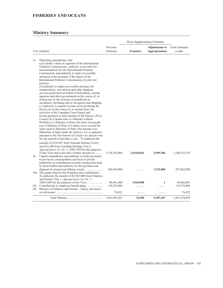### **FISHERIES AND OCEANS**

|            |                                                                                                                                                                                                                                                                                                                                                                                                                                                                                                                                                                                                                                                                                                                                                                                                                                                                                                                                                                                                                                                                                                                                                                                                                                                                                                                                                                                     |                           | These Supplementary Estimates |                                                |                                   |
|------------|-------------------------------------------------------------------------------------------------------------------------------------------------------------------------------------------------------------------------------------------------------------------------------------------------------------------------------------------------------------------------------------------------------------------------------------------------------------------------------------------------------------------------------------------------------------------------------------------------------------------------------------------------------------------------------------------------------------------------------------------------------------------------------------------------------------------------------------------------------------------------------------------------------------------------------------------------------------------------------------------------------------------------------------------------------------------------------------------------------------------------------------------------------------------------------------------------------------------------------------------------------------------------------------------------------------------------------------------------------------------------------------|---------------------------|-------------------------------|------------------------------------------------|-----------------------------------|
|            | Vote (dollars)                                                                                                                                                                                                                                                                                                                                                                                                                                                                                                                                                                                                                                                                                                                                                                                                                                                                                                                                                                                                                                                                                                                                                                                                                                                                                                                                                                      | Previous<br>Estimates     | <b>Transfers</b>              | <b>Adjustments to</b><br><b>Appropriations</b> | <b>Total Estimates</b><br>to date |
| 1a         | Operating expenditures, and<br>$(a)$ Canada's share of expenses of the International<br>Fisheries Commissions, authority to provide free<br>accommodation for the International Fisheries<br>Commissions and authority to make recoverable<br>advances in the amounts of the shares of the<br>International Fisheries Commissions of joint cost<br>projects:<br>$(b)$ authority to make recoverable advances for<br>transportation, stevedoring and other shipping<br>services performed on behalf of individuals, outside<br>agencies and other governments in the course of, or<br>arising out of, the exercise of jurisdiction in<br>navigation, including aids to navigation and shipping;<br>$(c)$ authority to expend revenue received during the<br>fiscal year in the course of, or arising from, the<br>activities of the Canadian Coast Guard; and<br>$(d)$ the payment to each member of the Queen's Privy<br>Council for Canada who is a Minister without<br>Portfolio or a Minister of State who does not preside<br>over a Ministry of State of a salary not to exceed the<br>salary paid to Ministers of State who preside over<br>Ministries of State under the Salaries Act, as adjusted<br>pursuant to the Parliament of Canada Act and pro rata<br>for any period of less than a year $-$ To authorize the<br>transfer of \$156,947 from National Defence Vote5, |                           |                               |                                                |                                   |
| 5a         | and \$22,500 from Canadian Heritage Vote 5,<br>Appropriation Act No. 1, 2008-2009 for the purposes<br>of this Vote and to provide a further amount of<br>Capital expenditures and authority to make payments<br>to provinces, municipalities and local or private                                                                                                                                                                                                                                                                                                                                                                                                                                                                                                                                                                                                                                                                                                                                                                                                                                                                                                                                                                                                                                                                                                                   | 1,178,250,000             | (3,910,010)                   | 5,995,286                                      | 1,180,335,276                     |
|            | authorities as contributions towards construction done<br>by those bodies and authority for the purchase and<br>10a The grants listed in the Estimates and contributions –<br>To authorize the transfer of \$3,945,000 from Fisheries                                                                                                                                                                                                                                                                                                                                                                                                                                                                                                                                                                                                                                                                                                                                                                                                                                                                                                                                                                                                                                                                                                                                               | 294,650,000               | .                             | 3,312,000                                      | 297,962,000                       |
| (S)<br>(S) | and Oceans Vote 1, Appropriation Act No. 1,<br>Minister of Fisheries and Oceans - Salary and motor                                                                                                                                                                                                                                                                                                                                                                                                                                                                                                                                                                                                                                                                                                                                                                                                                                                                                                                                                                                                                                                                                                                                                                                                                                                                                  | 90,461,000<br>118,555,000 | 3,945,000                     | $\mathbf{1}$                                   | 94,406,001<br>118,555,000         |
|            |                                                                                                                                                                                                                                                                                                                                                                                                                                                                                                                                                                                                                                                                                                                                                                                                                                                                                                                                                                                                                                                                                                                                                                                                                                                                                                                                                                                     | 76,422                    | .                             |                                                | 76,422                            |
|            |                                                                                                                                                                                                                                                                                                                                                                                                                                                                                                                                                                                                                                                                                                                                                                                                                                                                                                                                                                                                                                                                                                                                                                                                                                                                                                                                                                                     | 1,681,992,422             | 34,990                        | 9,307,287                                      | 1,691,334,699                     |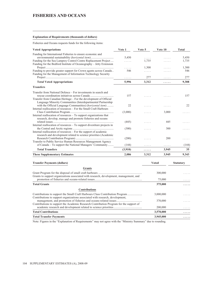### **FISHERIES AND OCEANS**

#### **Explanation of Requirements (thousands of dollars)**

Fisheries and Oceans requests funds for the following items:

| <b>Voted Appropriations</b>                                             | Vote 1  | Vote 5 | Vote 10  | <b>Total</b> |
|-------------------------------------------------------------------------|---------|--------|----------|--------------|
| Funding for International Fisheries to ensure economic and              |         |        |          |              |
| environmental sustainability (horizontal item)                          | 5,450   | .      |          | 5,450        |
| Funding for the Sea Lamprey Control Centre Replacement Project          | .       | 1,735  |          | 1,735        |
| Funding for the Bedford Institute of Oceanography – Jetty Extension     |         |        |          |              |
|                                                                         | .       | 1,300  | .        | 1,300        |
| Funding to provide greater support for Crown agents across Canada       | 546     | .      | $\cdots$ | 546          |
| Funding for the Management of Information Technology Security           |         |        |          |              |
|                                                                         | .       | 277    | .        | 277          |
| <b>Total Voted Appropriations</b>                                       | 5,996   | 3,312  | .        | 9,308        |
| <b>Transfers</b>                                                        |         |        |          |              |
| Transfer from National Defence – For investments in search and          |         |        |          |              |
|                                                                         | 157     |        |          | 157          |
| Transfer from Canadian Heritage – For the development of Official       |         |        |          |              |
| Language Minority Communities (Interdepartmental Partnership            |         |        |          |              |
| with the Official Language Communities) (horizontal item)               | 22      | .      | .        | 22           |
| Internal reallocation of resources - For the Small Craft Harbours       |         |        |          |              |
|                                                                         | (3,000) | .      | 3,000    |              |
| Internal reallocation of resources – To support organizations that      |         |        |          |              |
| research, develop, manage and promote fisheries and oceans              |         |        |          |              |
|                                                                         | (445)   |        | 445      |              |
| Internal reallocation of resources - To support divestiture projects in |         |        |          |              |
|                                                                         | (300)   | .      | 300      |              |
| Internal reallocation of resources – For the support of academic        |         |        |          |              |
| research and development related to science priorities (Academic        |         |        |          |              |
|                                                                         | (200)   | .      | 200      |              |
| Transfer to Public Service Human Resources Management Agency            |         |        |          |              |
| of Canada – To support the National Managers' Community                 | (144)   | .      | .        | (144)        |
| <b>Total Transfers</b>                                                  | (3,910) | .      | 3,945    | 35           |
| <b>These Supplementary Estimates</b>                                    | 2,086   | 3,312  | 3,945    | 9,343        |

| <b>Transfer Payments (dollars)</b>                                                                                                                            | <b>Voted</b> | <b>Statutory</b> |
|---------------------------------------------------------------------------------------------------------------------------------------------------------------|--------------|------------------|
| Grants                                                                                                                                                        |              |                  |
| Grants to support organizations associated with research, development, management, and                                                                        | 300,000      |                  |
|                                                                                                                                                               | 75,000       | .                |
| <b>Total Grants</b>                                                                                                                                           | 375,000      |                  |
| <b>Contributions</b>                                                                                                                                          |              |                  |
| Contributions to support the Small Craft Harbours Class Contribution Program<br>Contributions to support organizations associated with research, development, | 3,000,000    | .                |
| Contributions to support the Academic Research Contribution Program for the support of                                                                        | 370,000      | .                |
|                                                                                                                                                               | 200,000      | .                |
| <b>Total Contributions</b>                                                                                                                                    | 3,570,000    | .                |
| <b>Total Transfer Payments</b>                                                                                                                                | 3,945,000    | .                |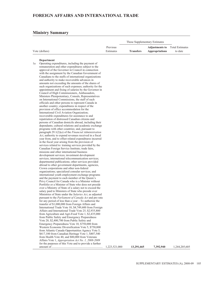### **Ministry Summary**

|                |                       |                  | These Supplementary Estimates                                  |         |
|----------------|-----------------------|------------------|----------------------------------------------------------------|---------|
| Vote (dollars) | Previous<br>Estimates | <b>Transfers</b> | <b>Adjustments to</b> Total Estimates<br><b>Appropriations</b> | to date |

#### **Department**

| 1a | Operating expenditures, including the payment of              |               |            |           |               |
|----|---------------------------------------------------------------|---------------|------------|-----------|---------------|
|    | remuneration and other expenditures subject to the            |               |            |           |               |
|    | approval of the Governor in Council in connection             |               |            |           |               |
|    | with the assignment by the Canadian Government of             |               |            |           |               |
|    | Canadians to the staffs of international organizations        |               |            |           |               |
|    | and authority to make recoverable advances in                 |               |            |           |               |
|    | amounts not exceeding the amounts of the shares of            |               |            |           |               |
|    | such organizations of such expenses; authority for the        |               |            |           |               |
|    | appointment and fixing of salaries by the Governor in         |               |            |           |               |
|    | Council of High Commissioners, Ambassadors,                   |               |            |           |               |
|    | Ministers Plenipotentiary, Consuls, Representatives           |               |            |           |               |
|    | on International Commissions, the staff of such               |               |            |           |               |
|    | officials and other persons to represent Canada in            |               |            |           |               |
|    | another country; expenditures in respect of the               |               |            |           |               |
|    | provision of office accommodation for the                     |               |            |           |               |
|    | International Civil Aviation Organization;                    |               |            |           |               |
|    | recoverable expenditures for assistance to and                |               |            |           |               |
|    | repatriation of distressed Canadian citizens and              |               |            |           |               |
|    | persons of Canadian domicile abroad, including their          |               |            |           |               |
|    | dependants; cultural relations and academic exchange          |               |            |           |               |
|    | programs with other countries; and, pursuant to               |               |            |           |               |
|    | paragraph $29.1(2)(a)$ of the <i>Financial Administration</i> |               |            |           |               |
|    | Act, authority to expend revenues received in a fiscal        |               |            |           |               |
|    | year from, and to offset related expenditures incurred        |               |            |           |               |
|    | in the fiscal year arising from the provision of              |               |            |           |               |
|    | services related to: training services provided by the        |               |            |           |               |
|    | Canadian Foreign Service Institute; trade fairs,              |               |            |           |               |
|    | missions and other international business                     |               |            |           |               |
|    | development services; investment development                  |               |            |           |               |
|    | services; international telecommunication services;           |               |            |           |               |
|    | departmental publications; other services provided            |               |            |           |               |
|    | abroad to other government departments, agencies,             |               |            |           |               |
|    | Crown corporations and other non-federal                      |               |            |           |               |
|    | organizations; specialized consular services; and             |               |            |           |               |
|    | international youth employment exchange programs              |               |            |           |               |
|    | and the payment to each member of the Queen's                 |               |            |           |               |
|    | Privy Council for Canada who is a Minister without            |               |            |           |               |
|    | Portfolio or a Minister of State who does not preside         |               |            |           |               |
|    | over a Ministry of State of a salary not to exceed the        |               |            |           |               |
|    | salary paid to Ministers of State who preside over            |               |            |           |               |
|    | Ministries of State under the Salaries Act, as adjusted       |               |            |           |               |
|    | pursuant to the <i>Parliament of Canada Act</i> and pro rata  |               |            |           |               |
|    | for any period of less than a year $-$ To authorize the       |               |            |           |               |
|    | transfer of \$1,000,000 from Foreign Affairs and              |               |            |           |               |
|    | International Trade Vote 10, \$4,749,600 from Foreign         |               |            |           |               |
|    | Affairs and International Trade Vote 25, \$2,935,800          |               |            |           |               |
|    | from Agriculture and Agri-Food Vote 1, \$2,435,000            |               |            |           |               |
|    | from Public Safety and Emergency Preparedness                 |               |            |           |               |
|    | Vote 20, \$2,400,700 from Public Safety and                   |               |            |           |               |
|    | Emergency Preparedness Vote 10, \$750,000 from                |               |            |           |               |
|    | Western Economic Diversification Vote 5, \$750,000            |               |            |           |               |
|    | from Atlantic Canada Opportunities Agency Vote 5,             |               |            |           |               |
|    | \$617,100 from Canadian Heritage Vote 1, \$407,540            |               |            |           |               |
|    | from Health Vote 40, and \$80,000 from Veterans               |               |            |           |               |
|    | Affairs Vote 1, <i>Appropriation Act No. 1, 2008-2009</i>     |               |            |           |               |
|    | for the purposes of this Vote and to provide a further        |               |            |           |               |
|    |                                                               | 1,223,521,000 | 13,291,665 | 7,392,940 | 1,244,205,605 |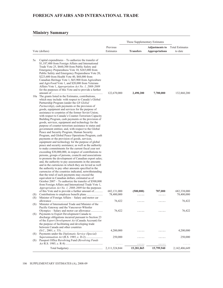### **Ministry Summary**

| These Supplementary Estimates |                                                                                                                                                                                                                                                                                                                                                                                                                                                                                                                                                                                                                                                                                                                                                                                                                                                                                                                                                                                                                                                                                                                                                                                                                                                                                                                                                                                                                                                                                                                   |                           |                  |                                                |                                   |
|-------------------------------|-------------------------------------------------------------------------------------------------------------------------------------------------------------------------------------------------------------------------------------------------------------------------------------------------------------------------------------------------------------------------------------------------------------------------------------------------------------------------------------------------------------------------------------------------------------------------------------------------------------------------------------------------------------------------------------------------------------------------------------------------------------------------------------------------------------------------------------------------------------------------------------------------------------------------------------------------------------------------------------------------------------------------------------------------------------------------------------------------------------------------------------------------------------------------------------------------------------------------------------------------------------------------------------------------------------------------------------------------------------------------------------------------------------------------------------------------------------------------------------------------------------------|---------------------------|------------------|------------------------------------------------|-----------------------------------|
|                               | Vote (dollars)                                                                                                                                                                                                                                                                                                                                                                                                                                                                                                                                                                                                                                                                                                                                                                                                                                                                                                                                                                                                                                                                                                                                                                                                                                                                                                                                                                                                                                                                                                    | Previous<br>Estimates     | <b>Transfers</b> | <b>Adjustments to</b><br><b>Appropriations</b> | <b>Total Estimates</b><br>to date |
| 5a                            | Capital expenditures - To authorize the transfer of<br>\$1,187,400 from Foreign Affairs and International<br>Trade Vote 25, \$660,300 from Public Safety and<br>Emergency Preparedness Vote 10, \$265,000 from<br>Public Safety and Emergency Preparedness Vote 20,<br>\$223,600 from Health Vote 40, \$68,000 from<br>Canadian Heritage Vote 1, \$65,900 from Agriculture<br>and Agri-Food Vote 1, and \$20,000 from Veterans<br>Affairs Vote 1, Appropriation Act No. 1, 2008-2009<br>for the purposes of this Vote and to provide a further<br>10a The grants listed in the Estimates, contributions,                                                                                                                                                                                                                                                                                                                                                                                                                                                                                                                                                                                                                                                                                                                                                                                                                                                                                                          | 122,670,000               | 2,490,200        | 7,700,000                                      | 132,860,200                       |
|                               | which may include: with respect to Canada's Global<br>Partnership Program (under the G8 Global<br>Partnership), cash payments or the provision of<br>goods, equipment and services for the purpose of<br>assistance to countries of the former Soviet Union;<br>with respect to Canada's Counter-Terrorism Capacity<br>Building Program, cash payments or the provision of<br>goods, services, equipment and technology for the<br>purpose of counter-terrorism assistance to states and<br>government entities; and, with respect to the Global<br>Peace and Security Program, Human Security<br>Program, and Global Peace Operations Program, cash<br>payments or the provision of goods, services,<br>equipment and technology for the purpose of global<br>peace and security assistance; as well as the authority<br>to make commitments for the current fiscal year not<br>exceeding \$30,000,000, in respect of contributions to<br>persons, groups of persons, councils and associations<br>to promote the development of Canadian export sales;<br>and, the authority to pay assessments in the amounts<br>and in the currencies in which they are levied as well<br>the authority to pay other amounts specified in the<br>currencies of the countries indicated, notwithstanding<br>that the total of such payments may exceed the<br>equivalent in Canadian dollars, estimated as of<br>October 2007 – To authorize the transfer of \$500,000<br>from Foreign Affairs and International Trade Vote 1, |                           |                  |                                                |                                   |
| (S)                           | <i>Appropriation Act No. 1, 2008-2009</i> for the purposes<br>of this Vote and to provide a further amount of                                                                                                                                                                                                                                                                                                                                                                                                                                                                                                                                                                                                                                                                                                                                                                                                                                                                                                                                                                                                                                                                                                                                                                                                                                                                                                                                                                                                     | 682,131,000<br>78,400,000 | (500,000)        | 707,000                                        | 682,338,000<br>78,400,000         |
| (S)<br>(S)                    | Minister of Foreign Affairs - Salary and motor car<br>Minister of International Trade and Minister of the                                                                                                                                                                                                                                                                                                                                                                                                                                                                                                                                                                                                                                                                                                                                                                                                                                                                                                                                                                                                                                                                                                                                                                                                                                                                                                                                                                                                         | 76,422                    |                  |                                                | 76,422                            |
| (S)                           | Pacific Gateway and the Vancouver-Whistler<br>Olympics – Salary and motor car allowance<br>Payments to Export Development Canada to<br>discharge obligations incurred pursuant to Section 23<br>of the <i>Export Development Act</i> (Canada Account) for<br>the purpose of facilitating and developing trade<br>between Canada and other countries                                                                                                                                                                                                                                                                                                                                                                                                                                                                                                                                                                                                                                                                                                                                                                                                                                                                                                                                                                                                                                                                                                                                                               | 76,422                    |                  |                                                | 76,422                            |
| (S)                           | Payments under the Diplomatic Service (Special)                                                                                                                                                                                                                                                                                                                                                                                                                                                                                                                                                                                                                                                                                                                                                                                                                                                                                                                                                                                                                                                                                                                                                                                                                                                                                                                                                                                                                                                                   | 4,200,000                 |                  |                                                | 4,200,000                         |
| (S)                           | Passport Office Revolving Fund (Revolving Funds                                                                                                                                                                                                                                                                                                                                                                                                                                                                                                                                                                                                                                                                                                                                                                                                                                                                                                                                                                                                                                                                                                                                                                                                                                                                                                                                                                                                                                                                   | 250,000                   |                  |                                                | 250,000                           |
|                               |                                                                                                                                                                                                                                                                                                                                                                                                                                                                                                                                                                                                                                                                                                                                                                                                                                                                                                                                                                                                                                                                                                                                                                                                                                                                                                                                                                                                                                                                                                                   |                           | .                | .                                              |                                   |
|                               |                                                                                                                                                                                                                                                                                                                                                                                                                                                                                                                                                                                                                                                                                                                                                                                                                                                                                                                                                                                                                                                                                                                                                                                                                                                                                                                                                                                                                                                                                                                   | 2,111,324,844             | 15,281,865       | 15,799,940                                     | 2,142,406,649                     |

<u> 1989 - Johann Barn, mars ann an t-Amhain Aonaich an t-Aonaich an t-Aonaich an t-Aonaich an t-Aonaich ann an t-</u>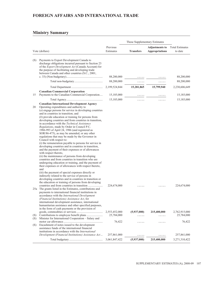### **Ministry Summary**

|            |                                                                                                                                                                                                                                                                                                                                                                                                                                                                                                                                                                                                                                                                                                                                                                                                                                                                                                                                                                                                                                  |                             | These Supplementary Estimates |                                                |                                   |
|------------|----------------------------------------------------------------------------------------------------------------------------------------------------------------------------------------------------------------------------------------------------------------------------------------------------------------------------------------------------------------------------------------------------------------------------------------------------------------------------------------------------------------------------------------------------------------------------------------------------------------------------------------------------------------------------------------------------------------------------------------------------------------------------------------------------------------------------------------------------------------------------------------------------------------------------------------------------------------------------------------------------------------------------------|-----------------------------|-------------------------------|------------------------------------------------|-----------------------------------|
|            | Vote (dollars)                                                                                                                                                                                                                                                                                                                                                                                                                                                                                                                                                                                                                                                                                                                                                                                                                                                                                                                                                                                                                   | Previous<br>Estimates       | <b>Transfers</b>              | <b>Adjustments to</b><br><b>Appropriations</b> | <b>Total Estimates</b><br>to date |
| (S)        | Payments to Export Development Canada to<br>discharge obligations incurred pursuant to Section 23<br>of the Export Development Act (Canada Account) for<br>the purpose of facilitating and developing trade<br>between Canada and other countries (S.C., 2001,                                                                                                                                                                                                                                                                                                                                                                                                                                                                                                                                                                                                                                                                                                                                                                   | 88,200,000                  |                               |                                                | 88,200,000                        |
|            |                                                                                                                                                                                                                                                                                                                                                                                                                                                                                                                                                                                                                                                                                                                                                                                                                                                                                                                                                                                                                                  | 88,200,000                  | .                             | .                                              | 88,200,000                        |
|            |                                                                                                                                                                                                                                                                                                                                                                                                                                                                                                                                                                                                                                                                                                                                                                                                                                                                                                                                                                                                                                  | 2,199,524,844               | 15,281,865                    | 15,799,940                                     | 2,230,606,649                     |
| 15         | <b>Canadian Commercial Corporation</b><br>Payments to the Canadian Commercial Corporation                                                                                                                                                                                                                                                                                                                                                                                                                                                                                                                                                                                                                                                                                                                                                                                                                                                                                                                                        | 15,185,000                  |                               |                                                | 15,185,000                        |
|            |                                                                                                                                                                                                                                                                                                                                                                                                                                                                                                                                                                                                                                                                                                                                                                                                                                                                                                                                                                                                                                  | 15,185,000                  | .                             |                                                | 15,185,000                        |
|            | <b>Canadian International Development Agency</b>                                                                                                                                                                                                                                                                                                                                                                                                                                                                                                                                                                                                                                                                                                                                                                                                                                                                                                                                                                                 |                             |                               | .                                              |                                   |
| 20         | Operating expenditures and authority to<br>$(a)$ engage persons for service in developing countries<br>and in countries in transition; and<br>$(b)$ provide education or training for persons from<br>developing countries and from countries in transition,<br>in accordance with the Technical Assistance<br>Regulations, made by Order in Council P.C.<br>1986-993 of April 24, 1986 (and registered as<br>SOR/86-475), as may be amended, or any other<br>regulations that may be made by the Governor in<br>Council with respect to:<br>(i) the remuneration payable to persons for service in<br>developing countries and in countries in transition,<br>and the payment of their expenses or of allowances<br>with respect thereto,<br>(ii) the maintenance of persons from developing<br>countries and from countries in transition who are<br>undergoing education or training, and the payment of<br>their expenses or of allowances with respect thereto,<br>and<br>(iii) the payment of special expenses directly or |                             |                               |                                                |                                   |
|            | indirectly related to the service of persons in<br>developing countries and in countries in transition or<br>the education or training of persons from developing<br>25a The grants listed in the Estimates, contributions and<br>payments to international financial institutions in<br>accordance with the International Development<br>(Financial Institutions) Assistance Act, for<br>international development assistance, international                                                                                                                                                                                                                                                                                                                                                                                                                                                                                                                                                                                    | 224,674,000                 |                               |                                                | 224,674,000                       |
| (S)        | humanitarian assistance and other specified purposes,<br>in the form of cash payments or the provision of                                                                                                                                                                                                                                                                                                                                                                                                                                                                                                                                                                                                                                                                                                                                                                                                                                                                                                                        | 2,553,452,000<br>25,784,000 | (5,937,000)                   | 215,400,000                                    | 2,762,915,000<br>25,784,000       |
| (S)<br>(S) | Minister for International Cooperation - Salary and<br>Encashment of notes issued to the development<br>assistance funds of the international financial                                                                                                                                                                                                                                                                                                                                                                                                                                                                                                                                                                                                                                                                                                                                                                                                                                                                          | 76,422                      |                               | .                                              | 76,422                            |
|            | institutions in accordance with the International<br>Development (Financial Institutions) Assistance Act                                                                                                                                                                                                                                                                                                                                                                                                                                                                                                                                                                                                                                                                                                                                                                                                                                                                                                                         | 257,861,000                 | .                             | .                                              | 257,861,000                       |
|            |                                                                                                                                                                                                                                                                                                                                                                                                                                                                                                                                                                                                                                                                                                                                                                                                                                                                                                                                                                                                                                  | 3,061,847,422               | (5,937,000)                   | 215,400,000                                    | 3,271,310,422                     |

<u> 1989 - Johann Barn, mars ann an t-Amhain Aonaich an t-Aonaich an t-Aonaich an t-Aonaich an t-Aonaich ann an t-</u>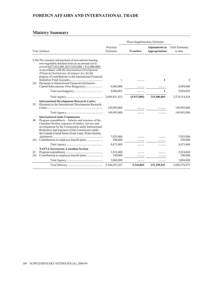### **Ministry Summary**

|           |                                                                                                                                                                                                                                                                                                                                                                                           |                                   |                  | These Supplementary Estimates                  |                                   |  |
|-----------|-------------------------------------------------------------------------------------------------------------------------------------------------------------------------------------------------------------------------------------------------------------------------------------------------------------------------------------------------------------------------------------------|-----------------------------------|------------------|------------------------------------------------|-----------------------------------|--|
|           | Vote (dollars)                                                                                                                                                                                                                                                                                                                                                                            | Previous<br>Estimates             | <b>Transfers</b> | <b>Adjustments to</b><br><b>Appropriations</b> | <b>Total Estimates</b><br>to date |  |
| (S)       | L30a The issuance and payment of non-interest bearing,<br>non-negotiable demand notes in an amount not to<br>exceed \$227,032,000 (\$215,032,000 + \$12,000,000)<br>in accordance with the International Development<br>(Financial Institutions) Assistance Act, for the<br>purpose of contributions to the International Financial<br>Payments to International Financial Institutions - | 1                                 |                  | 1                                              | $\mathfrak{2}$                    |  |
|           | Capital Subscriptions (Non-Budgetary)                                                                                                                                                                                                                                                                                                                                                     | 8,004,000                         |                  |                                                | 8,004,000                         |  |
|           |                                                                                                                                                                                                                                                                                                                                                                                           | 8,004,001                         |                  | 1                                              | 8,004,002                         |  |
|           |                                                                                                                                                                                                                                                                                                                                                                                           | 3,069,851,423                     | (5,937,000)      | 215,400,001                                    | 3,279,314,424                     |  |
| 35        | <b>International Development Research Centre</b><br>Payments to the International Development Research                                                                                                                                                                                                                                                                                    | 149,995,000<br>149,995,000        |                  |                                                | 149,995,000<br>149,995,000        |  |
| 40        | <b>International Joint Commission</b><br>Program expenditures – Salaries and expenses of the<br>Canadian Section, expenses of studies, surveys and<br>investigations by the Commission under International<br>References and expenses of the Commission under<br>the Canada-United States Great Lakes Water Ouality                                                                       | 7,925,000                         |                  |                                                | 7,925,000                         |  |
| (S)       | Contributions to employee benefit plans                                                                                                                                                                                                                                                                                                                                                   | 548,000                           |                  |                                                | 548,000                           |  |
|           |                                                                                                                                                                                                                                                                                                                                                                                           | 8,473,000                         |                  |                                                | 8,473,000                         |  |
| 45<br>(S) | <b>NAFTA Secretariat, Canadian Section</b><br>Contributions to employee benefit plans                                                                                                                                                                                                                                                                                                     | 2,814,000<br>190,000<br>3,004,000 | .<br>.           | .                                              | 2,814,000<br>190,000<br>3,004,000 |  |
|           |                                                                                                                                                                                                                                                                                                                                                                                           | 5,446,033,267                     | 9,344,865        | 231,199,941                                    | 5,686,578,073                     |  |

<u> 1989 - Johann Barn, mars eta bainar eta baina eta baina eta baina eta baina eta baina eta baina eta baina e</u>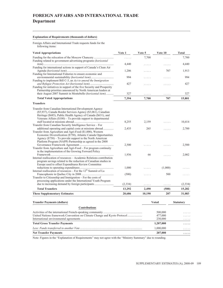### **FOREIGN AFFAIRS AND INTERNATIONAL TRADE Department**

#### **Explanation of Requirements (thousands of dollars)**

Foreign Affairs and International Trade requests funds for the following items:

| <b>Voted Appropriations</b>                                                                                                                                                                                                                                                                                            | Vote 1   | Vote 5 | Vote 10      | <b>Total</b>     |
|------------------------------------------------------------------------------------------------------------------------------------------------------------------------------------------------------------------------------------------------------------------------------------------------------------------------|----------|--------|--------------|------------------|
| Funding related to government advertising programs (horizontal                                                                                                                                                                                                                                                         | .        | 7,700  | .            | 7,700            |
| Funding for international actions in support of Canada's Clean Air                                                                                                                                                                                                                                                     | 4,440    | .      | .            | 4,440            |
| Funding for International Fisheries to ensure economic and                                                                                                                                                                                                                                                             | 1,206    | .      | 707          | 1,913            |
| environmental sustainability (horizontal item)<br>Funding to implement Bill C-3, an <i>Act to amend the Immigration</i>                                                                                                                                                                                                | 994      |        | .            | 994              |
| Funding for initiatives in support of the five Security and Prosperity<br>Partnership priorities announced by North American leaders at                                                                                                                                                                                | 427      | .      | $\ldots$ .   | 427              |
| their August 2007 Summit in Montebello (horizontal item)                                                                                                                                                                                                                                                               | 327      | .      | .            | 327              |
| <b>Total Voted Appropriations</b>                                                                                                                                                                                                                                                                                      | 7,394    | 7,700  | 707          | 15,801           |
| <b>Transfers</b>                                                                                                                                                                                                                                                                                                       |          |        |              |                  |
| Transfer from Canadian International Development Agency<br>(\$5,937), Canada Border Services Agency (\$3,061), Canadian<br>Heritage (\$685), Public Health Agency of Canada (\$631), and<br>Veterans Affairs $(\$100) - To$ provide support to departmental                                                            | 8,255    | 2,159  |              | 10,414           |
| Transfer from Canadian Security Intelligence Service – For                                                                                                                                                                                                                                                             |          |        |              |                  |
| additional operating and capital costs at missions abroad<br>Transfer from Agriculture and Agri-Food (\$1,000), Western<br>Economic Diversification (\$750), Atlantic Canada Opportunities<br>Agency $(\$750)$ – To provide support to the North American<br>Platform Program (NAPP) Partnership as agreed in the 2008 | 2,435    | 265    | .            | 2,700            |
| Transfer from Agriculture and Agri-Food – For program continuity<br>in the implementation of the Growing Forward Policy                                                                                                                                                                                                | 2,500    | .      | $\cdots$     | 2,500            |
| Internal reallocation of resources – Academic Relations contribution<br>program savings related to the reduction of Canadian studies in<br>Europe used to offset Expenditures Review Committee                                                                                                                         | 1,936    | 66     |              | 2,002            |
| Internal reallocation of resources – For the $12th$ Summit of La                                                                                                                                                                                                                                                       | 1,000    |        | (1,000)      |                  |
| Transfer to Citizenship and Immigration – For the costs of<br>processing applications under the International Youth Program                                                                                                                                                                                            | (500)    | .      | 500          |                  |
|                                                                                                                                                                                                                                                                                                                        | (2, 334) | .      | .            | (2, 334)         |
| <b>Total Transfers</b>                                                                                                                                                                                                                                                                                                 | 13,292   | 2,490  | (500)        | 15,282           |
| <b>These Supplementary Estimates</b>                                                                                                                                                                                                                                                                                   | 20,686   | 10,190 | 207          | 31,083           |
| <b>Transfer Payments (dollars)</b>                                                                                                                                                                                                                                                                                     |          |        | <b>Voted</b> | <b>Statutory</b> |

| <b>Contributions</b>                                                     |           |   |
|--------------------------------------------------------------------------|-----------|---|
|                                                                          | 500,000   | . |
| United Nations framework Convention on Climate Change and Kyoto Protocol | 477,000   | . |
|                                                                          | 230,000   | . |
| <b>Total Gross Transfer Payments</b>                                     | 1,207,000 | . |
|                                                                          | 1,000,000 | . |
| <b>Net Transfer Payments</b>                                             | 207,000   | . |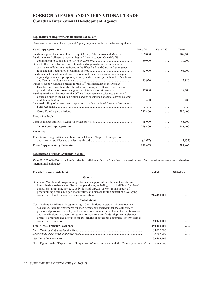## **FOREIGN AFFAIRS AND INTERNATIONAL TRADE Canadian International Development Agency**

#### **Explanation of Requirements (thousands of dollars)**

Canadian International Development Agency requests funds for the following items:

| <b>Voted Appropriations</b>                                                                                                                                                                                                       | Vote 25 | Vote L30 | <b>Total</b> |
|-----------------------------------------------------------------------------------------------------------------------------------------------------------------------------------------------------------------------------------|---------|----------|--------------|
| Funds to support the Global Fund to Fight AIDS, Tuberculosis and Malaria                                                                                                                                                          | 109,000 | .        | 109,000      |
| Funds to expand bilateral programming in Africa to support Canada's G8<br>Grants to the United Nations and international organizations for humanitarian                                                                           | 80,000  | .        | 80,000       |
| assistance to Palestinian refugees in the West Bank and Gaza, and emergency<br>Funds to assist Canada in delivering its renewed focus in the Americas, to support                                                                 | 65,000  | .        | 65,000       |
| regional governance, prosperity, security and economic growth in the Caribbean,<br>Funds to support Canada's pledge for the $11th$ replenishment of the African                                                                   | 13,920  |          | 13,920       |
| Development Fund to enable the African Development Bank to continue to<br>provide interest-free loans and grants to Africa's poorest countries<br>Funding for the net increases to the Official Development Assistance portion of | 12,000  | .        | 12,000       |
| Canada's dues to the United Nations and its specialized agencies as well as other<br>Increased ceiling of issuance and payments to the International Financial Institutions                                                       | 480     | .        | 480          |
|                                                                                                                                                                                                                                   | .       | .        | .            |
| Gross Voted Appropriations                                                                                                                                                                                                        | 280,400 | .        | 280,400      |
| <b>Funds Available</b>                                                                                                                                                                                                            |         |          |              |
|                                                                                                                                                                                                                                   | 65,000  | .        | 65,000       |
| <b>Total Voted Appropriations</b>                                                                                                                                                                                                 | 215,400 | .        | 215,400      |
| <b>Transfers</b>                                                                                                                                                                                                                  |         |          |              |
| Transfer to Foreign Affairs and International Trade – To provide support to                                                                                                                                                       | (5,937) | .        | (5,937)      |
| <b>These Supplementary Estimates</b>                                                                                                                                                                                              | 209,463 | .        | 209,463      |

#### **Explanation of Funds Available (dollars)**

**Vote 25**: \$65,000,000 in total authorities is available within the Vote due to the realignment from contributions to grants related to international assistance.

| <b>Transfer Payments (dollars)</b>                                                                                                                                                                                                                                                                                                                                                                                                                                                | <b>Voted</b>            | <b>Statutory</b> |
|-----------------------------------------------------------------------------------------------------------------------------------------------------------------------------------------------------------------------------------------------------------------------------------------------------------------------------------------------------------------------------------------------------------------------------------------------------------------------------------|-------------------------|------------------|
| Grants                                                                                                                                                                                                                                                                                                                                                                                                                                                                            |                         |                  |
| Grants for Multilateral Programming – Grants in support of development assistance,<br>humanitarian assistance or disaster preparedness, including peace building, for global<br>operations, programs, projects, activities and appeals; as well as in support of<br>programming against hunger, malnutrition and disease for the benefit of developing                                                                                                                            | 216,480,000             |                  |
| <b>Contributions</b>                                                                                                                                                                                                                                                                                                                                                                                                                                                              |                         |                  |
| Contributions for Bilateral Programming – Contributions in support of development<br>assistance, including payments for loan agreements issued under the authority of<br>previous Appropriation Acts, contributions for cooperation with countries in transition<br>and contributions in support of regional or country specific development assistance<br>projects, programs and activities for the benefit of developing countries or territories or<br>countries in transition | 63,920,000              |                  |
| <b>Total Gross Transfer Payments</b>                                                                                                                                                                                                                                                                                                                                                                                                                                              | 280,400,000             |                  |
|                                                                                                                                                                                                                                                                                                                                                                                                                                                                                   | 65,000,000<br>5,937,000 |                  |
| <b>Net Transfer Payments</b>                                                                                                                                                                                                                                                                                                                                                                                                                                                      | 209,463,000             | .                |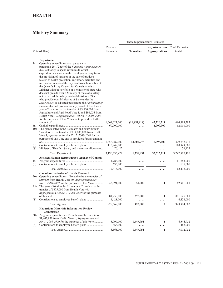|            |                                                                                                                                                                                                                                                                                                                                                                                                                                                                                                                                                                                                                                                                                                                                                                                                                                                                                                                                                                     |                                        | These Supplementary Estimates |                                                |                                        |
|------------|---------------------------------------------------------------------------------------------------------------------------------------------------------------------------------------------------------------------------------------------------------------------------------------------------------------------------------------------------------------------------------------------------------------------------------------------------------------------------------------------------------------------------------------------------------------------------------------------------------------------------------------------------------------------------------------------------------------------------------------------------------------------------------------------------------------------------------------------------------------------------------------------------------------------------------------------------------------------|----------------------------------------|-------------------------------|------------------------------------------------|----------------------------------------|
|            | Vote (dollars)                                                                                                                                                                                                                                                                                                                                                                                                                                                                                                                                                                                                                                                                                                                                                                                                                                                                                                                                                      | Previous<br>Estimates                  | <b>Transfers</b>              | <b>Adjustments to</b><br><b>Appropriations</b> | <b>Total Estimates</b><br>to date      |
| 1a         | Department<br>Operating expenditures and, pursuant to<br>paragraph $29.1(2)(a)$ of the Financial Administration<br>Act, authority to spend revenues to offset<br>expenditures incurred in the fiscal year arising from<br>the provision of services or the sale of products<br>related to health protection, regulatory activities and<br>medical services and the payment to each member of<br>the Queen's Privy Council for Canada who is a<br>Minister without Portfolio or a Minister of State who<br>does not preside over a Ministry of State of a salary<br>not to exceed the salary paid to Ministers of State<br>who preside over Ministries of State under the<br>Salaries Act, as adjusted pursuant to the Parliament of<br>Canada Act and pro rata for any period of less than a<br>year $-$ To authorize the transfer of \$3,500,000 from<br>Agriculture and Agri-Food Vote 1, and \$96,033 from<br>Health Vote 10, Appropriation Act No. 1, 2008-2009 |                                        |                               |                                                |                                        |
| 5a         | for the purposes of this Vote and to provide a further<br>10a The grants listed in the Estimates and contributions –<br>To authorize the transfer of \$14,000,000 from Health<br>Vote 1, Appropriation Act No. 1, 2008-2009 for the<br>purposes of this Vote and to provide a further amount                                                                                                                                                                                                                                                                                                                                                                                                                                                                                                                                                                                                                                                                        | 1,661,621,000<br>60,000,000            | (11,851,918)<br>.             | 45,220,211<br>2,000,000                        | 1,694,989,293<br>62,000,000            |
| (S)<br>(S) | Minister of Health – Salary and motor car allowance                                                                                                                                                                                                                                                                                                                                                                                                                                                                                                                                                                                                                                                                                                                                                                                                                                                                                                                 | 1,358,089,000<br>110,949,000<br>76,422 | 13,608,775<br>.<br>.          | 8,095,000<br>.<br>.                            | 1,379,792,775<br>110,949,000<br>76,422 |
|            |                                                                                                                                                                                                                                                                                                                                                                                                                                                                                                                                                                                                                                                                                                                                                                                                                                                                                                                                                                     | 3,190,735,422                          | 1,756,857                     | 55,315,211                                     | 3,247,807,490                          |
| 15<br>(S)  | <b>Assisted Human Reproduction Agency of Canada</b>                                                                                                                                                                                                                                                                                                                                                                                                                                                                                                                                                                                                                                                                                                                                                                                                                                                                                                                 | 11,783,000<br>635,000<br>12,418,000    | .<br>.                        | .<br>.                                         | 11,783,000<br>635,000<br>12,418,000    |
|            | <b>Canadian Institutes of Health Research</b><br>20a Operating expenditures – To authorize the transfer of<br>\$50,000 from Health Vote 40, <i>Appropriation Act</i><br><i>No. 1, 2008-2009</i> for the purposes of this Vote<br>25a The grants listed in the Estimates $-$ To authorize the<br>transfer of \$375,000 from Health Vote 40,                                                                                                                                                                                                                                                                                                                                                                                                                                                                                                                                                                                                                          | 42,891,000                             | 50,000                        | $\mathbf{1}$                                   | 42,941,001                             |
| (S)        | Appropriation Act No. 1, 2008-2009 for the purposes                                                                                                                                                                                                                                                                                                                                                                                                                                                                                                                                                                                                                                                                                                                                                                                                                                                                                                                 | 881,250,000<br>4,428,000               | 375,000<br>.                  | 1<br>.                                         | 881,625,001<br>4,428,000               |
|            | <b>Hazardous Materials Information Review</b><br>Commission                                                                                                                                                                                                                                                                                                                                                                                                                                                                                                                                                                                                                                                                                                                                                                                                                                                                                                         | 928,569,000                            | 425,000                       | $\overline{2}$                                 | 928,994,002                            |
| (S)        | $30a$ Program expenditures – To authorize the transfer of<br>\$1,447,951 from Health Vote 1, Appropriation Act<br><i>No. 1, 2008-2009</i> for the purposes of this Vote                                                                                                                                                                                                                                                                                                                                                                                                                                                                                                                                                                                                                                                                                                                                                                                             | 3,097,000<br>468,000<br>3,565,000      | 1,447,951<br>.<br>1,447,951   | 1<br>.<br>1                                    | 4,544,952<br>468,000<br>5,012,952      |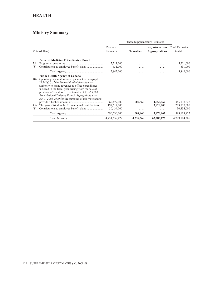# **HEALTH**

|                   |                                                                                                                                                                                                                                                                                                                                                                                                                                                                                           |                                          | These Supplementary Estimates |                                                |                                            |
|-------------------|-------------------------------------------------------------------------------------------------------------------------------------------------------------------------------------------------------------------------------------------------------------------------------------------------------------------------------------------------------------------------------------------------------------------------------------------------------------------------------------------|------------------------------------------|-------------------------------|------------------------------------------------|--------------------------------------------|
|                   | Vote (dollars)                                                                                                                                                                                                                                                                                                                                                                                                                                                                            | Previous<br>Estimates                    | <b>Transfers</b>              | <b>Adjustments to</b><br><b>Appropriations</b> | <b>Total Estimates</b><br>to date          |
| 35<br>(S)         | <b>Patented Medicine Prices Review Board</b>                                                                                                                                                                                                                                                                                                                                                                                                                                              | 5,211,000<br>631,000                     | .                             |                                                | 5,211,000<br>631,000                       |
|                   |                                                                                                                                                                                                                                                                                                                                                                                                                                                                                           | 5,842,000                                |                               |                                                | 5,842,000                                  |
| 40a<br>45a<br>(S) | <b>Public Health Agency of Canada</b><br>Operating expenditures and, pursuant to paragraph<br>$29.1(2)(a)$ of the Financial Administration Act,<br>authority to spend revenues to offset expenditures<br>incurred in the fiscal year arising from the sale of<br>products – To authorize the transfer of $$1,665,000$<br>from National Defence Vote 5, Appropriation Act<br>No. 1, 2008-2009 for the purposes of this Vote and to<br>The grants listed in the Estimates and contributions | 360,479,000<br>199,617,000<br>30,434,000 | 608,860<br>.<br>.             | 4,050,962<br>3,920,000                         | 365, 138, 822<br>203,537,000<br>30,434,000 |
|                   |                                                                                                                                                                                                                                                                                                                                                                                                                                                                                           | 590,530,000                              | 608,860                       | 7,970,962                                      | 599,109,822                                |
|                   |                                                                                                                                                                                                                                                                                                                                                                                                                                                                                           | 4,731,659,422                            | 4,238,668                     | 63,286,176                                     | 4.799.184.266                              |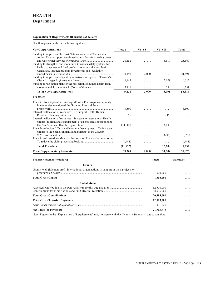### **Explanation of Requirements (thousands of dollars)**

Health requests funds for the following items:

| <b>Voted Appropriations</b>                                                                                                                                                                                                                                                | Vote 1    | Vote 5 | Vote 10                 | Total            |
|----------------------------------------------------------------------------------------------------------------------------------------------------------------------------------------------------------------------------------------------------------------------------|-----------|--------|-------------------------|------------------|
| Funding to implement the First Nations Water and Wastewater<br>Action Plan to support continued access for safe drinking water<br>Funding to strengthen and modernize Canada's safety systems for<br>health, consumer and food products to protect the health of           | 20,152    | .      | 5,517                   | 25,669           |
| Canadians, through program investments and legislative                                                                                                                                                                                                                     | 19,491    | 2,000  | .                       | 21,491           |
| Funding to implement adaptation initiatives in support of Canada's                                                                                                                                                                                                         | 2,447     | .      | 2,078                   | 4,525            |
| Funding for an action plan for the protection of human health from                                                                                                                                                                                                         | 3,131     | .      | 500                     | 3,631            |
| <b>Total Voted Appropriations</b>                                                                                                                                                                                                                                          | 45,221    | 2,000  | 8,095                   | 55,316           |
| <b>Transfers</b>                                                                                                                                                                                                                                                           |           |        |                         |                  |
| Transfer from Agriculture and Agri-Food – For program continuity<br>in the implementation of the Growing Forward Policy<br>Internal reallocation of resources – To support Health Human                                                                                    | 3,500     |        |                         | 3,500            |
|                                                                                                                                                                                                                                                                            | 96        | .      | (96)                    | .                |
| Internal reallocation of resources – Increase to International Health<br>Grants Program and establishment of an assessed contribution to<br>Transfer to Indian Affairs and Northern Development – To increase<br>Grants to the Sechelt Indian Band pursuant to the Sechelt | (14,000)  | .      | 14,000                  | .                |
| Transfer to Hazardous Materials Information Review Commission -                                                                                                                                                                                                            | .         | .      | (295)                   | (295)            |
|                                                                                                                                                                                                                                                                            | (1, 448)  | .      | .                       | (1, 448)         |
| <b>Total Transfers</b>                                                                                                                                                                                                                                                     | (11, 852) | .      | 13,609                  | 1,757            |
| <b>These Supplementary Estimates</b>                                                                                                                                                                                                                                       | 33,369    | 2,000  | 21,704                  | 57,073           |
| <b>Transfer Payments (dollars)</b>                                                                                                                                                                                                                                         |           |        | <b>Voted</b>            | <b>Statutory</b> |
| <b>Grants</b>                                                                                                                                                                                                                                                              |           |        |                         |                  |
| Grants to eligible non-profit international organizations in support of their projects or                                                                                                                                                                                  |           |        | 1,500,000               | .                |
| <b>Total Gross Grants</b>                                                                                                                                                                                                                                                  |           |        | 1,500,000               |                  |
| <b>Contributions</b>                                                                                                                                                                                                                                                       |           |        |                         |                  |
|                                                                                                                                                                                                                                                                            |           |        | 12,500,000<br>8,095,000 | .                |
| <b>Total Gross Contributions</b>                                                                                                                                                                                                                                           |           |        | 20,595,000              | .                |
| <b>Total Gross Transfer Payments</b>                                                                                                                                                                                                                                       |           |        | 22,095,000              | .                |
|                                                                                                                                                                                                                                                                            |           |        | 391,225                 | .                |
| <b>Net Transfer Payments</b>                                                                                                                                                                                                                                               |           |        | 21,703,775              | .                |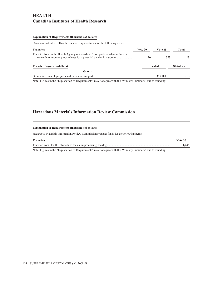# **HEALTH Canadian Institutes of Health Research**

#### **Explanation of Requirements (thousands of dollars)**

Canadian Institutes of Health Research requests funds for the following items:

| <b>Transfers</b>                                                             | Vote 20 | Vote 25 | Total            |
|------------------------------------------------------------------------------|---------|---------|------------------|
| Transfer from Public Health Agency of Canada – To support Canadian influenza | 50      | 375     | 425              |
| <b>Transfer Payments (dollars)</b>                                           |         | Voted   | <b>Statutory</b> |
| Grants                                                                       |         |         |                  |
|                                                                              |         | 375,000 | .                |

Note: Figures in the "Explanation of Requirements" may not agree with the "Ministry Summary" due to rounding.

### **Hazardous Materials Information Review Commission**

#### **Explanation of Requirements (thousands of dollars)**

Hazardous Materials Information Review Commission requests funds for the following items:

| <b>Transfers</b> | Vote 30 |
|------------------|---------|
|                  | 1.448   |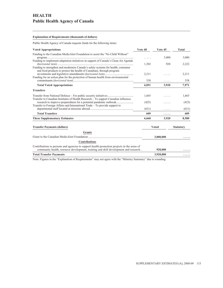# **HEALTH Public Health Agency of Canada**

### **Explanation of Requirements (thousands of dollars)**

Public Health Agency of Canada requests funds for the following items:

| <b>Voted Appropriations</b>                                                                                                                                                                                                                   | Vote 40 | Vote 45      | Total            |
|-----------------------------------------------------------------------------------------------------------------------------------------------------------------------------------------------------------------------------------------------|---------|--------------|------------------|
| Funding to the Canadian MedicAlert Foundation to assist the "No Child Without"                                                                                                                                                                |         | 3,000        | 3,000            |
| Funding to implement adaptation initiatives in support of Canada's Clean Air Agenda                                                                                                                                                           | 1,302   | 920          | 2,222            |
| Funding to strengthen and modernize Canada's safety systems for health, consumer<br>and food products to protect the health of Canadians, through program<br>Funding for an action plan for the protection of human health from environmental | 2,211   | .            | 2,211            |
|                                                                                                                                                                                                                                               | 538     | .            | 538              |
| <b>Total Voted Appropriations</b>                                                                                                                                                                                                             | 4,051   | 3,920        | 7,971            |
| <b>Transfers</b>                                                                                                                                                                                                                              |         |              |                  |
| Transfer to Canadian Institutes of Health Research – To support Canadian influenza                                                                                                                                                            | 1,665   |              | 1,665            |
| Transfer to Foreign Affairs and International Trade – To provide support to                                                                                                                                                                   | (425)   | .            | (425)            |
|                                                                                                                                                                                                                                               | (631)   | .            | (631)            |
| <b>Total Transfers</b>                                                                                                                                                                                                                        | 609     | .            | 609              |
| <b>These Supplementary Estimates</b>                                                                                                                                                                                                          | 4,660   | 3,920        | 8,580            |
| <b>Transfer Payments (dollars)</b>                                                                                                                                                                                                            |         | <b>Voted</b> | <b>Statutory</b> |
| <b>Grants</b>                                                                                                                                                                                                                                 |         |              |                  |
|                                                                                                                                                                                                                                               |         | 3,000,000    |                  |
| <b>Contributions</b>                                                                                                                                                                                                                          |         |              |                  |
| Contributions to persons and agencies to support health promotion projects in the areas of<br>community health, resource development, training and skill development and research                                                             |         | 920,000      |                  |
| <b>Total Transfer Payments</b>                                                                                                                                                                                                                |         | 3,920,000    | .                |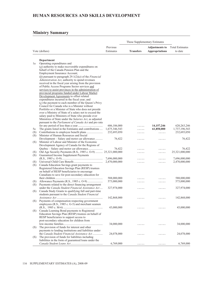## **HUMAN RESOURCES AND SKILLS DEVELOPMENT**

|     |                                                                                                           |                       | These Supplementary Estimates |                                                |                                   |
|-----|-----------------------------------------------------------------------------------------------------------|-----------------------|-------------------------------|------------------------------------------------|-----------------------------------|
|     | Vote (dollars)                                                                                            | Previous<br>Estimates | <b>Transfers</b>              | <b>Adjustments to</b><br><b>Appropriations</b> | <b>Total Estimates</b><br>to date |
|     |                                                                                                           |                       |                               |                                                |                                   |
|     | Department                                                                                                |                       |                               |                                                |                                   |
| 1a  | Operating expenditures and                                                                                |                       |                               |                                                |                                   |
|     | $(a)$ authority to make recoverable expenditures on                                                       |                       |                               |                                                |                                   |
|     | behalf of the Canada Pension Plan and the<br>Employment Insurance Account;                                |                       |                               |                                                |                                   |
|     | $(\underline{b})$ pursuant to paragraph 29.1(2)( <i>a</i> ) of the <i>Financial</i>                       |                       |                               |                                                |                                   |
|     | Administration Act, authority to spend revenues                                                           |                       |                               |                                                |                                   |
|     | received in the fiscal year arising from the provision                                                    |                       |                               |                                                |                                   |
|     | of Public Access Programs Sector services and                                                             |                       |                               |                                                |                                   |
|     | services to assist provinces in the administration of                                                     |                       |                               |                                                |                                   |
|     | provincial programs funded under Labour Market                                                            |                       |                               |                                                |                                   |
|     | Development Agreements to offset related                                                                  |                       |                               |                                                |                                   |
|     | expenditures incurred in the fiscal year; and                                                             |                       |                               |                                                |                                   |
|     | $(c)$ the payment to each member of the Queen's Privy<br>Council for Canada who is a Minister without     |                       |                               |                                                |                                   |
|     | Portfolio or a Minister of State who does not preside                                                     |                       |                               |                                                |                                   |
|     | over a Ministry of State of a salary not to exceed the                                                    |                       |                               |                                                |                                   |
|     | salary paid to Ministers of State who preside over                                                        |                       |                               |                                                |                                   |
|     | Ministries of State under the Salaries Act, as adjusted                                                   |                       |                               |                                                |                                   |
|     | pursuant to the Parliament of Canada Act and pro rata                                                     |                       |                               |                                                |                                   |
|     |                                                                                                           | 606,106,000           |                               | 14, 157, 246                                   | 620, 263, 246                     |
| 5a  | The grants listed in the Estimates and contributions                                                      | 1,675,346,543         |                               | 61,850,000                                     | 1,737,196,543                     |
| (S) | Minister of Human Resources and Social                                                                    | 232,693,050           |                               | .                                              | 232,693,050                       |
| (S) | Development – Salary and motor car allowance                                                              | 76,422                | .                             | .                                              | 76,422                            |
| (S) | Minister of Labour and Minister of the Economic                                                           |                       |                               |                                                |                                   |
|     | Development Agency of Canada for the Regions of                                                           |                       |                               |                                                |                                   |
|     | Quebec - Salary and motor car allowance                                                                   | 76,422                |                               |                                                | 76,422                            |
| (S) | Old Age Security Payments (R.S., 1985 c. O-9)  25,321,000,000                                             |                       |                               |                                                | 25,321,000,000                    |
| (S) | Guaranteed Income Supplement Payments                                                                     |                       |                               |                                                |                                   |
|     |                                                                                                           | 7,696,000,000         |                               |                                                | 7,696,000,000                     |
| (S) | Canada Education Savings grant payments to                                                                | 2,470,000,000         |                               | .                                              | 2,470,000,000                     |
| (S) | Registered Education Savings Plan (RESP) trustees                                                         |                       |                               |                                                |                                   |
|     | on behalf of RESP beneficiaries to encourage                                                              |                       |                               |                                                |                                   |
|     | Canadians to save for post-secondary education for                                                        |                       |                               |                                                |                                   |
|     |                                                                                                           | 588,000,000           |                               |                                                | 588,000,000                       |
| (S) |                                                                                                           | 573,000,000           |                               |                                                | 573,000,000                       |
| (S) | Payments related to the direct financing arrangement                                                      |                       |                               |                                                |                                   |
|     | under the Canada Student Financial Assistance Act                                                         | 327,974,000           |                               |                                                | 327,974,000                       |
| (S) | Canada Study Grants to qualifying full and part-time<br>students pursuant to the Canada Student Financial |                       |                               |                                                |                                   |
|     |                                                                                                           | 142,868,000           | .                             | .                                              | 142,868,000                       |
|     | (S) Payments of compensation respecting government                                                        |                       |                               |                                                |                                   |
|     | employees (R.S., 1985 c. G-5) and merchant seamen                                                         |                       |                               |                                                |                                   |
|     |                                                                                                           | 43,000,000            |                               |                                                | 43,000,000                        |
| (S) | Canada Learning Bond payments to Registered                                                               |                       |                               |                                                |                                   |
|     | Education Savings Plan (RESP) trustees on behalf of                                                       |                       |                               |                                                |                                   |
|     | RESP beneficiaries to support access to                                                                   |                       |                               |                                                |                                   |
|     | post-secondary education for children from                                                                |                       |                               |                                                |                                   |
| (S) | The provision of funds for interest and other                                                             | 34,000,000            |                               |                                                | 34,000,000                        |
|     | payments to lending institutions and liabilities under                                                    |                       |                               |                                                |                                   |
|     | the Canada Student Financial Assistance Act                                                               | 24,078,000            | .                             |                                                | 24,078,000                        |
| (S) | The provision of funds for liabilities including                                                          |                       |                               |                                                |                                   |
|     | liabilities in the form of guaranteed loans under the                                                     |                       |                               |                                                |                                   |
|     |                                                                                                           | 6,769,000             | .                             | .                                              | 6,769,000                         |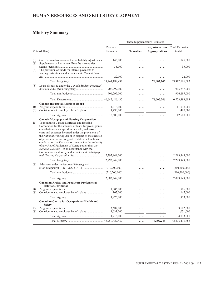## **HUMAN RESOURCES AND SKILLS DEVELOPMENT**

|            |                                                                                                                                                                                                                                                                                                                                                                                                                                                                                                                                                            |                                   | These Supplementary Estimates |                       |                                   |
|------------|------------------------------------------------------------------------------------------------------------------------------------------------------------------------------------------------------------------------------------------------------------------------------------------------------------------------------------------------------------------------------------------------------------------------------------------------------------------------------------------------------------------------------------------------------------|-----------------------------------|-------------------------------|-----------------------|-----------------------------------|
|            |                                                                                                                                                                                                                                                                                                                                                                                                                                                                                                                                                            | Previous                          |                               | <b>Adjustments to</b> | <b>Total Estimates</b>            |
|            | Vote (dollars)                                                                                                                                                                                                                                                                                                                                                                                                                                                                                                                                             | Estimates                         | <b>Transfers</b>              | <b>Appropriations</b> | to date                           |
| (S)<br>(S) | Civil Service Insurance actuarial liability adjustments.<br>Supplementary Retirement Benefits - Annuities                                                                                                                                                                                                                                                                                                                                                                                                                                                  | 145,000                           |                               |                       | 145,000                           |
| (S)        | The provision of funds for interest payments to                                                                                                                                                                                                                                                                                                                                                                                                                                                                                                            | 35,000                            |                               |                       | 35,000                            |
|            | lending institutions under the Canada Student Loans                                                                                                                                                                                                                                                                                                                                                                                                                                                                                                        | 22,000                            | .                             | .                     | 22,000                            |
|            |                                                                                                                                                                                                                                                                                                                                                                                                                                                                                                                                                            |                                   | .                             | 76,007,246            | 39,817,196,683                    |
| (S)        | Loans disbursed under the Canada Student Financial                                                                                                                                                                                                                                                                                                                                                                                                                                                                                                         | 906,297,000                       | .                             |                       | 906,297,000                       |
|            |                                                                                                                                                                                                                                                                                                                                                                                                                                                                                                                                                            | 906,297,000                       | .                             | .                     | 906,297,000                       |
|            |                                                                                                                                                                                                                                                                                                                                                                                                                                                                                                                                                            |                                   | .                             | 76,007,246            | 40,723,493,683                    |
| 10<br>(S)  | <b>Canada Industrial Relations Board</b>                                                                                                                                                                                                                                                                                                                                                                                                                                                                                                                   | 11,018,000<br>1,490,000           | .<br>.                        | .<br>.                | 11,018,000<br>1,490,000           |
|            |                                                                                                                                                                                                                                                                                                                                                                                                                                                                                                                                                            | 12,508,000                        | .                             | .                     | 12,508,000                        |
| 15         | To reimburse Canada Mortgage and Housing<br>Corporation for the amounts of loans forgiven, grants,<br>contributions and expenditures made, and losses,<br>costs and expenses incurred under the provisions of<br>the <i>National Housing Act</i> or in respect of the exercise<br>of powers or the carrying out of duties or functions<br>conferred on the Corporation pursuant to the authority<br>of any Act of Parliament of Canada other than the<br>National Housing Act, in accordance with the<br>Corporation's authority under the Canada Mortgage | 2,293,949,000                     |                               |                       | 2,293,949,000                     |
|            |                                                                                                                                                                                                                                                                                                                                                                                                                                                                                                                                                            | 2,293,949,000                     | .                             | .                     | 2,293,949,000                     |
| (S)        | Advances under the National Housing Act                                                                                                                                                                                                                                                                                                                                                                                                                                                                                                                    | (210,200,000)                     | .                             | .                     | (210,200,000)                     |
|            |                                                                                                                                                                                                                                                                                                                                                                                                                                                                                                                                                            | (210,200,000)                     | .                             | .                     | (210,200,000)                     |
|            | <b>Canadian Artists and Producers Professional</b>                                                                                                                                                                                                                                                                                                                                                                                                                                                                                                         | 2,083,749,000                     | .                             | .                     | 2,083,749,000                     |
| 20<br>(S)  | <b>Relations Tribunal</b><br><b>Canadian Centre for Occupational Health and</b>                                                                                                                                                                                                                                                                                                                                                                                                                                                                            | 1,806,000<br>167,000<br>1,973,000 | .<br>.<br>.                   | .<br>.<br>.           | 1,806,000<br>167,000<br>1,973,000 |
| 25<br>(S)  | <b>Safety</b>                                                                                                                                                                                                                                                                                                                                                                                                                                                                                                                                              | 3,682,000<br>1,031,000            | .<br>.                        | .                     | 3,682,000<br>1,031,000            |
|            |                                                                                                                                                                                                                                                                                                                                                                                                                                                                                                                                                            | 4,713,000                         | .                             | .                     | 4,713,000                         |
|            |                                                                                                                                                                                                                                                                                                                                                                                                                                                                                                                                                            |                                   | .                             | 76,007,246            | 42,826,436,683                    |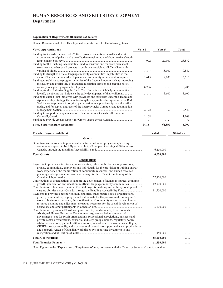# **HUMAN RESOURCES AND SKILLS DEVELOPMENT Department**

### **Explanation of Requirements (thousands of dollars)**

Human Resources and Skills Development requests funds for the following items:

| <b>Voted Appropriations</b>                                                                                                                                                                                                                                                                                                                                                                                                                                                                                                                                                                                 | Vote 1 | Vote 5       | Total            |
|-------------------------------------------------------------------------------------------------------------------------------------------------------------------------------------------------------------------------------------------------------------------------------------------------------------------------------------------------------------------------------------------------------------------------------------------------------------------------------------------------------------------------------------------------------------------------------------------------------------|--------|--------------|------------------|
| Funding for Canada Summer Jobs 2008 to provide students with skills and work<br>experiences to help them make an effective transition to the labour market (Youth                                                                                                                                                                                                                                                                                                                                                                                                                                           |        |              |                  |
| Funding for the Enabling Accessibility Fund to construct and renovate permanent                                                                                                                                                                                                                                                                                                                                                                                                                                                                                                                             | 972    | 27,900       | 28,872           |
| structures and other small projects to be fully accessible to all Canadians with                                                                                                                                                                                                                                                                                                                                                                                                                                                                                                                            | 1,847  | 18,000       | 19,847           |
| Funding to strengthen official language minority communities' capabilities in the<br>areas of human resources development and community economic development                                                                                                                                                                                                                                                                                                                                                                                                                                                | 1,615  | 12,000       | 13,615           |
| Funding to stabilize core program activities of the Labour Program such as improving<br>the quality and availability of mandated mediation services and creating policy                                                                                                                                                                                                                                                                                                                                                                                                                                     |        |              |                  |
| Funding for the Understanding the Early Years Initiative which helps communities                                                                                                                                                                                                                                                                                                                                                                                                                                                                                                                            | 6,286  | .            | 6,286            |
| identify the factors that influence the early development of their children<br>Funding to extend joint initiatives with provinces and territories under the Trades and<br>Apprenticeship Strategy that aim to strengthen apprenticeship systems in the Red<br>Seal trades, to promote Aboriginal participation in apprenticeships and the skilled<br>trades, and for capital upgrades of the Interprovincial Computerized Examination                                                                                                                                                                       |        | 3,600        | 3,600            |
|                                                                                                                                                                                                                                                                                                                                                                                                                                                                                                                                                                                                             | 2,192  | 350          | 2,542            |
| Funding to support the implementation of a new Service Canada call centre in                                                                                                                                                                                                                                                                                                                                                                                                                                                                                                                                | 1,168  |              | 1,168            |
|                                                                                                                                                                                                                                                                                                                                                                                                                                                                                                                                                                                                             | 77     | .            | 77               |
| <b>These Supplementary Estimates</b>                                                                                                                                                                                                                                                                                                                                                                                                                                                                                                                                                                        | 14,157 | 61,850       | 76,007           |
| <b>Transfer Payments (dollars)</b>                                                                                                                                                                                                                                                                                                                                                                                                                                                                                                                                                                          |        | <b>Voted</b> | <b>Statutory</b> |
| Grants                                                                                                                                                                                                                                                                                                                                                                                                                                                                                                                                                                                                      |        |              |                  |
| Grant to construct/renovate permanent structures and small projects emphasizing<br>community support to be fully accessible to all people of varying abilities across                                                                                                                                                                                                                                                                                                                                                                                                                                       |        | 6,250,000    |                  |
| <b>Total Grants</b>                                                                                                                                                                                                                                                                                                                                                                                                                                                                                                                                                                                         |        | 6,250,000    |                  |
| <b>Contributions</b>                                                                                                                                                                                                                                                                                                                                                                                                                                                                                                                                                                                        |        |              |                  |
| Payments to provinces, territories, municipalities, other public bodies, organizations,<br>groups, communities, employers and individuals for the provision of training and/or<br>work experience, the mobilization of community resources, and human resource<br>planning and adjustment measures necessary for the efficient functioning of the<br>Contributions to organizations to support the development of human resources, economic                                                                                                                                                                 |        | 27,900,000   |                  |
| growth, job creation and retention in official language minority communities<br>Contributions to fund construction of capital projects enabling accessibility to all people of                                                                                                                                                                                                                                                                                                                                                                                                                              |        | 12,000,000   |                  |
| varying abilities across Canada, through the Enabling Accessibility Fund<br>Payments to provinces, territories, municipalities, other public bodies, organizations,                                                                                                                                                                                                                                                                                                                                                                                                                                         |        | 11,750,000   |                  |
| groups, communities, employers and individuals for the provision of training and/or<br>work or business experience, the mobilization of community resources, and human<br>resource planning and adjustment measures necessary for the social development of                                                                                                                                                                                                                                                                                                                                                 |        | 3,600,000    |                  |
| Contributions to provincial/territorial governments, band councils, tribal councils,<br>Aboriginal Human Resources Development Agreement holders, municipal<br>governments, not-for-profit organizations, professional associations, business and<br>private sector organizations, consortia, industry groups, unions, regulatory bodies,<br>ad-hoc associations, public health institutions, school boards, universities, colleges,<br>CEGEPs, sector councils, and cross-sectoral councils to support enhanced productivity<br>and competitiveness of Canadian workplaces by supporting investment in and |        |              |                  |
|                                                                                                                                                                                                                                                                                                                                                                                                                                                                                                                                                                                                             |        | 350,000      |                  |
| <b>Total Contributions</b>                                                                                                                                                                                                                                                                                                                                                                                                                                                                                                                                                                                  |        | 55,600,000   |                  |
| <b>Total Transfer Payments</b>                                                                                                                                                                                                                                                                                                                                                                                                                                                                                                                                                                              |        | 61,850,000   | .                |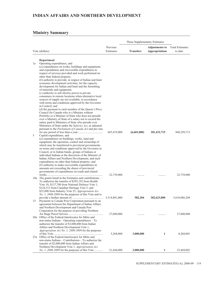## **INDIAN AFFAIRS AND NORTHERN DEVELOPMENT**

### **Ministry Summary**

|    |                                                                                                                 |                       | These Supplementary Estimates |                                                |                                   |
|----|-----------------------------------------------------------------------------------------------------------------|-----------------------|-------------------------------|------------------------------------------------|-----------------------------------|
|    | Vote (dollars)                                                                                                  | Previous<br>Estimates | <b>Transfers</b>              | <b>Adjustments to</b><br><b>Appropriations</b> | <b>Total Estimates</b><br>to date |
|    | Department                                                                                                      |                       |                               |                                                |                                   |
| 1a | Operating expenditures, and                                                                                     |                       |                               |                                                |                                   |
|    | $(a)$ expenditures on works, buildings and equipment;<br>and expenditures and recoverable expenditures in       |                       |                               |                                                |                                   |
|    | respect of services provided and work performed on                                                              |                       |                               |                                                |                                   |
|    | other than federal property;                                                                                    |                       |                               |                                                |                                   |
|    | $(b)$ authority to provide, in respect of Indian and Inuit                                                      |                       |                               |                                                |                                   |
|    | economic development activities, for the capacity<br>development for Indian and Inuit and the furnishing        |                       |                               |                                                |                                   |
|    | of materials and equipment;                                                                                     |                       |                               |                                                |                                   |
|    | $(c)$ authority to sell electric power to private                                                               |                       |                               |                                                |                                   |
|    | consumers in remote locations when alternative local                                                            |                       |                               |                                                |                                   |
|    | sources of supply are not available, in accordance<br>with terms and conditions approved by the Governor        |                       |                               |                                                |                                   |
|    | in Council; and                                                                                                 |                       |                               |                                                |                                   |
|    | (d) the payment to each member of the Queen's Privy                                                             |                       |                               |                                                |                                   |
|    | Council for Canada who is a Minister without                                                                    |                       |                               |                                                |                                   |
|    | Portfolio or a Minister of State who does not preside<br>over a Ministry of State of a salary not to exceed the |                       |                               |                                                |                                   |
|    | salary paid to Ministers of State who preside over                                                              |                       |                               |                                                |                                   |
|    | Ministries of State under the Salaries Act, as adjusted                                                         |                       |                               |                                                |                                   |
|    | pursuant to the Parliament of Canada Act and pro rata                                                           |                       |                               |                                                |                                   |
| 5  | Capital expenditures, and                                                                                       | 665,419,000           | (6,601,000)                   | 181, 432, 715                                  | 840,250,715                       |
|    | $(a)$ expenditures on buildings, works, land and                                                                |                       |                               |                                                |                                   |
|    | equipment, the operation, control and ownership of                                                              |                       |                               |                                                |                                   |
|    | which may be transferred to provincial governments                                                              |                       |                               |                                                |                                   |
|    | on terms and conditions approved by the Governor in<br>Council, or to Indian bands, groups of Indians or        |                       |                               |                                                |                                   |
|    | individual Indians at the discretion of the Minister of                                                         |                       |                               |                                                |                                   |
|    | Indian Affairs and Northern Development, and such                                                               |                       |                               |                                                |                                   |
|    | expenditures on other than federal property; and                                                                |                       |                               |                                                |                                   |
|    | $(b)$ authority to make recoverable expenditures in<br>amounts not exceeding the shares of provincial           |                       |                               |                                                |                                   |
|    | governments of expenditures on roads and related                                                                |                       |                               |                                                |                                   |
|    |                                                                                                                 | 22,739,000            |                               |                                                | 22,739,000                        |
|    | 10a The grants listed in the Estimates and contributions –                                                      |                       |                               |                                                |                                   |
|    | To authorize the transfer of \$295,192 from Health<br>Vote 10, \$137,700 from National Defence Vote 1,          |                       |                               |                                                |                                   |
|    | \$124,312 from Canadian Heritage Vote 5, and                                                                    |                       |                               |                                                |                                   |
|    | \$25,000 from Industry Vote 25, Appropriation Act                                                               |                       |                               |                                                |                                   |
|    | No. 1, 2008-2009 for the purposes of this Vote and to                                                           |                       |                               |                                                |                                   |
| 15 | Payments to Canada Post Corporation pursuant to an                                                              | 5,314,881,000         | 582,204                       | 302,623,000                                    | 5,618,086,204                     |
|    | agreement between the Department of Indian Affairs                                                              |                       |                               |                                                |                                   |
|    | and Northern Development and Canada Post                                                                        |                       |                               |                                                |                                   |
|    | Corporation for the purpose of providing Northern                                                               |                       |                               |                                                |                                   |
|    | 20a Office of the Federal Interlocutor for Métis and                                                            | 27,600,000            |                               |                                                | 27,600,000                        |
|    | $non-status$ Indians – Operating expenditures – To                                                              |                       |                               |                                                |                                   |
|    | authorize the transfer of \$3,000,000 from Indian                                                               |                       |                               |                                                |                                   |
|    | Affairs and Northern Development Vote 1,                                                                        |                       |                               |                                                |                                   |
|    | <i>Appropriation Act No. 1, 2008-2009</i> for the purposes                                                      | 5,268,000             | 3,000,000                     | 1                                              | 8,268,001                         |
|    | 25a Office of the Federal Interlocutor for Métis and                                                            |                       |                               |                                                |                                   |
|    | non-status Indians – Contributions – To authorize the                                                           |                       |                               |                                                |                                   |
|    | transfer of \$2,000,000 from Indian Affairs and                                                                 |                       |                               |                                                |                                   |
|    | Northern Development Vote 1, Appropriation Act<br><i>No. 1, 2008-2009</i> for the purposes of this Vote         | 21,444,000            | 2,000,000                     | 1                                              | 23,444,001                        |

<u> 1989 - Johann Stoff, deutscher Stoff, der Stoff, der Stoff, der Stoff, der Stoff, der Stoff, der Stoff, der S</u>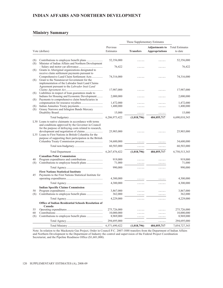### **INDIAN AFFAIRS AND NORTHERN DEVELOPMENT**

### **Ministry Summary**

|            |                                                                                                                                                                                                                                                                           |                          | These Supplementary Estimates |                                                |                                   |  |  |  |
|------------|---------------------------------------------------------------------------------------------------------------------------------------------------------------------------------------------------------------------------------------------------------------------------|--------------------------|-------------------------------|------------------------------------------------|-----------------------------------|--|--|--|
|            | Vote (dollars)                                                                                                                                                                                                                                                            | Previous<br>Estimates    | <b>Transfers</b>              | <b>Adjustments to</b><br><b>Appropriations</b> | <b>Total Estimates</b><br>to date |  |  |  |
| (S)        |                                                                                                                                                                                                                                                                           | 52,356,000               |                               |                                                | 52,356,000                        |  |  |  |
| (S)        | Minister of Indian Affairs and Northern Development                                                                                                                                                                                                                       | 76,422                   | .                             | .                                              | 76,422                            |  |  |  |
| (S)<br>(S) | Grants to Aboriginal organizations designated to<br>receive claim settlement payments pursuant to<br>Comprehensive Land Claim Settlement Acts<br>Grant to the Nunatsiavut Government for the                                                                              | 74,316,000               | .                             | .                                              | 74,316,000                        |  |  |  |
|            | implementation of the Labrador Inuit Land Claims<br>Agreement pursuant to the Labrador Inuit Land                                                                                                                                                                         | 17,987,000               | .                             | .                                              | 17,987,000                        |  |  |  |
| (S)<br>(S) | Liabilities in respect of loan guarantees made to<br>Indians for Housing and Economic Development<br>Payments to comprehensive claim beneficiaries in                                                                                                                     | 2,000,000                | .                             | .                                              | 2,000,000                         |  |  |  |
| (S)<br>(S) | Grassy Narrows and Islington Bands Mercury                                                                                                                                                                                                                                | 1,472,000<br>1,400,000   | .                             | .                                              | 1,472,000<br>1,400,000            |  |  |  |
|            |                                                                                                                                                                                                                                                                           | 15,000                   |                               |                                                | 15,000                            |  |  |  |
|            |                                                                                                                                                                                                                                                                           | 6,206,973,422            | (1,018,796)                   | 484,055,717                                    | 6,690,010,343                     |  |  |  |
|            | and conditions approved by the Governor in Council<br>for the purpose of defraying costs related to research,<br>L35 Loans to First Nations in British Columbia for the<br>purpose of supporting their participation in the British<br>Columbia Treaty Commission process | 25,903,000<br>34,600,000 | .<br>.                        | .<br>.                                         | 25,903,000<br>34,600,000          |  |  |  |
|            |                                                                                                                                                                                                                                                                           | 60,503,000               | .                             | .                                              | 60,503,000                        |  |  |  |
|            |                                                                                                                                                                                                                                                                           | 6, 267, 476, 422         | (1,018,796)                   | 484,055,717                                    | 6,750,513,343                     |  |  |  |
| 40<br>(S)  | <b>Canadian Polar Commission</b><br>Contributions to employee benefit plans                                                                                                                                                                                               | 919,000<br>71,000        | .<br>.                        | .<br>.                                         | 919,000<br>71,000                 |  |  |  |
|            |                                                                                                                                                                                                                                                                           | 990,000                  | .                             | .                                              | 990,000                           |  |  |  |
| 45         | <b>First Nations Statistical Institute</b><br>Payments to the First Nations Statistical Institute for                                                                                                                                                                     | 4,300,000                | .                             | .                                              | 4,300,000                         |  |  |  |
|            |                                                                                                                                                                                                                                                                           | 4,300,000                | .                             | .                                              | 4,300,000                         |  |  |  |
|            | <b>Indian Specific Claims Commission</b>                                                                                                                                                                                                                                  |                          |                               |                                                |                                   |  |  |  |
| 50         |                                                                                                                                                                                                                                                                           | 3,867,000                | .                             | .                                              | 3,867,000                         |  |  |  |
| (S)        |                                                                                                                                                                                                                                                                           | 362,000                  | .                             | .                                              | 362,000                           |  |  |  |
|            |                                                                                                                                                                                                                                                                           | 4,229,000                | .                             | .                                              | 4,229,000                         |  |  |  |
|            | <b>Office of Indian Residential Schools Resolution of</b><br>Canada                                                                                                                                                                                                       |                          |                               |                                                |                                   |  |  |  |
| 55         |                                                                                                                                                                                                                                                                           | 275,726,000              |                               |                                                | 275,726,000                       |  |  |  |
| 60         |                                                                                                                                                                                                                                                                           | 10,000,000               | .                             | .                                              | 10,000,000                        |  |  |  |
| (S)        |                                                                                                                                                                                                                                                                           | 8,969,000                | .                             | .                                              | 8,969,000                         |  |  |  |
|            |                                                                                                                                                                                                                                                                           | 294,695,000              | .                             | .                                              | 294,695,000                       |  |  |  |
|            |                                                                                                                                                                                                                                                                           | 6,571,690,422            | (1,018,796)                   | 484,055,717                                    | 7,054,727,343                     |  |  |  |

Note: In relation to the Mackenzie Gas Project, Order in Council P.C. 2007-1888 transfers from the Department of Indian Affairs and Northern Development to the Department of Industry the control and supervision of the Federal Project Coordination Secretariat, and the Pipeline Readiness Office (\$1,601,000).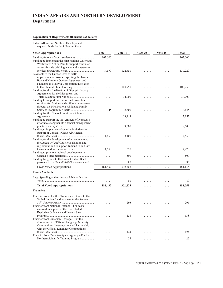# **INDIAN AFFAIRS AND NORTHERN DEVELOPMENT Department**

### **Explanation of Requirements (thousands of dollars)**

Indian Affairs and Northern Development requests funds for the following items:

| <b>Voted Appropriations</b>                                                                                                                                                     | Vote 1                                 | Vote 10 | Vote 20 | Vote 25  | <b>Total</b> |
|---------------------------------------------------------------------------------------------------------------------------------------------------------------------------------|----------------------------------------|---------|---------|----------|--------------|
| Funding to implement the First Nations Water and<br>Wastewater Action Plan to support continued<br>access for safe drinking water and wastewater                                | 163,500                                |         |         |          | 163,500      |
| Payments to the Quebec Cree to settle<br>implementation issues respecting the James<br>Bay and Northern Quebec Agreement and<br>payments to Makivik Corporation in relation     | 14,579                                 | 122,650 |         |          | 137,229      |
| Funding for the finalization of Olympic Legacy<br>Agreements for the Musqueam and                                                                                               |                                        | 100,750 |         | .        | 100,750      |
| Funding to support prevention and protection<br>services for families and children on reserves<br>through the First Nations Child and Family                                    |                                        | 34,000  | .       | .        | 34,000       |
| Funding for the Nunavik Inuit Land Claims                                                                                                                                       | 345                                    | 18,300  | .       | $\cdots$ | 18,645       |
| Funding to support the Government of Nunavut's<br>efforts to strengthen its financial management,                                                                               | .                                      | 13,153  | .       | .        | 13,153       |
| Funding to implement adaptation initiatives in                                                                                                                                  | $\cdots$                               | 9,500   | .       | .        | 9,500        |
| support of Canada's Clean Air Agenda<br>Funding for the development of amendments to<br>the <i>Indian Oil and Gas Act</i> legislation and                                       | 1,450                                  | 3,100   | .       | .        | 4,550        |
| regulations and to support Indian Oil and Gas<br>Funding to promote regional development in                                                                                     | 1,558                                  | 670     | .       | .        | 2,228        |
| Funding for grants to the Sechelt Indian Band                                                                                                                                   | .                                      | 500     | .       | .        | 500          |
| pursuant to the <i>Sechelt Self-Government Act</i>                                                                                                                              | .                                      | 80      | .       | .        | 80           |
| Gross Voted Appropriations                                                                                                                                                      | 181,432                                | 302,703 | .       | .        | 484,135      |
| <b>Funds Available</b>                                                                                                                                                          |                                        |         |         |          |              |
| Less: Spending authorities available within the                                                                                                                                 |                                        | 80      | .       | .        | 80           |
| <b>Total Voted Appropriations</b>                                                                                                                                               | 181,432                                | 302,623 | .       | .        | 484,055      |
| <b>Transfers</b>                                                                                                                                                                |                                        |         |         |          |              |
| Transfer from Health – To increase Grants to the<br>Sechelt Indian Band pursuant to the Sechelt                                                                                 |                                        | 295     | .       | .        | 295          |
| Transfer from National Defence – For costs<br>incurred in support of the Unexploded<br>Explosive Ordnance and Legacy Sites                                                      | .                                      | 138     | .       |          | 138          |
| Transfer from Canadian Heritage – For the<br>development of Official Language Minority<br>Communities (Interdepartmental Partnership<br>with the Official Language Communities) |                                        |         |         |          |              |
| Transfer from Canadian Space Agency – For the                                                                                                                                   | .                                      | 124     |         | .        | 124          |
| Northern Scientific Training Program                                                                                                                                            | $\mathbb{Z}^n$ . In the $\mathbb{Z}^n$ | 25      | .       | 1.1.1.1  | 25           |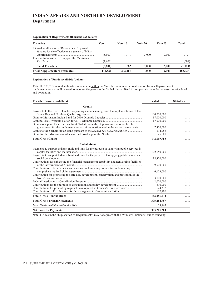# **INDIAN AFFAIRS AND NORTHERN DEVELOPMENT Department**

#### **Explanation of Requirements (thousands of dollars)**

| <b>Transfers</b>                                                                                                                                      | Vote 1  | Vote 10 | Vote 20 | Vote 25 | Total   |
|-------------------------------------------------------------------------------------------------------------------------------------------------------|---------|---------|---------|---------|---------|
| Internal Reallocation of Resources – To provide<br>funding for the effective management of Métis<br>Transfer to Industry $-$ To support the Mackenzie | (5,000) | .       | 3.000   | 2.000   | .       |
|                                                                                                                                                       | (1,601) | .       | .       | .       | (1,601) |
| <b>Total Transfers</b>                                                                                                                                | (6,601) | 582     | 3.000   | 2.000   | (1,019) |
| <b>These Supplementary Estimates</b>                                                                                                                  | 174,831 | 303,205 | 3,000   | 2.000   | 483,036 |

#### **Explanation of Funds Available (dollars)**

**Vote 10**: \$79,763 in total authorities is available within the Vote due to an internal reallocation from self-government implementation and will be used to increase the grants to the Sechelt Indian Band to compensate them for increases in price level and population.

| <b>Transfer Payments (dollars)</b>                                                          | <b>Voted</b> | <b>Statutory</b> |
|---------------------------------------------------------------------------------------------|--------------|------------------|
| <b>Grants</b>                                                                               |              |                  |
| Payments to the Cree of Quebec respecting matters arising from the implementation of the    |              |                  |
|                                                                                             | 100,000,000  |                  |
|                                                                                             | 17,000,000   |                  |
|                                                                                             | 17,000,000   |                  |
| Grants to support First Nations, Inuit, Tribal Councils, Organizations or other levels of   |              |                  |
| government for the implementation activities as stipulated in the various agreements        | 7,800,000    |                  |
| Grants to the Sechelt Indian Band pursuant to the Sechelt Self-Government Act               | 374,955      |                  |
|                                                                                             | 25,000       |                  |
| <b>Total Gross Grants</b>                                                                   | 142,199,955  |                  |
| <b>Contributions</b>                                                                        |              |                  |
| Payments to support Indians, Inuit and Innu for the purpose of supplying public services in |              |                  |
|                                                                                             | 122,650,000  |                  |
| Payments to support Indians, Inuit and Innu for the purpose of supplying public services in |              |                  |
|                                                                                             | 18,300,000   |                  |
| Contributions for enhancing the financial management capability and networking facilities   |              |                  |
|                                                                                             | 9,500,000    | .                |
| Contributions to beneficiaries and various implementing bodies for implementing             |              |                  |
|                                                                                             | 6,103,000    |                  |
| Contribution for promoting the safe use, development, conservation and protection of the    |              |                  |
|                                                                                             | 3,100,000    |                  |
|                                                                                             | 2,000,000    |                  |
| Contributions for the purpose of consultation and policy development                        | 670,000      |                  |
| Contributions for promoting regional development in Canada's three territories              | 624,312      |                  |
|                                                                                             | 137,700      | .                |
| <b>Total Gross Contributions</b>                                                            | 163,085,012  | .                |
| <b>Total Gross Transfer Payments</b>                                                        | 305,284,967  |                  |
|                                                                                             | 79,763       | .                |
| <b>Net Transfer Payments</b>                                                                | 305,205,204  | .                |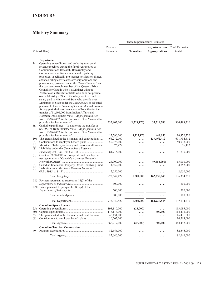|                   |                                                                                                                                                                                                                                                                                                                                                                                                                                                                                                                                                                                                                                                                                                                                                                                          |                       | These Supplementary Estimates |                                                |                                   |
|-------------------|------------------------------------------------------------------------------------------------------------------------------------------------------------------------------------------------------------------------------------------------------------------------------------------------------------------------------------------------------------------------------------------------------------------------------------------------------------------------------------------------------------------------------------------------------------------------------------------------------------------------------------------------------------------------------------------------------------------------------------------------------------------------------------------|-----------------------|-------------------------------|------------------------------------------------|-----------------------------------|
|                   | Vote (dollars)                                                                                                                                                                                                                                                                                                                                                                                                                                                                                                                                                                                                                                                                                                                                                                           | Previous<br>Estimates | <b>Transfers</b>              | <b>Adjustments to</b><br><b>Appropriations</b> | <b>Total Estimates</b><br>to date |
|                   |                                                                                                                                                                                                                                                                                                                                                                                                                                                                                                                                                                                                                                                                                                                                                                                          |                       |                               |                                                |                                   |
| 1a                | Department<br>Operating expenditures, and authority to expend<br>revenue received during the fiscal year related to<br>Communications Research, Bankruptcy and<br>Corporations and from services and regulatory<br>processes, specifically pre-merger notification filings,<br>advance ruling certificates, advisory opinions and<br>photocopies, provided under the Competition Act and<br>the payment to each member of the Queen's Privy<br>Council for Canada who is a Minister without<br>Portfolio or a Minister of State who does not preside<br>over a Ministry of State of a salary not to exceed the<br>salary paid to Ministers of State who preside over<br>Ministries of State under the Salaries Act, as adjusted<br>pursuant to the Parliament of Canada Act and pro rata |                       |                               |                                                |                                   |
|                   | for any period of less than a year $-$ To authorize the<br>transfer of \$1,601,000 from Indian Affairs and<br>Northern Development Vote 1, Appropriation Act                                                                                                                                                                                                                                                                                                                                                                                                                                                                                                                                                                                                                             |                       |                               |                                                |                                   |
| 5a                | No. 1, 2008-2009 for the purposes of this Vote and to<br>Capital expenditures – To authorize the transfer of<br>\$3,325,176 from Industry Vote 1, Appropriation Act<br>No. 1, 2008-2009 for the purposes of this Vote and to                                                                                                                                                                                                                                                                                                                                                                                                                                                                                                                                                             | 332,903,000           | (1,724,176)                   | 33, 319, 386                                   | 364,498,210                       |
|                   |                                                                                                                                                                                                                                                                                                                                                                                                                                                                                                                                                                                                                                                                                                                                                                                          | 12,596,000            | 3,325,176                     | 449,050                                        | 16,370,226                        |
|                   | 10a The grants listed in the Estimates and contributions                                                                                                                                                                                                                                                                                                                                                                                                                                                                                                                                                                                                                                                                                                                                 | 464,272,000           | .                             | 137,462,412                                    | 601,734,412                       |
| (S)<br>(S)<br>(S) | Minister of Industry - Salary and motor car allowance<br>Liabilities under the Canada Small Business                                                                                                                                                                                                                                                                                                                                                                                                                                                                                                                                                                                                                                                                                     | 50,078,000<br>76,422  | .                             | .                                              | 50,078,000<br>76,422              |
| (S)               | Grant to CANARIE Inc. to operate and develop the<br>next generation of Canada's Advanced Research                                                                                                                                                                                                                                                                                                                                                                                                                                                                                                                                                                                                                                                                                        | 81,715,000            |                               | .                                              | 81,715,000                        |
|                   |                                                                                                                                                                                                                                                                                                                                                                                                                                                                                                                                                                                                                                                                                                                                                                                          | 24,000,000            |                               | (9,000,000)                                    | 15,000,000                        |
| (S)               | Canadian Intellectual Property Office Revolving Fund<br>(S) Liabilities under the Small Business Loans Act                                                                                                                                                                                                                                                                                                                                                                                                                                                                                                                                                                                                                                                                               | 4,852,000             |                               |                                                | 4,852,000                         |
|                   |                                                                                                                                                                                                                                                                                                                                                                                                                                                                                                                                                                                                                                                                                                                                                                                          | 2,050,000             | .                             | .                                              | 2,050,000                         |
|                   | L15 Payments pursuant to subsection $14(2)$ of the                                                                                                                                                                                                                                                                                                                                                                                                                                                                                                                                                                                                                                                                                                                                       | 972,542,422           | 1,601,000                     | 162,230,848                                    | 1,136,374,270                     |
|                   | L20 Loans pursuant to paragraph $14(1)(a)$ of the                                                                                                                                                                                                                                                                                                                                                                                                                                                                                                                                                                                                                                                                                                                                        | 300,000               |                               |                                                | 300,000                           |
|                   |                                                                                                                                                                                                                                                                                                                                                                                                                                                                                                                                                                                                                                                                                                                                                                                          | 500,000               |                               |                                                | 500,000                           |
|                   |                                                                                                                                                                                                                                                                                                                                                                                                                                                                                                                                                                                                                                                                                                                                                                                          | 800,000               | .                             |                                                | 800,000                           |
|                   |                                                                                                                                                                                                                                                                                                                                                                                                                                                                                                                                                                                                                                                                                                                                                                                          | 973, 342, 422         | 1,601,000                     | 162,230,848                                    | 1,137,174,270                     |
|                   | <b>Canadian Space Agency</b>                                                                                                                                                                                                                                                                                                                                                                                                                                                                                                                                                                                                                                                                                                                                                             | 193,110,000           | (25,000)                      |                                                | 193,085,000                       |
| 30a               |                                                                                                                                                                                                                                                                                                                                                                                                                                                                                                                                                                                                                                                                                                                                                                                          | 118,113,000           | .                             | .<br>300,000                                   | 118,413,000                       |
| 35                | The grants listed in the Estimates and contributions                                                                                                                                                                                                                                                                                                                                                                                                                                                                                                                                                                                                                                                                                                                                     | 46,431,000            | .                             | .                                              | 46, 431, 000                      |
| (S)               |                                                                                                                                                                                                                                                                                                                                                                                                                                                                                                                                                                                                                                                                                                                                                                                          | 10,563,000            | .                             | .                                              | 10,563,000                        |
|                   |                                                                                                                                                                                                                                                                                                                                                                                                                                                                                                                                                                                                                                                                                                                                                                                          | 368,217,000           | (25,000)                      | 300,000                                        | 368,492,000                       |
|                   | <b>Canadian Tourism Commission</b>                                                                                                                                                                                                                                                                                                                                                                                                                                                                                                                                                                                                                                                                                                                                                       |                       |                               |                                                |                                   |
| 40                |                                                                                                                                                                                                                                                                                                                                                                                                                                                                                                                                                                                                                                                                                                                                                                                          | 82,646,000            | .                             | .                                              | 82,646,000                        |
|                   |                                                                                                                                                                                                                                                                                                                                                                                                                                                                                                                                                                                                                                                                                                                                                                                          | 82,646,000            | .                             | .                                              | 82,646,000                        |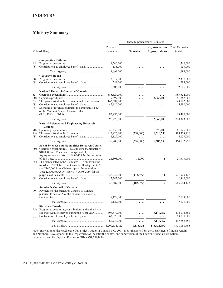### **INDUSTRY**

### **Ministry Summary**

|           |                                                                                                                                                                                                                              |                           | These Supplementary Estimates |                                                |                                   |
|-----------|------------------------------------------------------------------------------------------------------------------------------------------------------------------------------------------------------------------------------|---------------------------|-------------------------------|------------------------------------------------|-----------------------------------|
|           | Vote (dollars)                                                                                                                                                                                                               | Previous<br>Estimates     | <b>Transfers</b>              | <b>Adjustments to</b><br><b>Appropriations</b> | <b>Total Estimates</b><br>to date |
|           | <b>Competition Tribunal</b>                                                                                                                                                                                                  |                           |                               |                                                |                                   |
| 45<br>(S) |                                                                                                                                                                                                                              | 1,546,000<br>153,000      | .<br>.                        | .<br>.                                         | 1,546,000<br>153,000              |
|           |                                                                                                                                                                                                                              | 1,699,000                 | .                             | .                                              | 1,699,000                         |
|           | <b>Copyright Board</b>                                                                                                                                                                                                       |                           |                               |                                                |                                   |
| 50        |                                                                                                                                                                                                                              | 2,317,000                 | .                             | .                                              | 2,317,000                         |
| (S)       |                                                                                                                                                                                                                              | 289,000                   | .                             | .                                              | 289,000                           |
|           |                                                                                                                                                                                                                              | 2,606,000                 | .                             | .                                              | 2,606,000                         |
|           | <b>National Research Council of Canada</b>                                                                                                                                                                                   |                           |                               |                                                |                                   |
| 55        |                                                                                                                                                                                                                              | 385,524,000               | .                             | .                                              | 385,524,000                       |
| 60a       | The grants listed in the Estimates and contributions                                                                                                                                                                         | 39,697,000<br>143,582,000 | .                             | 2,065,000                                      | 41,762,000                        |
| 65<br>(S) |                                                                                                                                                                                                                              | 45,980,000                | .<br>.                        | .<br>.                                         | 143,582,000<br>45,980,000         |
| (S)       | Spending of revenues pursuant to paragraph $5(1)(e)$<br>of the National Research Council Act                                                                                                                                 |                           |                               |                                                |                                   |
|           |                                                                                                                                                                                                                              | 83,495,000                | .                             | .                                              | 83,495,000                        |
|           |                                                                                                                                                                                                                              | 698,278,000               | .                             | 2,065,000                                      | 700,343,000                       |
|           | <b>Natural Sciences and Engineering Research</b><br>Council                                                                                                                                                                  |                           |                               |                                                |                                   |
|           |                                                                                                                                                                                                                              | 40,650,000                | .                             | 375,000                                        | 41,025,000                        |
|           |                                                                                                                                                                                                                              | 913,426,000               | (358,000)                     | 6,310,750                                      | 919,378,750                       |
| (S)       |                                                                                                                                                                                                                              | 4,129,000                 | .                             | .                                              | 4,129,000                         |
|           |                                                                                                                                                                                                                              | 958,205,000               | (358,000)                     | 6,685,750                                      | 964,532,750                       |
|           | <b>Social Sciences and Humanities Research Council</b><br>80a Operating expenditures – To authorize the transfer of<br>\$10,000 from Canadian Heritage Vote 1,<br><i>Appropriation Act No. 1, 2008-2009</i> for the purposes |                           |                               |                                                |                                   |
|           | 85a The grants listed in the Estimates – To authorize the<br>transfer of \$579,446 from Canadian Heritage Vote 5,<br>and \$160,000 from Citizenship and Immigration<br>Vote 1, Appropriation Act No. 1, 2008-2009 for the    | 21,303,000                | 10,000                        | 1                                              | 21,313,001                        |
|           |                                                                                                                                                                                                                              | 622,042,000               | (112, 579)                    | $\mathbf{1}$                                   | 621,929,422                       |
| (S)       |                                                                                                                                                                                                                              | 2,342,000                 | .                             |                                                | 2,342,000                         |
|           |                                                                                                                                                                                                                              | 645,687,000               | (102, 579)                    | $\overline{2}$                                 | 645,584,423                       |
| 90        | <b>Standards Council of Canada</b><br>Payments to the Standards Council of Canada<br>pursuant to section 5 of the Standards Council of                                                                                       |                           |                               |                                                |                                   |
|           |                                                                                                                                                                                                                              | 7,129,000                 |                               |                                                | 7,129,000                         |
|           |                                                                                                                                                                                                                              | 7,129,000                 |                               | .                                              | 7,129,000                         |
|           | <b>Statistics Canada</b><br>95a Program expenditures, contributions and authority to                                                                                                                                         |                           |                               |                                                |                                   |
| (S)       | expend revenue received during the fiscal year                                                                                                                                                                               | 398,872,000<br>63,870,000 | .                             | 5,140,352                                      | 404,012,352<br>63,870,000         |
|           |                                                                                                                                                                                                                              |                           | .                             | .<br>5,140,352                                 |                                   |
|           |                                                                                                                                                                                                                              | 462,742,000               | .                             |                                                | 467,882,352                       |
|           |                                                                                                                                                                                                                              | 4,200,551,422             | 1,115,421                     | 176,421,952                                    | 4,378,088,795                     |

Note: In relation to the Mackenzie Gas Project, Order in Council P.C. 2007-1888 transfers from the Department of Indian Affairs and Northern Development to the Department of Industry the control and supervision of the Federal Project Coordination Secretariat, and the Pipeline Readiness Office (\$1,601,000).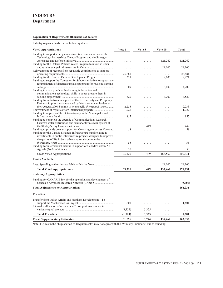### **Explanation of Requirements (thousands of dollars)**

Industry requests funds for the following items:

| <b>Voted Appropriations</b>                                                                                                               | Vote 1               | Vote 5 | Vote 10  | <b>Total</b>   |
|-------------------------------------------------------------------------------------------------------------------------------------------|----------------------|--------|----------|----------------|
| Funding to support strategic investments in innovation under the<br>Technology Partnerships Canada Program and the Strategic              |                      |        |          |                |
|                                                                                                                                           |                      | .      | 121,262  | 121,262        |
| Funding for the Ontario Potable Water Program to invest in urban                                                                          |                      |        |          |                |
|                                                                                                                                           | .                    | .      | 29,100   | 29,100         |
| Reinvestment of receipts from repayable contributions to support                                                                          |                      |        |          |                |
|                                                                                                                                           | 26,881               | .      | .        | 26,881         |
|                                                                                                                                           | 321                  | .      | 9,600    | 9,921          |
| Funding to support the Computer for Schools initiative to support the<br>refurbishment of donated surplus equipment for reuse in learning |                      |        |          |                |
|                                                                                                                                           | 809                  | .      | 3,400    | 4,209          |
| Funding to assist youth with obtaining information and                                                                                    |                      |        |          |                |
| communications technology skills to better prepare them in                                                                                |                      |        |          |                |
|                                                                                                                                           | 329                  |        | 3,200    | 3,529          |
| Funding for initiatives in support of the five Security and Prosperity                                                                    |                      |        |          |                |
| Partnership priorities announced by North American leaders at                                                                             |                      |        |          |                |
| their August 2007 Summit in Montebello ( <i>horizontal item</i> )                                                                         | 2,233<br>1,727       |        | .        | 2,233<br>1,727 |
| Funding to implement the Ontario top-up to the Municipal Rural                                                                            |                      | .      | .        |                |
|                                                                                                                                           | 857                  | .      |          | 857            |
| Funding to complete the upgrade of Communications Research                                                                                |                      |        | .        |                |
| Centre's water distribution and sanitary/storm sewer system at                                                                            |                      |        |          |                |
|                                                                                                                                           | $\sim$ $\sim$ $\sim$ | 449    | 1.1.1    | 449            |
| Funding to provide greater support for Crown agents across Canada                                                                         | 58                   | .      | .        | 58             |
| Funding for the Canada Strategic Infrastructure Fund relating to<br>investments in public infrastructure projects designed to improve     |                      |        |          |                |
| the quality of life in both urban and rural communities                                                                                   |                      |        |          |                |
|                                                                                                                                           | 55                   | .      | .        | 55             |
| Funding for international actions in support of Canada's Clean Air                                                                        | 50                   |        |          | 50             |
|                                                                                                                                           |                      | .      | .        |                |
| Gross Voted Appropriations                                                                                                                | 33,320               | 449    | 166,562  | 200,331        |
| <b>Funds Available</b>                                                                                                                    |                      |        |          |                |
|                                                                                                                                           | .                    | .      | 29,100   | 29,100         |
| <b>Total Voted Appropriations</b>                                                                                                         | 33,320               | 449    | 137,462  | 171,231        |
| <b>Statutory Appropriation</b>                                                                                                            |                      |        |          |                |
| Funding for CANARIE Inc. for the operation and development of                                                                             |                      |        |          | (9,000)        |
| <b>Total Adjustments to Appropriations</b>                                                                                                |                      |        |          | 162,231        |
| <b>Transfers</b>                                                                                                                          |                      |        |          |                |
|                                                                                                                                           |                      |        |          |                |
| Transfer from Indian Affairs and Northern Development – To                                                                                |                      |        |          |                |
|                                                                                                                                           | 1,601                | .      | $\cdots$ | 1,601          |
| Internal reallocation of resources – To support investments in                                                                            |                      |        |          |                |
|                                                                                                                                           | (3,325)              | 3,325  | .        |                |
| <b>Total Transfers</b>                                                                                                                    | (1, 724)             | 3,325  | .        | 1,601          |
| <b>These Supplementary Estimates</b>                                                                                                      | 31,596               | 3,774  | 137,462  | 163,832        |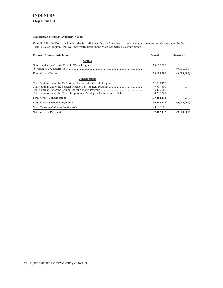### **Explanation of Funds Available (dollars)**

**Vote 10**: \$29,100,000 in total authorities is available within the Vote due to a technical adjustment to list "Grants under the Ontario Potable Water Program" that was incorrectly listed in the Main Estimates as a contribution.

| <b>Transfer Payments (dollars)</b>                                        | Voted           | <b>Statutory</b> |
|---------------------------------------------------------------------------|-----------------|------------------|
| Grants                                                                    |                 |                  |
|                                                                           | 29,100,000<br>. | (9,000,000)      |
| <b>Total Gross Grants</b>                                                 | 29,100,000      | (9,000,000)      |
| <b>Contributions</b>                                                      |                 |                  |
|                                                                           | 121,262,370     | $\cdots$         |
|                                                                           | 9,599,800       | .                |
|                                                                           | 3,400,000       | .                |
| Contributions under the Youth Employment Strategy – Computers for Schools | 3,200,242       | .                |
| <b>Total Gross Contributions</b>                                          | 137,462,412     | .                |
| <b>Total Gross Transfer Payments</b>                                      | 166,562,412     | (9,000,000)      |
|                                                                           | 29,100,000      | .                |
| <b>Net Transfer Payments</b>                                              | 137,462,412     | (9,000,000)      |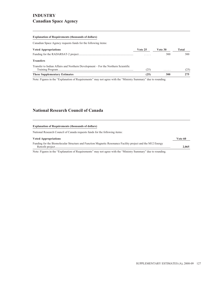# **INDUSTRY Canadian Space Agency**

#### **Explanation of Requirements (thousands of dollars)**

Canadian Space Agency requests funds for the following items:

| <b>Voted Appropriations</b>                                                       | Vote 25 | Vote 30 | Total |
|-----------------------------------------------------------------------------------|---------|---------|-------|
|                                                                                   | .       | 300     | 300   |
| <b>Transfers</b>                                                                  |         |         |       |
| Transfer to Indian Affairs and Northern Development – For the Northern Scientific | (25)    | .       | (25)  |
| <b>These Supplementary Estimates</b>                                              | (25)    | 300     | 275.  |

Note: Figures in the "Explanation of Requirements" may not agree with the "Ministry Summary" due to rounding.

### **National Research Council of Canada**

### **Explanation of Requirements (thousands of dollars)**

National Research Council of Canada requests funds for the following items:

| <b>Voted Appropriations</b>                                                                                | Vote 60 |
|------------------------------------------------------------------------------------------------------------|---------|
| Funding for the Biomolecular Structure and Function Magnetic Resonance Facility project and the M12 Energy |         |
|                                                                                                            | 2.065   |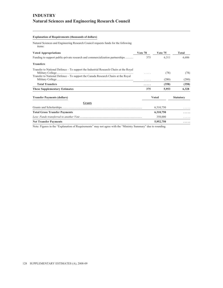# **INDUSTRY Natural Sciences and Engineering Research Council**

#### **Explanation of Requirements (thousands of dollars)**

Natural Sciences and Engineering Research Council requests funds for the following items:

| <b>Voted Appropriations</b>                                                           | Vote 70 | Vote 75      | Total            |
|---------------------------------------------------------------------------------------|---------|--------------|------------------|
| Funding to support public-private research and commercialization partnerships         | 375     | 6,311        | 6,686            |
| <b>Transfers</b>                                                                      |         |              |                  |
| Transfer to National Defence – To support the Industrial Research Chairs at the Royal |         | (78)         | (78)             |
| Transfer to National Defence - To support the Canada Research Chairs at the Royal     | .       | (280)        | (280)            |
| <b>Total Transfers</b>                                                                | .       | (358)        | (358)            |
| <b>These Supplementary Estimates</b>                                                  | 375     | 5,953        | 6,328            |
| <b>Transfer Payments (dollars)</b>                                                    |         | <b>Voted</b> | <b>Statutory</b> |
| Grants                                                                                |         |              |                  |
|                                                                                       |         | 6,310,750    |                  |
| <b>Total Gross Transfer Payments</b>                                                  |         | 6,310,750    |                  |
|                                                                                       |         | 358,000      |                  |
| <b>Net Transfer Payments</b>                                                          |         | 5,952,750    |                  |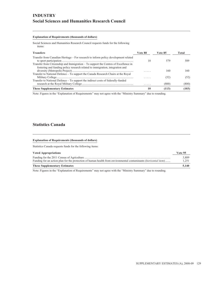# **INDUSTRY Social Sciences and Humanities Research Council**

#### **Explanation of Requirements (thousands of dollars)**

Social Sciences and Humanities Research Council requests funds for the following items:

| <b>Transfers</b>                                                                                                                                                     | Vote 80 | Vote 85 | Total |
|----------------------------------------------------------------------------------------------------------------------------------------------------------------------|---------|---------|-------|
| Transfer from Canadian Heritage – For research to inform policy development related                                                                                  | 10      | 579     | 589   |
| Transfer from Citizenship and Immigration – To support the Centres of Excellence in<br>fostering and funding policy research related to immigration, integration and |         |         |       |
|                                                                                                                                                                      |         | 160     | 160.  |
| Transfer to National Defence – To support the Canada Research Chairs at the Royal                                                                                    |         | (52)    | (52)  |
| Transfer to National Defence - To support the indirect costs of federally-funded                                                                                     | .       | (800)   | (800) |
| <b>These Supplementary Estimates</b>                                                                                                                                 | 10      | (113)   | (103) |

Note: Figures in the "Explanation of Requirements" may not agree with the "Ministry Summary" due to rounding.

### **Statistics Canada**

#### **Explanation of Requirements (thousands of dollars)**

Statistics Canada requests funds for the following items:

| <b>Voted Appropriations</b>                                                                                              | Vote 95        |
|--------------------------------------------------------------------------------------------------------------------------|----------------|
| Funding for an action plan for the protection of human health from environmental contaminants ( <i>horizontal item</i> ) | 3.889<br>1.251 |
| <b>These Supplementary Estimates</b>                                                                                     | 5.140          |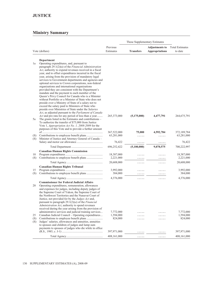|                        |                                                                                                                                                                                                                                                                                                                                                                                                                                                                                                                                                                                                                                                                                                                                                                                                                                                                                                                                                                             |                                     | These Supplementary Estimates |                                                |                                     |
|------------------------|-----------------------------------------------------------------------------------------------------------------------------------------------------------------------------------------------------------------------------------------------------------------------------------------------------------------------------------------------------------------------------------------------------------------------------------------------------------------------------------------------------------------------------------------------------------------------------------------------------------------------------------------------------------------------------------------------------------------------------------------------------------------------------------------------------------------------------------------------------------------------------------------------------------------------------------------------------------------------------|-------------------------------------|-------------------------------|------------------------------------------------|-------------------------------------|
|                        | Vote (dollars)                                                                                                                                                                                                                                                                                                                                                                                                                                                                                                                                                                                                                                                                                                                                                                                                                                                                                                                                                              | Previous<br>Estimates               | <b>Transfers</b>              | <b>Adjustments to</b><br><b>Appropriations</b> | <b>Total Estimates</b><br>to date   |
| 1a                     | Department<br>Operating expenditures, and, pursuant to<br>paragraph $29.1(2)(a)$ of the Financial Administration<br>Act, authority to expend revenues received in a fiscal<br>year, and to offset expenditures incurred in the fiscal<br>year, arising from the provision of mandatory legal<br>services to Government departments and agencies and<br>optional services to Crown corporations, non-federal<br>organizations and international organizations<br>provided they are consistent with the Department's<br>mandate and the payment to each member of the<br>Queen's Privy Council for Canada who is a Minister<br>without Portfolio or a Minister of State who does not<br>preside over a Ministry of State of a salary not to<br>exceed the salary paid to Ministers of State who<br>preside over Ministries of State under the Salaries<br>Act, as adjusted pursuant to the Parliament of Canada<br><i>Act</i> and pro rata for any period of less than a year | 265, 373, 000                       | (5,175,000)                   | 4,477,791                                      | 264,675,791                         |
| 5a                     | The grants listed in the Estimates and contributions –<br>To authorize the transfer of \$75,000 from Justice<br>Vote 1, Appropriation Act No. 1, 2008-2009 for the<br>purposes of this Vote and to provide a further amount                                                                                                                                                                                                                                                                                                                                                                                                                                                                                                                                                                                                                                                                                                                                                 |                                     |                               |                                                |                                     |
| (S)<br>(S)             | Minister of Justice and Attorney General of Canada –                                                                                                                                                                                                                                                                                                                                                                                                                                                                                                                                                                                                                                                                                                                                                                                                                                                                                                                        | 367,522,000<br>63,281,000<br>76,422 | 75,000<br>.                   | 4,592,784<br>.                                 | 372,189,784<br>63,281,000<br>76,422 |
|                        |                                                                                                                                                                                                                                                                                                                                                                                                                                                                                                                                                                                                                                                                                                                                                                                                                                                                                                                                                                             | 696,252,422                         | .<br>(5,100,000)              | .<br>9,070,575                                 | 700,222,997                         |
|                        | <b>Canadian Human Rights Commission</b>                                                                                                                                                                                                                                                                                                                                                                                                                                                                                                                                                                                                                                                                                                                                                                                                                                                                                                                                     |                                     |                               |                                                |                                     |
| 10<br>(S)              |                                                                                                                                                                                                                                                                                                                                                                                                                                                                                                                                                                                                                                                                                                                                                                                                                                                                                                                                                                             | 18,387,000<br>2,221,000             | .                             | .                                              | 18,387,000<br>2,221,000             |
|                        |                                                                                                                                                                                                                                                                                                                                                                                                                                                                                                                                                                                                                                                                                                                                                                                                                                                                                                                                                                             | 20,608,000                          | .                             | .                                              | 20,608,000                          |
| 15<br>(S)              | Canadian Human Rights Tribunal                                                                                                                                                                                                                                                                                                                                                                                                                                                                                                                                                                                                                                                                                                                                                                                                                                                                                                                                              | 3,992,000<br>384,000                | .<br>.                        | .<br>.                                         | 3,992,000<br>384,000                |
|                        |                                                                                                                                                                                                                                                                                                                                                                                                                                                                                                                                                                                                                                                                                                                                                                                                                                                                                                                                                                             | 4,376,000                           | .                             | .                                              | 4,376,000                           |
| 20<br>25<br>(S)<br>(S) | <b>Commissioner for Federal Judicial Affairs</b><br>Operating expenditures, remuneration, allowances<br>and expenses for judges, including deputy judges of<br>the Supreme Court of Yukon, the Supreme Court of<br>the Northwest Territories and the Nunavut Court of<br>Justice, not provided for by the <i>Judges Act</i> and,<br>pursuant to paragraph $29.1(2)(a)$ of the Financial<br>Administration Act, authority to spend revenues<br>received during the year arising from the provision of<br>administrative services and judicial training services<br>Canadian Judicial Council – Operating expenditures<br>Judges' salaries, allowances and annuities, annuities<br>to spouses and children of judges and lump sum                                                                                                                                                                                                                                             | 7,772,000<br>1,594,000<br>824,000   |                               |                                                | 7,772,000<br>1,594,000<br>824,000   |
|                        | payments to spouses of judges who die while in office                                                                                                                                                                                                                                                                                                                                                                                                                                                                                                                                                                                                                                                                                                                                                                                                                                                                                                                       | 397,971,000                         |                               |                                                | 397,971,000                         |
|                        |                                                                                                                                                                                                                                                                                                                                                                                                                                                                                                                                                                                                                                                                                                                                                                                                                                                                                                                                                                             | 408,161,000                         | .                             | .                                              | 408,161,000                         |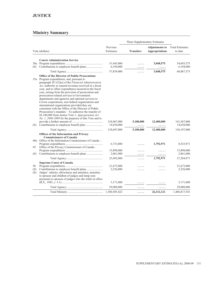## **JUSTICE**

|                  |                                                                                                                                                                                                                                                                                                                                                                                                                                                                                                                                                                                                                                                                                                                                                                                           |                                      |                  | These Supplementary Estimates                  |                                      |  |  |
|------------------|-------------------------------------------------------------------------------------------------------------------------------------------------------------------------------------------------------------------------------------------------------------------------------------------------------------------------------------------------------------------------------------------------------------------------------------------------------------------------------------------------------------------------------------------------------------------------------------------------------------------------------------------------------------------------------------------------------------------------------------------------------------------------------------------|--------------------------------------|------------------|------------------------------------------------|--------------------------------------|--|--|
|                  | Vote (dollars)                                                                                                                                                                                                                                                                                                                                                                                                                                                                                                                                                                                                                                                                                                                                                                            | Previous<br>Estimates                | <b>Transfers</b> | <b>Adjustments to</b><br><b>Appropriations</b> | <b>Total Estimates</b><br>to date    |  |  |
|                  | <b>Courts Administration Service</b>                                                                                                                                                                                                                                                                                                                                                                                                                                                                                                                                                                                                                                                                                                                                                      | 51,645,000                           | .                | 3,048,575                                      | 54,693,575                           |  |  |
| (S)              |                                                                                                                                                                                                                                                                                                                                                                                                                                                                                                                                                                                                                                                                                                                                                                                           | 6,194,000                            |                  | .                                              | 6,194,000                            |  |  |
|                  |                                                                                                                                                                                                                                                                                                                                                                                                                                                                                                                                                                                                                                                                                                                                                                                           | 57,839,000                           | .                | 3,048,575                                      | 60,887,575                           |  |  |
| (S)              | <b>Office of the Director of Public Prosecutions</b><br>35a Program expenditures, and, pursuant to<br>paragraph $29.1(2)(a)$ of the <i>Financial Administration</i><br>Act, authority to expend revenues received in a fiscal<br>year, and to offset expenditures incurred in the fiscal<br>year, arising from the provision of prosecution and<br>prosecution-related services to Government<br>departments and agencies and optional services to<br>Crown corporations, non-federal organizations and<br>international organizations provided they are<br>consistent with the Office of the Director of Public<br>Prosecution's mandate $-$ To authorize the transfer of<br>\$5,100,000 from Justice Vote 1, Appropriation Act<br>No. 1, 2008-2009 for the purposes of this Vote and to | 124,067,000<br>14,630,000            | 5,100,000        | 12,400,000                                     | 141,567,000<br>14,630,000            |  |  |
|                  |                                                                                                                                                                                                                                                                                                                                                                                                                                                                                                                                                                                                                                                                                                                                                                                           | 138,697,000                          | .<br>5,100,000   | .<br>12,400,000                                | 156,197,000                          |  |  |
| 45<br>(S)        | Offices of the Information and Privacy<br><b>Commissioners of Canada</b><br>40a Office of the Information Commissioner of Canada -<br>Office of the Privacy Commissioner of Canada -                                                                                                                                                                                                                                                                                                                                                                                                                                                                                                                                                                                                      | 6,733,000<br>15,898,000<br>2,861,000 | .                | 1,792,971<br>.<br>.                            | 8,525,971<br>15,898,000<br>2,861,000 |  |  |
|                  |                                                                                                                                                                                                                                                                                                                                                                                                                                                                                                                                                                                                                                                                                                                                                                                           | 25,492,000                           | .                | 1,792,971                                      | 27,284,971                           |  |  |
| 50<br>(S)<br>(S) | <b>Supreme Court of Canada</b><br>Judges' salaries, allowances and annuities, annuities<br>to spouses and children of judges and lump sum<br>payments to spouses of judges who die while in office                                                                                                                                                                                                                                                                                                                                                                                                                                                                                                                                                                                        | 21,673,000<br>2,236,000              |                  |                                                | 21,673,000<br>2,236,000              |  |  |
|                  |                                                                                                                                                                                                                                                                                                                                                                                                                                                                                                                                                                                                                                                                                                                                                                                           | 5,171,000                            | .                |                                                | 5,171,000                            |  |  |
|                  |                                                                                                                                                                                                                                                                                                                                                                                                                                                                                                                                                                                                                                                                                                                                                                                           | 29,080,000                           | .                | .                                              | 29,080,000                           |  |  |
|                  |                                                                                                                                                                                                                                                                                                                                                                                                                                                                                                                                                                                                                                                                                                                                                                                           | 1,380,505,422                        | .                | 26,312,121                                     | 1,406,817,543                        |  |  |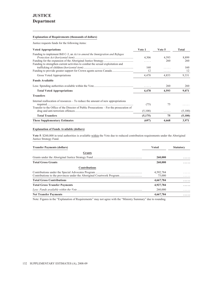#### **Explanation of Requirements (thousands of dollars)**

Justice requests funds for the following items:

| <b>Voted Appropriations</b>                                                                                                                                                 | Vote 1     | Vote 5       | Total        |
|-----------------------------------------------------------------------------------------------------------------------------------------------------------------------------|------------|--------------|--------------|
| Funding to implement Bill C-3, an <i>Act to amend the Immigration and Refugee</i>                                                                                           | 4.306<br>. | 4.593<br>260 | 8.899<br>260 |
| Funding to strengthen current activities to combat the sexual exploitation and                                                                                              | 160        | .            | 160          |
|                                                                                                                                                                             | 12         | .            | 12           |
| Gross Voted Appropriations                                                                                                                                                  | 4,478      | 4,853        | 9,331        |
| <b>Funds Available</b>                                                                                                                                                      |            |              |              |
|                                                                                                                                                                             |            | 260          | 260          |
| <b>Total Voted Appropriations</b>                                                                                                                                           | 4,478      | 4,593        | 9,071        |
| <b>Transfers</b>                                                                                                                                                            |            |              |              |
| Internal reallocation of resources $-$ To reduce the amount of new appropriations<br>Transfer to the Office of the Director of Public Prosecutions – For the prosecution of | (75)       | 75           |              |
|                                                                                                                                                                             | (5,100)    | .            | (5,100)      |
| <b>Total Transfers</b>                                                                                                                                                      | (5, 175)   | 75           | (5,100)      |
| <b>These Supplementary Estimates</b>                                                                                                                                        | (697)      | 4,668        | 3,971        |

#### **Explanation of Funds Available (dollars)**

Vote 5: \$260,000 in total authorities is available within the Vote due to reduced contribution requirements under the Aboriginal Justice Strategy Fund.

| <b>Transfer Payments (dollars)</b>   | <b>Voted</b>        | <b>Statutory</b> |
|--------------------------------------|---------------------|------------------|
| <b>Grants</b>                        |                     |                  |
|                                      | 260,000             | .                |
| <b>Total Gross Grants</b>            | 260,000             |                  |
| <b>Contributions</b>                 |                     |                  |
|                                      | 4,592,784<br>75,000 | .<br>.           |
| <b>Total Gross Contributions</b>     | 4,667,784           | .                |
| <b>Total Gross Transfer Payments</b> | 4,927,784           | .                |
|                                      | 260,000             | .                |
| <b>Net Transfer Payments</b>         | 4,667,784           | .                |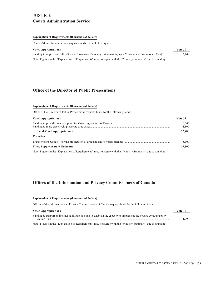# **JUSTICE Courts Administration Service**

#### **Explanation of Requirements (thousands of dollars)**

Courts Administration Service requests funds for the following items:

| <b>Voted Appropriations</b>                                                                                   | Vote 30 |
|---------------------------------------------------------------------------------------------------------------|---------|
| Funding to implement Bill C-3, an Act to amend the Immigration and Refugee Protection Act (horizontal item)   | 3.049   |
| Note: Figures in the "Explanation of Requirements" may not agree with the "Ministry Summary" due to rounding. |         |

### **Office of the Director of Public Prosecutions**

#### **Explanation of Requirements (thousands of dollars)**

Office of the Director of Public Prosecutions requests funds for the following items:

| <b>Voted Appropriations</b>          | Vote 35         |
|--------------------------------------|-----------------|
|                                      | 10,600<br>1.800 |
| <b>Total Voted Appropriations</b>    | 12,400          |
| <b>Transfers</b>                     |                 |
|                                      | 5.100           |
| <b>These Supplementary Estimates</b> | 17.500          |

Note: Figures in the "Explanation of Requirements" may not agree with the "Ministry Summary" due to rounding.

### **Offices of the Information and Privacy Commissioners of Canada**

#### **Explanation of Requirements (thousands of dollars)**

Offices of the Information and Privacy Commissioners of Canada request funds for the following items:

| <b>Voted Appropriations</b>                                                                                         | Vote 40 |
|---------------------------------------------------------------------------------------------------------------------|---------|
| Funding to support an internal audit function and to establish the capacity to implement the Federal Accountability | 1.793   |
| Note: Figures in the "Evolution of Requirements" may not garee with the "Ministry Summary" due to rounding          |         |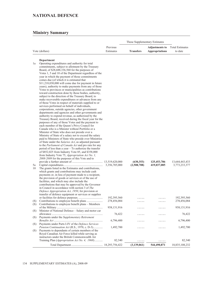# **NATIONAL DEFENCE**

|            |                                                                                                                                                                                                                                                                                                                                                                                                                                                                                                                                                                                                                                                                                                                                                                                                                                                                                                                                                                                                                                                                                                                                                                                                                                                                                                                                                                                                                                                                                                                                                                         |                       | These Supplementary Estimates |                                                |                                   |
|------------|-------------------------------------------------------------------------------------------------------------------------------------------------------------------------------------------------------------------------------------------------------------------------------------------------------------------------------------------------------------------------------------------------------------------------------------------------------------------------------------------------------------------------------------------------------------------------------------------------------------------------------------------------------------------------------------------------------------------------------------------------------------------------------------------------------------------------------------------------------------------------------------------------------------------------------------------------------------------------------------------------------------------------------------------------------------------------------------------------------------------------------------------------------------------------------------------------------------------------------------------------------------------------------------------------------------------------------------------------------------------------------------------------------------------------------------------------------------------------------------------------------------------------------------------------------------------------|-----------------------|-------------------------------|------------------------------------------------|-----------------------------------|
|            | Vote (dollars)                                                                                                                                                                                                                                                                                                                                                                                                                                                                                                                                                                                                                                                                                                                                                                                                                                                                                                                                                                                                                                                                                                                                                                                                                                                                                                                                                                                                                                                                                                                                                          | Previous<br>Estimates | <b>Transfers</b>              | <b>Adjustments to</b><br><b>Appropriations</b> | <b>Total Estimates</b><br>to date |
| 1a         | Department<br>Operating expenditures and authority for total<br>commitments, subject to allotment by the Treasury<br>Board, of \$28,688,336,560 for the purposes of<br>Votes 1, 5 and 10 of the Department regardless of the<br>year in which the payment of those commitments<br>comes due (of which it is estimated that<br>\$11,218,030,000 will come due for payment in future<br>years), authority to make payments from any of those<br>Votes to provinces or municipalities as contributions<br>toward construction done by those bodies, authority,<br>subject to the direction of the Treasury Board, to<br>make recoverable expenditures or advances from any<br>of those Votes in respect of materials supplied to or<br>services performed on behalf of individuals,<br>corporations, outside agencies, other government<br>departments and agencies and other governments and<br>authority to expend revenue, as authorized by the<br>Treasury Board, received during the fiscal year for the<br>purposes of any of those Votes and the payment to<br>each member of the Queen's Privy Council for<br>Canada who is a Minister without Portfolio or a<br>Minister of State who does not preside over a<br>Ministry of State of a salary not to exceed the salary<br>paid to Ministers of State who preside over Ministries<br>of State under the Salaries Act, as adjusted pursuant<br>to the Parliament of Canada Act and pro rata for any<br>period of less than a year – To authorize the transfer<br>of \$852,025 from Industry Vote 85, and \$358,000 |                       |                               |                                                |                                   |
| 5a<br>10   | from Industry Vote 75, Appropriation Act No. 1,<br>2008-2009 for the purposes of this Vote and to<br>The grants listed in the Estimates and contributions,<br>which grants and contributions may include cash<br>payments or, in lieu of payment made to a recipient,<br>the provision of goods or services or of the use of<br>facilities, and which may also include the<br>contributions that may be approved by the Governor<br>in Council in accordance with section 3 of <i>The</i><br>Defence Appropriation Act, 1950, for provision or<br>transfer of defence equipment or services or supplies                                                                                                                                                                                                                                                                                                                                                                                                                                                                                                                                                                                                                                                                                                                                                                                                                                                                                                                                                                 | 3,356,705,000         | (630, 353)<br>(2,508,708)     | 125, 453, 786<br>419,037,085                   | 13,644,443,433<br>3,773,233,377   |
|            |                                                                                                                                                                                                                                                                                                                                                                                                                                                                                                                                                                                                                                                                                                                                                                                                                                                                                                                                                                                                                                                                                                                                                                                                                                                                                                                                                                                                                                                                                                                                                                         | 192,395,560           | .                             | .                                              | 192,395,560                       |
| (S)        |                                                                                                                                                                                                                                                                                                                                                                                                                                                                                                                                                                                                                                                                                                                                                                                                                                                                                                                                                                                                                                                                                                                                                                                                                                                                                                                                                                                                                                                                                                                                                                         | 278,456,084           |                               |                                                | 278,456,084                       |
| (S)        | Contributions to employee benefit plans - Members                                                                                                                                                                                                                                                                                                                                                                                                                                                                                                                                                                                                                                                                                                                                                                                                                                                                                                                                                                                                                                                                                                                                                                                                                                                                                                                                                                                                                                                                                                                       | 938, 131, 916         |                               |                                                | 938,131,916                       |
| (S)        | Minister of National Defence - Salary and motor car                                                                                                                                                                                                                                                                                                                                                                                                                                                                                                                                                                                                                                                                                                                                                                                                                                                                                                                                                                                                                                                                                                                                                                                                                                                                                                                                                                                                                                                                                                                     |                       |                               |                                                |                                   |
|            |                                                                                                                                                                                                                                                                                                                                                                                                                                                                                                                                                                                                                                                                                                                                                                                                                                                                                                                                                                                                                                                                                                                                                                                                                                                                                                                                                                                                                                                                                                                                                                         | 76,422                |                               |                                                | 76,422                            |
| (S)        | Payments under the Supplementary Retirement                                                                                                                                                                                                                                                                                                                                                                                                                                                                                                                                                                                                                                                                                                                                                                                                                                                                                                                                                                                                                                                                                                                                                                                                                                                                                                                                                                                                                                                                                                                             | 6,796,400             |                               |                                                | 6,796,400                         |
| (S)<br>(S) | Payments under Parts I-IV of the Defence Services<br><i>Pension Continuation Act</i> (R.S., 1970, c. D-3)<br>Payments to dependants of certain members of the<br>Royal Canadian Air Force killed while serving as<br>instructors under the British Commonwealth Air                                                                                                                                                                                                                                                                                                                                                                                                                                                                                                                                                                                                                                                                                                                                                                                                                                                                                                                                                                                                                                                                                                                                                                                                                                                                                                     | 1,492,700             |                               |                                                | 1,492,700                         |
|            | Training Plan ( <i>Appropriation Act No. 4, 1968</i> )                                                                                                                                                                                                                                                                                                                                                                                                                                                                                                                                                                                                                                                                                                                                                                                                                                                                                                                                                                                                                                                                                                                                                                                                                                                                                                                                                                                                                                                                                                                  | 82,340                |                               |                                                | 82,340                            |
|            |                                                                                                                                                                                                                                                                                                                                                                                                                                                                                                                                                                                                                                                                                                                                                                                                                                                                                                                                                                                                                                                                                                                                                                                                                                                                                                                                                                                                                                                                                                                                                                         |                       | (3,139,061)                   | 544,490,871                                    | 18,835,108,232                    |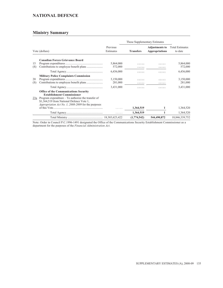### **NATIONAL DEFENCE**

### **Ministry Summary**

|                |                                                                                                                                                                                                                                                      |                       | These Supplementary Estimates |                                         |                                   |
|----------------|------------------------------------------------------------------------------------------------------------------------------------------------------------------------------------------------------------------------------------------------------|-----------------------|-------------------------------|-----------------------------------------|-----------------------------------|
| Vote (dollars) |                                                                                                                                                                                                                                                      | Previous<br>Estimates | <b>Transfers</b>              | <b>Adjustments to</b><br>Appropriations | <b>Total Estimates</b><br>to date |
|                | <b>Canadian Forces Grievance Board</b>                                                                                                                                                                                                               |                       |                               |                                         |                                   |
| 15             |                                                                                                                                                                                                                                                      | 5,864,000             |                               |                                         | 5,864,000                         |
| (S)            |                                                                                                                                                                                                                                                      | 572,000               |                               |                                         | 572,000                           |
|                |                                                                                                                                                                                                                                                      | 6,436,000             | .                             | .                                       | 6,436,000                         |
| 20<br>(S)      | <b>Military Police Complaints Commission</b>                                                                                                                                                                                                         | 3,150,000<br>281,000  | .                             |                                         | 3,150,000<br>281,000              |
|                |                                                                                                                                                                                                                                                      | 3,431,000             | .                             |                                         | 3,431,000                         |
| 23a            | <b>Office of the Communications Security</b><br><b>Establishment Commissioner</b><br>Program expenditure $-$ To authorize the transfer of<br>\$1,364,519 from National Defence Vote 1,<br><i>Appropriation Act No. 1, 2008-2009</i> for the purposes |                       |                               |                                         |                                   |
|                |                                                                                                                                                                                                                                                      |                       | 1,364,519                     | 1                                       | 1,364,520                         |
|                |                                                                                                                                                                                                                                                      | .                     | 1,364,519                     | 1                                       | 1,364,520                         |
|                |                                                                                                                                                                                                                                                      |                       | (1,774,542)                   | 544,490,872                             | 18,846,339,752                    |

Note: Order in Council P.C.1996-1491 designated the Office of the Communications Security Establishment Commissioner as a department for the purposes of the *Financial Administration Act*.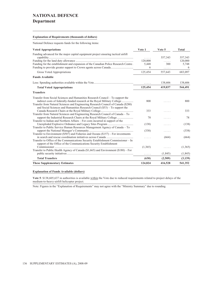# **NATIONAL DEFENCE**

### **Department**

#### **Explanation of Requirements (thousands of dollars)**

National Defence requests funds for the following items:

| <b>Voted Appropriations</b>                                                                                                                                                                                                                        | Vote 1  | Vote 5   | Total    |
|----------------------------------------------------------------------------------------------------------------------------------------------------------------------------------------------------------------------------------------------------|---------|----------|----------|
| Funding advanced for the major capital equipment project ensuring tactical airlift                                                                                                                                                                 | .       | 557,343  | 557,343  |
|                                                                                                                                                                                                                                                    | 120,000 | .        | 120,000  |
| Funding for the establishment and expansion of the Canadian Police Research Centre.                                                                                                                                                                | 5,448   | 300      | 5,748    |
|                                                                                                                                                                                                                                                    | 6       | .        | 6        |
| Gross Voted Appropriations                                                                                                                                                                                                                         | 125,454 | 557,643  | 683,097  |
| <b>Funds Available</b>                                                                                                                                                                                                                             |         |          |          |
|                                                                                                                                                                                                                                                    | .       | 138,606  | 138,606  |
| <b>Total Voted Appropriations</b>                                                                                                                                                                                                                  | 125,454 | 419,037  | 544,491  |
| <b>Transfers</b>                                                                                                                                                                                                                                   |         |          |          |
| Transfer from Social Sciences and Humanities Research Council – To support the<br>Transfer from Natural Sciences and Engineering Research Council of Canada (\$280)<br>and Social Sciences and Humanities Research Council (\$53) – To support the | 800     | .        | 800      |
| Transfer from Natural Sciences and Engineering Research Council of Canada – To                                                                                                                                                                     | 333     | .        | 333      |
| support the Industrial Research Chairs at the Royal Military College<br>Transfer to Indian and Northern Affairs – For costs incurred in support of the                                                                                             | 78      | .        | 78       |
| Transfer to Public Service Human Resources Management Agency of Canada – To                                                                                                                                                                        | (138)   | .        | (138)    |
| Transfer to Environment (\$507) and Fisheries and Oceans (\$157) – For investments                                                                                                                                                                 | (338)   | .        | (338)    |
| Transfer to Office of the Communications Security Establishment Commissioner – In                                                                                                                                                                  | .       | (664)    | (664)    |
| support of the Office of the Communications Security Establishment<br>Transfer to Public Health Agency of Canada (\$1,665) and Environment (\$180) - For                                                                                           | (1,365) | .        | (1,365)  |
|                                                                                                                                                                                                                                                    | .       | (1, 845) | (1, 845) |
| <b>Total Transfers</b>                                                                                                                                                                                                                             | (630)   | (2,509)  | (3,139)  |
| <b>These Supplementary Estimates</b>                                                                                                                                                                                                               | 124,824 | 416,528  | 541,352  |

#### **Explanation of Funds Available (dollars)**

Vote 5: \$138,605,637 in authorities is available within the Vote due to reduced requirements related to project delays of the medium-to-heavy-airlift helicopter project.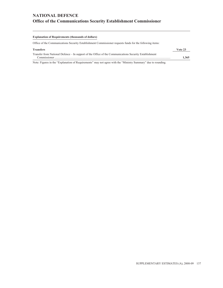# **NATIONAL DEFENCE Office of the Communications Security Establishment Commissioner**

#### **Explanation of Requirements (thousands of dollars)**

Office of the Communications Security Establishment Commissioner requests funds for the following items:

| Transfers                                                                                              | Vote 23 |
|--------------------------------------------------------------------------------------------------------|---------|
| Transfer from National Defence – In support of the Office of the Communications Security Establishment |         |
|                                                                                                        | 1.365   |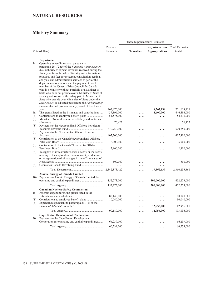### **NATURAL RESOURCES**

|           |                                                                                                          |                            | These Supplementary Estimates |                       |                           |
|-----------|----------------------------------------------------------------------------------------------------------|----------------------------|-------------------------------|-----------------------|---------------------------|
|           |                                                                                                          | Previous                   |                               | <b>Adjustments to</b> | <b>Total Estimates</b>    |
|           | Vote (dollars)                                                                                           | Estimates                  | <b>Transfers</b>              | <b>Appropriations</b> | to date                   |
|           |                                                                                                          |                            |                               |                       |                           |
|           | Department                                                                                               |                            |                               |                       |                           |
| 1a        | Operating expenditures and, pursuant to<br>paragraph $29.1(2)(a)$ of the <i>Financial Administration</i> |                            |                               |                       |                           |
|           | Act, authority to expend revenues received during the                                                    |                            |                               |                       |                           |
|           | fiscal year from the sale of forestry and information                                                    |                            |                               |                       |                           |
|           | products, and fees for research, consultation, testing,                                                  |                            |                               |                       |                           |
|           | analysis, and administration services as part of the                                                     |                            |                               |                       |                           |
|           | departmental operations and the payment to each                                                          |                            |                               |                       |                           |
|           | member of the Queen's Privy Council for Canada                                                           |                            |                               |                       |                           |
|           | who is a Minister without Portfolio or a Minister of                                                     |                            |                               |                       |                           |
|           | State who does not preside over a Ministry of State of                                                   |                            |                               |                       |                           |
|           | a salary not to exceed the salary paid to Ministers of                                                   |                            |                               |                       |                           |
|           | State who preside over Ministries of State under the                                                     |                            |                               |                       |                           |
|           | Salaries Act, as adjusted pursuant to the Parliament of                                                  |                            |                               |                       |                           |
|           | Canada Act and pro rata for any period of less than a                                                    |                            |                               |                       |                           |
|           |                                                                                                          | 762,876,000<br>437,896,000 |                               | 8,762,139             | 771,638,139               |
| 5a<br>(S) | The grants listed in the Estimates and contributions                                                     | 54,575,000                 |                               | 8,600,000             | 446,496,000<br>54,575,000 |
| (S)       | Minister of Natural Resources - Salary and motor car                                                     |                            |                               | .                     |                           |
|           |                                                                                                          | 76,422                     | .                             | .                     | 76,422                    |
| (S)       | Payments to the Newfoundland Offshore Petroleum                                                          |                            |                               |                       |                           |
|           |                                                                                                          | 670,750,000                | .                             | .                     | 670,750,000               |
| (S)       | Payments to the Nova Scotia Offshore Revenue                                                             |                            |                               |                       |                           |
|           |                                                                                                          | 407,300,000                | .                             | .                     | 407,300,000               |
| (S)       | Contribution to the Canada/Newfoundland Offshore                                                         |                            |                               |                       |                           |
|           |                                                                                                          | 6,000,000                  | .                             |                       | 6,000,000                 |
| (S)       | Contribution to the Canada/Nova Scotia Offshore                                                          | 2,900,000                  |                               |                       | 2,900,000                 |
| (S)       | In support of infrastructure costs directly or indirectly                                                |                            | .                             | .                     |                           |
|           | relating to the exploration, development, production                                                     |                            |                               |                       |                           |
|           | or transportation of oil and gas in the offshore area of                                                 |                            |                               |                       |                           |
|           |                                                                                                          | 500,000                    | .                             |                       | 500,000                   |
| (S)       |                                                                                                          | .                          | .                             | .                     |                           |
|           |                                                                                                          | 2,342,873,422              | .                             | 17,362,139            | 2,360,235,561             |
|           | <b>Atomic Energy of Canada Limited</b>                                                                   |                            |                               |                       |                           |
|           | 10a Payments to Atomic Energy of Canada Limited for                                                      |                            |                               |                       |                           |
|           |                                                                                                          | 152,273,000                | .                             | 300,000,000           | 452,273,000               |
|           |                                                                                                          | 152,273,000                | .                             | 300,000,000           | 452,273,000               |
|           | <b>Canadian Nuclear Safety Commission</b>                                                                |                            |                               |                       |                           |
| 15        | Program expenditures, the grants listed in the                                                           |                            |                               |                       |                           |
|           |                                                                                                          | 80,140,000                 |                               |                       | 80,140,000                |
| (S)       |                                                                                                          | 10,040,000                 | .                             |                       | 10,040,000                |
|           | $(S)$ Expenditures pursuant to paragraph 29.1(1) of the                                                  |                            |                               |                       |                           |
|           |                                                                                                          |                            | .                             | 12,956,000            | 12,956,000                |
|           |                                                                                                          | 90,180,000                 | .                             | 12,956,000            | 103,136,000               |
|           | <b>Cape Breton Development Corporation</b>                                                               |                            |                               |                       |                           |
| 20        | Payments to the Cape Breton Development                                                                  |                            |                               |                       |                           |
|           | Corporation for operating and capital expenditures                                                       | 66,239,000                 |                               |                       | 66,239,000                |
|           |                                                                                                          | 66,239,000                 | .                             | .                     | 66,239,000                |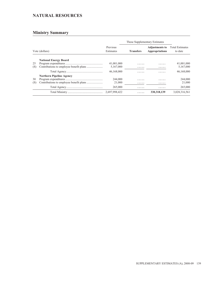## **NATURAL RESOURCES**

|                |                                 |                       | These Supplementary Estimates |                                         |                                   |
|----------------|---------------------------------|-----------------------|-------------------------------|-----------------------------------------|-----------------------------------|
| Vote (dollars) |                                 | Previous<br>Estimates | <b>Transfers</b>              | <b>Adjustments to</b><br>Appropriations | <b>Total Estimates</b><br>to date |
|                | <b>National Energy Board</b>    |                       |                               |                                         |                                   |
| 25             |                                 | 41,001,000            | .                             | .                                       | 41,001,000                        |
| (S)            |                                 | 5,167,000             | .                             | .                                       | 5,167,000                         |
|                |                                 | 46,168,000            | .                             | .                                       | 46,168,000                        |
|                | <b>Northern Pipeline Agency</b> |                       |                               |                                         |                                   |
| 30             |                                 | 244,000               |                               | .                                       | 244,000                           |
| (S)            |                                 | 21,000                | .                             | .                                       | 21,000                            |
|                |                                 | 265,000               | .                             | .                                       | 265,000                           |
|                |                                 | 2,697,998,422         | .                             | 330, 318, 139                           | 3,028,316,561                     |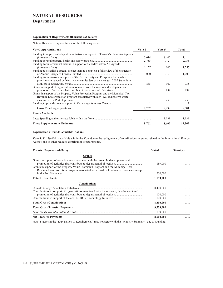# **NATURAL RESOURCES Department**

#### **Explanation of Requirements (thousands of dollars)**

Natural Resources requests funds for the following items:

| <b>Voted Appropriations</b>                                                                                                                                          | Vote 1 | Vote 5 | Total  |
|----------------------------------------------------------------------------------------------------------------------------------------------------------------------|--------|--------|--------|
| Funding to implement adaptation initiatives in support of Canada's Clean Air Agenda                                                                                  | 3,014  | 8,400  | 11,414 |
|                                                                                                                                                                      | 2,755  | .      | 2,755  |
| Funding for international actions in support of Canada's Clean Air Agenda                                                                                            |        |        |        |
|                                                                                                                                                                      | 1,157  | 100    | 1,257  |
| Funding to establish a special project team to complete a full review of the structure                                                                               |        |        |        |
|                                                                                                                                                                      | 1,000  | .      | 1,000  |
| Funding for initiatives in support of the five Security and Prosperity Partnership<br>priorities announced by North American leaders at their August 2007 Summit in  |        |        |        |
|                                                                                                                                                                      | 835    | 100    | 935    |
| Grants in support of organizations associated with the research, development and<br>Grants in support of the Property Value Protection Program and the Municipal Tax |        | 889    | 889    |
| Revenue Loss Protection Program associated with low-level radioactive waste                                                                                          |        | 250    | 250    |
|                                                                                                                                                                      |        | .      |        |
| Gross Voted Appropriations                                                                                                                                           | 8,762  | 9,739  | 18,501 |
| <b>Funds Available</b>                                                                                                                                               |        |        |        |
|                                                                                                                                                                      |        | 1,139  | 1,139  |
| <b>These Supplementary Estimates</b>                                                                                                                                 | 8,762  | 8,600  | 17,362 |

#### **Explanation of Funds Available (dollars)**

**Vote 5**: \$1,139,000 is available within the Vote due to the realignment of contributions to grants related to the International Energy Agency and to other reduced contributions requirements.

| <b>Transfer Payments (dollars)</b>                                                                                                                                                                                                                           | Voted              | <b>Statutory</b> |  |
|--------------------------------------------------------------------------------------------------------------------------------------------------------------------------------------------------------------------------------------------------------------|--------------------|------------------|--|
| Grants                                                                                                                                                                                                                                                       |                    |                  |  |
| Grants in support of organizations associated with the research, development and<br>Grants in support of the Property Value Protection Program and the Municipal Tax<br>Revenue Loss Protection Program associated with low-level radioactive waste clean-up | 889,000            |                  |  |
|                                                                                                                                                                                                                                                              | 250,000            |                  |  |
| <b>Total Gross Grants</b>                                                                                                                                                                                                                                    | 1,139,000          |                  |  |
| <b>Contributions</b>                                                                                                                                                                                                                                         |                    |                  |  |
| Contributions in support of organizations associated with the research, development and                                                                                                                                                                      | 8,400,000          |                  |  |
|                                                                                                                                                                                                                                                              | 100,000<br>100,000 |                  |  |
| <b>Total Gross Contributions</b>                                                                                                                                                                                                                             | 8,600,000          |                  |  |
| <b>Total Gross Transfer Payments</b>                                                                                                                                                                                                                         | 9,739,000          |                  |  |
|                                                                                                                                                                                                                                                              | 1,139,000          |                  |  |
| <b>Net Transfer Payments</b>                                                                                                                                                                                                                                 | 8,600,000          |                  |  |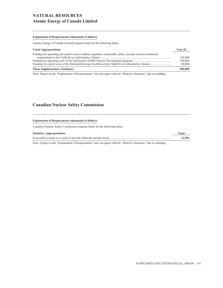# **NATURAL RESOURCES Atomic Energy of Canada Limited**

#### **Explanation of Requirements (thousands of dollars)**

Atomic Energy of Canada Limited requests funds for the following items:

| <b>Voted Appropriations</b>                                                                                  | Vote 10           |
|--------------------------------------------------------------------------------------------------------------|-------------------|
| Funding for operating and capital costs to address regulatory and health, safety, security and environmental | 120,000           |
|                                                                                                              | 100,000<br>80,000 |
| <b>These Supplementary Estimates</b>                                                                         | 300,000           |

Note: Figures in the "Explanation of Requirements" may not agree with the "Ministry Summary" due to rounding.

### **Canadian Nuclear Safety Commission**

#### **Explanation of Requirements (thousands of dollars)**

Canadian Nuclear Safety Commission requests funds for the following items:

| <b>Statutory Appropriations</b>                                                                               | Total  |
|---------------------------------------------------------------------------------------------------------------|--------|
|                                                                                                               | 12,956 |
| Note: Figures in the "Explanation of Requirements" may not agree with the "Ministry Summary" due to rounding. |        |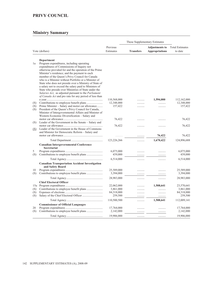## **PRIVY COUNCIL**

|            |                                                                                                                                                                                                                                                                                                                                                                                     | Previous                  |                  | <b>Adjustments to</b> | <b>Total Estimates</b>    |
|------------|-------------------------------------------------------------------------------------------------------------------------------------------------------------------------------------------------------------------------------------------------------------------------------------------------------------------------------------------------------------------------------------|---------------------------|------------------|-----------------------|---------------------------|
|            | Vote (dollars)                                                                                                                                                                                                                                                                                                                                                                      | Estimates                 | <b>Transfers</b> | <b>Appropriations</b> | to date                   |
|            |                                                                                                                                                                                                                                                                                                                                                                                     |                           |                  |                       |                           |
| 1a         | Department<br>Program expenditures, including operating<br>expenditures of Commissions of Inquiry not<br>otherwise provided for and the operation of the Prime<br>Minister's residence; and the payment to each<br>member of the Queen's Privy Council for Canada<br>who is a Minister without Portfolio or a Minister of<br>State who does not preside over a Ministry of State of |                           |                  |                       |                           |
|            | a salary not to exceed the salary paid to Ministers of<br>State who preside over Ministries of State under the<br>Salaries Act, as adjusted pursuant to the Parliament                                                                                                                                                                                                              |                           |                  |                       |                           |
|            | of Canada Act and pro rata for any period of less than                                                                                                                                                                                                                                                                                                                              |                           |                  |                       |                           |
| (S)        |                                                                                                                                                                                                                                                                                                                                                                                     | 110,568,000<br>12,348,000 | .                | 1,594,000<br>.        | 112,162,000<br>12,348,000 |
| (S)<br>(S) | Prime Minister – Salary and motor car allowance<br>President of the Queen's Privy Council for Canada,<br>Minister of Intergovernmental Affairs and Minister of<br>Western Economic Diversification - Salary and                                                                                                                                                                     | 157,422                   |                  | .                     | 157,422                   |
| (S)        | Leader of the Government in the Senate – Salary and                                                                                                                                                                                                                                                                                                                                 | 76,422                    | .                | .                     | 76,422                    |
| (S)        | Leader of the Government in the House of Commons<br>and Minister for Democratic Reform - Salary and                                                                                                                                                                                                                                                                                 | 76,422                    | .                | .                     | 76,422                    |
|            |                                                                                                                                                                                                                                                                                                                                                                                     |                           |                  | 76,422                | 76,422                    |
|            |                                                                                                                                                                                                                                                                                                                                                                                     | 123,226,266               | .                | 1,670,422             | 124,896,688               |
|            | <b>Canadian Intergovernmental Conference</b><br>Secretariat                                                                                                                                                                                                                                                                                                                         |                           |                  |                       |                           |
| 5          |                                                                                                                                                                                                                                                                                                                                                                                     | 6,075,000                 | .                | .                     | 6,075,000                 |
| (S)        |                                                                                                                                                                                                                                                                                                                                                                                     | 439,000                   |                  |                       | 439,000                   |
|            |                                                                                                                                                                                                                                                                                                                                                                                     | 6,514,000                 | .                | .                     | 6,514,000                 |
|            | <b>Canadian Transportation Accident Investigation</b><br>and Safety Board                                                                                                                                                                                                                                                                                                           |                           |                  |                       |                           |
| 10         |                                                                                                                                                                                                                                                                                                                                                                                     | 25,589,000                | .                | .                     | 25,589,000                |
| (S)        |                                                                                                                                                                                                                                                                                                                                                                                     | 3,394,000                 | .                | .                     | 3,394,000                 |
|            |                                                                                                                                                                                                                                                                                                                                                                                     | 28,983,000                | .                | .                     | 28,983,000                |
|            | <b>Chief Electoral Officer</b>                                                                                                                                                                                                                                                                                                                                                      |                           |                  |                       |                           |
|            |                                                                                                                                                                                                                                                                                                                                                                                     | 22,062,000                | .                | 1,508,641             | 23,570,641                |
| (S)        |                                                                                                                                                                                                                                                                                                                                                                                     | 3,861,000                 | .                | .                     | 3,861,000                 |
| (S)<br>(S) |                                                                                                                                                                                                                                                                                                                                                                                     | 84,318,000<br>259,500     | .<br>.           | .<br>.                | 84,318,000<br>259,500     |
|            |                                                                                                                                                                                                                                                                                                                                                                                     | 110,500,500               | .                | 1,508,641             | 112,009,141               |
|            | <b>Commissioner of Official Languages</b>                                                                                                                                                                                                                                                                                                                                           |                           |                  |                       |                           |
| 20         |                                                                                                                                                                                                                                                                                                                                                                                     | 17,764,000                |                  |                       | 17,764,000                |
| (S)        |                                                                                                                                                                                                                                                                                                                                                                                     | 2,142,000                 | .                |                       | 2,142,000                 |
|            |                                                                                                                                                                                                                                                                                                                                                                                     | 19,906,000                | .                | .                     | 19,906,000                |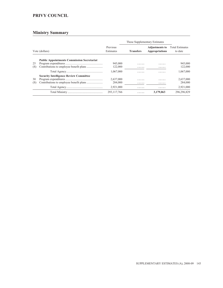# **PRIVY COUNCIL**

|                |                                                   |                       | These Supplementary Estimates |                                         |                                   |  |
|----------------|---------------------------------------------------|-----------------------|-------------------------------|-----------------------------------------|-----------------------------------|--|
| Vote (dollars) |                                                   | Previous<br>Estimates | <b>Transfers</b>              | <b>Adjustments to</b><br>Appropriations | <b>Total Estimates</b><br>to date |  |
|                | <b>Public Appointments Commission Secretariat</b> |                       |                               |                                         |                                   |  |
| 25             |                                                   | 945,000               | .                             | .                                       | 945,000                           |  |
| (S)            |                                                   | 122,000               | .                             | .                                       | 122,000                           |  |
|                |                                                   | 1,067,000             | .                             | .                                       | 1,067,000                         |  |
|                | <b>Security Intelligence Review Committee</b>     |                       |                               |                                         |                                   |  |
| 30             |                                                   | 2,637,000             |                               | .                                       | 2,637,000                         |  |
| (S)            |                                                   | 284,000               | .                             | .                                       | 284,000                           |  |
|                |                                                   | 2,921,000             | .                             | .                                       | 2,921,000                         |  |
|                |                                                   | 293, 117, 766         | .                             | 3,179,063                               | 296,296,829                       |  |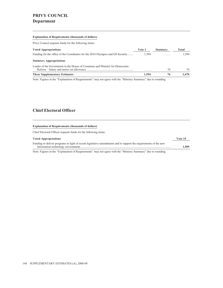# **PRIVY COUNCIL Department**

#### **Explanation of Requirements (thousands of dollars)**

Privy Council requests funds for the following items:

| <b>Voted Appropriations</b>                                                     | Vote 1 | <b>Statutory</b> | Total |
|---------------------------------------------------------------------------------|--------|------------------|-------|
| Funding for the office of the Coordinator for the 2010 Olympics and G8 Security | 1.594  | .                | 1.594 |
| <b>Statutory Appropriations</b>                                                 |        |                  |       |
| Leader of the Government in the House of Commons and Minister for Democratic    | .      | 76               | 76    |
| <b>These Supplementary Estimates</b>                                            | 1.594  | 76               | 1.670 |

Note: Figures in the "Explanation of Requirements" may not agree with the "Ministry Summary" due to rounding.

### **Chief Electoral Officer**

### **Explanation of Requirements (thousands of dollars)**

Chief Electoral Officer requests funds for the following items:

| <b>Voted Appropriations</b>                                                                                      | Vote 15 |
|------------------------------------------------------------------------------------------------------------------|---------|
| Funding to deliver programs in light of recent legislative amendments and to support the requirements of the new |         |
|                                                                                                                  | 1,509   |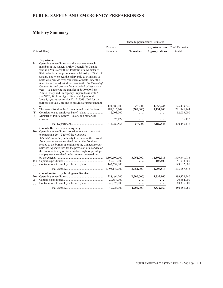## **PUBLIC SAFETY AND EMERGENCY PREPAREDNESS**

### **Ministry Summary**

|                  |                                                                                                                                                                                                                                                                                                                                                                                                                                                                                                                                                                                                                                                                                          |                                            | These Supplementary Estimates |                                                |                                            |
|------------------|------------------------------------------------------------------------------------------------------------------------------------------------------------------------------------------------------------------------------------------------------------------------------------------------------------------------------------------------------------------------------------------------------------------------------------------------------------------------------------------------------------------------------------------------------------------------------------------------------------------------------------------------------------------------------------------|--------------------------------------------|-------------------------------|------------------------------------------------|--------------------------------------------|
|                  | Vote (dollars)                                                                                                                                                                                                                                                                                                                                                                                                                                                                                                                                                                                                                                                                           | Previous<br>Estimates                      | <b>Transfers</b>              | <b>Adjustments to</b><br><b>Appropriations</b> | <b>Total Estimates</b><br>to date          |
| 1a               | Department<br>Operating expenditures and the payment to each<br>member of the Queen's Privy Council for Canada<br>who is a Minister without Portfolio or a Minister of<br>State who does not preside over a Ministry of State of<br>a salary not to exceed the salary paid to Ministers of<br>State who preside over Ministries of State under the<br>Salaries Act, as adjusted pursuant to the Parliament of<br>Canada Act and pro rata for any period of less than a<br>year $-$ To authorize the transfer of \$500,000 from<br>Public Safety and Emergency Preparedness Vote 5,<br>and \$275,000 from Agriculture and Agri-Food<br>Vote 1, Appropriation Act No. 1, 2008-2009 for the |                                            |                               |                                                |                                            |
| 5a<br>(S)<br>(S) | purposes of this Vote and to provide a further amount<br>The grants listed in the Estimates and contributions<br>Minister of Public Safety - Salary and motor car                                                                                                                                                                                                                                                                                                                                                                                                                                                                                                                        | 121,588,000<br>281, 315, 144<br>12,003,000 | 775,000<br>(500,000)<br>.     | 4,056,246<br>1,131,600<br>.                    | 126,419,246<br>281,946,744<br>12,003,000   |
|                  |                                                                                                                                                                                                                                                                                                                                                                                                                                                                                                                                                                                                                                                                                          | 76,422                                     | .                             | .                                              | 76,422                                     |
|                  | <b>Canada Border Services Agency</b><br>10a Operating expenditures, contributions and, pursuant<br>to paragraph 29.1(2)( <i>a</i> ) of the <i>Financial</i><br>Administration Act, authority to expend in the current<br>fiscal year revenues received during the fiscal year<br>related to the border operations of the Canada Border<br>Services Agency: fees for the provision of a service or<br>the use of a facility or for a product, right or privilege;<br>and payments received under contracts entered into                                                                                                                                                                   | 414,982,566                                | 275,000                       | 5,187,846                                      | 420, 445, 412                              |
| (S)              |                                                                                                                                                                                                                                                                                                                                                                                                                                                                                                                                                                                                                                                                                          | 1,300,600,000<br>50,910,000<br>143,632,000 | (3,061,000)<br>.              | 11,802,913<br>103,600<br>.                     | 1,309,341,913<br>51,013,600<br>143,632,000 |
|                  |                                                                                                                                                                                                                                                                                                                                                                                                                                                                                                                                                                                                                                                                                          | 1,495,142,000                              | (3,061,000)                   | 11,906,513                                     | 1,503,987,513                              |
| 20a<br>25<br>(S) | <b>Canadian Security Intelligence Service</b>                                                                                                                                                                                                                                                                                                                                                                                                                                                                                                                                                                                                                                            | 388,494,000<br>20,854,000<br>40,376,000    | (2,700,000)<br>.<br>.         | 3,532,960<br>.                                 | 389,326,960<br>20,854,000<br>40,376,000    |
|                  |                                                                                                                                                                                                                                                                                                                                                                                                                                                                                                                                                                                                                                                                                          | 449,724,000                                | (2,700,000)                   | 3,532,960                                      | 450,556,960                                |

<u> 1989 - Johann Stein, marwolaethau a bhann an t-Amhainn an t-Amhainn an t-Amhainn an t-Amhainn an t-Amhainn a</u>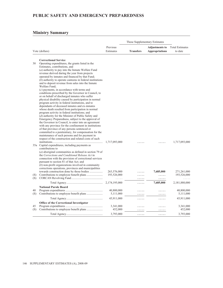# **PUBLIC SAFETY AND EMERGENCY PREPAREDNESS**

|            |                                                                                                                                                                                                                                                                                                                                                                                                                                                                                                                                                                                                                                                                                                                                                                                                                                                                                                                                                                                                                                                                                                                                                                                  | These Supplementary Estimates   |                  |                                                |                                   |
|------------|----------------------------------------------------------------------------------------------------------------------------------------------------------------------------------------------------------------------------------------------------------------------------------------------------------------------------------------------------------------------------------------------------------------------------------------------------------------------------------------------------------------------------------------------------------------------------------------------------------------------------------------------------------------------------------------------------------------------------------------------------------------------------------------------------------------------------------------------------------------------------------------------------------------------------------------------------------------------------------------------------------------------------------------------------------------------------------------------------------------------------------------------------------------------------------|---------------------------------|------------------|------------------------------------------------|-----------------------------------|
|            |                                                                                                                                                                                                                                                                                                                                                                                                                                                                                                                                                                                                                                                                                                                                                                                                                                                                                                                                                                                                                                                                                                                                                                                  | Previous<br>Estimates           | <b>Transfers</b> | <b>Adjustments to</b><br><b>Appropriations</b> | <b>Total Estimates</b><br>to date |
|            | Vote (dollars)                                                                                                                                                                                                                                                                                                                                                                                                                                                                                                                                                                                                                                                                                                                                                                                                                                                                                                                                                                                                                                                                                                                                                                   |                                 |                  |                                                |                                   |
|            |                                                                                                                                                                                                                                                                                                                                                                                                                                                                                                                                                                                                                                                                                                                                                                                                                                                                                                                                                                                                                                                                                                                                                                                  |                                 |                  |                                                |                                   |
| 30         | <b>Correctional Service</b><br>Operating expenditures, the grants listed in the<br>Estimates, contributions, and<br>(a) authority to pay into the Inmate Welfare Fund<br>revenue derived during the year from projects<br>operated by inmates and financed by that Fund;<br>$(b)$ authority to operate canteens in federal institutions<br>and to deposit revenue from sales into the Inmate<br>Welfare Fund:<br>$(c)$ payments, in accordance with terms and<br>conditions prescribed by the Governor in Council, to<br>or on behalf of discharged inmates who suffer<br>physical disability caused by participation in normal<br>program activity in federal institutions, and to<br>dependants of deceased inmates and ex-inmates<br>whose death resulted from participation in normal<br>program activity in federal institutions; and<br>(d) authority for the Minister of Public Safety and<br>Emergency Preparedness, subject to the approval of<br>the Governor in Council, to enter into an agreement<br>with any province for the confinement in institutions<br>of that province of any persons sentenced or<br>committed to a penitentiary, for compensation for the |                                 |                  |                                                |                                   |
|            | maintenance of such persons and for payment in<br>respect of the construction and related costs of such<br>35a Capital expenditures, including payments as                                                                                                                                                                                                                                                                                                                                                                                                                                                                                                                                                                                                                                                                                                                                                                                                                                                                                                                                                                                                                       | 1,717,093,000                   |                  |                                                | 1,717,093,000                     |
| (S)<br>(S) | contributions to<br>$(a)$ aboriginal communities as defined in section 79 of<br>the Corrections and Conditional Release Act in<br>connection with the provision of correctional services<br>pursuant to section 81 of that Act; and<br>$(b)$ non-profit organizations involved in community<br>corrections operations, provinces and municipalities<br>towards construction done by those bodies                                                                                                                                                                                                                                                                                                                                                                                                                                                                                                                                                                                                                                                                                                                                                                                 | 263,576,000<br>193,526,000<br>. | .                | 7,685,000<br>.<br>.                            | 271,261,000<br>193,526,000        |
|            |                                                                                                                                                                                                                                                                                                                                                                                                                                                                                                                                                                                                                                                                                                                                                                                                                                                                                                                                                                                                                                                                                                                                                                                  | 2,174,195,000                   | .                | 7,685,000                                      | 2,181,880,000                     |
| 40<br>(S)  | <b>National Parole Board</b>                                                                                                                                                                                                                                                                                                                                                                                                                                                                                                                                                                                                                                                                                                                                                                                                                                                                                                                                                                                                                                                                                                                                                     | 40,800,000<br>5,111,000         | .<br>.           | .<br>.                                         | 40,800,000<br>5,111,000           |
|            |                                                                                                                                                                                                                                                                                                                                                                                                                                                                                                                                                                                                                                                                                                                                                                                                                                                                                                                                                                                                                                                                                                                                                                                  | 45,911,000                      | .                | .                                              | 45,911,000                        |
| 45         | Office of the Correctional Investigator                                                                                                                                                                                                                                                                                                                                                                                                                                                                                                                                                                                                                                                                                                                                                                                                                                                                                                                                                                                                                                                                                                                                          | 3,341,000                       |                  |                                                | 3,341,000                         |
| (S)        |                                                                                                                                                                                                                                                                                                                                                                                                                                                                                                                                                                                                                                                                                                                                                                                                                                                                                                                                                                                                                                                                                                                                                                                  | 452,000                         |                  |                                                | 452,000                           |
|            |                                                                                                                                                                                                                                                                                                                                                                                                                                                                                                                                                                                                                                                                                                                                                                                                                                                                                                                                                                                                                                                                                                                                                                                  | 3,793,000                       | .                | .                                              | 3,793,000                         |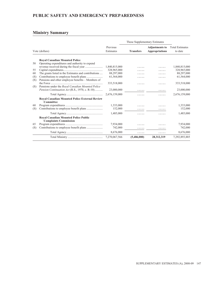# **PUBLIC SAFETY AND EMERGENCY PREPAREDNESS**

### **Ministry Summary**

|     |                                                                             |               | These Supplementary Estimates |                                                |                                   |
|-----|-----------------------------------------------------------------------------|---------------|-------------------------------|------------------------------------------------|-----------------------------------|
|     | Previous<br>Estimates<br>Vote (dollars)                                     |               | <b>Transfers</b>              | <b>Adjustments to</b><br><b>Appropriations</b> | <b>Total Estimates</b><br>to date |
|     | <b>Royal Canadian Mounted Police</b>                                        |               |                               |                                                |                                   |
| 50  | Operating expenditures and authority to expend                              |               |                               |                                                |                                   |
|     |                                                                             | 1,840,815,000 |                               |                                                | 1,840,815,000                     |
| 55  |                                                                             | 328,965,000   |                               |                                                | 328,965,000                       |
| 60  | The grants listed in the Estimates and contributions                        | 88,297,000    |                               |                                                | 88,297,000                        |
| (S) |                                                                             | 61,564,000    |                               |                                                | 61,564,000                        |
| (S) | Pensions and other employee benefits – Members of                           |               |                               |                                                |                                   |
|     |                                                                             | 333,518,000   |                               |                                                | 333,518,000                       |
| (S) | Pensions under the Royal Canadian Mounted Police                            |               |                               |                                                |                                   |
|     | Pension Continuation Act (R.S., 1970, c. R-10)                              | 23,000,000    | .                             |                                                | 23,000,000                        |
|     |                                                                             | 2,676,159,000 |                               |                                                | 2,676,159,000                     |
|     | <b>Royal Canadian Mounted Police External Review</b><br>Committee           |               |                               |                                                |                                   |
| 60  |                                                                             | 1,333,000     |                               |                                                | 1,333,000                         |
| (S) |                                                                             | 152,000       |                               |                                                | 152,000                           |
|     |                                                                             | 1,485,000     |                               |                                                | 1,485,000                         |
|     | <b>Royal Canadian Mounted Police Public</b><br><b>Complaints Commission</b> |               |                               |                                                |                                   |
| 65  |                                                                             | 7,934,000     |                               |                                                | 7,934,000                         |
| (S) |                                                                             | 742,000       |                               |                                                | 742,000                           |
|     |                                                                             | 8,676,000     |                               |                                                | 8,676,000                         |
|     |                                                                             | 7,270,067,566 | (5,486,000)                   | 28,312,319                                     | 7,292,893,885                     |

<u> 1989 - Johann Barbara, martxa alemaniar a</u>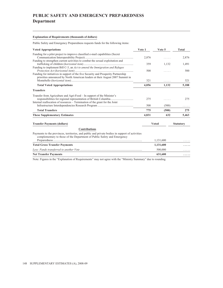# **PUBLIC SAFETY AND EMERGENCY PREPAREDNESS Department**

### **Explanation of Requirements (thousands of dollars)**

Public Safety and Emergency Preparedness requests funds for the following items:

| <b>Voted Appropriations</b>                                                                                                                                                                                                                       | Vote 1 | Vote 5       | Total            |
|---------------------------------------------------------------------------------------------------------------------------------------------------------------------------------------------------------------------------------------------------|--------|--------------|------------------|
| Funding for a pilot project to improve classified e-mail capabilities (Secret                                                                                                                                                                     | 2,876  | .            | 2,876            |
| Funding to strengthen current activities to combat the sexual exploitation and                                                                                                                                                                    | 359    | 1,132        | 1,491            |
| Funding to implement Bill C-3, an Act to amend the Immigration and Refugee<br>Funding for initiatives in support of the five Security and Prosperity Partnership<br>priorities announced by North American leaders at their August 2007 Summit in | 500    | .            | 500              |
|                                                                                                                                                                                                                                                   | 321    | .            | 321              |
| <b>Total Voted Appropriations</b>                                                                                                                                                                                                                 | 4,056  | 1,132        | 5,188            |
| <b>Transfers</b>                                                                                                                                                                                                                                  |        |              |                  |
| Transfer from Agriculture and Agri-Food – In support of the Minister's<br>responsibilities for regional representation of British Columbia<br>Internal reallocation of resources – Termination of the grant for the Joint                         | 275    |              | 275              |
|                                                                                                                                                                                                                                                   | 500    | (500)        | .                |
| <b>Total Transfers</b>                                                                                                                                                                                                                            | 775    | (500)        | 275              |
| <b>These Supplementary Estimates</b>                                                                                                                                                                                                              | 4.831  | 632          | 5,463            |
| <b>Transfer Payments (dollars)</b>                                                                                                                                                                                                                |        | <b>Voted</b> | <b>Statutory</b> |
| <b>Contributions</b>                                                                                                                                                                                                                              |        |              |                  |
| Payments to the provinces, territories, and public and private bodies in support of activities<br>complementary to those of the Department of Public Safety and Emergency                                                                         |        |              |                  |
|                                                                                                                                                                                                                                                   |        | 1,131,600    |                  |
| <b>Total Gross Transfer Payments</b>                                                                                                                                                                                                              |        | 1,131,600    |                  |
|                                                                                                                                                                                                                                                   |        | 500,000      |                  |
| <b>Net Transfer Payments</b>                                                                                                                                                                                                                      |        | 631,600      | .                |
|                                                                                                                                                                                                                                                   |        |              |                  |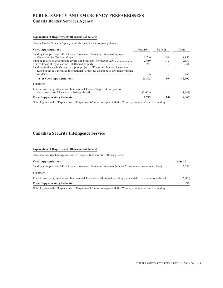# **PUBLIC SAFETY AND EMERGENCY PREPAREDNESS**

### **Canada Border Services Agency**

### **Explanation of Requirements (thousands of dollars)**

Canada Border Services Agency requests funds for the following items:

| <b>Voted Appropriations</b>                                                         | Vote 10 | Vote 15 | Total   |
|-------------------------------------------------------------------------------------|---------|---------|---------|
| Funding to implement Bill C-3, an <i>Act to amend the Immigration and Refugee</i>   |         |         |         |
|                                                                                     | 8.746   | 104     | 8.850   |
| Funding related to government advertising programs (horizontal item)                | 2.650   | .       | 2.650   |
|                                                                                     | 241     | .       | 241     |
| Funding for the establishment, as a pilot project, of Electronic Primary Inspection |         |         |         |
| Line booths at Vancouver International Airport for clearance of low-risk returning  |         |         |         |
| residents.                                                                          | 166     | .       | 166     |
| <b>Total Voted Appropriations</b>                                                   | 11,803  | 104     | 11.907  |
| <b>Transfers</b>                                                                    |         |         |         |
| Transfer to Foreign Affairs and International Trade $-$ To provide support to       |         |         |         |
|                                                                                     | (3,061) | .       | (3,061) |
| <b>These Supplementary Estimates</b>                                                | 8.742   | 104     | 8.846   |

Note: Figures in the "Explanation of Requirements" may not agree with the "Ministry Summary" due to rounding.

### **Canadian Security Intelligence Service**

| <b>Explanation of Requirements (thousands of dollars)</b>                                                                                                                                                                                                                |         |
|--------------------------------------------------------------------------------------------------------------------------------------------------------------------------------------------------------------------------------------------------------------------------|---------|
| Canadian Security Intelligence Service requests funds for the following items:                                                                                                                                                                                           |         |
| <b>Voted Appropriations</b>                                                                                                                                                                                                                                              | Vote 20 |
| Funding to implement Bill C-3, an Act to amend the Immigration and Refugee Protection Act (horizontal item)                                                                                                                                                              | 3.533   |
| <b>Transfers</b>                                                                                                                                                                                                                                                         |         |
| Transfer to Foreign Affairs and International Trade – For additional operating and capital costs at missions abroad                                                                                                                                                      | (2,700) |
| <b>These Supplementary Estimates</b>                                                                                                                                                                                                                                     | 833     |
| $\mathcal{L}$ , and the set of the set of the set of the set of the set of the set of the set of the set of the set of the set of the set of the set of the set of the set of the set of the set of the set of the set of the set<br>the contract of the contract of the |         |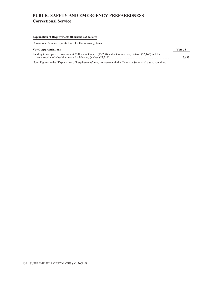# **PUBLIC SAFETY AND EMERGENCY PREPAREDNESS Correctional Service**

### **Explanation of Requirements (thousands of dollars)**

Correctional Service requests funds for the following items:

| <b>Voted Appropriations</b>                                                                                   | Vote 35 |
|---------------------------------------------------------------------------------------------------------------|---------|
| Funding to complete renovations at Millhaven, Ontario (\$3,200) and at Collins Bay, Ontario (\$2,166) and for |         |
|                                                                                                               | 7.685   |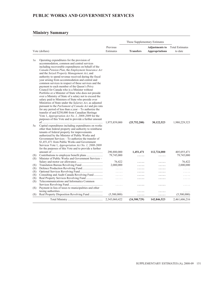# **PUBLIC WORKS AND GOVERNMENT SERVICES**

# **Ministry Summary**

|                                                                                                                                                                                                                                                                                                                                                                                                                                                                                                                                                                                                                                                                                                                                                                                                                                                                                                                                                                                                                                                                 |                       | These Supplementary Estimates |                                                |                                   |
|-----------------------------------------------------------------------------------------------------------------------------------------------------------------------------------------------------------------------------------------------------------------------------------------------------------------------------------------------------------------------------------------------------------------------------------------------------------------------------------------------------------------------------------------------------------------------------------------------------------------------------------------------------------------------------------------------------------------------------------------------------------------------------------------------------------------------------------------------------------------------------------------------------------------------------------------------------------------------------------------------------------------------------------------------------------------|-----------------------|-------------------------------|------------------------------------------------|-----------------------------------|
| Vote (dollars)                                                                                                                                                                                                                                                                                                                                                                                                                                                                                                                                                                                                                                                                                                                                                                                                                                                                                                                                                                                                                                                  | Previous<br>Estimates | <b>Transfers</b>              | <b>Adjustments to</b><br><b>Appropriations</b> | <b>Total Estimates</b><br>to date |
| Operating expenditures for the provision of<br>1a<br>accommodation, common and central services<br>including recoverable expenditures on behalf of the<br>Canada Pension Plan, the Employment Insurance Act<br>and the Seized Property Management Act, and<br>authority to spend revenue received during the fiscal<br>year arising from accommodation and central and<br>common services in respect of these services and the<br>payment to each member of the Queen's Privy<br>Council for Canada who is a Minister without<br>Portfolio or a Minister of State who does not preside<br>over a Ministry of State of a salary not to exceed the<br>salary paid to Ministers of State who preside over<br>Ministries of State under the Salaries Act, as adjusted<br>pursuant to the Parliament of Canada Act and pro rata<br>for any period of less than a year $-$ To authorize the<br>transfer of and \$250,000 from Canadian Heritage<br>Vote 1, <i>Appropriation Act No. 1, 2008-2009</i> for the<br>purposes of this Vote and to provide a further amount | 1,975,859,000         | (25,752,200)                  | 30,122,523                                     | 1,980,229,323                     |
| Capital expenditures including expenditures on works<br>5a<br>other than federal property and authority to reimburse<br>tenants of federal property for improvements<br>authorized by the Minister of Public Works and<br>Government Services – To authorize the transfer of<br>\$1,451,471 from Public Works and Government<br>Services Vote 1, Appropriation Act No. 1, 2008-2009<br>for the purposes of this Vote and to provide a further                                                                                                                                                                                                                                                                                                                                                                                                                                                                                                                                                                                                                   |                       |                               |                                                |                                   |
|                                                                                                                                                                                                                                                                                                                                                                                                                                                                                                                                                                                                                                                                                                                                                                                                                                                                                                                                                                                                                                                                 | 290,880,000           | 1,451,471                     | 112,724,000                                    | 405,055,471                       |
| (S)<br>Minister of Public Works and Government Services -<br>(S)                                                                                                                                                                                                                                                                                                                                                                                                                                                                                                                                                                                                                                                                                                                                                                                                                                                                                                                                                                                                | 79,745,000            | .                             | .                                              | 79,745,000                        |
|                                                                                                                                                                                                                                                                                                                                                                                                                                                                                                                                                                                                                                                                                                                                                                                                                                                                                                                                                                                                                                                                 | 76,422                |                               |                                                | 76,422                            |
| (S)                                                                                                                                                                                                                                                                                                                                                                                                                                                                                                                                                                                                                                                                                                                                                                                                                                                                                                                                                                                                                                                             | 2,000,000             |                               |                                                | 2,000,000                         |
| (S)                                                                                                                                                                                                                                                                                                                                                                                                                                                                                                                                                                                                                                                                                                                                                                                                                                                                                                                                                                                                                                                             | $\ldots$              | .                             | .                                              | .                                 |
| (S)                                                                                                                                                                                                                                                                                                                                                                                                                                                                                                                                                                                                                                                                                                                                                                                                                                                                                                                                                                                                                                                             | .                     |                               |                                                | .                                 |
| Consulting and Audit Canada Revolving Fund<br>(S)                                                                                                                                                                                                                                                                                                                                                                                                                                                                                                                                                                                                                                                                                                                                                                                                                                                                                                                                                                                                               | .                     |                               |                                                |                                   |
| (S)<br>Telecommunications and Informatics Common<br>(S)                                                                                                                                                                                                                                                                                                                                                                                                                                                                                                                                                                                                                                                                                                                                                                                                                                                                                                                                                                                                         | .                     |                               | .                                              |                                   |
| Payment in lieu of taxes to municipalities and other<br>(S)                                                                                                                                                                                                                                                                                                                                                                                                                                                                                                                                                                                                                                                                                                                                                                                                                                                                                                                                                                                                     | .                     |                               | .                                              | .                                 |
| Real Property Disposition Revolving Fund<br>(S)                                                                                                                                                                                                                                                                                                                                                                                                                                                                                                                                                                                                                                                                                                                                                                                                                                                                                                                                                                                                                 | .<br>(5,500,000)      | .                             | .                                              | .<br>(5,500,000)                  |
|                                                                                                                                                                                                                                                                                                                                                                                                                                                                                                                                                                                                                                                                                                                                                                                                                                                                                                                                                                                                                                                                 | 2,343,060,422         | (24, 300, 729)                | 142,846,523                                    | 2,461,606,216                     |

<u> 1989 - Johann Barn, mars and de Brasilian (b. 1989)</u>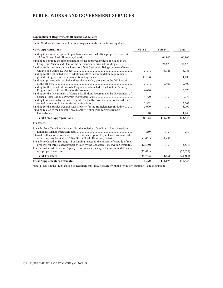### **PUBLIC WORKS AND GOVERNMENT SERVICES**

### **Explanation of Requirements (thousands of dollars)**

Public Works and Government Services requests funds for the following items:

| <b>Voted Appropriations</b>                                                            | Vote 1   | Vote 5  | Total     |
|----------------------------------------------------------------------------------------|----------|---------|-----------|
| Funding to exercise an option to purchase a commercial office property located at      |          |         |           |
|                                                                                        | .        | 66,900  | 66,900    |
| Funding to continue the implementation of the approved projects included in the        |          |         |           |
|                                                                                        |          | 24,679  | 24,679    |
| Funding for inspections and deck repairs of the Alexandria Bridge between Ottawa,      |          |         |           |
|                                                                                        | .        | 13,745  | 13,745    |
| Funding for the estimated cost of additional office accommodation requirements         |          |         |           |
|                                                                                        | 11,180   | .       | 11,180    |
| Funding to proceed with capital and health and safety projects on the Old Port of      |          |         |           |
|                                                                                        | .        | 7,400   | 7,400     |
| Funding for the Industrial Security Program which includes the Contract Security       |          |         |           |
|                                                                                        | 6,670    | .       | 6,670     |
| Funding for the Government of Canada Exhibitions Program and the Government of         |          |         |           |
|                                                                                        | 4,770    | .       | 4,770     |
| Funding to operate a disaster recovery site for the Receiver General for Canada and    |          |         |           |
|                                                                                        | 3,362    | .       | 3,362     |
| Funding for the Surplus Federal Real Property for the Homelessness Initiative          | 3,000    | .       | 3,000     |
| Funding related to the Federal Accountability Action Plan for Procurement              |          |         |           |
|                                                                                        | 1,140    | .       | 1,140     |
| <b>Total Voted Appropriations</b>                                                      | 30,122   | 112,724 | 142,846   |
| <b>Transfers</b>                                                                       |          |         |           |
|                                                                                        |          |         |           |
| Transfer from Canadian Heritage – For the logistics of the Fourth Inter-American       | 250      |         | 250       |
| Internal reallocation of resources – To exercise an option to purchase a commercial    |          | .       |           |
|                                                                                        | (1,451)  | 1,451   |           |
| Transfer to Canadian Heritage – For funding related to the transfer of custody of real |          |         |           |
| property for three leased properties used by the Canadian Conservation Institute       | (2,530)  |         |           |
| Transfer to Canada Revenue Agency – For increased charges for accommodation and        |          | .       | (2,530)   |
|                                                                                        |          |         |           |
|                                                                                        | (22,021) | .       | (22,021)  |
| <b>Total Transfers</b>                                                                 | (25,752) | 1,451   | (24, 301) |
| <b>These Supplementary Estimates</b>                                                   | 4,370    | 114,175 | 118,545   |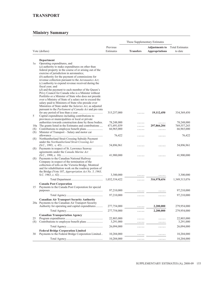|     |                                                                                                               |                       | These Supplementary Estimates |                                                |                                   |
|-----|---------------------------------------------------------------------------------------------------------------|-----------------------|-------------------------------|------------------------------------------------|-----------------------------------|
|     | Vote (dollars)                                                                                                | Previous<br>Estimates | <b>Transfers</b>              | <b>Adjustments to</b><br><b>Appropriations</b> | <b>Total Estimates</b><br>to date |
|     |                                                                                                               |                       |                               |                                                |                                   |
|     | Department                                                                                                    |                       |                               |                                                |                                   |
| 1a  | Operating expenditures, and                                                                                   |                       |                               |                                                |                                   |
|     | $(a)$ authority to make expenditures on other than                                                            |                       |                               |                                                |                                   |
|     | federal property in the course of or arising out of the<br>exercise of jurisdiction in aeronautics;           |                       |                               |                                                |                                   |
|     | $(b)$ authority for the payment of commissions for                                                            |                       |                               |                                                |                                   |
|     | revenue collection pursuant to the Aeronautics Act;                                                           |                       |                               |                                                |                                   |
|     | $(c)$ authority to expend revenue received during the                                                         |                       |                               |                                                |                                   |
|     | fiscal year; and                                                                                              |                       |                               |                                                |                                   |
|     | (d) and the payment to each member of the Queen's                                                             |                       |                               |                                                |                                   |
|     | Privy Council for Canada who is a Minister without                                                            |                       |                               |                                                |                                   |
|     | Portfolio or a Minister of State who does not preside                                                         |                       |                               |                                                |                                   |
|     | over a Ministry of State of a salary not to exceed the                                                        |                       |                               |                                                |                                   |
|     | salary paid to Ministers of State who preside over<br>Ministries of State under the Salaries Act, as adjusted |                       |                               |                                                |                                   |
|     | pursuant to the Parliament of Canada Act and pro rata                                                         |                       |                               |                                                |                                   |
|     |                                                                                                               | 315,257,000           | .                             | 19,112,450                                     | 334,369,450                       |
| 5   | Capital expenditures including contributions to                                                               |                       |                               |                                                |                                   |
|     | provinces or municipalities or local or private                                                               |                       |                               |                                                |                                   |
|     | authorities towards construction done by those bodies.                                                        | 78,248,000            |                               |                                                | 78,248,000                        |
|     | 10a The grants listed in the Estimates and contributions                                                      | 471,691,039           | .                             | 297,866,204                                    | 769, 557, 243                     |
| (S) |                                                                                                               | 66,965,000            |                               | .                                              | 66,965,000                        |
| (S) | Minister of Transport - Salary and motor car                                                                  |                       |                               |                                                |                                   |
| (S) | Northumberland Strait Crossing Subsidy Payment                                                                | 76,422                | .                             | .                                              | 76,422                            |
|     | under the Northumberland Strait Crossing Act                                                                  |                       |                               |                                                |                                   |
|     |                                                                                                               | 54,896,961            |                               |                                                | 54,896,961                        |
|     | (S) Payments in respect of St. Lawrence Seaway                                                                |                       |                               |                                                |                                   |
|     | agreements under the Canada Marine Act                                                                        |                       |                               |                                                |                                   |
|     |                                                                                                               | 41,900,000            |                               |                                                | 41,900,000                        |
| (S) | Payments to the Canadian National Railway                                                                     |                       |                               |                                                |                                   |
|     | Company in respect of the termination of the                                                                  |                       |                               |                                                |                                   |
|     | collection of tolls on the Victoria Bridge, Montreal<br>and for rehabilitation work on the roadway portion of |                       |                               |                                                |                                   |
|     | the Bridge (Vote 107, Appropriation Act No. 5, 1963,                                                          |                       |                               |                                                |                                   |
|     |                                                                                                               | 3,300,000             |                               |                                                | 3,300,000                         |
|     |                                                                                                               | 1,032,334,422         |                               | 316,978,654                                    | 1,349,313,076                     |
|     |                                                                                                               |                       | .                             |                                                |                                   |
| 15  | <b>Canada Post Corporation</b><br>Payments to the Canada Post Corporation for special                         |                       |                               |                                                |                                   |
|     |                                                                                                               | 97,210,000            | .                             |                                                | 97,210,000                        |
|     |                                                                                                               |                       |                               |                                                |                                   |
|     |                                                                                                               | 97,210,000            | .                             | .                                              | 97,210,000                        |
|     | <b>Canadian Air Transport Security Authority</b>                                                              |                       |                               |                                                |                                   |
|     | 20a Payments to the Canadian Air Transport Security                                                           |                       |                               |                                                |                                   |
|     | Authority for operating and capital expenditures                                                              | 277,754,000           | .                             | 2,200,000                                      | 279,954,000                       |
|     |                                                                                                               | 277,754,000           | .                             | 2,200,000                                      | 279,954,000                       |
|     | <b>Canadian Transportation Agency</b>                                                                         |                       |                               |                                                |                                   |
| 25  |                                                                                                               | 22,803,000            | .                             |                                                | 22,803,000                        |
| (S) | Contributions to employee benefit plans                                                                       | 3,291,000             | .                             | .                                              | 3,291,000                         |
|     |                                                                                                               | 26,094,000            | .                             | .                                              | 26,094,000                        |
|     | <b>Federal Bridge Corporation Limited</b>                                                                     |                       |                               |                                                |                                   |
| 30  | Payments to the Federal Bridge Corporation Limited                                                            | 10,204,000            | .                             | .                                              | 10,204,000                        |
|     |                                                                                                               | 10,204,000            | .                             | .                                              | 10,204,000                        |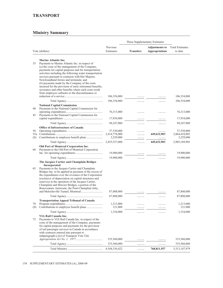|           |                                                                                                                                                                                                                                                                                                                                                                                                                                                                                                                           |                                          | These Supplementary Estimates |                                                |                                          |
|-----------|---------------------------------------------------------------------------------------------------------------------------------------------------------------------------------------------------------------------------------------------------------------------------------------------------------------------------------------------------------------------------------------------------------------------------------------------------------------------------------------------------------------------------|------------------------------------------|-------------------------------|------------------------------------------------|------------------------------------------|
|           | Vote (dollars)                                                                                                                                                                                                                                                                                                                                                                                                                                                                                                            | Previous<br>Estimates                    | <b>Transfers</b>              | <b>Adjustments to</b><br><b>Appropriations</b> | <b>Total Estimates</b><br>to date        |
| 35        | <b>Marine Atlantic Inc.</b><br>Payments to Marine Atlantic Inc. in respect of<br>$(a)$ the costs of the management of the Company,<br>payments for capital purposes and for transportation<br>activities including the following water transportation<br>services pursuant to contracts with Her Majesty:<br>Newfoundland ferries and terminals; and<br>(b) payments made by the Company of the costs<br>incurred for the provision of early retirement benefits,<br>severance and other benefits where such costs result |                                          |                               |                                                |                                          |
|           | from employee cutbacks or the discontinuance or                                                                                                                                                                                                                                                                                                                                                                                                                                                                           | 106,354,000                              |                               |                                                | 106,354,000                              |
|           |                                                                                                                                                                                                                                                                                                                                                                                                                                                                                                                           | 106,354,000                              | .                             |                                                | 106,354,000                              |
| 40        | <b>National Capital Commission</b><br>Payments to the National Capital Commission for                                                                                                                                                                                                                                                                                                                                                                                                                                     |                                          |                               |                                                |                                          |
| 45        | Payments to the National Capital Commission for                                                                                                                                                                                                                                                                                                                                                                                                                                                                           | 76,313,000<br>17,934,000                 | .                             | .                                              | 76,313,000<br>17,934,000                 |
|           |                                                                                                                                                                                                                                                                                                                                                                                                                                                                                                                           |                                          | .                             | .                                              | 94,247,000                               |
|           | <b>Office of Infrastructure of Canada</b>                                                                                                                                                                                                                                                                                                                                                                                                                                                                                 | 94,247,000                               | .                             | .                                              |                                          |
| 50<br>(S) |                                                                                                                                                                                                                                                                                                                                                                                                                                                                                                                           | 37,530,000<br>2,414,778,000<br>3,229,000 | .<br>.                        | .<br>449,632,903<br>.                          | 37,530,000<br>2,864,410,903<br>3,229,000 |
|           |                                                                                                                                                                                                                                                                                                                                                                                                                                                                                                                           | 2,455,537,000                            |                               | 449,632,903                                    | 2,905,169,903                            |
| 60        | Old Port of Montreal Corporation Inc.<br>Payments to the Old Port of Montreal Corporation                                                                                                                                                                                                                                                                                                                                                                                                                                 | 19,900,000                               | .                             |                                                | 19,900,000                               |
|           |                                                                                                                                                                                                                                                                                                                                                                                                                                                                                                                           | 19,900,000                               | .                             | .                                              | 19,900,000                               |
| 65        | The Jacques Cartier and Champlain Bridges<br>Incorporated<br>Payments to the Jacques Cartier and Champlain<br>Bridges Inc. to be applied in payment of the excess of<br>the expenditures over the revenues of the Corporation<br>(exclusive of depreciation on capital structures and<br>reserves) in the operation of the Jacques Cartier,<br>Champlain and Mercier Bridges, a portion of the<br>Bonaventure Autoroute, the Pont-Champlain Jetty,                                                                        | 87,808,000                               |                               |                                                | 87,808,000                               |
|           |                                                                                                                                                                                                                                                                                                                                                                                                                                                                                                                           | 87,808,000                               | .                             |                                                | 87,808,000                               |
| 70<br>(S) | <b>Transportation Appeal Tribunal of Canada</b>                                                                                                                                                                                                                                                                                                                                                                                                                                                                           | 1,213,000<br>121,000                     |                               |                                                | 1,213,000<br>121,000                     |
|           |                                                                                                                                                                                                                                                                                                                                                                                                                                                                                                                           | 1,334,000                                | .                             | .                                              | 1,334,000                                |
| 75        | VIA Rail Canada Inc.<br>Payments to VIA Rail Canada Inc. in respect of the<br>costs of the management of the Company, payments<br>for capital purposes and payments for the provision<br>of rail passenger services in Canada in accordance<br>with contracts entered into pursuant to<br>subparagraph $(c)(i)$ of Transport Vote 52d,                                                                                                                                                                                    |                                          |                               |                                                |                                          |
|           |                                                                                                                                                                                                                                                                                                                                                                                                                                                                                                                           | 335,560,000                              | .                             |                                                | 335,560,000                              |
|           |                                                                                                                                                                                                                                                                                                                                                                                                                                                                                                                           | 335,560,000                              | .                             | .                                              | 335,560,000                              |
|           |                                                                                                                                                                                                                                                                                                                                                                                                                                                                                                                           | 4,544,336,422                            | .                             | 768,811,557                                    | 5, 313, 147, 979                         |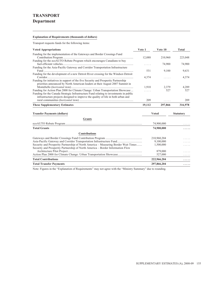### **Explanation of Requirements (thousands of dollars)**

Transport requests funds for the following items:

| <b>Voted Appropriations</b>                                                                                                                                                                                                                                                                                                                    | Vote 1 | Vote 10      | Total            |
|------------------------------------------------------------------------------------------------------------------------------------------------------------------------------------------------------------------------------------------------------------------------------------------------------------------------------------------------|--------|--------------|------------------|
| Funding for the implementation of the Gateways and Border Crossings Fund                                                                                                                                                                                                                                                                       | 12,088 | 210,960      | 223,048          |
| Funding for the ecoAUTO Rebate Program which encourages Canadians to buy<br>Funding for the Asia-Pacific Gateway and Corridor Transportation Infrastructure                                                                                                                                                                                    | .      | 74,900       | 74,900           |
| Funding for the development of a new Detroit River crossing for the Windsor-Detroit                                                                                                                                                                                                                                                            | 531    | 9,100        | 9,631            |
| Funding for initiatives in support of the five Security and Prosperity Partnership                                                                                                                                                                                                                                                             | 4,374  | .            | 4,374            |
| priorities announced by North American leaders at their August 2007 Summit in<br>Funding for Action Plan 2000 for Climate Change: Urban Transportation Showcase<br>Funding for the Canada Strategic Infrastructure Fund relating to investments in public<br>infrastructure projects designed to improve the quality of life in both urban and | 1,910  | 2,379<br>527 | 4,289<br>527     |
|                                                                                                                                                                                                                                                                                                                                                | 209    | .            | 209              |
| <b>These Supplementary Estimates</b>                                                                                                                                                                                                                                                                                                           | 19,112 | 297,866      | 316,978          |
| <b>Transfer Payments (dollars)</b>                                                                                                                                                                                                                                                                                                             |        | <b>Voted</b> | <b>Statutory</b> |
| Grants                                                                                                                                                                                                                                                                                                                                         |        |              |                  |

| <b>G</b> rants                                                                     |             |   |
|------------------------------------------------------------------------------------|-------------|---|
|                                                                                    | 74,900,000  | . |
| <b>Total Grants</b>                                                                | 74,900,000  | . |
| <b>Contributions</b>                                                               |             |   |
|                                                                                    | 210,960,204 | . |
|                                                                                    | 9,100,000   | . |
| Security and Prosperity Partnership of North America - Measuring Border Wait Times | 1.500,000   | . |
| Security and Prosperity Partnership of North America – Border Information Flow     |             |   |
|                                                                                    | 879,000     | . |
| Action Plan 2000 for Climate Change: Urban Transportation Showcase                 | 527,000     | . |
| <b>Total Contributions</b>                                                         | 222,966,204 | . |
| <b>Total Transfer Payments</b>                                                     | 297,866,204 | . |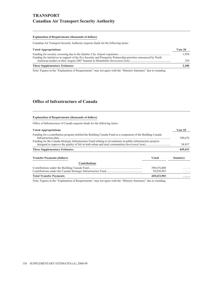# **TRANSPORT Canadian Air Transport Security Authority**

### **Explanation of Requirements (thousands of dollars)**

Canadian Air Transport Security Authority requests funds for the following items:

| <b>Voted Appropriations</b>                                                                                      | Vote 20 |
|------------------------------------------------------------------------------------------------------------------|---------|
| Funding for initiatives in support of the five Security and Prosperity Partnership priorities announced by North | 1.950   |
|                                                                                                                  | 250     |
| <b>These Supplementary Estimates</b>                                                                             | 2.200   |

Note: Figures in the "Explanation of Requirements" may not agree with the "Ministry Summary" due to rounding.

### **Office of Infrastructure of Canada**

### **Explanation of Requirements (thousands of dollars)**

Office of Infrastructure of Canada requests funds for the following items:

| <b>Voted Appropriations</b>                                                                                    | Vote 55          |
|----------------------------------------------------------------------------------------------------------------|------------------|
| Funding for a contribution program entitled the Building Canada Fund as a component of the Building Canada     | 390,676          |
| Funding for the Canada Strategic Infrastructure Fund relating to investments in public infrastructure projects |                  |
| <b>These Supplementary Estimates</b>                                                                           | 449,633          |
| <b>Transfer Payments (dollars)</b><br><b>Voted</b>                                                             | <b>Statutory</b> |
| <b>Contributions</b>                                                                                           |                  |
| 390,676,000                                                                                                    | .                |
| 58,956,903                                                                                                     | .                |
| 449,632,903<br><b>Total Transfer Payments</b>                                                                  | .                |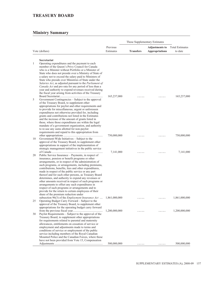### **TREASURY BOARD**

|    |                                                                                                                                                                                                                                                                                                                                                                                                                                                                                                                                                                                                                                                                                                                   |                       | These Supplementary Estimates |                       |                                   |  |  |  |
|----|-------------------------------------------------------------------------------------------------------------------------------------------------------------------------------------------------------------------------------------------------------------------------------------------------------------------------------------------------------------------------------------------------------------------------------------------------------------------------------------------------------------------------------------------------------------------------------------------------------------------------------------------------------------------------------------------------------------------|-----------------------|-------------------------------|-----------------------|-----------------------------------|--|--|--|
|    | Vote (dollars)                                                                                                                                                                                                                                                                                                                                                                                                                                                                                                                                                                                                                                                                                                    | Previous<br>Estimates | <b>Transfers</b>              | <b>Adjustments to</b> | <b>Total Estimates</b><br>to date |  |  |  |
|    |                                                                                                                                                                                                                                                                                                                                                                                                                                                                                                                                                                                                                                                                                                                   |                       |                               | <b>Appropriations</b> |                                   |  |  |  |
| 1  | Secretariat<br>Operating expenditures and the payment to each<br>member of the Queen's Privy Council for Canada                                                                                                                                                                                                                                                                                                                                                                                                                                                                                                                                                                                                   |                       |                               |                       |                                   |  |  |  |
| 5  | who is a Minister without Portfolio or a Minister of<br>State who does not preside over a Ministry of State of<br>a salary not to exceed the salary paid to Ministers of<br>State who preside over Ministries of State under the<br>Salaries Act, as adjusted pursuant to the Parliament of<br>Canada Act and pro rata for any period of less than a<br>year and authority to expend revenues received during<br>the fiscal year arising from activities of the Treasury<br>Government Contingencies – Subject to the approval                                                                                                                                                                                    | 165,237,000           |                               |                       | 165,237,000                       |  |  |  |
|    | of the Treasury Board, to supplement other<br>appropriations for paylist and other requirements and<br>to provide for miscellaneous, urgent or unforeseen<br>expenditures not otherwise provided for, including<br>grants and contributions not listed in the Estimates<br>and the increase of the amount of grants listed in<br>these, where those expenditures are within the legal<br>mandate of a government organization, and authority<br>to re-use any sums allotted for non-paylist<br>requirements and repaid to this appropriation from                                                                                                                                                                 |                       |                               |                       |                                   |  |  |  |
| 10 | Government-Wide Initiatives – Subject to the<br>approval of the Treasury Board, to supplement other<br>appropriations in support of the implementation of<br>strategic management initiatives in the public service                                                                                                                                                                                                                                                                                                                                                                                                                                                                                               | 750,000,000           |                               |                       | 750,000,000                       |  |  |  |
| 20 | Public Service Insurance – Payments, in respect of<br>insurance, pension or benefit programs or other<br>arrangements, or in respect of the administration of<br>such programs, or arrangements, including premiums,<br>contributions, benefits, fees and other expenditures,<br>made in respect of the public service or any part<br>thereof and for such other persons, as Treasury Board<br>determines, and authority to expend any revenues or<br>other amounts received in respect of such programs or<br>arrangements to offset any such expenditures in<br>respect of such programs or arrangements and to<br>provide for the return to certain employees of their<br>share of the premium reduction under | 7,141,000             |                               |                       | 7,141,000                         |  |  |  |
| 25 | subsection 96(3) of the <i>Employment Insurance Act</i><br>Operating Budget Carry Forward - Subject to the<br>approval of the Treasury Board, to supplement other<br>appropriations for the operating budget carry forward                                                                                                                                                                                                                                                                                                                                                                                                                                                                                        | 1,861,000,000         | .                             | .                     | 1,861,000,000                     |  |  |  |
| 30 | Paylist Requirements – Subject to the approval of the<br>Treasury Board, to supplement other appropriations<br>for requirements related to parental and maternity<br>allowances, entitlements on cessation of service or<br>employment and adjustments made to terms and<br>conditions of service or employment of the public<br>service including members of the Royal Canadian<br>Mounted Police and the Canadian Forces, where these<br>have not been provided from Vote 15, Compensation                                                                                                                                                                                                                      | 1,200,000,000         |                               |                       | 1,200,000,000                     |  |  |  |
|    |                                                                                                                                                                                                                                                                                                                                                                                                                                                                                                                                                                                                                                                                                                                   | 500,000,000           |                               |                       | 500,000,000                       |  |  |  |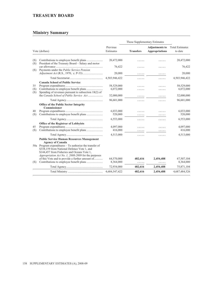### **TREASURY BOARD**

|                  |                                                                                                                                                                                                                                                                                               |                                       | These Supplementary Estimates |                                                |                                       |
|------------------|-----------------------------------------------------------------------------------------------------------------------------------------------------------------------------------------------------------------------------------------------------------------------------------------------|---------------------------------------|-------------------------------|------------------------------------------------|---------------------------------------|
|                  | Vote (dollars)                                                                                                                                                                                                                                                                                | Previous<br>Estimates                 | <b>Transfers</b>              | <b>Adjustments to</b><br><b>Appropriations</b> | <b>Total Estimates</b><br>to date     |
| (S)<br>(S)       | President of the Treasury Board - Salary and motor                                                                                                                                                                                                                                            | 20,472,000                            | .                             |                                                | 20,472,000                            |
| (S)              | Payments under the Public Service Pension                                                                                                                                                                                                                                                     | 76,422                                |                               |                                                | 76,422                                |
|                  |                                                                                                                                                                                                                                                                                               | 20,000                                | .                             | .                                              | 20,000                                |
|                  |                                                                                                                                                                                                                                                                                               | 4,503,946,422                         |                               |                                                | 4,503,946,422                         |
| 35<br>(S)<br>(S) | <b>Canada School of Public Service</b><br>Spending of revenues pursuant to subsection $18(2)$ of<br>the Canada School of Public Service Act                                                                                                                                                   | 58,529,000<br>6,072,000<br>32,000,000 |                               |                                                | 58,529,000<br>6,072,000<br>32,000,000 |
|                  |                                                                                                                                                                                                                                                                                               | 96,601,000                            | .                             | .                                              | 96,601,000                            |
| 40<br>(S)        | <b>Office of the Public Sector Integrity</b><br>Commissioner<br>Contributions to employee benefit plans                                                                                                                                                                                       | 6,033,000<br>520,000                  |                               |                                                | 6,033,000<br>520,000                  |
|                  |                                                                                                                                                                                                                                                                                               | 6,553,000                             | .                             |                                                | 6,553,000                             |
| 45<br>(S)        | <b>Office of the Registrar of Lobbyists</b>                                                                                                                                                                                                                                                   | 4,097,000<br>416,000                  |                               |                                                | 4,097,000<br>416,000                  |
|                  |                                                                                                                                                                                                                                                                                               | 4,513,000                             |                               |                                                | 4,513,000                             |
|                  | <b>Public Service Human Resources Management</b><br><b>Agency of Canada</b><br>50a Program expenditures $-$ To authorize the transfer of<br>\$338,159 from National Defence Vote 1, and<br>\$144,457 from Fisheries and Oceans Vote 1,<br>Appropriation Act No. 1, 2008-2009 for the purposes |                                       |                               |                                                |                                       |
| (S)              | of this Vote and to provide a further amount of                                                                                                                                                                                                                                               | 64,570,000<br>8,364,000               | 482,616                       | 2,454,488                                      | 67,507,104<br>8,364,000               |
|                  |                                                                                                                                                                                                                                                                                               | 72,934,000                            | 482,616                       | 2,454,488                                      | 75,871,104                            |
|                  |                                                                                                                                                                                                                                                                                               | 4,684,547,422                         | 482,616                       | 2,454,488                                      | 4,687,484,526                         |
|                  |                                                                                                                                                                                                                                                                                               |                                       |                               |                                                |                                       |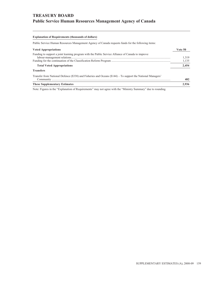# **TREASURY BOARD Public Service Human Resources Management Agency of Canada**

#### **Explanation of Requirements (thousands of dollars)**

Public Service Human Resources Management Agency of Canada requests funds for the following items:

| <b>Voted Appropriations</b>                                                                                 | Vote 50        |
|-------------------------------------------------------------------------------------------------------------|----------------|
| Funding to support a joint learning program with the Public Service Alliance of Canada to improve           | 1.319<br>1.135 |
| <b>Total Voted Appropriations</b>                                                                           | 2.454          |
| <b>Transfers</b>                                                                                            |                |
| Transfer from National Defence (\$338) and Fisheries and Oceans (\$144) – To support the National Managers' |                |

### **These Supplementary Estimates 2,936**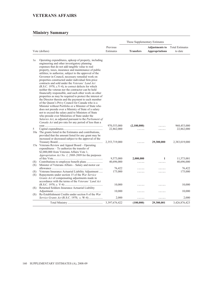### **VETERANS AFFAIRS**

| Vote (dollars)    |                                                                                                                                                                                                                                                                                                                                                                                                                                                                                                                                                                                                                                                                                                                                                                                                                                                                                                                                                                                                                                                                                                                                                   | Previous<br>Estimates     | <b>Transfers</b> | <b>Adjustments to</b><br><b>Appropriations</b> | <b>Total Estimates</b><br>to date |
|-------------------|---------------------------------------------------------------------------------------------------------------------------------------------------------------------------------------------------------------------------------------------------------------------------------------------------------------------------------------------------------------------------------------------------------------------------------------------------------------------------------------------------------------------------------------------------------------------------------------------------------------------------------------------------------------------------------------------------------------------------------------------------------------------------------------------------------------------------------------------------------------------------------------------------------------------------------------------------------------------------------------------------------------------------------------------------------------------------------------------------------------------------------------------------|---------------------------|------------------|------------------------------------------------|-----------------------------------|
| 1a                | Operating expenditures, upkeep of property, including<br>engineering and other investigatory planning<br>expenses that do not add tangible value to real<br>property, taxes, insurance and maintenance of public<br>utilities; to authorize, subject to the approval of the<br>Governor in Council, necessary remedial work on<br>properties constructed under individual firm price<br>contracts and sold under the Veterans' Land Act<br>(R.S.C. 1970, c.V-4), to correct defects for which<br>neither the veteran nor the contractor can be held<br>financially responsible, and such other work on other<br>properties as may be required to protect the interest of<br>the Director therein and the payment to each member<br>of the Queen's Privy Council for Canada who is a<br>Minister without Portfolio or a Minister of State who<br>does not preside over a Ministry of State of a salary<br>not to exceed the salary paid to Ministers of State<br>who preside over Ministries of State under the<br><i>Salaries Act</i> , as adjusted pursuant to the <i>Parliament of</i><br>Canada Act and pro rata for any period of less than a |                           |                  |                                                |                                   |
| 5                 | 10a The grants listed in the Estimates and contributions,<br>provided that the amount listed for any grant may be                                                                                                                                                                                                                                                                                                                                                                                                                                                                                                                                                                                                                                                                                                                                                                                                                                                                                                                                                                                                                                 | 970,553,000<br>22,862,000 | (2,100,000)<br>. |                                                | 968,453,000<br>22,862,000         |
|                   | increased or decreased subject to the approval of the<br>15a Veterans Review and Appeal Board - Operating<br>expenditures – To authorize the transfer of<br>\$2,000,000 from Veterans Affairs Vote 1,                                                                                                                                                                                                                                                                                                                                                                                                                                                                                                                                                                                                                                                                                                                                                                                                                                                                                                                                             | 2,353,719,000             |                  | 29,300,000                                     | 2,383,019,000                     |
| (S)               | Appropriation Act No. 1, 2008-2009 for the purposes                                                                                                                                                                                                                                                                                                                                                                                                                                                                                                                                                                                                                                                                                                                                                                                                                                                                                                                                                                                                                                                                                               | 9,573,000<br>40,696,000   | 2,000,000<br>.   | $\mathbf{1}$<br>.                              | 11,573,001<br>40,696,000          |
| (S)<br>(S)<br>(S) | Minister of Veterans Affairs - Salary and motor car<br>Veterans Insurance Actuarial Liability Adjustment<br>Repayments under section 15 of the War Service<br>Grants Act of compensating adjustments made in                                                                                                                                                                                                                                                                                                                                                                                                                                                                                                                                                                                                                                                                                                                                                                                                                                                                                                                                      | 76,422<br>175,000         |                  |                                                | 76,422<br>175,000                 |
| (S)               | accordance with the terms of the Veterans' Land Act<br>Returned Soldiers Insurance Actuarial Liability                                                                                                                                                                                                                                                                                                                                                                                                                                                                                                                                                                                                                                                                                                                                                                                                                                                                                                                                                                                                                                            | 10,000                    |                  |                                                | 10,000                            |
| (S)               | Re-Establishment Credits under section 8 of the War                                                                                                                                                                                                                                                                                                                                                                                                                                                                                                                                                                                                                                                                                                                                                                                                                                                                                                                                                                                                                                                                                               | 10,000                    |                  | .                                              | 10,000                            |
|                   |                                                                                                                                                                                                                                                                                                                                                                                                                                                                                                                                                                                                                                                                                                                                                                                                                                                                                                                                                                                                                                                                                                                                                   | 2,000                     | .                | .                                              | 2,000                             |
|                   |                                                                                                                                                                                                                                                                                                                                                                                                                                                                                                                                                                                                                                                                                                                                                                                                                                                                                                                                                                                                                                                                                                                                                   | 3,397,676,422             | (100,000)        | 29,300,001                                     | 3,426,876,423                     |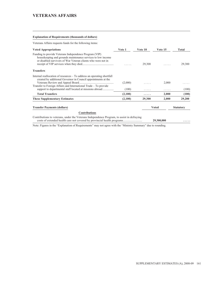### **VETERANS AFFAIRS**

### **Explanation of Requirements (thousands of dollars)**

Veterans Affairs requests funds for the following items:

| <b>Voted Appropriations</b>                                                                                                                                                                                 | Vote 1  | Vote 10 | Vote 15      | Total            |
|-------------------------------------------------------------------------------------------------------------------------------------------------------------------------------------------------------------|---------|---------|--------------|------------------|
| Funding to provide Veterans Independence Program (VIP)<br>house keeping and grounds maintenance services to low income<br>or disabled survivors of War Veteran clients who were not in                      |         | 29,300  |              | 29,300           |
| <b>Transfers</b>                                                                                                                                                                                            |         |         |              |                  |
| Internal reallocation of resources – To address an operating shortfall<br>created by additional Governor in Council appointments at the<br>Transfer to Foreign Affairs and International Trade – To provide | (2,000) | .       | 2,000        |                  |
| support to departmental staff located at missions abroad                                                                                                                                                    | (100)   | .       | .            | (100)            |
| <b>Total Transfers</b>                                                                                                                                                                                      | (2,100) | .       | 2,000        | (100)            |
| <b>These Supplementary Estimates</b>                                                                                                                                                                        | (2,100) | 29,300  | 2,000        | 29,200           |
| <b>Transfer Payments (dollars)</b>                                                                                                                                                                          |         |         | <b>Voted</b> | <b>Statutory</b> |
| <b>Contributions</b>                                                                                                                                                                                        |         |         |              |                  |
| Contributions to veterans, under the Veterans Independence Program, to assist in defraying<br>costs of extended health care not covered by provincial health programs                                       |         |         | 29,300,000   |                  |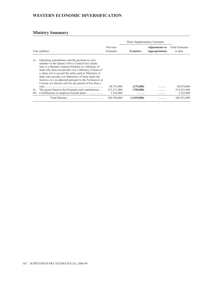# **WESTERN ECONOMIC DIVERSIFICATION**

|                 |                                                                                                                                                                                                                                                                                                                                                                                                                                                                                                                  |                                        | These Supplementary Estimates |                                                |                                        |
|-----------------|------------------------------------------------------------------------------------------------------------------------------------------------------------------------------------------------------------------------------------------------------------------------------------------------------------------------------------------------------------------------------------------------------------------------------------------------------------------------------------------------------------------|----------------------------------------|-------------------------------|------------------------------------------------|----------------------------------------|
| Vote (dollars)  |                                                                                                                                                                                                                                                                                                                                                                                                                                                                                                                  | Previous<br>Estimates                  | <b>Transfers</b>              | <b>Adjustments to</b><br><b>Appropriations</b> | <b>Total Estimates</b><br>to date      |
| 1a<br>5a<br>(S) | Operating expenditures and the payment to each<br>member of the Queen's Privy Council for Canada<br>who is a Minister without Portfolio or a Minister of<br>State who does not preside over a Ministry of State of<br>a salary not to exceed the salary paid to Ministers of<br>State who preside over Ministries of State under the<br>Salaries Act, as adjusted pursuant to the Parliament of<br>Canada Act and pro rata for any period of less than a<br>The grants listed in the Estimates and contributions | 48,753,000<br>215,271,000<br>5,322,000 | (275,000)<br>(750,000)<br>.   | .<br>.<br>.                                    | 48,478,000<br>214,521,000<br>5,322,000 |
|                 |                                                                                                                                                                                                                                                                                                                                                                                                                                                                                                                  | 269,346,000                            | (1,025,000)                   | .                                              | 268,321,000                            |